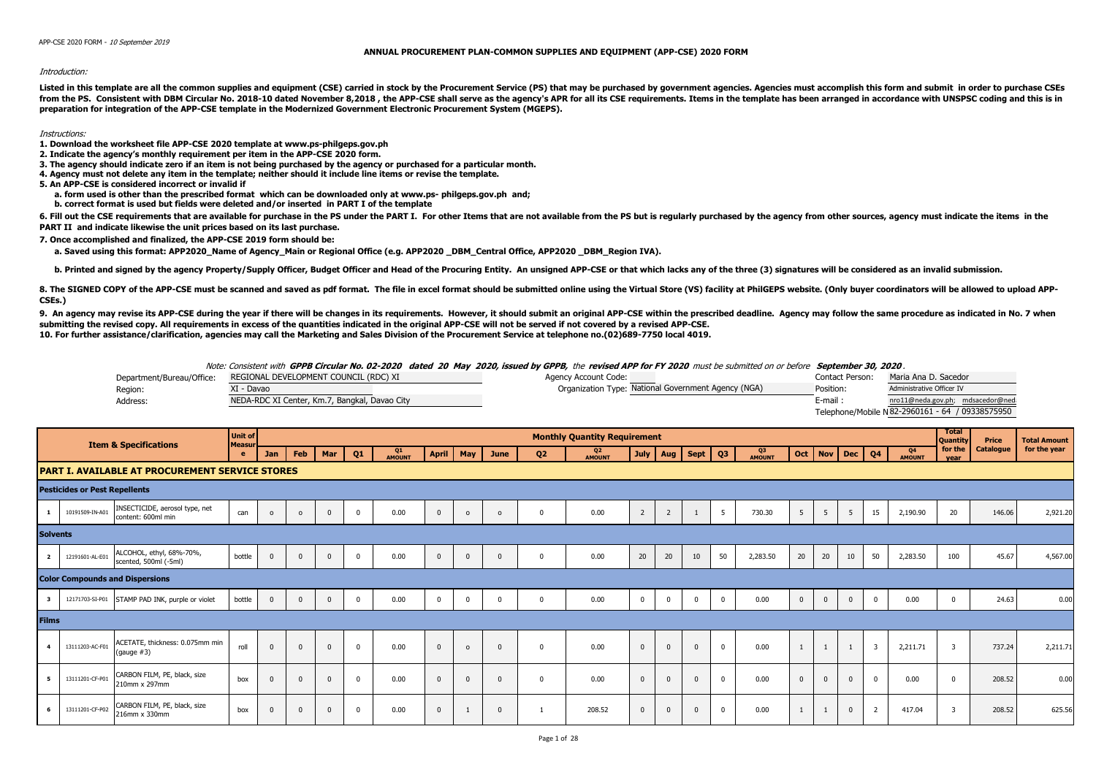## **ANNUAL PROCUREMENT PLAN-COMMON SUPPLIES AND EQUIPMENT (APP-CSE) 2020 FORM**

## Introduction:

Listed in this template are all the common supplies and equipment (CSE) carried in stock by the Procurement Service (PS) that may be purchased by government agencies. Agencies must accomplish this form and submit in order from the PS. Consistent with DBM Circular No. 2018-10 dated November 8.2018, the APP-CSE shall serve as the agency's APR for all its CSE requirements. Items in the template has been arranged in accordance with UNSPSC codin **preparation for integration of the APP-CSE template in the Modernized Government Electronic Procurement System (MGEPS).** 

## Instructions:

- **1. Download the worksheet file APP-CSE 2020 template at www.ps-philgeps.gov.ph**
- **2. Indicate the agency's monthly requirement per item in the APP-CSE 2020 form.**
- **3. The agency should indicate zero if an item is not being purchased by the agency or purchased for a particular month.**
- **4. Agency must not delete any item in the template; neither should it include line items or revise the template.**
- **5. An APP-CSE is considered incorrect or invalid if**
	- **a. form used is other than the prescribed format which can be downloaded only at www.ps- philgeps.gov.ph and;**
	- **b. correct format is used but fields were deleted and/or inserted in PART I of the template**

6. Fill out the CSE requirements that are available for purchase in the PS under the PART I. For other Items that are not available from the PS but is reqularly purchased by the agency from other sources, agency must indic **PART II and indicate likewise the unit prices based on its last purchase.**

**7. Once accomplished and finalized, the APP-CSE 2019 form should be:**

a. Saved using this format: APP2020 Name of Agency Main or Regional Office (e.g. APP2020 DBM Central Office, APP2020 DBM Region IVA).

b. Printed and signed by the agency Property/Supply Officer, Budget Officer and Head of the Procuring Entity. An unsigned APP-CSE or that which lacks any of the three (3) signatures will be considered as an invalid submiss

8. The SIGNED COPY of the APP-CSE must be scanned and saved as pdf format. The file in excel format should be submitted online using the Virtual Store (VS) facility at PhilGEPS website. (Only buyer coordinators will be all **CSEs.)**

9. An agency may revise its APP-CSE during the year if there will be changes in its requirements. However, it should submit an original APP-CSE within the prescribed deadline. Agency may follow the same procedure as indica **submitting the revised copy. All requirements in excess of the quantities indicated in the original APP-CSE will not be served if not covered by a revised APP-CSE. 10. For further assistance/clarification, agencies may call the Marketing and Sales Division of the Procurement Service at telephone no.(02)689-7750 local 4019.**

|                           |                                               | Note: Consistent with GPPB Circular No. 02-2020 dated 20 May 2020, issued by GPPB, the revised APP for FY 2020 must be submitted on or before September 30, 2020. |                 |                                                  |
|---------------------------|-----------------------------------------------|-------------------------------------------------------------------------------------------------------------------------------------------------------------------|-----------------|--------------------------------------------------|
| Department/Bureau/Office: | REGIONAL DEVELOPMENT COUNCIL (RDC) XI         | Agency Account Code:                                                                                                                                              | Contact Person: | Maria Ana D. Sacedor                             |
| Region:                   | XI - Davao                                    | Organization Type: National Government Agency (NGA)                                                                                                               | Position:       | Administrative Officer IV                        |
| Address:                  | NEDA-RDC XI Center, Km.7, Bangkal, Davao City |                                                                                                                                                                   | E-mail :        | nro11@neda.gov.ph; mdsacedor@neda                |
|                           |                                               |                                                                                                                                                                   |                 | Telephone/Mobile N 82-2960161 - 64 / 09338575950 |

|                 |                                      | <b>Item &amp; Specifications</b>                       | <b>Unit of</b><br>Measur |            |          |                |                |                     |              |                |          |                | <b>Monthly Quantity Requirement</b> |                |                |              |                |              |              |              |                |                |                     | <b>Total</b><br><b>Quantity</b> | Price     | <b>Total Amount</b> |
|-----------------|--------------------------------------|--------------------------------------------------------|--------------------------|------------|----------|----------------|----------------|---------------------|--------------|----------------|----------|----------------|-------------------------------------|----------------|----------------|--------------|----------------|--------------|--------------|--------------|----------------|----------------|---------------------|---------------------------------|-----------|---------------------|
|                 |                                      |                                                        | e                        | <b>Jan</b> | Feb      | Mar            | Q <sub>1</sub> | Q1<br><b>AMOUNT</b> | <b>April</b> | May            | June     | Q <sub>2</sub> | Q2<br><b>AMOUNT</b>                 | <b>July</b>    |                | Aug   Sept   | Q <sub>3</sub> | Q3<br>AMOUNT | Oct          | <b>Nov</b>   | <b>Dec</b>     | Q <sub>4</sub> | Q4<br><b>AMOUNT</b> | for the<br>vear                 | Catalogue | for the year        |
|                 |                                      | <b>PART I. AVAILABLE AT PROCUREMENT SERVICE STORES</b> |                          |            |          |                |                |                     |              |                |          |                |                                     |                |                |              |                |              |              |              |                |                |                     |                                 |           |                     |
|                 | <b>Pesticides or Pest Repellents</b> |                                                        |                          |            |          |                |                |                     |              |                |          |                |                                     |                |                |              |                |              |              |              |                |                |                     |                                 |           |                     |
|                 | 10191509-IN-A01                      | INSECTICIDE, aerosol type, net<br>content: 600ml min   | can                      | $\Omega$   | $\Omega$ |                | $\mathbf{0}$   | 0.00                | $\Omega$     | $\circ$        |          |                | 0.00                                | $\overline{2}$ | $\overline{2}$ |              |                | 730.30       | 5            | 5            | 5              | 15             | 2,190.90            | 20                              | 146.06    | 2,921.20            |
| <b>Solvents</b> |                                      |                                                        |                          |            |          |                |                |                     |              |                |          |                |                                     |                |                |              |                |              |              |              |                |                |                     |                                 |           |                     |
| $\overline{2}$  | 12191601-AL-E01                      | ALCOHOL, ethyl, 68%-70%,<br>scented, 500ml (-5ml)      | bottle                   | $\Omega$   | $\Omega$ | $\Omega$       | $\Omega$       | 0.00                | $\Omega$     | $\Omega$       |          | $\Omega$       | 0.00                                | 20             | 20             | 10           | 50             | 2,283.50     | 20           | 20           | 10             | 50             | 2,283.50            | 100                             | 45.67     | 4,567.00            |
|                 |                                      | <b>Color Compounds and Dispersions</b>                 |                          |            |          |                |                |                     |              |                |          |                |                                     |                |                |              |                |              |              |              |                |                |                     |                                 |           |                     |
|                 | 12171703-SI-P01                      | STAMP PAD INK, purple or violet                        | bottle                   | $\Omega$   | $\Omega$ | $\overline{0}$ | $\mathbf 0$    | 0.00                | $\Omega$     | $\overline{0}$ |          | $\Omega$       | 0.00                                | $\overline{0}$ | $^{\circ}$     | $^{\circ}$   |                | 0.00         | $\mathbf{0}$ | $\mathbf 0$  | $\overline{0}$ | $\Omega$       | 0.00                |                                 | 24.63     | 0.00                |
| <b>Films</b>    |                                      |                                                        |                          |            |          |                |                |                     |              |                |          |                |                                     |                |                |              |                |              |              |              |                |                |                     |                                 |           |                     |
|                 | 13111203-AC-F01                      | ACETATE, thickness: 0.075mm min<br>(gauge $#3$ )       | roll                     | $\Omega$   | $\Omega$ | $\Omega$       | $\mathbf 0$    | 0.00                | $\Omega$     | $\circ$        | $\Omega$ | $\Omega$       | 0.00                                | $\overline{0}$ | $\mathbf{0}$   | $\mathbf{0}$ |                | 0.00         |              | $\mathbf{1}$ |                | $\overline{3}$ | 2,211.71            | $\overline{3}$                  | 737.24    | 2,211.71            |
|                 | 13111201-CF-P01                      | CARBON FILM, PE, black, size<br>210mm x 297mm          | box                      | $\Omega$   | $\Omega$ |                | $\mathbf 0$    | 0.00                | $\Omega$     | $\Omega$       | $\Omega$ | $\Omega$       | 0.00                                | $\overline{0}$ | $\Omega$       | $\Omega$     |                | 0.00         | $\Omega$     | $\mathbf{0}$ | $^{\circ}$     | $\Omega$       | 0.00                | $\Omega$                        | 208.52    | 0.00                |
|                 | 13111201-CF-P02                      | CARBON FILM, PE, black, size<br>216mm x 330mm          | box                      | $\Omega$   | $\Omega$ |                | $\Omega$       | 0.00                | $\Omega$     |                |          |                | 208.52                              | $\Omega$       |                |              |                | 0.00         |              |              | $\Omega$       | $\overline{2}$ | 417.04              |                                 | 208.52    | 625.56              |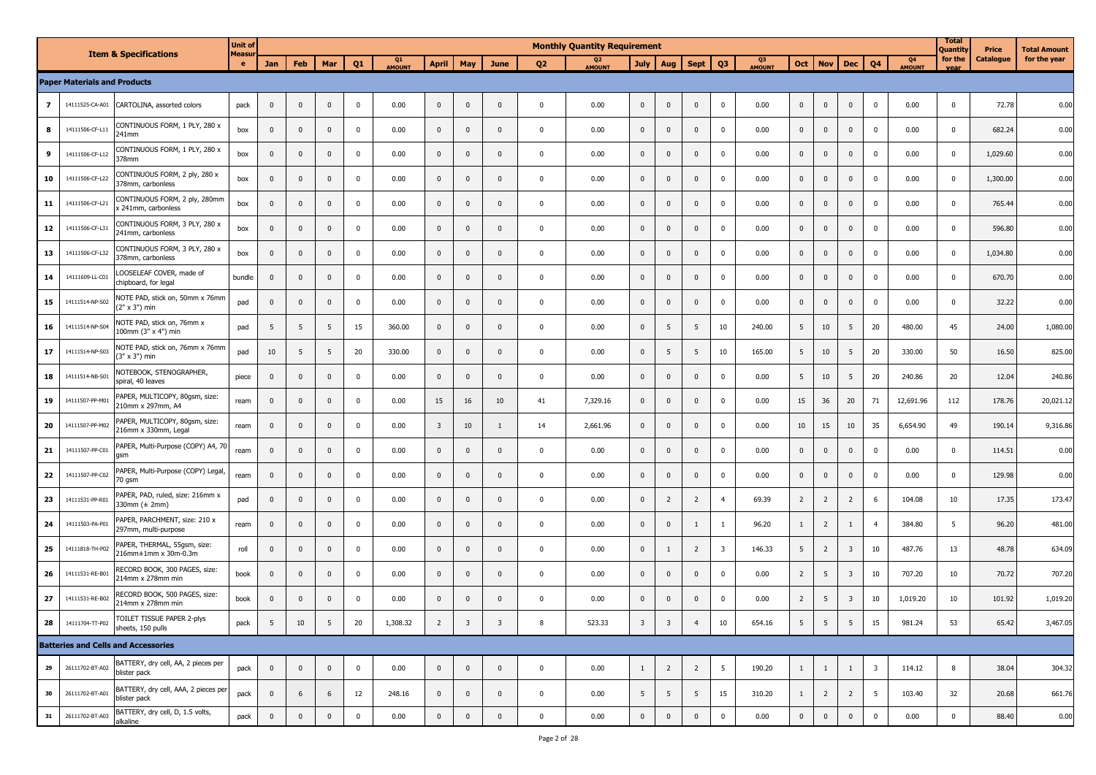|                |                                     |                                                         | <b>Unit of</b> |              |              |              |                |              |                         |                         |                         |                | <b>Monthly Quantity Requirement</b> |                |                         |                |                         |                     |                |                |                |                         |                     | <b>Total</b><br>Quantity | Price     | <b>Total Amount</b> |
|----------------|-------------------------------------|---------------------------------------------------------|----------------|--------------|--------------|--------------|----------------|--------------|-------------------------|-------------------------|-------------------------|----------------|-------------------------------------|----------------|-------------------------|----------------|-------------------------|---------------------|----------------|----------------|----------------|-------------------------|---------------------|--------------------------|-----------|---------------------|
|                |                                     | <b>Item &amp; Specifications</b>                        | Measur<br>e.   | Jan          | Feb          | Mar          | Q <sub>1</sub> | Q1<br>AMOUNT | <b>April</b>            | May                     | June                    | Q <sub>2</sub> | Q <sub>2</sub><br>AMOUNT            | <b>July</b>    | Aug                     | <b>Sept</b>    | Q <sub>3</sub>          | Q3<br><b>AMOUNT</b> | Oct            | <b>Nov</b>     | <b>Dec</b>     | Q <sub>4</sub>          | Q4<br><b>AMOUNT</b> | for the<br>vear          | Catalogue | for the year        |
|                | <b>Paper Materials and Products</b> |                                                         |                |              |              |              |                |              |                         |                         |                         |                |                                     |                |                         |                |                         |                     |                |                |                |                         |                     |                          |           |                     |
| $\overline{z}$ | 14111525-CA-A01                     | CARTOLINA, assorted colors                              | pack           | $\Omega$     | $\mathbf{0}$ | $\mathbf 0$  | $\mathbf 0$    | 0.00         | $\mathbf{0}$            | $\mathbf{0}$            | $\mathbf{0}$            | $\mathbf 0$    | 0.00                                | $\mathbf{0}$   | $\mathbf{0}$            | $\mathbf 0$    | $\mathbf 0$             | 0.00                | $\mathbf{0}$   | $\mathbf{0}$   | $\mathbf{0}$   | 0                       | 0.00                | $\mathbf 0$              | 72.78     | 0.00                |
| 8              | 14111506-CF-L11                     | CONTINUOUS FORM, 1 PLY, 280 x<br>241mm                  | box            | $\mathbf{0}$ | $\mathbf 0$  | $\mathbf{0}$ | $\mathbf 0$    | 0.00         | $\mathbf 0$             | $\mathbf 0$             | $\mathbf{0}$            | $\mathbf 0$    | 0.00                                | $\mathbf 0$    | $\mathbf 0$             | $\mathbf 0$    | $\mathbf 0$             | 0.00                | $\mathbf{0}$   | $\mathbf 0$    | $\pmb{0}$      | $\mathbf 0$             | 0.00                | $\mathbf 0$              | 682.24    | 0.00                |
| 9              | 14111506-CF-L12                     | CONTINUOUS FORM, 1 PLY, 280 x<br>378mm                  | box            | $\mathbf{0}$ | $\mathbf 0$  | $\mathbf{0}$ | 0              | 0.00         | $\mathbf 0$             | $\mathbf{0}$            | $\Omega$                | $\mathbf 0$    | 0.00                                | $\mathbf 0$    | $\overline{0}$          | $\mathbf 0$    | $\mathbf 0$             | 0.00                | $\mathbf{0}$   | $\mathbf 0$    | 0              | $\mathbf 0$             | 0.00                | $\mathbf 0$              | 1,029.60  | 0.00                |
| 10             | 14111506-CF-L22                     | CONTINUOUS FORM, 2 ply, 280 x<br>378mm, carbonless      | box            | $\mathbf{0}$ | $\mathbf 0$  | $\mathbf{0}$ | $\mathbf 0$    | 0.00         | $\mathbf 0$             | $\mathbf 0$             | $\mathbf{0}$            | $\mathbf 0$    | 0.00                                | $\mathbf{0}$   | $\mathbf 0$             | $\mathbf 0$    | $\mathbf 0$             | 0.00                | $\mathbf{0}$   | $\mathbf 0$    | $\mathbf{0}$   | $\pmb{0}$               | 0.00                | $\mathbf 0$              | 1,300.00  | 0.00                |
| 11             | 14111506-CF-L21                     | CONTINUOUS FORM, 2 ply, 280mm<br>x 241mm, carbonless    | box            | $\mathbf 0$  | $\mathbf 0$  | $\mathbf{0}$ | $\mathbf 0$    | 0.00         | $\mathbf{0}$            | $\mathbf 0$             | $\mathbf{0}$            | $\mathbf 0$    | 0.00                                | $\mathbf 0$    | $\mathbf 0$             | $\mathbf 0$    | $\mathbf 0$             | 0.00                | $\mathbf 0$    | $\mathbf 0$    | $\pmb{0}$      | $\mathbf 0$             | 0.00                | $\mathbf 0$              | 765.44    | 0.00                |
| 12             | 14111506-CF-L31                     | CONTINUOUS FORM, 3 PLY, 280 x<br>241mm, carbonless      | box            | $\mathbf{0}$ | $\mathbf 0$  | $\mathbf{0}$ | $\mathbf 0$    | 0.00         | $\mathbf 0$             | $\mathbf 0$             | $\Omega$                | $\mathbf 0$    | 0.00                                | $\mathbf 0$    | $\mathbf 0$             | $\mathbf 0$    | $\mathbf 0$             | 0.00                | $\mathbf 0$    | $\mathbf 0$    | $\mathbf 0$    | 0                       | 0.00                | $\mathbf 0$              | 596.80    | 0.00                |
| 13             | 14111506-CF-L32                     | CONTINUOUS FORM, 3 PLY, 280 x<br>378mm, carbonless      | box            | $\mathbf{0}$ | $\mathbf 0$  | $\mathbf 0$  | $\mathbf 0$    | 0.00         | $\mathbf 0$             | $\mathbf 0$             | $\mathbf{0}$            | $\mathbf 0$    | 0.00                                | $\mathbf 0$    | $\mathbf 0$             | $\mathbf 0$    | $\mathbf 0$             | 0.00                | $\mathbf{0}$   | $\mathbf 0$    | 0              | $\mathbf 0$             | 0.00                | $\mathbf 0$              | 1,034.80  | 0.00                |
| 14             | 14111609-LL-C01                     | LOOSELEAF COVER, made of<br>chipboard, for legal        | bundle         | $\mathbf{0}$ | $\mathbf 0$  | $\mathbf{0}$ | $\mathbf 0$    | 0.00         | $\mathbf 0$             | $\mathbf{0}$            | $\mathbf{0}$            | $\mathbf 0$    | 0.00                                | $\mathbf 0$    | $\mathbf 0$             | $\mathbf 0$    | $\mathbf 0$             | 0.00                | $\mathbf{0}$   | $\mathbf 0$    | $\pmb{0}$      | 0                       | 0.00                | $\mathbf 0$              | 670.70    | 0.00                |
| 15             | 14111514-NP-S02                     | NOTE PAD, stick on, 50mm x 76mm<br>$(2" \times 3")$ min | pad            | $\mathbf{0}$ | $\mathbf 0$  | $\mathbf{0}$ | $\mathbf 0$    | 0.00         | $\mathbf 0$             | $\mathbf 0$             | $\mathbf{0}$            | $\mathbf 0$    | 0.00                                | $\mathbf 0$    | $\mathbf 0$             | $\mathbf 0$    | $\mathbf 0$             | 0.00                | $\mathbf{0}$   | $\mathbf{0}$   | $\mathbf{0}$   | $\mathbf 0$             | 0.00                | $\mathbf 0$              | 32.22     | 0.00                |
| 16             | 14111514-NP-S04                     | NOTE PAD, stick on, 76mm x<br>100mm (3" x 4") min       | pad            | 5            | 5            | 5            | 15             | 360.00       | $\mathbf 0$             | $\mathbf{0}$            | $\mathbf{0}$            | $\mathbf 0$    | 0.00                                | $\mathbf 0$    | 5                       | 5              | 10                      | 240.00              | 5              | 10             | 5              | 20                      | 480.00              | 45                       | 24.00     | 1,080.00            |
| 17             | 14111514-NP-S03                     | NOTE PAD, stick on, 76mm x 76mm<br>$(3" \times 3")$ min | pad            | 10           | 5            | 5            | 20             | 330.00       | $\mathbf 0$             | $\pmb{0}$               | $\mathbf{0}$            | $\mathbf 0$    | 0.00                                | $\mathbf 0$    | 5                       | 5              | 10                      | 165.00              | 5              | 10             | 5              | 20                      | 330.00              | 50                       | 16.50     | 825.00              |
| 18             | 14111514-NB-S01                     | NOTEBOOK, STENOGRAPHER,<br>spiral, 40 leaves            | piece          | $\mathbf{0}$ | $\mathbf 0$  | $\mathbf 0$  | $\mathbf 0$    | 0.00         | $\mathbf 0$             | $\mathbf 0$             | $\mathbf{0}$            | $\mathbf 0$    | 0.00                                | $\mathbf 0$    | $\mathbf 0$             | $\mathbf 0$    | $\mathbf 0$             | 0.00                | 5              | 10             | 5              | 20                      | 240.86              | 20                       | 12.04     | 240.86              |
| 19             | 14111507-PP-M01                     | PAPER, MULTICOPY, 80gsm, size:<br>210mm x 297mm, A4     | ream           | $\mathbf{0}$ | $\mathbf 0$  | $\mathbf{0}$ | $\mathbf 0$    | 0.00         | 15                      | 16                      | 10                      | 41             | 7,329.16                            | $\mathbf{0}$   | $\mathbf 0$             | $\mathbf 0$    | $\mathbf 0$             | 0.00                | 15             | 36             | 20             | 71                      | 12,691.96           | 112                      | 178.76    | 20,021.12           |
| 20             | 14111507-PP-M02                     | PAPER, MULTICOPY, 80gsm, size:<br>216mm x 330mm, Legal  | ream           | $\mathbf{0}$ | $\mathbf{0}$ | $\mathbf{0}$ | $\mathbf{0}$   | 0.00         | $\overline{\mathbf{3}}$ | 10                      | -1                      | 14             | 2,661.96                            | $\mathbf 0$    | $\mathbf 0$             | $\mathbf 0$    | $\mathbf 0$             | 0.00                | 10             | 15             | 10             | 35                      | 6,654.90            | 49                       | 190.14    | 9,316.86            |
| 21             | 14111507-PP-C01                     | PAPER, Multi-Purpose (COPY) A4, 70<br>asm               | ream           | $\mathbf{0}$ | $\mathbf{0}$ | $\mathbf{0}$ | 0              | 0.00         | $\mathbf 0$             | $\mathbf 0$             | $\mathbf{0}$            | $\mathbf 0$    | 0.00                                | $\mathbf{0}$   | $\overline{0}$          | $\mathbf 0$    | $\mathbf 0$             | 0.00                | $\mathbf{0}$   | $\mathbf{0}$   | $\mathbf{0}$   | 0                       | 0.00                | $\mathbf 0$              | 114.51    | 0.00                |
| 22             | 14111507-PP-C02                     | PAPER, Multi-Purpose (COPY) Legal,<br>70 gsm            | ream           | $\mathbf{0}$ | $\mathbf 0$  | $\mathbf{0}$ | $\mathbf 0$    | 0.00         | $\mathbf 0$             | $\mathbf 0$             | $\Omega$                | $\mathbf 0$    | 0.00                                | $\mathbf 0$    | $\mathbf 0$             | $\mathbf 0$    | $\mathbf 0$             | 0.00                | $\mathbf 0$    | $\mathbf 0$    | $\pmb{0}$      | $\mathbf 0$             | 0.00                | $\mathbf 0$              | 129.98    | 0.00                |
| 23             | 14111531-PP-R01                     | PAPER, PAD, ruled, size: 216mm x<br>330mm $(\pm 2mm)$   | pad            | $\mathbf 0$  | $\mathbf 0$  | $\mathbf{0}$ | $\mathbf 0$    | 0.00         | $\mathbf 0$             | $\mathbf 0$             | $\mathbf{0}$            | $\mathbf 0$    | 0.00                                | $\mathbf 0$    | $\overline{2}$          | $\overline{2}$ | $\overline{4}$          | 69.39               | $\overline{2}$ | $\overline{2}$ | $\overline{2}$ | 6                       | 104.08              | 10                       | 17.35     | 173.47              |
| 24             | 14111503-PA-P01                     | PAPER, PARCHMENT, size: 210 x<br>297mm, multi-purpose   | ream           | $\mathbf{0}$ | $\mathbf 0$  | $\mathbf{0}$ | $\mathbf 0$    | 0.00         | $\mathbf 0$             | $\mathbf 0$             | $\mathbf{0}$            | $\mathbf 0$    | 0.00                                | $\mathbf{0}$   | $\mathbf 0$             | 1              | -1                      | 96.20               | $\mathbf{1}$   | $\overline{2}$ | $\mathbf{1}$   | $\overline{4}$          | 384.80              | 5                        | 96.20     | 481.00              |
| 25             | 14111818-TH-P02                     | PAPER, THERMAL, 55gsm, size:<br>216mm±1mm x 30m-0.3m    | roll           | $\mathbf 0$  | $\mathbf 0$  | $\mathbf{0}$ | $\mathbf 0$    | 0.00         | $\mathbf 0$             | $\mathbf 0$             | $\mathbf{0}$            | $\mathbf 0$    | 0.00                                | $\mathbf 0$    | 1                       | $\overline{2}$ | $\overline{\mathbf{3}}$ | 146.33              | 5              | $\overline{2}$ | 3              | 10                      | 487.76              | 13                       | 48.78     | 634.09              |
| 26             | 14111531-RE-B0                      | RECORD BOOK, 300 PAGES, size:<br>214mm x 278mm min      | book           | $\mathbf{0}$ | $\mathbf 0$  | $\mathbf 0$  | $\mathbf 0$    | 0.00         | $\mathbf 0$             | $\mathbf 0$             | $\Omega$                | $\mathbf 0$    | 0.00                                | $\mathbf 0$    | $\mathbf 0$             | $\mathbf 0$    | 0                       | 0.00                | $\overline{2}$ | 5              | 3              | 10                      | 707.20              | 10                       | 70.72     | 707.20              |
| 27             | 14111531-RE-B0                      | RECORD BOOK, 500 PAGES, size:<br>214mm x 278mm min      | book           | $\mathbf{0}$ | $\mathbf{0}$ | $\mathbf 0$  | 0              | 0.00         | $\mathbf 0$             | $\mathbf{0}$            | $\mathbf 0$             | $\mathbf 0$    | 0.00                                | $\mathbf{0}$   | $\mathbf 0$             | $\mathbf 0$    | $^{\circ}$              | 0.00                | $\overline{2}$ | 5              | 3              | 10                      | 1,019.20            | 10                       | 101.92    | 1,019.20            |
|                | 28 14111704-TT-P02                  | TOILET TISSUE PAPER 2-plys<br>sheets, 150 pulls         | pack           | 5            | 10           | 5            | 20             | 1,308.32     | $\overline{2}$          | $\overline{\mathbf{3}}$ | $\overline{\mathbf{3}}$ | 8              | 523.33                              | $\overline{3}$ | $\overline{\mathbf{3}}$ | $\overline{4}$ | 10                      | 654.16              | 5              | 5              | 5              | 15                      | 981.24              | 53                       | 65.42     | 3,467.05            |
|                |                                     | <b>Batteries and Cells and Accessories</b>              |                |              |              |              |                |              |                         |                         |                         |                |                                     |                |                         |                |                         |                     |                |                |                |                         |                     |                          |           |                     |
| 29             | 26111702-BT-A02                     | BATTERY, dry cell, AA, 2 pieces per<br>blister pack     | pack           | $\mathbf{0}$ | $\mathbf 0$  | $\pmb{0}$    | $\mathbf 0$    | 0.00         | $\mathbf 0$             | $\mathbf 0$             | $\mathbf 0$             | $\mathbf 0$    | 0.00                                | $\mathbf{1}$   | $\overline{2}$          | $\overline{2}$ | 5                       | 190.20              | $\mathbf{1}$   | $\mathbf{1}$   | $\mathbf{1}$   | $\overline{\mathbf{3}}$ | 114.12              | 8                        | 38.04     | 304.32              |
| 30             | 26111702-BT-A01                     | BATTERY, dry cell, AAA, 2 pieces per<br>blister pack    | pack           | $\mathbf{0}$ | 6            | 6            | 12             | 248.16       | $\mathbf 0$             | $\overline{0}$          | $\mathbf 0$             | $\mathbf 0$    | 0.00                                | 5              | 5                       | 5              | 15                      | 310.20              | $\mathbf{1}$   | $\overline{2}$ | $\overline{2}$ | 5                       | 103.40              | 32                       | 20.68     | 661.76              |
| 31             | 26111702-BT-A03                     | BATTERY, dry cell, D, 1.5 volts,<br>alkaline            | pack           | $\mathbf 0$  | $\mathbf 0$  | $\mathbf 0$  | $\mathbf 0$    | 0.00         | $\mathbf 0$             | $\pmb{0}$               | $\mathbf 0$             | $\mathbf 0$    | 0.00                                | $\mathbf 0$    | $\mathbf 0$             | $\mathbf 0$    | $\pmb{0}$               | 0.00                | $\pmb{0}$      | $\pmb{0}$      | $\pmb{0}$      | $\mathbf 0$             | 0.00                | $\mathbf 0$              | 88.40     | 0.00                |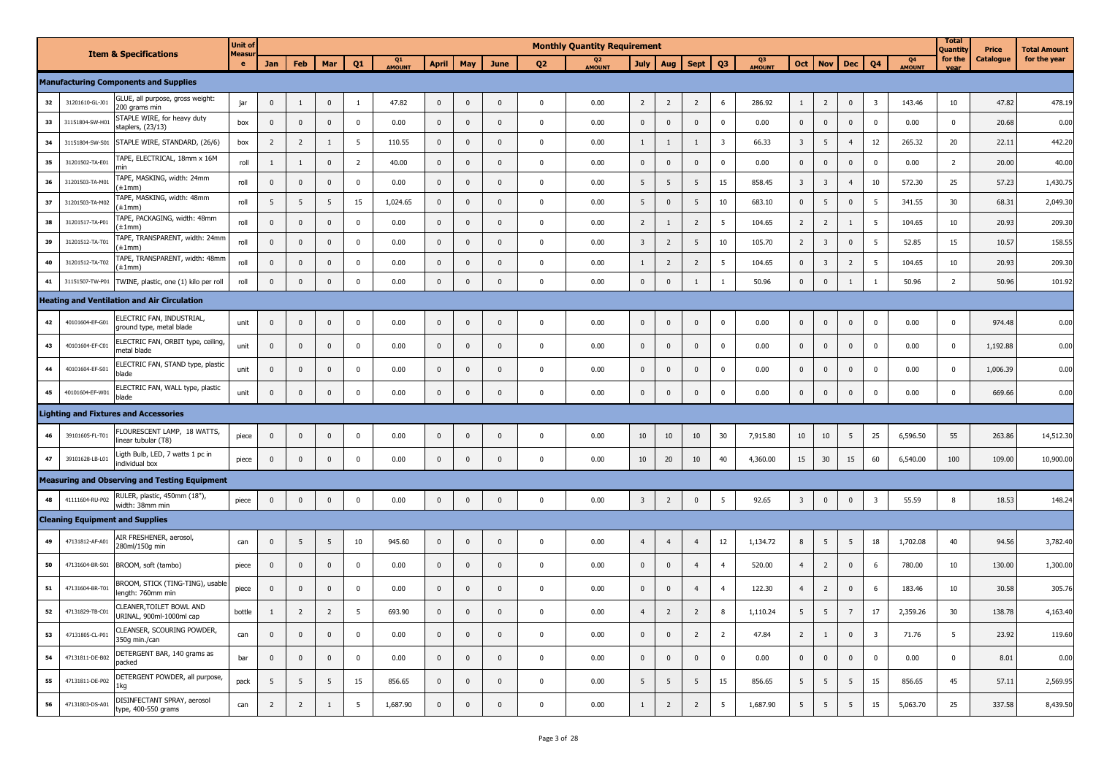|    | <b>Item &amp; Specifications</b>                                         | <b>Unit of</b><br>Measur |                |                |                |                |                   |              |                |              |                | <b>Monthly Quantity Requirement</b> |                         |                 |                 |                         |                     |                         |                         |                 |                |                                 | <b>Total</b><br>Quantity | <b>Price</b> | <b>Total Amount</b> |
|----|--------------------------------------------------------------------------|--------------------------|----------------|----------------|----------------|----------------|-------------------|--------------|----------------|--------------|----------------|-------------------------------------|-------------------------|-----------------|-----------------|-------------------------|---------------------|-------------------------|-------------------------|-----------------|----------------|---------------------------------|--------------------------|--------------|---------------------|
|    |                                                                          | $\mathbf{e}$             | Jan            | Feb            | Mar            | Q1             | Q1<br><b>MOUN</b> | <b>April</b> | May            | June         | Q <sub>2</sub> | Q <sub>2</sub><br><b>AMOUNT</b>     | <b>July</b>             | Aug             | <b>Sept</b>     | Q <sub>3</sub>          | Q3<br><b>AMOUNT</b> | <b>Oct</b>              | <b>Nov</b>              | <b>Dec</b>      | Q <sub>4</sub> | Q <sub>4</sub><br><b>AMOUNT</b> | for the                  | Catalogue    | for the year        |
|    | <b>Manufacturing Components and Supplies</b>                             |                          |                |                |                |                |                   |              |                |              |                |                                     |                         |                 |                 |                         |                     |                         |                         |                 |                |                                 |                          |              |                     |
| 32 | LUE, all purpose, gross weight:<br>31201610-GL-J01<br>00 grams min       | jar                      | $\mathbf 0$    | $\mathbf{1}$   | $\mathbf 0$    | $\mathbf{1}$   | 47.82             | $\mathbf 0$  | $\mathbf 0$    | $\pmb{0}$    | $\mathbf 0$    | 0.00                                | $\overline{2}$          | $\overline{2}$  | $\overline{2}$  | 6                       | 286.92              | $\mathbf{1}$            | $\overline{2}$          | $\mathbf 0$     | $\overline{3}$ | 143.46                          | 10                       | 47.82        | 478.19              |
| 33 | STAPLE WIRE, for heavy duty<br>31151804-SW-H0<br>staplers, (23/13)       | box                      | $\mathbf{0}$   | $\mathbf 0$    | $\mathbf{0}$   | $\mathbf{0}$   | 0.00              | $\mathbf{0}$ | $\mathbf{0}$   | $\mathbf{0}$ | $\pmb{0}$      | 0.00                                | $\mathbf{0}$            | $\mathbf 0$     | $\mathbf 0$     | $\mathbf{0}$            | 0.00                | $\mathbf{0}$            | $\mathbf 0$             | $\mathbf 0$     | $\pmb{0}$      | 0.00                            | $\mathbf 0$              | 20.68        | 0.00                |
| 34 | 31151804-SW-S01<br>STAPLE WIRE, STANDARD, (26/6)                         | box                      | $\overline{2}$ | $\overline{2}$ | $\mathbf{1}$   | 5              | 110.55            | $\mathbf 0$  | $\mathbf{0}$   | $\pmb{0}$    | $\mathbf 0$    | 0.00                                | $\mathbf{1}$            | 1               | 1               | $\overline{\mathbf{3}}$ | 66.33               | $\overline{3}$          | 5                       | $\overline{4}$  | 12             | 265.32                          | 20                       | 22.11        | 442.20              |
| 35 | TAPE, ELECTRICAL, 18mm x 16M<br>31201502-TA-E01                          | roll                     | $\mathbf{1}$   | $\mathbf{1}$   | $\pmb{0}$      | $\overline{2}$ | 40.00             | $\mathbf{0}$ | $\mathsf 0$    | $\mathbf{0}$ | $\mathbf{0}$   | 0.00                                | $\mathsf 0$             | $\mathbf 0$     | $\mathbf 0$     | $\mathbf{0}$            | 0.00                | $\mathbf{0}$            | $\mathbf 0$             | $\mathbf{0}$    | $\pmb{0}$      | 0.00                            | $\overline{2}$           | 20.00        | 40.00               |
| 36 | TAPE, MASKING, width: 24mm<br>31201503-TA-M0<br>±1mm)                    | roll                     | $\overline{0}$ | $\mathbf{0}$   | $\mathbf 0$    | $\mathbf 0$    | 0.00              | $\mathbf 0$  | $\mathbf{0}$   | $\mathbf{0}$ | $\mathbf 0$    | 0.00                                | 5                       | $5\phantom{.0}$ | 5               | 15                      | 858.45              | $\overline{3}$          | $\overline{\mathbf{3}}$ | $\overline{4}$  | 10             | 572.30                          | 25                       | 57.23        | 1,430.75            |
| 37 | TAPE, MASKING, width: 48mm<br>31201503-TA-M02<br>±1mm)                   | roll                     | 5              | 5              | 5              | 15             | 1,024.65          | $\mathbf 0$  | $\overline{0}$ | $\mathbf 0$  | $\mathbf 0$    | 0.00                                | 5                       | $\mathbf 0$     | $5\phantom{.0}$ | 10                      | 683.10              | $\mathbf 0$             | 5                       | $\pmb{0}$       | 5              | 341.55                          | 30 <sup>°</sup>          | 68.31        | 2,049.30            |
| 38 | TAPE, PACKAGING, width: 48mm<br>31201517-TA-P0:<br>±1mm)                 | roll                     | $\mathbf 0$    | $\mathbf 0$    | $\mathbf{0}$   | $\mathbf 0$    | 0.00              | $\mathbf{0}$ | $\mathbf 0$    | $\mathbf{0}$ | $\mathbf 0$    | 0.00                                | $\overline{2}$          | 1               | $\overline{2}$  | 5                       | 104.65              | $\overline{2}$          | $\overline{2}$          | $\mathbf{1}$    | 5              | 104.65                          | 10 <sup>10</sup>         | 20.93        | 209.30              |
| 39 | TAPE, TRANSPARENT, width: 24mm<br>31201512-TA-T0:<br>±1mm)               | roll                     | $\mathbf 0$    | $\mathbf 0$    | $\pmb{0}$      | $\mathbf 0$    | 0.00              | $\mathbf 0$  | $\mathbf{0}$   | $\mathbf 0$  | $\pmb{0}$      | 0.00                                | $\overline{\mathbf{3}}$ | $\overline{2}$  | 5               | 10                      | 105.70              | $\overline{2}$          | $\overline{\mathbf{3}}$ | $\mathbf 0$     | 5              | 52.85                           | 15                       | 10.57        | 158.55              |
| 40 | TAPE, TRANSPARENT, width: 48mm<br>31201512-TA-T02<br>±1mm)               | roll                     | $\mathbf 0$    | $\mathbf{0}$   | $\pmb{0}$      | $\mathbf 0$    | 0.00              | $\mathbf{0}$ | $\mathbf 0$    | $\mathbf{0}$ | $\mathbf 0$    | 0.00                                | $\mathbf{1}$            | $\overline{2}$  | $\overline{2}$  | 5                       | 104.65              | $\mathbf{0}$            | $\overline{3}$          | $\overline{2}$  | 5              | 104.65                          | 10                       | 20.93        | 209.30              |
| 41 | TWINE, plastic, one (1) kilo per roll<br>31151507-TW-P01                 | roll                     | $\mathbf 0$    | $\mathbf 0$    | $\mathsf 0$    | $\mathsf 0$    | 0.00              | $\mathbf{0}$ | $\mathbf 0$    | $\mathbf 0$  | $\mathbf 0$    | 0.00                                | $\mathbf 0$             | $\mathbf 0$     | 1               | $\mathbf{1}$            | 50.96               | $\mathbf 0$             | $\mathbf 0$             | $\mathbf{1}$    | $\mathbf{1}$   | 50.96                           | $\overline{2}$           | 50.96        | 101.92              |
|    | <b>Heating and Ventilation and Air Circulation</b>                       |                          |                |                |                |                |                   |              |                |              |                |                                     |                         |                 |                 |                         |                     |                         |                         |                 |                |                                 |                          |              |                     |
| 42 | ELECTRIC FAN, INDUSTRIAL,<br>40101604-EF-G01<br>ground type, metal blade | unit                     | $\mathbf 0$    | $\mathbf 0$    | $\pmb{0}$      | $\pmb{0}$      | 0.00              | $\mathbf 0$  | $\mathbf 0$    | $\mathbf 0$  | $\mathbf 0$    | 0.00                                | $\mathbf 0$             | $\mathbf 0$     | $\mathbf 0$     | $\pmb{0}$               | 0.00                | $\pmb{0}$               | $\mathbf 0$             | $\mathbf 0$     | $\pmb{0}$      | 0.00                            | $\mathbf 0$              | 974.48       | 0.00                |
| 43 | ELECTRIC FAN, ORBIT type, ceiling,<br>40101604-EF-C01<br>netal blade     | unit                     | $\mathbf 0$    | $\mathbf{0}$   | $\mathbf 0$    | $\mathbf 0$    | 0.00              | $\mathbf 0$  | $\mathbf 0$    | $\mathbf{0}$ | $\mathbf 0$    | 0.00                                | $\mathbf 0$             | $\mathbf 0$     | $\mathbf 0$     | $\mathbf 0$             | 0.00                | $\mathbf 0$             | $\mathbf 0$             | $\pmb{0}$       | $\mathbf 0$    | 0.00                            | $\mathbf 0$              | 1,192.88     | 0.00                |
| 44 | ELECTRIC FAN, STAND type, plastic<br>40101604-EF-S01<br>blade            | unit                     | $\mathbf 0$    | $\mathbf{0}$   | $\mathbf 0$    | $\mathbf{0}$   | 0.00              | $\mathbf 0$  | $\mathbf{0}$   | $\mathbf 0$  | $\mathbf 0$    | 0.00                                | $\mathbf 0$             | $\mathbf{0}$    | $\mathbf 0$     | $\Omega$                | 0.00                | $\mathbf{0}$            | $\mathbf{0}$            | $\mathbf{0}$    | $\mathbf 0$    | 0.00                            | $\mathbf 0$              | 1,006.39     | 0.00                |
| 45 | ELECTRIC FAN, WALL type, plastic<br>40101604-EF-W01<br>plade             | unit                     | $\mathbf{0}$   | $\mathbf 0$    | $\mathbf{0}$   | $\mathbf 0$    | 0.00              | $\mathbf{0}$ | $\mathbf{0}$   | $\mathbf{0}$ | $\mathbf 0$    | 0.00                                | $\mathbf{0}$            | $\mathbf 0$     | $\mathbf 0$     | $\Omega$                | 0.00                | $\Omega$                | $\mathbf 0$             | $\mathbf{0}$    | $\pmb{0}$      | 0.00                            | $\mathbf 0$              | 669.66       | 0.00                |
|    | <b>Lighting and Fixtures and Accessories</b>                             |                          |                |                |                |                |                   |              |                |              |                |                                     |                         |                 |                 |                         |                     |                         |                         |                 |                |                                 |                          |              |                     |
| 46 | LOURESCENT LAMP, 18 WATTS,<br>39101605-FL-T01<br>inear tubular (T8)      | piece                    | $\Omega$       | $\overline{0}$ | $\mathbf 0$    | $\mathbf 0$    | 0.00              | $\mathbf 0$  | $\Omega$       | $\mathbf 0$  | $\mathbf 0$    | 0.00                                | 10                      | 10              | 10              | 30                      | 7,915.80            | 10                      | 10                      | 5               | 25             | 6,596.50                        | 55                       | 263.86       | 14,512.30           |
| 47 | igth Bulb, LED, 7 watts 1 pc in<br>39101628-LB-L01<br>individual box     | piece                    | $\mathbf 0$    | $\mathbf{0}$   | $\pmb{0}$      | $\mathbf 0$    | 0.00              | $\mathbf 0$  | $\mathbf{0}$   | $\mathbf{0}$ | $\mathbf 0$    | 0.00                                | 10                      | 20              | 10              | 40                      | 4,360.00            | 15                      | 30                      | 15              | 60             | 6,540.00                        | 100                      | 109.00       | 10,900.00           |
|    | <b>Measuring and Observing and Testing Equipment</b>                     |                          |                |                |                |                |                   |              |                |              |                |                                     |                         |                 |                 |                         |                     |                         |                         |                 |                |                                 |                          |              |                     |
| 48 | RULER, plastic, 450mm (18"),<br>41111604-RU-P02<br>width: 38mm min       | piece                    | $\mathbf 0$    | $\mathbf{0}$   | $\mathbf{0}$   | $\mathbf 0$    | 0.00              | $\mathbf 0$  | $\mathbf{0}$   | $\pmb{0}$    | $\mathbf 0$    | 0.00                                | $\overline{\mathbf{3}}$ | $\overline{2}$  | $\mathbf 0$     | 5                       | 92.65               | $\overline{\mathbf{3}}$ | $\mathbf 0$             | $\mathbf{0}$    | $\overline{3}$ | 55.59                           | 8                        | 18.53        | 148.24              |
|    | <b>Cleaning Equipment and Supplies</b>                                   |                          |                |                |                |                |                   |              |                |              |                |                                     |                         |                 |                 |                         |                     |                         |                         |                 |                |                                 |                          |              |                     |
|    | AIR FRESHENER, aerosol,<br>47131812-AF-A01<br>280ml/150g min             | can                      | $\overline{0}$ | 5              | 5              | 10             | 945.60            | $\mathbf 0$  | $\mathbf{0}$   | $\mathbf{0}$ | $\mathbf 0$    | 0.00                                | $\overline{4}$          | $\overline{4}$  | $\overline{4}$  | 12                      | 1,134.72            | 8                       | 5                       | 5               | 18             | 1,702.08                        | 40                       | 94.56        | 3,782.40            |
| 50 | 47131604-BR-S01<br>BROOM, soft (tambo)                                   | piece                    | $\mathbf 0$    | $\mathbf 0$    | $\mathbf 0$    | $\mathbf 0$    | 0.00              | $\mathbf 0$  | $\mathbf 0$    | $\mathbf 0$  | $\pmb{0}$      | 0.00                                | $\mathbf 0$             | $\mathbf 0$     | $\overline{4}$  | $\overline{4}$          | 520.00              | $\overline{4}$          | $\overline{2}$          | $\mathbf 0$     | 6              | 780.00                          | 10                       | 130.00       | 1,300.00            |
| 51 | BROOM, STICK (TING-TING), usable<br>47131604-BR-T01<br>ength: 760mm min  | piece                    | $\mathbf 0$    | $\mathbf 0$    | $\mathbf 0$    | $\mathbf 0$    | 0.00              | $\mathbf 0$  | $\mathbf 0$    | $\mathbf 0$  | $\mathbf 0$    | 0.00                                | $\mathbf 0$             | $\mathbf 0$     | $\overline{4}$  | $\overline{4}$          | 122.30              | $\overline{4}$          | $\overline{2}$          | $\mathbf 0$     | 6              | 183.46                          | 10                       | 30.58        | 305.76              |
| 52 | LEANER, TOILET BOWL AND<br>47131829-TB-C01<br>URINAL, 900ml-1000ml cap   | bottle                   | $\mathbf{1}$   | $\overline{2}$ | $\overline{2}$ | 5              | 693.90            | $\mathbf 0$  | $\mathbf{0}$   | $\mathbf 0$  | $\mathbf 0$    | 0.00                                | $\overline{4}$          | $\overline{2}$  | $\overline{2}$  | 8                       | 1,110.24            | 5                       | 5                       | $\overline{7}$  | 17             | 2,359.26                        | 30 <sup>°</sup>          | 138.78       | 4,163.40            |
| 53 | CLEANSER, SCOURING POWDER,<br>47131805-CL-P01<br>350g min./can           | can                      | $\mathbf 0$    | $\mathbf{0}$   | $\mathbf 0$    | $\mathbf 0$    | 0.00              | $\mathbf 0$  | $\mathbf 0$    | $\mathbf{0}$ | $\mathbf 0$    | 0.00                                | $\mathbf 0$             | $\mathbf 0$     | $\overline{2}$  | $\overline{2}$          | 47.84               | $\overline{2}$          | $\mathbf{1}$            | $\mathbf{0}$    | $\overline{3}$ | 71.76                           | 5                        | 23.92        | 119.60              |
| 54 | DETERGENT BAR, 140 grams as<br>47131811-DE-B02<br>packed                 | bar                      | $\mathbf 0$    | $\mathbf 0$    | $\mathbf 0$    | $\mathbf 0$    | 0.00              | $\mathbf{0}$ | $\mathsf 0$    | $\mathbf 0$  | $\mathbf 0$    | 0.00                                | $\mathsf 0$             | $\mathbf 0$     | $\mathbf 0$     | $\pmb{0}$               | 0.00                | $\mathbf{0}$            | $\mathbf 0$             | $\pmb{0}$       | $\pmb{0}$      | 0.00                            | $\mathbf 0$              | 8.01         | 0.00                |
| 55 | DETERGENT POWDER, all purpose,<br>47131811-DE-P02<br>1kg                 | pack                     | 5              | 5              | 5              | 15             | 856.65            | $\mathbf 0$  | $\mathbf{0}$   | $\Omega$     | $\mathbf 0$    | 0.00                                | 5                       | $\overline{5}$  | $5\phantom{.0}$ | 15                      | 856.65              | 5                       | 5                       | $5\phantom{.0}$ | 15             | 856.65                          | 45                       | 57.11        | 2,569.95            |
| 56 | DISINFECTANT SPRAY, aerosol<br>47131803-DS-A01<br>type, 400-550 grams    | can                      | $\overline{2}$ | $\overline{2}$ | $\mathbf{1}$   | 5              | 1,687.90          | $\mathbf 0$  | $\mathbf{0}$   | $\mathbf{0}$ | $\mathbf 0$    | 0.00                                | $\mathbf{1}$            | $\overline{2}$  | $\overline{2}$  | 5                       | 1,687.90            | 5                       | 5                       | 5               | 15             | 5,063.70                        | 25                       | 337.58       | 8,439.50            |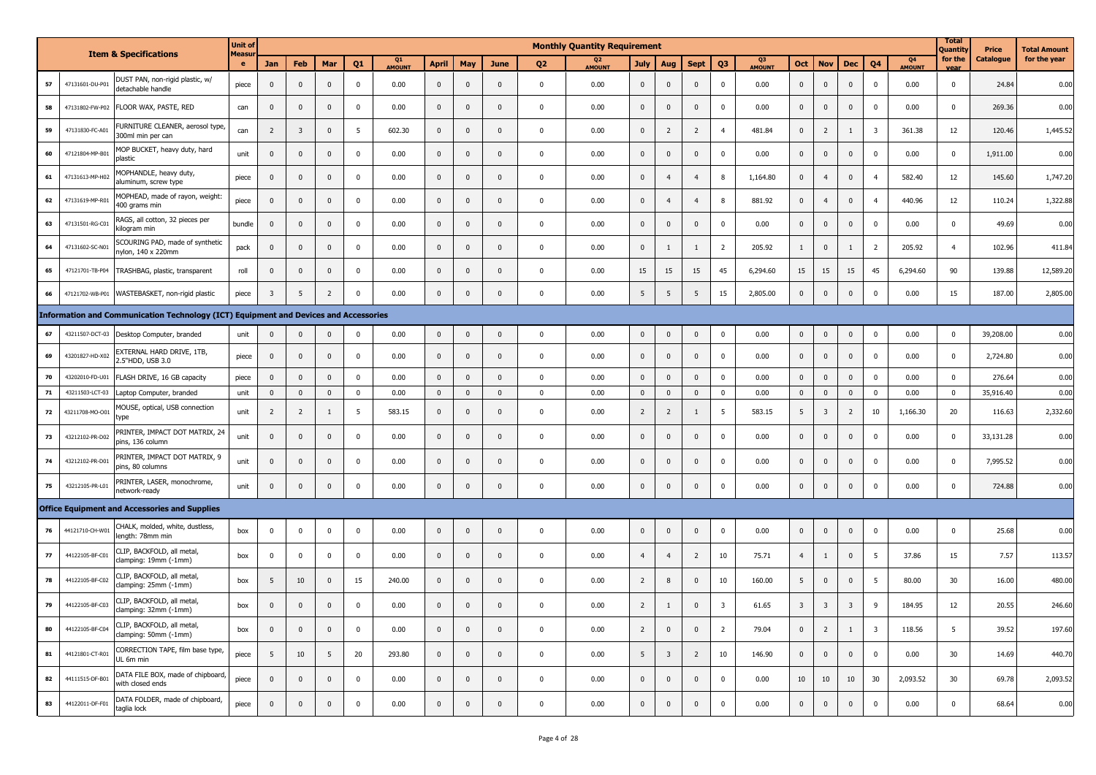|    |                 |                                                                                      | <b>Unit of</b>               |                         |                |                |              |              |                |                         |              |                | <b>Monthly Quantity Requirement</b> |                |                |                |                |                                 |                         |                         |                |                         |                     | <b>Total</b><br><b>Quantity</b> | <b>Price</b>     | <b>Total Amount</b> |
|----|-----------------|--------------------------------------------------------------------------------------|------------------------------|-------------------------|----------------|----------------|--------------|--------------|----------------|-------------------------|--------------|----------------|-------------------------------------|----------------|----------------|----------------|----------------|---------------------------------|-------------------------|-------------------------|----------------|-------------------------|---------------------|---------------------------------|------------------|---------------------|
|    |                 | <b>Item &amp; Specifications</b>                                                     | <b>Measu</b><br>$\mathbf{e}$ | <b>Jan</b>              | Feb            | Mar            | Q1           | Q1<br>AMOUNT | <b>April</b>   | May                     | June         | Q <sub>2</sub> | O <sub>2</sub><br><b>AMOUNT</b>     | July           | Aug            | <b>Sept</b>    | Q <sub>3</sub> | Q <sub>3</sub><br><b>AMOUNT</b> | Oct                     | <b>Nov</b>              | <b>Dec</b>     | Q <sub>4</sub>          | 04<br><b>AMOUNT</b> | for the<br>vear                 | <b>Catalogue</b> | for the year        |
| 57 | 47131601-DU-P01 | DUST PAN, non-rigid plastic, w/<br>detachable handle                                 | piece                        | $\mathbf 0$             | $\mathbf 0$    | $\mathbf 0$    | $\mathsf 0$  | 0.00         | $\overline{0}$ | $\mathbf 0$             | $\mathbf{0}$ | $\mathbf{0}$   | 0.00                                | $\mathbf 0$    | $\mathbf{0}$   | $\mathbf{0}$   | $\mathbf 0$    | 0.00                            | $\overline{0}$          | $\mathbf 0$             | $\mathbf 0$    | $\mathbf{0}$            | 0.00                | $\mathbf{0}$                    | 24.84            | 0.00                |
| 58 | 47131802-FW-P02 | FLOOR WAX, PASTE, RED                                                                | can                          | $\bf{0}$                | $\mathbf 0$    | $\mathbf{0}$   | $\mathbf 0$  | 0.00         | $\mathbf 0$    | $\bf{0}$                | $\mathbf{0}$ | $\mathbf 0$    | 0.00                                | $\mathbf{0}$   | $\mathbf 0$    | $\mathbf 0$    | $\Omega$       | 0.00                            | $\mathbf{0}$            | $\mathbf 0$             | $\mathbf 0$    | $\Omega$                | 0.00                | $\mathbf 0$                     | 269.36           | 0.00                |
| 59 | 47131830-FC-A01 | FURNITURE CLEANER, aerosol type,<br>300ml min per can                                | can                          | $\overline{2}$          | $\overline{3}$ | $\pmb{0}$      | 5            | 602.30       | $\mathbf 0$    | $\mathbf{0}$            | $\mathbf{0}$ | $\mathbf 0$    | 0.00                                | $\mathbf 0$    | $\overline{2}$ | $\overline{2}$ | $\overline{A}$ | 481.84                          | $\mathbf{0}$            | $\overline{2}$          | $\mathbf{1}$   | $\overline{\mathbf{3}}$ | 361.38              | 12                              | 120.46           | 1,445.52            |
| 60 | 47121804-MP-B01 | MOP BUCKET, heavy duty, hard<br>plastic                                              | unit                         | $\mathbf 0$             | $\Omega$       | $\Omega$       | $\mathbf 0$  | 0.00         | $\mathbf 0$    | $\Omega$                | $\Omega$     | $\mathbf 0$    | 0.00                                | $\mathbf 0$    | $\mathbf 0$    | $\Omega$       | $\Omega$       | 0.00                            | $\Omega$                | $\pmb{0}$               | $\mathbf 0$    | $\Omega$                | 0.00                | $\pmb{0}$                       | 1,911.00         | 0.00                |
| 61 | 47131613-MP-H02 | MOPHANDLE, heavy duty,<br>aluminum, screw type                                       | piece                        | $\mathbf 0$             | $\mathbf 0$    | $\pmb{0}$      | $\mathsf 0$  | 0.00         | $\mathbf 0$    | $\overline{0}$          | $\Omega$     | $\mathbf 0$    | 0.00                                | $\mathbf 0$    | $\overline{4}$ | $\overline{4}$ | 8              | 1,164.80                        | $\mathbf 0$             | $\overline{4}$          | $\mathbf{0}$   | $\overline{a}$          | 582.40              | 12                              | 145.60           | 1,747.20            |
| 62 | 47131619-MP-R01 | MOPHEAD, made of rayon, weight:<br>400 grams min                                     | piece                        | $\mathbf 0$             | $\mathbf 0$    | $\mathbf{0}$   | $\mathsf 0$  | 0.00         | $\mathbf 0$    | $\overline{\mathbf{0}}$ | $\Omega$     | $\mathbf 0$    | 0.00                                | $\mathbf 0$    | $\overline{4}$ | $\overline{4}$ | 8              | 881.92                          | $\mathbf 0$             | $\overline{4}$          | $\mathbf 0$    | $\overline{a}$          | 440.96              | 12                              | 110.24           | 1,322.88            |
| 63 | 47131501-RG-C01 | RAGS, all cotton, 32 pieces per<br>kilogram min                                      | bundle                       | $\Omega$                | $\mathbf 0$    | $\mathbf 0$    | $\mathbf 0$  | 0.00         | $\mathbf 0$    | $\mathbf 0$             | $\Omega$     | $\mathbf 0$    | 0.00                                | $\mathbf 0$    | $\mathbf 0$    | $\mathbf 0$    | $\Omega$       | 0.00                            | $\pmb{0}$               | $\pmb{0}$               | $\bf{0}$       | $\mathbf 0$             | 0.00                | $\pmb{0}$                       | 49.69            | 0.00                |
| 64 | 47131602-SC-N01 | SCOURING PAD, made of synthetic<br>nylon, 140 x 220mm                                | pack                         | $\mathbf 0$             | $\mathbf 0$    | $\mathbf 0$    | $\mathsf 0$  | 0.00         | $\mathbf{0}$   | $\mathbf{0}$            | $\mathbf{0}$ | $\mathbf 0$    | 0.00                                | $\mathbf 0$    | $\mathbf{1}$   | 1              | $\overline{2}$ | 205.92                          | $\mathbf{1}$            | $\mathbf{0}$            | $\mathbf{1}$   | $\overline{2}$          | 205.92              | $\overline{4}$                  | 102.96           | 411.84              |
| 65 | 47121701-TB-P04 | TRASHBAG, plastic, transparent                                                       | roll                         | $\mathbf 0$             | $\mathbf 0$    | $\mathbf 0$    | $\mathbf 0$  | 0.00         | $\mathbf 0$    | $\mathbf{0}$            | $\Omega$     | $\mathbf{0}$   | 0.00                                | 15             | 15             | 15             | 45             | 6,294.60                        | 15                      | 15                      | 15             | 45                      | 6,294.60            | 90                              | 139.88           | 12,589.20           |
| 66 | 47121702-WB-P01 | WASTEBASKET, non-rigid plastic                                                       | piece                        | $\overline{\mathbf{3}}$ | 5              | $\overline{2}$ | $\mathsf 0$  | 0.00         | $\mathbf 0$    | $\pmb{0}$               | $\mathbf 0$  | $\pmb{0}$      | 0.00                                | 5              | 5              | 5              | 15             | 2,805.00                        | $\mathbf 0$             | $\pmb{0}$               | $\mathbf 0$    | $\Omega$                | 0.00                | 15                              | 187.00           | 2,805.00            |
|    |                 | Information and Communication Technology (ICT) Equipment and Devices and Accessories |                              |                         |                |                |              |              |                |                         |              |                |                                     |                |                |                |                |                                 |                         |                         |                |                         |                     |                                 |                  |                     |
| 67 | 43211507-DCT-03 | Desktop Computer, branded                                                            | unit                         | $\mathbf 0$             | $\mathbf 0$    | $\mathbf{0}$   | $\mathbf 0$  | 0.00         | $\mathbf 0$    | $\mathbb O$             | $\mathbf{0}$ | $\mathbf 0$    | 0.00                                | $\mathsf 0$    | $\mathbf 0$    | $\mathbf 0$    | $\mathbf 0$    | 0.00                            | $\mathbf 0$             | $\mathbf{0}$            | $\mathbf 0$    | $\mathbf 0$             | 0.00                | $\mathbf 0$                     | 39,208.00        | 0.00                |
| 69 | 43201827-HD-X02 | EXTERNAL HARD DRIVE, 1TB,<br>2.5"HDD, USB 3.0                                        | piece                        | $\mathbf 0$             | $\mathbf 0$    | $\mathbf{0}$   | $\mathsf 0$  | 0.00         | $\mathbf 0$    | $\mathbf{0}$            | $\Omega$     | $\mathbf{0}$   | 0.00                                | $\mathbf{0}$   | $\mathbf{0}$   | $\mathbf{0}$   | $\Omega$       | 0.00                            | $\mathbf{0}$            | $\mathbf{0}$            | $\mathbf 0$    | $\Omega$                | 0.00                | $\mathbf 0$                     | 2,724.80         | 0.00                |
| 70 | 43202010-FD-U01 | FLASH DRIVE, 16 GB capacity                                                          | piece                        | $\mathbf 0$             | $\mathbf 0$    | $\mathbf{0}$   | $\mathbf 0$  | 0.00         | $\mathbf{0}$   | $\mathbf 0$             | $\Omega$     | $\mathbf 0$    | 0.00                                | $\mathbf 0$    | $\mathbf 0$    | $\mathbf 0$    | $\Omega$       | 0.00                            | $\mathbf 0$             | $\bf{0}$                | $\mathbf 0$    | $\mathbf{0}$            | 0.00                | $\mathbf 0$                     | 276.64           | 0.00                |
| 71 | 43211503-LCT-03 | Laptop Computer, branded                                                             | unit                         | $\overline{0}$          | $\mathbf 0$    | $\mathbf{0}$   | $\mathbf{0}$ | 0.00         | $\mathbf{0}$   | $\mathbf{0}$            | $\mathbf{0}$ | $\mathbf 0$    | 0.00                                | $\mathbf{0}$   | $\mathbf 0$    | $\mathbf 0$    | $\mathbf{0}$   | 0.00                            | $\mathbf{0}$            | $\mathbf 0$             | $\mathbf{0}$   | $\mathbf{0}$            | 0.00                | $\mathbf 0$                     | 35,916.40        | 0.00                |
| 72 | 43211708-MO-O01 | MOUSE, optical, USB connection<br>type                                               | unit                         | $\overline{2}$          | $\overline{2}$ | $\mathbf{1}$   | 5            | 583.15       | $\mathbf 0$    | $\mathbf 0$             | $\mathbf{0}$ | $\mathbf 0$    | 0.00                                | $\overline{2}$ | $\overline{2}$ | 1              | - 5            | 583.15                          | 5                       | $\overline{\mathbf{3}}$ | $\overline{2}$ | 10                      | 1,166.30            | 20                              | 116.63           | 2,332.60            |
| 73 | 43212102-PR-D02 | PRINTER, IMPACT DOT MATRIX, 24<br>pins, 136 column                                   | unit                         | $\mathbf 0$             | $\mathbf 0$    | $\mathbf{0}$   | $\mathsf 0$  | 0.00         | $\mathbf 0$    | $\mathbf{0}$            | $\mathbf{0}$ | $\mathbf 0$    | 0.00                                | $\mathbf{0}$   | $\mathbf{0}$   | $\mathbf{0}$   | $\Omega$       | 0.00                            | $\mathbf{0}$            | $\mathbf{0}$            | $\mathbf{0}$   | $\Omega$                | 0.00                | $\mathbf 0$                     | 33,131.28        | 0.00                |
| 74 | 43212102-PR-D01 | PRINTER, IMPACT DOT MATRIX, 9<br>pins, 80 columns                                    | unit                         | $\mathbf 0$             | $\mathbf 0$    | $\mathbf{0}$   | $\mathbf 0$  | 0.00         | $\mathbf 0$    | $\mathbf{0}$            | $\mathbf{0}$ | $\mathbf 0$    | 0.00                                | $\mathbf 0$    | $\mathbf 0$    | $\mathbf 0$    | $\mathbf 0$    | 0.00                            | $\mathbf{0}$            | $\mathbf{0}$            | $\bf{0}$       | $^{\circ}$              | 0.00                | $\mathbf 0$                     | 7,995.52         | 0.00                |
| 75 | 43212105-PR-L01 | PRINTER, LASER, monochrome,<br>network-ready                                         | unit                         | $\mathbf 0$             | $\mathbf 0$    | $\mathbf{0}$   | $\mathbf 0$  | 0.00         | $\mathbf{0}$   | $\mathbf{0}$            | $\mathbf{0}$ | $\mathbf 0$    | 0.00                                | $\mathbf 0$    | $\mathbf 0$    | $\mathbf 0$    | $\Omega$       | 0.00                            | $\mathbf 0$             | $\mathbf 0$             | $\mathbf 0$    | $\Omega$                | 0.00                | $\mathbf 0$                     | 724.88           | 0.00                |
|    |                 | <b>Office Equipment and Accessories and Supplies</b>                                 |                              |                         |                |                |              |              |                |                         |              |                |                                     |                |                |                |                |                                 |                         |                         |                |                         |                     |                                 |                  |                     |
| 76 | 44121710-CH-W01 | CHALK, molded, white, dustless,<br>length: 78mm min                                  | box                          | $\mathbf 0$             | $\pmb{0}$      | $\mathbf 0$    | $\mathsf 0$  | 0.00         | $\mathbf 0$    | $\overline{\mathbf{0}}$ | $\mathbf{0}$ | $\mathbf 0$    | 0.00                                | $\mathbf 0$    | $\mathbf 0$    | $\mathbf 0$    | $\mathbf{0}$   | 0.00                            | $\mathbf 0$             | $\mathbf{0}$            | $\mathbf 0$    | $\mathbf 0$             | 0.00                | $\mathbf 0$                     | 25.68            | 0.00                |
| 77 | 44122105-BF-C01 | CLIP, BACKFOLD, all metal,<br>clamping: 19mm (-1mm)                                  | box                          | $\mathbf 0$             | $\mathbf 0$    | $\mathbf 0$    | $\mathsf 0$  | 0.00         | $\mathbf{0}$   | $\mathbf 0$             | $\Omega$     | $\mathbf 0$    | 0.00                                | $\overline{4}$ | $\overline{4}$ | $\overline{2}$ | 10             | 75.71                           | $\overline{4}$          | $\overline{1}$          | $\mathbf 0$    | 5                       | 37.86               | 15                              | 7.57             | 113.57              |
| 78 | 44122105-BF-C02 | CLIP, BACKFOLD, all metal,<br>clamping: 25mm (-1mm)                                  | box                          | 5                       | 10             | $\mathbf{0}$   | 15           | 240.00       | $\mathbf 0$    | $\mathbf{0}$            | $\Omega$     | $\mathbf{0}$   | 0.00                                | $\overline{2}$ | 8              | $\mathbf{0}$   | 10             | 160.00                          | 5                       | $\mathbf{0}$            | $\mathbf 0$    | 5                       | 80.00               | 30                              | 16.00            | 480.00              |
| 79 | 44122105-BF-C03 | CLIP, BACKFOLD, all metal,<br>clamping: 32mm (-1mm)                                  | box                          | $\mathbf{0}$            | $\mathbf 0$    | $\mathbf{0}$   | $\mathsf 0$  | 0.00         | $\mathbf 0$    | $\mathbf{0}$            | $\mathbf{0}$ | $\mathbf{0}$   | 0.00                                | $\overline{2}$ | 1              | $\mathbf{0}$   | 3              | 61.65                           | $\overline{\mathbf{3}}$ | $\overline{\mathbf{3}}$ | $\overline{3}$ | 9                       | 184.95              | 12                              | 20.55            | 246.60              |
| 80 | 44122105-BF-C04 | CLIP, BACKFOLD, all metal,<br>clamping: 50mm (-1mm)                                  | box                          | $\mathbf 0$             | $\mathbf 0$    | $\pmb{0}$      | $\mathsf 0$  | 0.00         | $\mathbf 0$    | $\overline{0}$          | $\mathbf{0}$ | $\mathbf 0$    | 0.00                                | $\overline{2}$ | $\mathbf 0$    | $\mathbf 0$    | 2              | 79.04                           | $\mathbf{0}$            | $\overline{2}$          | 1              | $\overline{\mathbf{3}}$ | 118.56              | $5\overline{5}$                 | 39.52            | 197.60              |
| 81 | 44121801-CT-R01 | CORRECTION TAPE, film base type,<br>UL 6m min                                        | piece                        | 5                       | 10             | 5              | 20           | 293.80       | $\mathbf 0$    | $\overline{0}$          | $\mathbf{0}$ | $\mathbf 0$    | 0.00                                | 5              | $\overline{3}$ | $\overline{2}$ | 10             | 146.90                          | $\overline{0}$          | $\mathbf 0$             | $\mathbf 0$    | $\Omega$                | 0.00                | 30                              | 14.69            | 440.70              |
| 82 | 44111515-DF-B01 | DATA FILE BOX, made of chipboard,<br>with closed ends                                | piece                        | $\mathbf 0$             | $\mathbf 0$    | 0              | $\mathbf 0$  | 0.00         | $\mathbf 0$    | $\mathbf{0}$            | $\mathbf{0}$ | $\mathbf 0$    | 0.00                                | $\mathbf 0$    | $\mathbf 0$    | $\mathbf 0$    | $\mathbf 0$    | 0.00                            | 10                      | 10                      | 10             | 30                      | 2,093.52            | 30                              | 69.78            | 2,093.52            |
| 83 | 44122011-DF-F01 | DATA FOLDER, made of chipboard,<br>taglia lock                                       | piece                        | $\mathbf 0$             | $\mathbf 0$    | $\mathbf{0}$   | $^{\circ}$   | 0.00         | $\mathbf{0}$   | $\mathbf{0}$            | $\Omega$     | $\mathbf 0$    | 0.00                                | $\mathbf 0$    | $\mathbf{0}$   | $\mathbf{0}$   | $\Omega$       | 0.00                            | $\mathbf{0}$            | $\mathbf{0}$            | $\Omega$       | $\Omega$                | 0.00                | $\mathbf 0$                     | 68.64            | 0.00                |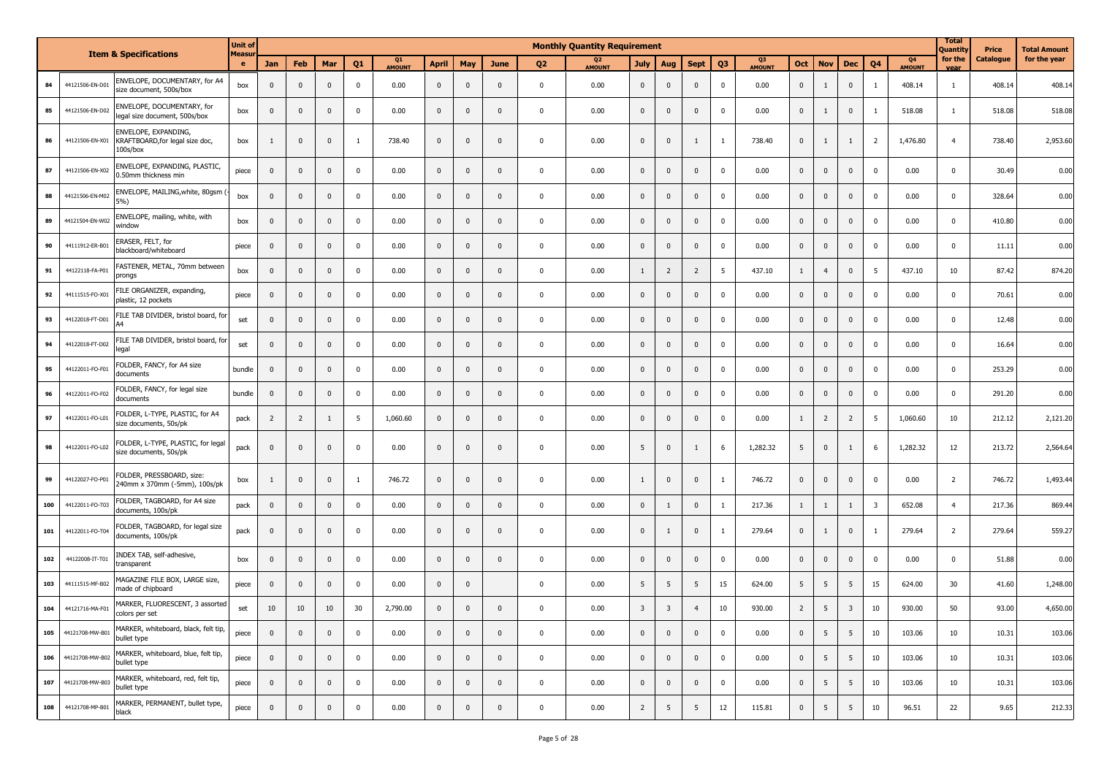|     |                 |                                                                     | <b>Unit of</b> |                |                |                |                         |                     |              |              |                |                | <b>Monthly Quantity Requirement</b> |                         |                |                |                |              |                |                 |                         |                |                     | <b>Total</b><br>Quantity | Price     | <b>Total Amount</b> |
|-----|-----------------|---------------------------------------------------------------------|----------------|----------------|----------------|----------------|-------------------------|---------------------|--------------|--------------|----------------|----------------|-------------------------------------|-------------------------|----------------|----------------|----------------|--------------|----------------|-----------------|-------------------------|----------------|---------------------|--------------------------|-----------|---------------------|
|     |                 | <b>Item &amp; Specifications</b>                                    | Measu<br>e     | Jan            | Feb            | Mar            | Q <sub>1</sub>          | Q1<br><b>AMOUNT</b> | <b>April</b> | May          | June           | Q <sub>2</sub> | Q <sub>2</sub><br><b>AMOUNT</b>     | <b>July</b>             | Aug            | <b>Sept</b>    | Q <sub>3</sub> | Q3<br>AMOUNT | Oct            | <b>Nov</b>      | <b>Dec</b>              | Q <sub>4</sub> | Q4<br><b>AMOUNT</b> | for the<br>vear          | Catalogue | for the year        |
| 84  | 44121506-EN-D01 | ENVELOPE, DOCUMENTARY, for A4<br>size document, 500s/box            | box            | $\mathbf 0$    | $\mathbf 0$    | $\mathbf 0$    | $\mathbf 0$             | 0.00                | $\mathbf 0$  | $\mathbf 0$  | $\mathbf 0$    | $\mathbf 0$    | 0.00                                | $\mathbf 0$             | $\mathbf 0$    | $\mathbf 0$    | $\mathbf 0$    | 0.00         | $\mathbf 0$    | 1               | $\pmb{0}$               | 1              | 408.14              | $\mathbf{1}$             | 408.14    | 408.14              |
| 85  | 44121506-EN-D02 | ENVELOPE, DOCUMENTARY, for<br>legal size document, 500s/box         | box            | $\mathbf{0}$   | $\mathbf 0$    | $\mathbf{0}$   | $\mathbf 0$             | 0.00                | $\mathbf 0$  | $\mathbf{0}$ | $\mathbf 0$    | $\mathbf{0}$   | 0.00                                | $\overline{\mathbf{0}}$ | $\mathbf{0}$   | $\mathbf{0}$   | $\mathbf 0$    | 0.00         | $\mathbf 0$    | 1               | $\mathbf 0$             | -1             | 518.08              | $\mathbf{1}$             | 518.08    | 518.08              |
| 86  | 44121506-EN-X01 | ENVELOPE, EXPANDING,<br>KRAFTBOARD, for legal size doc,<br>100s/box | box            | -1             | $\mathbf{0}$   | $\mathbf 0$    | $\mathbf{1}$            | 738.40              | $\mathbf{0}$ | $\mathbf 0$  | $\mathbf 0$    | $\mathbf 0$    | 0.00                                | $\mathbf 0$             | $\mathbf 0$    | 1              | <sup>1</sup>   | 738.40       | $\mathbf 0$    | $\mathbf{1}$    | $\mathbf{1}$            | $\overline{2}$ | 1,476.80            | $\overline{4}$           | 738.40    | 2,953.60            |
| 87  | 44121506-EN-X02 | ENVELOPE, EXPANDING, PLASTIC,<br>0.50mm thickness min               | piece          | $\mathbf 0$    | $\mathbf 0$    | $\mathbf 0$    | $\mathbf 0$             | 0.00                | $\mathbf 0$  | $\mathbf 0$  | $\mathbf 0$    | $\mathbf 0$    | 0.00                                | $\mathbf 0$             | $\pmb{0}$      | $\mathbf 0$    | $\pmb{0}$      | 0.00         | $\mathbf 0$    | $\mathbf 0$     | $\mathbf 0$             | $\pmb{0}$      | 0.00                | $\pmb{0}$                | 30.49     | 0.00                |
| 88  | 44121506-EN-M02 | ENVELOPE, MAILING, white, 80gsm<br>5%)                              | box            | $\mathbf 0$    | $\mathbf 0$    | $\mathbf 0$    | $\mathbf 0$             | 0.00                | $\mathbf 0$  | $\mathbf 0$  | $\mathbf 0$    | $\mathbf 0$    | 0.00                                | $\overline{\mathbf{0}}$ | $\pmb{0}$      | $\pmb{0}$      | $\mathbf 0$    | 0.00         | $\mathbf 0$    | $\mathbf 0$     | $\pmb{0}$               | $\mathbf 0$    | 0.00                | $\mathbf 0$              | 328.64    | 0.00                |
| 89  | 44121504-EN-W02 | ENVELOPE, mailing, white, with<br>window                            | box            | $\mathbf{0}$   | $\mathbf{0}$   | $\mathbf{0}$   | $\mathbf{0}$            | 0.00                | $\mathbf{0}$ | $\mathbf{0}$ | $\mathbf{0}$   | $\mathbf{0}$   | 0.00                                | $\overline{\mathbf{0}}$ | $\mathbf 0$    | $\mathbf 0$    | $\mathbf 0$    | 0.00         | $\mathbf 0$    | $\mathbf 0$     | $\pmb{0}$               | $\mathbf 0$    | 0.00                | $\mathbf 0$              | 410.80    | 0.00                |
| 90  | 44111912-ER-B01 | ERASER, FELT, for<br>blackboard/whiteboard                          | piece          | $\mathbf{0}$   | $\mathbf{0}$   | $\mathbf 0$    | $\overline{\mathbf{0}}$ | 0.00                | $\mathbf{0}$ | $\mathbf{0}$ | $\mathbf{0}$   | $\mathbf 0$    | 0.00                                | $\overline{\mathbf{0}}$ | $\mathbf 0$    | $\mathbf{0}$   | $\mathbf 0$    | 0.00         | $\mathbf 0$    | $\mathbf 0$     | $\mathbf 0$             | $\mathbf 0$    | 0.00                | $\mathbf 0$              | 11.11     | 0.00                |
| 91  | 44122118-FA-P01 | FASTENER, METAL, 70mm between<br>prongs                             | box            | $\mathbf 0$    | $\mathbf 0$    | $\mathbf{0}$   | $\mathbf 0$             | 0.00                | $\mathbf 0$  | $\mathbf 0$  | $\mathbf 0$    | $\mathbf 0$    | 0.00                                | $\overline{1}$          | $\overline{2}$ | $\overline{2}$ | 5              | 437.10       | $\mathbf{1}$   | $\overline{4}$  | $\pmb{0}$               | 5              | 437.10              | 10                       | 87.42     | 874.20              |
| 92  | 44111515-FO-X01 | FILE ORGANIZER, expanding,<br>plastic, 12 pockets                   | piece          | 0              | $\mathbf 0$    | $\mathbf 0$    | $\mathbf 0$             | 0.00                | $\mathbf 0$  | $\mathbf{0}$ | $\mathbf{0}$   | $\mathbf{0}$   | 0.00                                | $\mathbf 0$             | $\pmb{0}$      | $\pmb{0}$      | $\mathbf 0$    | 0.00         | $\mathbf 0$    | $\mathbf 0$     | $\mathbf{0}$            | $\mathbf{0}$   | 0.00                | $\pmb{0}$                | 70.61     | 0.00                |
| 93  | 44122018-FT-D01 | FILE TAB DIVIDER, bristol board, for                                | set            | $\mathbf{0}$   | $\mathbf{0}$   | $\mathbf 0$    | $\mathbf 0$             | 0.00                | $\mathbf{0}$ | $\mathbf 0$  | $\mathbf 0$    | $\mathbf{0}$   | 0.00                                | $\overline{\mathbf{0}}$ | $\mathbf 0$    | $\mathbf 0$    | $\mathbf 0$    | 0.00         | $\mathbf 0$    | $\mathbf 0$     | $\mathbf 0$             | $\mathbf 0$    | 0.00                | $\mathbf 0$              | 12.48     | 0.00                |
| 94  | 44122018-FT-D02 | FILE TAB DIVIDER, bristol board, for<br>legal                       | set            | $\mathbf 0$    | $\mathbf 0$    | $\mathbf{0}$   | $\mathbf 0$             | 0.00                | $\mathbf 0$  | $\mathbf 0$  | $\mathbf 0$    | $\mathbf 0$    | 0.00                                | $\overline{\mathbf{0}}$ | $\pmb{0}$      | $\pmb{0}$      | $\mathbf 0$    | 0.00         | $\mathbf 0$    | $\mathbf 0$     | $\pmb{0}$               | $\mathbf 0$    | 0.00                | $\mathbf 0$              | 16.64     | 0.00                |
| 95  | 44122011-FO-F01 | FOLDER, FANCY, for A4 size<br>documents                             | bundle         | $\mathbf{0}$   | $\mathbf{0}$   | $\Omega$       | $\mathbf{0}$            | 0.00                | $\mathbf{0}$ | $\mathbf{0}$ | $\mathbf{0}$   | $\mathbf{0}$   | 0.00                                | $\overline{\mathbf{0}}$ | $\mathbf{0}$   | $\mathbf{0}$   | $\mathbf 0$    | 0.00         | $\mathbf 0$    | $\mathbf 0$     | $\overline{0}$          | $\mathbf 0$    | 0.00                | $\mathbf 0$              | 253.29    | 0.00                |
| 96  | 44122011-FO-F02 | FOLDER, FANCY, for legal size<br>documents                          | bundle         | $\overline{0}$ | $\mathbf{0}$   | $\mathbf 0$    | $\overline{\mathbf{0}}$ | 0.00                | $\mathbf{0}$ | $\mathbf{0}$ | $\mathbf{0}$   | $\mathbf 0$    | 0.00                                | $\overline{\mathbf{0}}$ | $\mathbf 0$    | $\mathbf 0$    | $\mathbf 0$    | 0.00         | $\mathbf 0$    | $\mathbf 0$     | $\mathbf 0$             | $\mathbf 0$    | 0.00                | $\mathbf 0$              | 291.20    | 0.00                |
| 97  | 44122011-FO-L01 | FOLDER, L-TYPE, PLASTIC, for A4<br>size documents, 50s/pk           | pack           | $\overline{2}$ | $\overline{2}$ | $\overline{1}$ | 5                       | 1,060.60            | $\mathbf 0$  | $\mathbf{0}$ | $\mathbf{0}$   | $\mathbf 0$    | 0.00                                | $\overline{\mathbf{0}}$ | 0              | $\mathbf 0$    | $\mathbf 0$    | 0.00         | $\mathbf{1}$   | $\overline{2}$  | $\overline{2}$          | 5              | 1,060.60            | 10                       | 212.12    | 2,121.20            |
| 98  | 44122011-FO-L02 | FOLDER, L-TYPE, PLASTIC, for legal<br>size documents, 50s/pk        | pack           | $\mathbf{0}$   | $\mathbf 0$    | $\mathbf{0}$   | $\overline{\mathbf{0}}$ | 0.00                | $\mathbf 0$  | $\mathbf{0}$ | $\overline{0}$ | $\mathbf{0}$   | 0.00                                | 5                       | $\mathbf{0}$   | 1              | 6              | 1,282.32     | 5              | $\mathbf 0$     | 1                       | 6              | 1,282.32            | 12                       | 213.72    | 2,564.64            |
| 99  | 44122027-FO-P01 | FOLDER, PRESSBOARD, size:<br>240mm x 370mm (-5mm), 100s/pk          | box            | -1             | $\mathbf{0}$   | $\mathbf 0$    | <sup>1</sup>            | 746.72              | $\mathbf{0}$ | $\mathbf{0}$ | $\mathbf{0}$   | $\mathbf 0$    | 0.00                                | $\overline{1}$          | $\mathbf 0$    | $\mathbf{0}$   | -1             | 746.72       | $\mathbf 0$    | $\mathbf 0$     | $\mathbf 0$             | $\mathbf 0$    | 0.00                | $\overline{2}$           | 746.72    | 1,493.44            |
| 100 | 44122011-FO-T03 | FOLDER, TAGBOARD, for A4 size<br>documents, 100s/pk                 | pack           | $\mathbf 0$    | $\mathbf{0}$   | $\mathbf 0$    | $\mathbf 0$             | 0.00                | $\mathbf{0}$ | $\mathbf{0}$ | $\mathbf{0}$   | $\mathbf{0}$   | 0.00                                | $\mathbf 0$             | 1              | $\mathbf{0}$   | 1              | 217.36       | $\mathbf{1}$   | 1               | $\mathbf{1}$            | $\overline{3}$ | 652.08              | $\overline{4}$           | 217.36    | 869.44              |
| 101 | 44122011-FO-T04 | FOLDER, TAGBOARD, for legal size<br>documents, 100s/pk              | pack           | $\mathbf{0}$   | $\mathbf{0}$   | $\mathbf 0$    | $\mathbf 0$             | 0.00                | $\mathbf{0}$ | $\mathbf 0$  | $\mathbf 0$    | $\mathbf 0$    | 0.00                                | $\mathbf 0$             | $\mathbf{1}$   | $\mathbf{0}$   | $\overline{1}$ | 279.64       | $\mathbf 0$    | 1               | $\mathbf 0$             | $\mathbf{1}$   | 279.64              | $\overline{2}$           | 279.64    | 559.27              |
| 102 | 44122008-IT-T01 | INDEX TAB, self-adhesive,<br>transparent                            | box            | $\mathbf 0$    | $\mathbf 0$    | $\mathbf{0}$   | $\mathbf 0$             | 0.00                | $\mathbf 0$  | $\pmb{0}$    | $\mathbf 0$    | $\mathbf{0}$   | 0.00                                | $\overline{\mathbf{0}}$ | $\pmb{0}$      | $\mathbf 0$    | $\mathbf 0$    | 0.00         | $\mathbf 0$    | $\mathbf 0$     | $\pmb{0}$               | $\mathbf 0$    | 0.00                | $\mathbf 0$              | 51.88     | 0.00                |
| 103 | 44111515-MF-B02 | MAGAZINE FILE BOX, LARGE size,<br>made of chipboard                 | piece          | $\mathbf 0$    | $\mathbf 0$    | $\mathbf 0$    | $\mathbf 0$             | 0.00                | $\mathbf 0$  | $\mathbf 0$  |                | $\mathbf{0}$   | 0.00                                | 5                       | 5              | 5              | 15             | 624.00       | 5              | 5               | 5                       | 15             | 624.00              | 30                       | 41.60     | 1,248.00            |
| 104 | 44121716-MA-F01 | MARKER, FLUORESCENT, 3 assorted<br>colors per set                   | set            | 10             | 10             | 10             | 30                      | 2,790.00            | $\mathbf{0}$ | $\mathbf{0}$ | $\mathbf{0}$   | $\mathbf 0$    | 0.00                                | $\overline{\mathbf{3}}$ | 3              | $\overline{4}$ | 10             | 930.00       | $\overline{2}$ | 5               | $\overline{\mathbf{3}}$ | 10             | 930.00              | 50                       | 93.00     | 4,650.00            |
| 105 | 44121708-MW-B01 | MARKER, whiteboard, black, felt tip,<br>bullet type                 | piece          | $\mathbf 0$    | $\overline{0}$ | $\mathbf 0$    | $\mathbf 0$             | 0.00                | $\mathbf 0$  | $\mathbf 0$  | $\mathbf 0$    | $\mathbf 0$    | 0.00                                | $\mathbf 0$             | $\mathbf 0$    | $\mathbf 0$    | $\mathbf 0$    | 0.00         | $\overline{0}$ | 5               | $5\overline{5}$         | 10             | 103.06              | 10                       | 10.31     | 103.06              |
| 106 | 44121708-MW-B02 | MARKER, whiteboard, blue, felt tip,<br>bullet type                  | piece          | $\mathbf 0$    | $\mathbf{0}$   | $\mathbf 0$    | $\mathbf 0$             | 0.00                | $\mathbf 0$  | $\mathbf{0}$ | $\mathbf 0$    | $\mathbf 0$    | 0.00                                | $\mathbf 0$             | $\mathbf 0$    | $\mathbf 0$    | $\mathbf 0$    | 0.00         | $\overline{0}$ | $5\phantom{.0}$ | 5 <sup>5</sup>          | 10             | 103.06              | 10                       | 10.31     | 103.06              |
| 107 | 44121708-MW-B03 | MARKER, whiteboard, red, felt tip,<br>bullet type                   | piece          | $\overline{0}$ | $\mathbf{0}$   | $\mathbf 0$    | $\mathbf 0$             | 0.00                | $\mathbf{0}$ | $\mathbf 0$  | $\mathbf 0$    | $\mathbf 0$    | 0.00                                | $\mathbf 0$             | $\pmb{0}$      | $\mathbf 0$    | $\mathbf 0$    | 0.00         | $\mathbf{0}$   | 5               | 5 <sup>5</sup>          | 10             | 103.06              | 10                       | 10.31     | 103.06              |
| 108 | 44121708-MP-B01 | MARKER, PERMANENT, bullet type,<br>black                            | piece          | $\mathbf 0$    | $\bf{0}$       | $\mathbf 0$    | $\mathbf 0$             | 0.00                | $\mathbf 0$  | $\mathbf 0$  | $\mathbf 0$    | $\mathbf 0$    | 0.00                                | $\overline{2}$          | 5              | 5              | 12             | 115.81       | $\mathbf 0$    | 5               | 5                       | 10             | 96.51               | 22                       | 9.65      | 212.33              |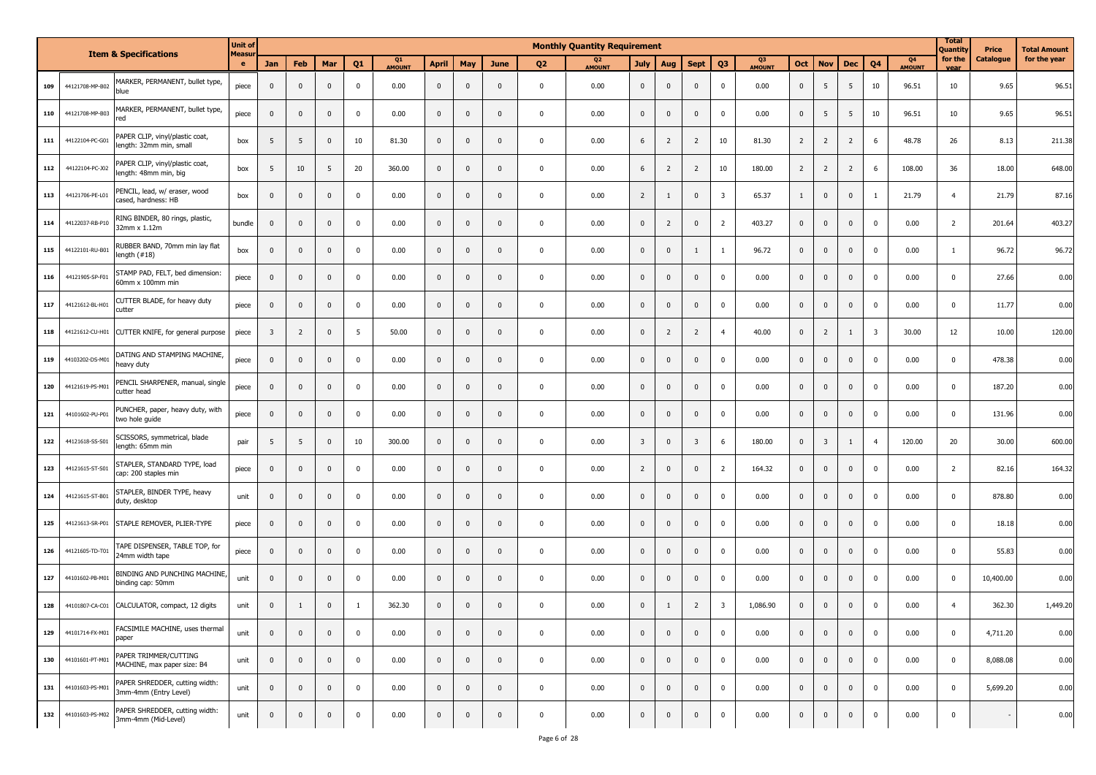|     |                 | <b>Item &amp; Specifications</b>                           | <b>Unit of</b>     |                         |                |              |              |                     |              |                         |              |                | <b>Monthly Quantity Requirement</b> |                |                |                         |                |                     |                |                         |                |                         |                                 | <b>Total</b><br>Quantity | Price     | <b>Total Amount</b> |
|-----|-----------------|------------------------------------------------------------|--------------------|-------------------------|----------------|--------------|--------------|---------------------|--------------|-------------------------|--------------|----------------|-------------------------------------|----------------|----------------|-------------------------|----------------|---------------------|----------------|-------------------------|----------------|-------------------------|---------------------------------|--------------------------|-----------|---------------------|
|     |                 |                                                            | <b>Measur</b><br>e | Jan                     | Feb            | Mar          | Q1           | Q1<br><b>AMOUNT</b> | <b>April</b> | May                     | <b>June</b>  | Q <sub>2</sub> | Q <sub>2</sub><br><b>AMOUNT</b>     | <b>July</b>    | Aug            | <b>Sept</b>             | Q <sub>3</sub> | Q3<br><b>AMOUNT</b> | Oct            | <b>Nov</b>              | <b>Dec</b>     | Q <sub>4</sub>          | Q <sub>4</sub><br><b>AMOUNT</b> | for the<br>vear          | Catalogue | for the year        |
| 109 | 44121708-MP-B02 | MARKER, PERMANENT, bullet type,<br>blue                    | piece              | $\mathbf{0}$            | $\overline{0}$ | $\mathbf{0}$ | $\mathbf 0$  | 0.00                | $\pmb{0}$    | $\mathbf 0$             | $\mathbf 0$  | $\mathbf 0$    | 0.00                                | $\mathbf 0$    | $\mathbf 0$    | $\mathbf 0$             | $\mathbf 0$    | 0.00                | $\overline{0}$ | 5                       | 5              | 10                      | 96.51                           | 10                       | 9.65      | 96.51               |
| 110 | 44121708-MP-B03 | MARKER, PERMANENT, bullet type,<br>red                     | piece              | $\mathbf 0$             | $\mathbf 0$    | $\mathbf{0}$ | $\mathbf 0$  | 0.00                | $\mathbf 0$  | $\mathbf 0$             | $\Omega$     | $\mathbf 0$    | 0.00                                | $\mathbf 0$    | $\mathbf 0$    | $\mathbf 0$             | 0              | 0.00                | $\mathbf 0$    | 5                       | 5              | 10                      | 96.51                           | 10                       | 9.65      | 96.51               |
| 111 | 44122104-PC-G01 | PAPER CLIP, vinyl/plastic coat,<br>length: 32mm min, small | box                | 5                       | 5              | $\mathbf{0}$ | 10           | 81.30               | $\pmb{0}$    | $\mathbf 0$             | $\mathbf 0$  | $\mathbf 0$    | 0.00                                | 6              | $\overline{2}$ | $\overline{2}$          | 10             | 81.30               | $\overline{2}$ | $\overline{2}$          | $\overline{2}$ | 6                       | 48.78                           | 26                       | 8.13      | 211.38              |
| 112 | 44122104-PC-J02 | PAPER CLIP, vinyl/plastic coat,<br>length: 48mm min, big   | box                | 5                       | 10             | 5            | 20           | 360.00              | $\mathbf 0$  | $\mathbf 0$             | $\Omega$     | $\mathbf 0$    | 0.00                                | 6              | $\overline{2}$ | $\overline{2}$          | 10             | 180.00              | $\overline{2}$ | $\overline{2}$          | $\overline{2}$ | 6                       | 108.00                          | 36                       | 18.00     | 648.00              |
| 113 | 44121706-PE-L01 | PENCIL, lead, w/ eraser, wood<br>cased, hardness: HB       | box                | $\mathbf 0$             | $\overline{0}$ | $\mathbf{0}$ | $\mathbf 0$  | 0.00                | $\pmb{0}$    | $\mathbf 0$             | $\mathbf 0$  | $\mathbf 0$    | 0.00                                | $\overline{2}$ | 1              | $\mathbf 0$             | 3              | 65.37               | $\mathbf{1}$   | $\bf{0}$                | $\mathbf 0$    | -1                      | 21.79                           | $\overline{4}$           | 21.79     | 87.16               |
| 114 | 44122037-RB-P1  | RING BINDER, 80 rings, plastic,<br>32mm x 1.12m            | bundle             | $\mathbf{0}$            | $\mathbf 0$    | $\mathbf{0}$ | $\mathbf{0}$ | 0.00                | $\mathbf 0$  | $\overline{0}$          | $\Omega$     | $\mathbf 0$    | 0.00                                | $\mathbf 0$    | $\overline{2}$ | $\mathbf 0$             | $\overline{2}$ | 403.27              | $\overline{0}$ | $\overline{0}$          | $\mathbf 0$    | $\mathbf 0$             | 0.00                            | $\overline{2}$           | 201.64    | 403.27              |
| 115 | 44122101-RU-B01 | RUBBER BAND, 70mm min lay flat<br>length $(+18)$           | box                | $\mathbf 0$             | $\mathbf 0$    | $\mathbf 0$  | $\mathbf 0$  | 0.00                | $\mathbf 0$  | $\mathbf 0$             | $\mathbf{0}$ | $\mathbf 0$    | 0.00                                | $\mathbf 0$    | $\mathbf 0$    | 1                       | $\mathbf{1}$   | 96.72               | $\mathbf 0$    | $\overline{0}$          | $\mathbf 0$    | $\mathbf 0$             | 0.00                            | $\mathbf{1}$             | 96.72     | 96.72               |
| 116 | 44121905-SP-F01 | STAMP PAD, FELT, bed dimension:<br>60mm x 100mm min        | piece              | $\mathbf 0$             | $\overline{0}$ | $\mathbf 0$  | $\mathbf 0$  | 0.00                | $\mathbf 0$  | $\mathbf 0$             | $\Omega$     | $\mathbf 0$    | 0.00                                | $\mathbf 0$    | $\mathbf 0$    | $\mathbf 0$             | 0              | 0.00                | $\mathbf 0$    | $\overline{0}$          | $\mathbf{0}$   | $\mathbf 0$             | 0.00                            | $\mathbf 0$              | 27.66     | 0.00                |
| 117 | 44121612-BL-H01 | CUTTER BLADE, for heavy duty<br>cutter                     | piece              | $\mathbf 0$             | $\mathbf 0$    | $\mathbf 0$  | $\mathbf 0$  | 0.00                | $\pmb{0}$    | $\mathbf 0$             | $\mathbf 0$  | $\mathbf 0$    | 0.00                                | $\mathbf 0$    | $\mathbf 0$    | $\mathbf 0$             | $\mathbf 0$    | 0.00                | $\mathbf 0$    | $\mathbf 0$             | $\mathbf 0$    | $\mathbf 0$             | 0.00                            | $\mathbf 0$              | 11.77     | 0.00                |
| 118 | 44121612-CU-H01 | CUTTER KNIFE, for general purpose                          | piece              | $\overline{\mathbf{3}}$ | $\overline{2}$ | $\mathbf 0$  | 5            | 50.00               | $\mathbf 0$  | $\overline{\mathbf{0}}$ | $\Omega$     | $\mathbf 0$    | 0.00                                | $\mathbf 0$    | $\overline{2}$ | $\overline{2}$          | $\overline{4}$ | 40.00               | $\mathbf 0$    | $\overline{2}$          | 1              | $\overline{\mathbf{3}}$ | 30.00                           | 12                       | 10.00     | 120.00              |
| 119 | 44103202-DS-M01 | DATING AND STAMPING MACHINE,<br>heavy duty                 | piece              | $\mathbf{0}$            | $\mathbf 0$    | $\mathbf{0}$ | $\mathbf 0$  | 0.00                | $\mathbf 0$  | $\mathbf{0}$            | $\mathbf 0$  | $\mathbf 0$    | 0.00                                | $\mathbf 0$    | $\mathbf 0$    | $\mathbf 0$             | $\mathbf 0$    | 0.00                | $\overline{0}$ | $\overline{0}$          | $\mathbf 0$    | $\mathbf 0$             | 0.00                            | $\mathbf 0$              | 478.38    | 0.00                |
| 120 | 44121619-PS-M01 | PENCIL SHARPENER, manual, single<br>cutter head            | piece              | $\mathbf 0$             | $\mathbf 0$    | $\mathbf 0$  | $\mathbf 0$  | 0.00                | $\mathbf 0$  | $\mathbf 0$             | $\mathbf{0}$ | $\mathbf 0$    | 0.00                                | $\mathbf 0$    | $\mathbf 0$    | $\mathbf 0$             | 0              | 0.00                | $\mathbf 0$    | $\mathbf 0$             | $\mathbf 0$    | $\mathbf 0$             | 0.00                            | $\mathbf 0$              | 187.20    | 0.00                |
| 121 | 44101602-PU-P01 | PUNCHER, paper, heavy duty, with<br>two hole guide         | piece              | $\mathbf 0$             | $\mathbf 0$    | $\mathbf{0}$ | $\mathbf 0$  | 0.00                | $\pmb{0}$    | $\mathbf 0$             | $\mathbf 0$  | $\mathbf 0$    | 0.00                                | $\mathbf 0$    | $\mathbf 0$    | $\mathbf 0$             | 0              | 0.00                | $\mathbf 0$    | $\mathbf 0$             | $\mathbf 0$    | $\mathbf 0$             | 0.00                            | $\mathbf 0$              | 131.96    | 0.00                |
| 122 | 44121618-SS-S01 | SCISSORS, symmetrical, blade<br>ength: 65mm min            | pair               | 5                       | 5              | $\mathbf 0$  | 10           | 300.00              | $\mathbf 0$  | $\mathbf 0$             | $\Omega$     | $\mathbf 0$    | 0.00                                | 3              | $\mathbf 0$    | $\overline{\mathbf{3}}$ | 6              | 180.00              | $\mathbf 0$    | $\overline{\mathbf{3}}$ | 1              | $\overline{4}$          | 120.00                          | 20                       | 30.00     | 600.00              |
| 123 | 44121615-ST-S01 | STAPLER, STANDARD TYPE, load<br>cap: 200 staples min       | piece              | $\mathbf{0}$            | $\overline{0}$ | $\mathbf 0$  | $\mathbf 0$  | 0.00                | $\mathbf 0$  | $\mathbf 0$             | $\mathbf{0}$ | $\mathbf 0$    | 0.00                                | $\overline{2}$ | $\mathbf 0$    | $\mathbf 0$             | $\overline{2}$ | 164.32              | $\overline{0}$ | $\overline{0}$          | $\mathbf 0$    | $\mathbf 0$             | 0.00                            | $\overline{2}$           | 82.16     | 164.32              |
| 124 | 44121615-ST-B01 | STAPLER, BINDER TYPE, heavy<br>duty, desktop               | unit               | $\mathbf 0$             | $\overline{0}$ | $\mathbf 0$  | $\mathbf 0$  | 0.00                | $\mathbf 0$  | $\mathbf 0$             | $\Omega$     | $\mathbf 0$    | 0.00                                | $\mathbf 0$    | $\mathbf 0$    | $\mathbf 0$             | 0              | 0.00                | $\mathbf 0$    | $\mathbf 0$             | $\mathbf{0}$   | $\mathbf 0$             | 0.00                            | $\mathbf 0$              | 878.80    | 0.00                |
| 125 | 44121613-SR-P01 | STAPLE REMOVER, PLIER-TYPE                                 | piece              | $\mathbf 0$             | $\mathbf 0$    | $\mathbf{0}$ | $\mathbf 0$  | 0.00                | $\pmb{0}$    | $\mathbf 0$             | $\mathbf{0}$ | $\mathbf 0$    | 0.00                                | $\mathbf 0$    | $\mathbf 0$    | $\mathbf 0$             | 0              | 0.00                | $\mathbf 0$    | $\bf{0}$                | $\mathbf 0$    | $\mathbf 0$             | 0.00                            | $\mathbf 0$              | 18.18     | 0.00                |
| 126 | 44121605-TD-T01 | TAPE DISPENSER, TABLE TOP, for<br>24mm width tape          | piece              | $\mathbf{0}$            | $\overline{0}$ | $\mathbf 0$  | $\mathbf 0$  | 0.00                | $\mathbf 0$  | $\mathbf 0$             | $\Omega$     | $\mathbf 0$    | 0.00                                | $\mathbf 0$    | $\mathbf 0$    | $\mathbf 0$             | 0              | 0.00                | $\mathbf 0$    | $\overline{0}$          | $\mathbf{0}$   | $\mathbf 0$             | 0.00                            | $\mathbf 0$              | 55.83     | 0.00                |
| 127 | 44101602-PB-M01 | BINDING AND PUNCHING MACHINE,<br>binding cap: 50mm         | unit               | $\mathbf 0$             | $\overline{0}$ | $\mathbf 0$  | $\mathbf 0$  | 0.00                | $\mathbf 0$  | $\mathbf 0$             | $\mathbf{0}$ | $\mathbf 0$    | 0.00                                | $\mathbf 0$    | $\mathbf 0$    | $\mathbf 0$             | $\mathbf 0$    | 0.00                | $\mathbf 0$    | $\mathbf 0$             | $\mathbf 0$    | $\mathbf 0$             | 0.00                            | $\mathbf 0$              | 10,400.00 | 0.00                |
| 128 | 44101807-CA-C01 | CALCULATOR, compact, 12 digits                             | unit               | $\mathbf 0$             | -1             | $\mathbf{0}$ | $\mathbf{1}$ | 362.30              | $\Omega$     | $\mathbf{0}$            | $\Omega$     | $\Omega$       | 0.00                                | $\mathbf{0}$   | $\mathbf{1}$   | $\overline{2}$          | 3              | 1,086.90            | $\overline{0}$ | $\mathbf 0$             | $\mathbf 0$    | $\mathbf 0$             | 0.00                            | $\overline{4}$           | 362.30    | 1,449.20            |
| 129 | 44101714-FX-M01 | FACSIMILE MACHINE, uses thermal<br>paper                   | unit               | $\mathbf{0}$            | $\mathbf 0$    | $\mathbf{0}$ | $\mathbf 0$  | 0.00                | $\pmb{0}$    | $\overline{0}$          | $\mathbf 0$  | $\mathbf 0$    | 0.00                                | $\mathbf 0$    | $\mathbf 0$    | $\mathbf 0$             | $\mathbf 0$    | 0.00                | $\overline{0}$ | $\overline{0}$          | $\overline{0}$ | $\overline{0}$          | 0.00                            | $\mathbf 0$              | 4,711.20  | 0.00                |
| 130 | 44101601-PT-M01 | PAPER TRIMMER/CUTTING<br>MACHINE, max paper size: B4       | unit               | $\mathbf 0$             | $\mathbf{0}$   | $\mathbf{0}$ | $\mathbf 0$  | 0.00                | $\mathbf 0$  | $\overline{0}$          | $\mathbf{0}$ | $\mathbf 0$    | 0.00                                | $\mathbf 0$    | $\mathbf 0$    | $\mathbf 0$             | $\mathbf 0$    | 0.00                | $\overline{0}$ | $\overline{0}$          | $\mathbf 0$    | $\mathbf 0$             | 0.00                            | $\mathbf 0$              | 8,088.08  | 0.00                |
| 131 | 44101603-PS-M01 | PAPER SHREDDER, cutting width:<br>3mm-4mm (Entry Level)    | unit               | $\mathbf 0$             | $\mathbf 0$    | $\mathbf{0}$ | $\mathbf 0$  | 0.00                | $\mathbf 0$  | $\mathbf{0}$            | $\mathbf 0$  | $\mathbf 0$    | 0.00                                | $\mathbf 0$    | $\mathbf 0$    | $\mathbf 0$             | $\mathbf 0$    | 0.00                | $\overline{0}$ | $\overline{0}$          | $\bf{0}$       | $\mathbf 0$             | 0.00                            | $\mathbf 0$              | 5,699.20  | 0.00                |
| 132 | 44101603-PS-M02 | PAPER SHREDDER, cutting width:<br>3mm-4mm (Mid-Level)      | unit               | $\mathbf{0}$            | $\mathbf 0$    | $\mathbf{0}$ | $\mathbf 0$  | 0.00                | $\pmb{0}$    | $\mathbf 0$             | $\mathbf{0}$ | $\mathbf 0$    | 0.00                                | $\mathbf 0$    | $\mathbf 0$    | $\mathbf 0$             | $\mathbf 0$    | 0.00                | $\overline{0}$ | $\mathbf 0$             | $\mathbf 0$    | $\mathbf 0$             | 0.00                            | $\mathbf 0$              |           | 0.00                |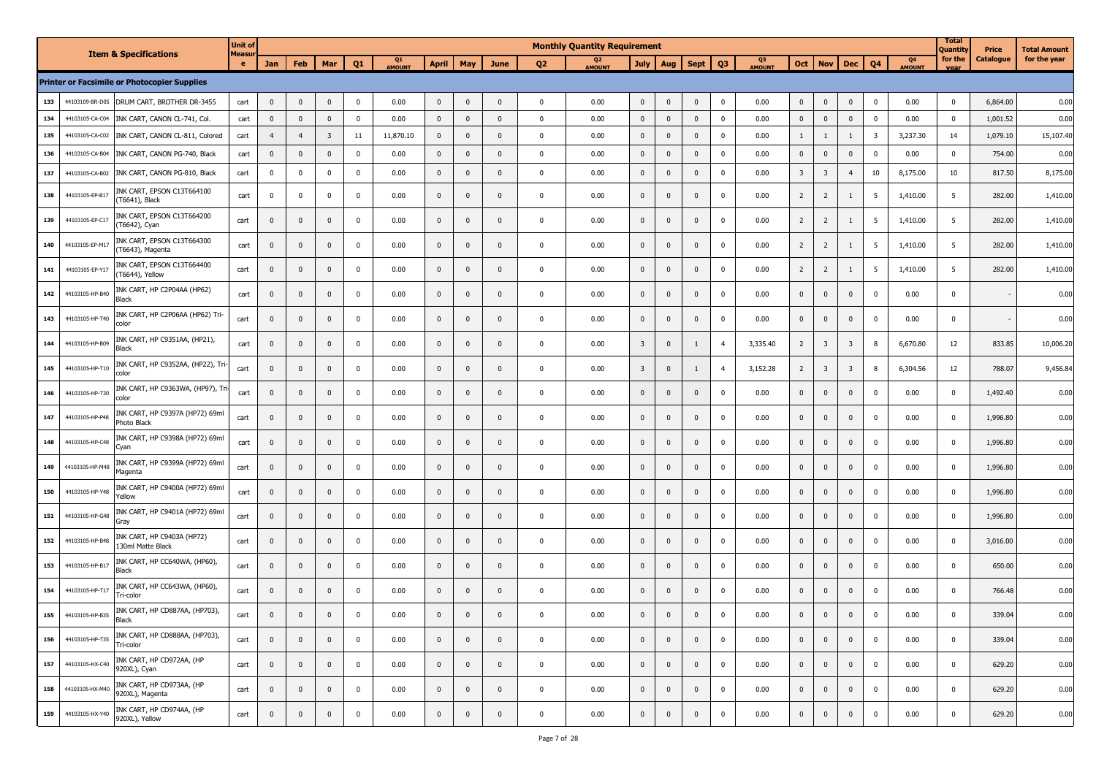|     |                 |                                                     | <b>Unit of</b> |                |                |                         |             |              |                |              |              |                | <b>Monthly Quantity Requirement</b> |                         |              |              |                |              |                         |                         |                         |                         |                     | <b>Total</b><br>Quantity | Price     | Total Amount |
|-----|-----------------|-----------------------------------------------------|----------------|----------------|----------------|-------------------------|-------------|--------------|----------------|--------------|--------------|----------------|-------------------------------------|-------------------------|--------------|--------------|----------------|--------------|-------------------------|-------------------------|-------------------------|-------------------------|---------------------|--------------------------|-----------|--------------|
|     |                 | <b>Item &amp; Specifications</b>                    | Measur<br>e.   | Jan            | Feb            | Mar                     | Q1          | Q1<br>AMOUNT | <b>April</b>   | May          | June         | Q <sub>2</sub> | Q <sub>2</sub><br>AMOUNT            | <b>July</b>             | Aug          | <b>Sept</b>  | Q <sub>3</sub> | Q3<br>AMOUNT | Oct                     | <b>Nov</b>              | <b>Dec</b>              | Q <sub>4</sub>          | Q4<br><b>AMOUNT</b> | for the<br>vear          | Catalogue | for the year |
|     |                 | <b>Printer or Facsimile or Photocopier Supplies</b> |                |                |                |                         |             |              |                |              |              |                |                                     |                         |              |              |                |              |                         |                         |                         |                         |                     |                          |           |              |
| 133 | 44103109-BR-D05 | DRUM CART, BROTHER DR-3455                          | cart           | $\mathbf 0$    | $\mathbf{0}$   | $\mathbf 0$             | $\mathbf 0$ | 0.00         | $\mathbf 0$    | $\mathbf{0}$ | $\Omega$     | $\mathbf 0$    | 0.00                                | $\mathbf 0$             | $\mathbf 0$  | $\mathbf 0$  | $\mathbf 0$    | 0.00         | $\mathbf 0$             | $\mathbf 0$             | $\mathbf 0$             | $\mathbf 0$             | 0.00                | $\mathbf{0}$             | 6,864.00  | 0.00         |
| 134 | 44103105-CA-C04 | INK CART, CANON CL-741, Col.                        | cart           | 0              | $\mathbf 0$    | $\mathbf 0$             | $\mathbf 0$ | 0.00         | $\mathbf 0$    | $\mathbf 0$  | $\mathbf 0$  | $\mathbf 0$    | 0.00                                | $\overline{0}$          | $\mathbf 0$  | $\mathbf{0}$ | $\mathbf 0$    | 0.00         | $\mathbf 0$             | $\mathbf{0}$            | $\overline{\mathbf{0}}$ | $\mathbf 0$             | 0.00                | $\mathbf 0$              | 1,001.52  | 0.00         |
| 135 | 44103105-CA-C02 | INK CART, CANON CL-811, Colored                     | cart           | $\overline{4}$ | $\overline{4}$ | $\overline{\mathbf{3}}$ | 11          | 11,870.10    | $\mathbf{0}$   | $\mathbf 0$  | $\mathbf{0}$ | $\mathbf 0$    | 0.00                                | $\mathbf 0$             | $\mathbf 0$  | $\mathbf{0}$ | $\mathbf 0$    | 0.00         | 1                       | $\mathbf{1}$            | $\overline{1}$          | $\overline{\mathbf{3}}$ | 3,237.30            | 14                       | 1,079.10  | 15,107.40    |
| 136 | 44103105-CA-B04 | INK CART, CANON PG-740, Black                       | cart           | 0              | $\mathbf 0$    | $\mathbf 0$             | $\mathbf 0$ | 0.00         | 0              | $\mathbf 0$  | $\mathbf{0}$ | $\mathbf 0$    | 0.00                                | $\mathbf 0$             | $\mathbf{0}$ | $\mathbf{0}$ | $\mathbf 0$    | 0.00         | $\mathbf 0$             | $\mathbf 0$             | $\mathbf 0$             | $\mathbf 0$             | 0.00                | 0                        | 754.00    | 0.00         |
| 137 | 44103105-CA-B02 | INK CART, CANON PG-810, Black                       | cart           | 0              | 0              | $\mathbf 0$             | $\mathbf 0$ | 0.00         | 0              | $\mathbf 0$  | $\mathbf{0}$ | $\mathbf 0$    | 0.00                                | $\overline{0}$          | $\pmb{0}$    | $\mathbf{0}$ | $\mathbf 0$    | 0.00         | $\overline{\mathbf{3}}$ | $\overline{\mathbf{3}}$ | $\overline{4}$          | 10                      | 8,175.00            | 10                       | 817.50    | 8,175.00     |
| 138 | 44103105-EP-B17 | INK CART, EPSON C13T664100<br>(T6641), Black        | cart           | 0              | $\mathbf 0$    | $\mathbf 0$             | $\mathbf 0$ | 0.00         | $\overline{0}$ | $\mathbf 0$  | $\mathbf{0}$ | $\mathbf 0$    | 0.00                                | $\mathbf 0$             | $\mathbf 0$  | $\mathbf 0$  | $\mathbf 0$    | 0.00         | $\overline{2}$          | $\overline{2}$          | 1                       | 5                       | 1,410.00            | 5                        | 282.00    | 1,410.00     |
| 139 | 44103105-EP-C17 | INK CART, EPSON C13T664200<br>(T6642), Cyan         | cart           | 0              | $\mathbf 0$    | $\mathbf 0$             | $\mathbf 0$ | 0.00         | $\mathbf 0$    | $\mathbf 0$  | $\mathbf{0}$ | $\mathbf 0$    | 0.00                                | $\overline{0}$          | $\mathbf 0$  | $\mathbf 0$  | $\mathbf 0$    | 0.00         | $\overline{2}$          | $\overline{2}$          | 1                       | 5                       | 1,410.00            | 5                        | 282.00    | 1,410.00     |
| 140 | 44103105-EP-M17 | INK CART, EPSON C13T664300<br>(T6643), Magenta      | cart           | $\mathbf{0}$   | $\mathbf{0}$   | $\mathbf{0}$            | 0           | 0.00         | $\mathbf{0}$   | $\mathbf{0}$ | $\mathbf{0}$ | $\mathbf{0}$   | 0.00                                | $\mathbf{0}$            | $\mathbf{0}$ | $\mathbf{0}$ | $\mathbf 0$    | 0.00         | $\overline{2}$          | $\overline{2}$          | 1                       | 5                       | 1,410.00            | 5                        | 282.00    | 1,410.00     |
| 141 | 44103105-EP-Y17 | INK CART, EPSON C13T664400<br>(T6644), Yellow       | cart           | 0              | $\mathbf 0$    | $\mathbf 0$             | $\mathbf 0$ | 0.00         | $\mathbf 0$    | $\mathbf 0$  | $\mathbf{0}$ | $\mathbf 0$    | 0.00                                | $\mathbf 0$             | $\mathbf 0$  | $\mathbf 0$  | $\mathbf 0$    | 0.00         | $\overline{2}$          | $\overline{2}$          | 1                       | $5\overline{5}$         | 1,410.00            | 5                        | 282.00    | 1,410.00     |
| 142 | 44103105-HP-B40 | INK CART, HP C2P04AA (HP62)<br>Black                | cart           | 0              | $\mathbf 0$    | $\mathbf 0$             | $\mathbf 0$ | 0.00         | $\mathbf 0$    | $\mathbf 0$  | $\mathbf{0}$ | $\mathbf 0$    | 0.00                                | $\overline{0}$          | $\mathbf 0$  | $\mathbf{0}$ | 0              | 0.00         | $\pmb{0}$               | $\mathbf 0$             | $\mathbf 0$             | $\mathbf 0$             | 0.00                | $\mathbf 0$              |           | 0.00         |
| 143 | 44103105-HP-T40 | INK CART, HP C2P06AA (HP62) Tri<br>color            | cart           | 0              | $\mathbf{0}$   | $\mathbf 0$             | $\mathbf 0$ | 0.00         | $\mathbf{0}$   | $\mathbf 0$  | $\mathbf{0}$ | $\mathbf{0}$   | 0.00                                | $\overline{0}$          | $\mathbf{0}$ | $\mathbf{0}$ | $\mathbf 0$    | 0.00         | $\pmb{0}$               | $\mathbf 0$             | $\mathbf 0$             | $\mathbf 0$             | 0.00                | $\mathbf 0$              |           | 0.00         |
| 144 | 44103105-HP-B09 | INK CART, HP C9351AA, (HP21),<br>Black              | cart           | 0              | $\mathbf 0$    | $\mathbf{0}$            | $\mathbf 0$ | 0.00         | $\mathbf{0}$   | $\mathbf 0$  | $\mathbf 0$  | $\pmb{0}$      | 0.00                                | $\overline{\mathbf{3}}$ | $\mathbf 0$  | 1            | $\overline{4}$ | 3,335.40     | $\overline{2}$          | $\overline{\mathbf{3}}$ | $\overline{\mathbf{3}}$ | 8                       | 6,670.80            | 12                       | 833.85    | 10,006.20    |
| 145 | 44103105-HP-T10 | INK CART, HP C9352AA, (HP22), Tri<br>color          | cart           | 0              | $\mathbf 0$    | $\mathbf 0$             | $\mathbf 0$ | 0.00         | $\mathbf 0$    | $\mathbf 0$  | $\mathbf{0}$ | $\mathbf 0$    | 0.00                                | $\overline{\mathbf{3}}$ | $\mathbf 0$  | 1            | $\overline{4}$ | 3,152.28     | $\overline{2}$          | $\overline{\mathbf{3}}$ | $\overline{\mathbf{3}}$ | 8                       | 6,304.56            | 12                       | 788.07    | 9,456.84     |
| 146 | 44103105-HP-T30 | INK CART, HP C9363WA, (HP97), Tri<br>color          | cart           | $\mathbf{0}$   | $\mathbf{0}$   | $\mathbf 0$             | $\mathbf 0$ | 0.00         | $\mathbf{0}$   | $\mathbf{0}$ | $\mathbf{0}$ | $\pmb{0}$      | 0.00                                | $\overline{0}$          | $\mathbf{0}$ | $\mathbf{0}$ | $\mathbf 0$    | 0.00         | $\pmb{0}$               | $\mathbf 0$             | $\mathbf 0$             | $\mathbf 0$             | 0.00                | $\mathbf 0$              | 1,492.40  | 0.00         |
| 147 | 44103105-HP-P48 | INK CART, HP C9397A (HP72) 69ml<br>Photo Black      | cart           | 0              | $\mathbf 0$    | $\mathbf 0$             | $\mathbf 0$ | 0.00         | $\mathbf 0$    | $\mathbf 0$  | $\mathbf{0}$ | $\mathbf 0$    | 0.00                                | $\mathbf 0$             | $\mathbf 0$  | $\mathbf 0$  | $\mathbf 0$    | 0.00         | $\pmb{0}$               | $\mathbf 0$             | $\overline{0}$          | $\mathbf 0$             | 0.00                | 0                        | 1,996.80  | 0.00         |
| 148 | 44103105-HP-C48 | INK CART, HP C9398A (HP72) 69ml<br>Cyan             | cart           | $\mathbf{0}$   | $\mathbf{0}$   | $\mathbf 0$             | $\mathbf 0$ | 0.00         | $\mathbf{0}$   | $\mathbf 0$  | $\mathbf{0}$ | $\mathbf{0}$   | 0.00                                | $\overline{0}$          | $\mathbf{0}$ | $\mathbf{0}$ | $\mathbf 0$    | 0.00         | $\pmb{0}$               | $\mathbf 0$             | $\overline{\mathbf{0}}$ | $\mathbf 0$             | 0.00                | $\mathbf 0$              | 1,996.80  | 0.00         |
| 149 | 44103105-HP-M48 | INK CART, HP C9399A (HP72) 69ml<br>Magenta          | cart           | 0              | $\mathbf{0}$   | $\mathbf 0$             | $\mathbf 0$ | 0.00         | $\mathbf{0}$   | $\mathbf 0$  | $\mathbf{0}$ | $\mathbf 0$    | 0.00                                | $\overline{0}$          | $\mathbf{0}$ | $\mathbf{0}$ | $\mathbf 0$    | 0.00         | $\pmb{0}$               | $\mathbf 0$             | $\overline{\mathbf{0}}$ | $\mathbf 0$             | 0.00                | $\mathbf 0$              | 1,996.80  | 0.00         |
| 150 | 44103105-HP-Y48 | INK CART, HP C9400A (HP72) 69ml<br>Yellow           | cart           | 0              | $\mathbf{0}$   | $\mathbf 0$             | $\mathbf 0$ | 0.00         | $\mathbf{0}$   | $\mathbf 0$  | $\mathbf 0$  | $\mathbf 0$    | 0.00                                | $\mathbf 0$             | $\mathbf 0$  | $\mathbf 0$  | $\mathbf 0$    | 0.00         | $\pmb{0}$               | $\mathbf 0$             | $\mathbf 0$             | $\mathbf 0$             | 0.00                | 0                        | 1,996.80  | 0.00         |
| 151 | 44103105-HP-G48 | INK CART, HP C9401A (HP72) 69ml<br>Gray             | cart           | 0              | $\mathbf 0$    | $\mathbf 0$             | $\mathbf 0$ | 0.00         | $\mathbf{0}$   | $\mathbf 0$  | $\mathbf{0}$ | $\mathbf 0$    | 0.00                                | $\overline{0}$          | $\mathbf 0$  | $\mathbf{0}$ | $\mathbf 0$    | 0.00         | $\pmb{0}$               | $\mathbf 0$             | $\mathbf 0$             | 0                       | 0.00                | $\mathbf 0$              | 1,996.80  | 0.00         |
| 152 | 44103105-HP-B48 | INK CART, HP C9403A (HP72)<br>130ml Matte Black     | cart           | 0              | $\mathbf 0$    | $\mathbf 0$             | $\mathbf 0$ | 0.00         | $\mathbf 0$    | $\mathbf 0$  | $\mathbf{0}$ | $\mathbf 0$    | 0.00                                | $\overline{0}$          | $\mathbf 0$  | $\mathbf{0}$ | $\mathbf 0$    | 0.00         | $\pmb{0}$               | $\mathbf 0$             | $\mathbf 0$             | $\mathbf 0$             | 0.00                | $\mathbf 0$              | 3,016.00  | 0.00         |
| 153 | 44103105-HP-B17 | INK CART, HP CC640WA, (HP60),<br>Black              | cart           | $\mathbf{0}$   | $\mathbf{0}$   | $\mathbf 0$             | $\mathbf 0$ | 0.00         | $\mathbf{0}$   | $\mathbf 0$  | $\mathbf{0}$ | $\mathbf{0}$   | 0.00                                | $\pmb{0}$               | $\mathbf 0$  | $\mathbf{0}$ | $\mathbf 0$    | 0.00         | $\pmb{0}$               | $\mathbf 0$             | $\mathbf 0$             | $\mathbf 0$             | 0.00                | $\mathbf 0$              | 650.00    | 0.00         |
| 154 | 44103105-HP-T17 | INK CART, HP CC643WA, (HP60),<br>Tri-color          | cart           | $\mathbf{0}$   | $\mathbf{0}$   | $\mathbf{0}$            | 0           | 0.00         | $\mathbf{0}$   | $\mathbf 0$  | $\mathbf{0}$ | $\mathbf{0}$   | 0.00                                | $\mathbf 0$             | $\mathbf{0}$ | $\mathbf{0}$ | $\mathbf{0}$   | 0.00         | $\mathbf{0}$            | $\mathbf{0}$            | $\mathbf{0}$            | $\mathbf{0}$            | 0.00                | $\mathbf 0$              | 766.48    | 0.00         |
| 155 | 44103105-HP-B35 | INK CART, HP CD887AA, (HP703),<br>ыаск              | cart           | $\mathbf 0$    | $\Omega$       | $\mathbf{0}$            | $\Omega$    | 0.00         | $\mathbf{0}$   | $\Omega$     | $\Omega$     | $\Omega$       | 0.00                                | $\mathbf{0}$            | $\mathbf{0}$ | $\Omega$     | $\mathbf 0$    | 0.00         | $\mathbf{0}$            | $\mathbf 0$             | $\mathbf{0}$            | $\mathbf 0$             | 0.00                | $\Omega$                 | 339.04    | 0.00         |
| 156 | 44103105-HP-T35 | INK CART, HP CD888AA, (HP703),<br>Tri-color         | cart           | $\mathbf{0}$   | $\mathbf{0}$   | $\mathbf{0}$            | $\mathbf 0$ | 0.00         | $\mathbf{0}$   | $\mathbf 0$  | $\mathbf 0$  | $\mathbf 0$    | 0.00                                | $\mathbf{0}$            | $\mathbf 0$  | $\mathbf{0}$ | $\mathbf 0$    | 0.00         | $\mathbf 0$             | $\mathbf 0$             | $\mathbf 0$             | $\mathbf 0$             | 0.00                | $\mathbf 0$              | 339.04    | 0.00         |
| 157 | 44103105-HX-C40 | INK CART, HP CD972AA, (HP<br>920XL), Cyan           | cart           | $\mathbf 0$    | $\mathbf 0$    | $\mathbf 0$             | $\mathbf 0$ | 0.00         | $\mathbf 0$    | $\mathbf 0$  | $\mathbf 0$  | $\mathbf 0$    | 0.00                                | $\overline{\mathbf{0}}$ | $\mathbf 0$  | $\mathbf{0}$ | $\mathbf 0$    | 0.00         | $\mathbf 0$             | $\overline{0}$          | $\mathbf 0$             | $\mathbf 0$             | 0.00                | $\mathbf 0$              | 629.20    | 0.00         |
| 158 | 44103105-HX-M40 | INK CART, HP CD973AA, (HP<br>920XL), Magenta        | cart           | $\mathbf 0$    | $\mathbf 0$    | $\mathbf 0$             | $\mathbf 0$ | 0.00         | $\mathbf 0$    | $\mathbf 0$  | $\mathbf 0$  | $\mathbf 0$    | 0.00                                | $\overline{0}$          | $\mathbf 0$  | $\mathbf{0}$ | $\mathbf 0$    | 0.00         | $\pmb{0}$               | $\mathbf{0}$            | $\mathbf 0$             | $\mathbf 0$             | 0.00                | $\mathbf 0$              | 629.20    | 0.00         |
| 159 | 44103105-HX-Y40 | INK CART, HP CD974AA, (HP<br>920XL), Yellow         | cart           | $\mathbf 0$    | $\mathbf 0$    | $\mathbf 0$             | $\mathbf 0$ | 0.00         | $\mathbf{0}$   | $\mathbf 0$  | $\mathbf 0$  | $\mathbf 0$    | 0.00                                | $\mathbf 0$             | $\pmb{0}$    | $\mathbf 0$  | $\mathbf 0$    | 0.00         | $\mathbf 0$             | $\mathbf 0$             | $\mathbf 0$             | $\mathbf 0$             | 0.00                | $\mathbf 0$              | 629.20    | 0.00         |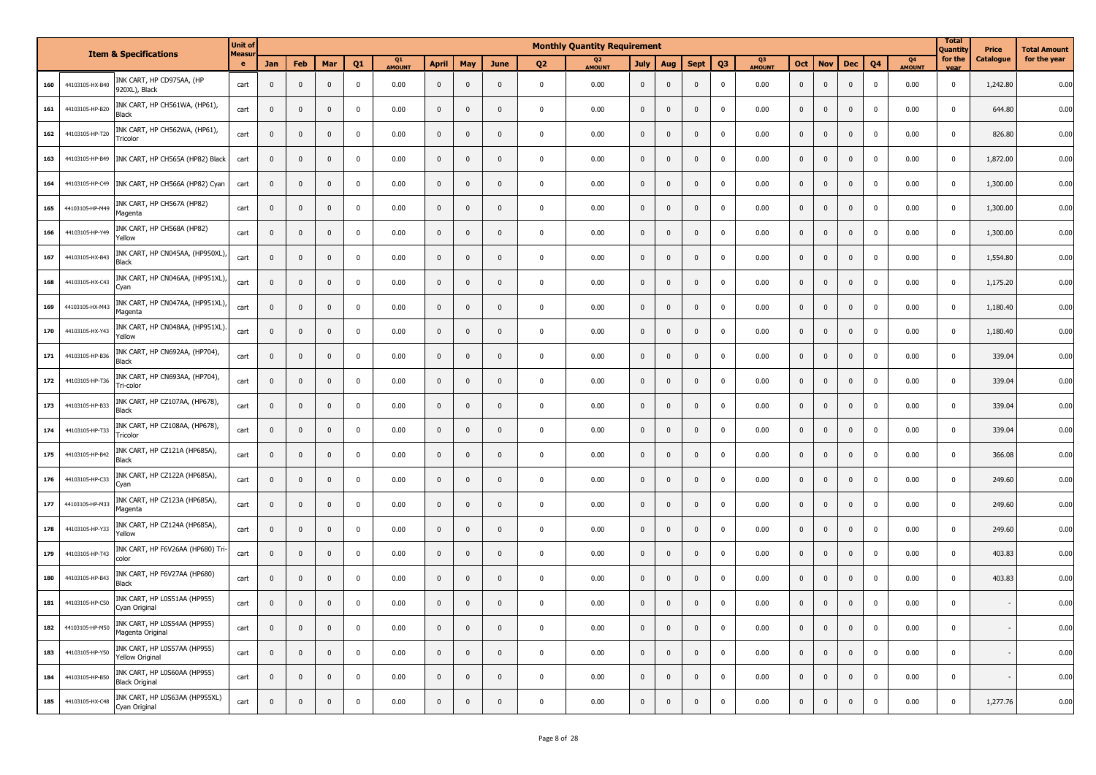|     |                 | <b>Item &amp; Specifications</b>                      | <b>Unit of</b> |              |              |                         |                |              |              |              |              |              | <b>Monthly Quantity Requirement</b> |              |              |                |                |                          |                |              |              |                |                     | <b>Total</b><br>Quantity | Price     | <b>Total Amount</b> |
|-----|-----------------|-------------------------------------------------------|----------------|--------------|--------------|-------------------------|----------------|--------------|--------------|--------------|--------------|--------------|-------------------------------------|--------------|--------------|----------------|----------------|--------------------------|----------------|--------------|--------------|----------------|---------------------|--------------------------|-----------|---------------------|
|     |                 |                                                       | Measu<br>e     | Jan          | Feb          | Mar                     | O <sub>1</sub> | Q1<br>AMOUNT | <b>April</b> | May          | June         | 02           | Q <sub>2</sub><br>AMOUNT            | <b>July</b>  | Aug          | <b>Sept</b>    | Q <sub>3</sub> | Q <sub>3</sub><br>AMOUNT | <b>Oct</b>     | <b>Nov</b>   | <b>Dec</b>   | Q <sub>4</sub> | 04<br><b>AMOUNT</b> | for the<br>vear          | Catalogue | for the year        |
| 160 | 44103105-HX-B40 | INK CART, HP CD975AA, (HP<br>920XL), Black            | cart           | $\mathbf 0$  | $\mathbf{0}$ | $\mathbf 0$             | $\pmb{0}$      | 0.00         | $\mathbf 0$  | $\mathbf 0$  | $\mathbf 0$  | $\pmb{0}$    | 0.00                                | $\mathbf 0$  | $\mathbf 0$  | $\mathsf 0$    | $\pmb{0}$      | 0.00                     | $\mathbf 0$    | $\mathbf 0$  | $\pmb{0}$    | $\pmb{0}$      | 0.00                | $\mathbf 0$              | 1,242.80  | 0.00                |
| 161 | 44103105-HP-B20 | INK CART, HP CH561WA, (HP61),<br>Black                | cart           | $\mathbf 0$  | $\mathbf{0}$ | $\mathbf{0}$            | $\Omega$       | 0.00         | $\mathbf{0}$ | $\mathbf{0}$ | $\Omega$     | $\mathbf 0$  | 0.00                                | $\mathbf{0}$ | $\mathbf 0$  | $\Omega$       | $\mathbf 0$    | 0.00                     | $\mathbf 0$    | $\mathbf 0$  | $\mathbf{0}$ | $\mathbf 0$    | 0.00                | $\pmb{0}$                | 644.80    | 0.00                |
| 162 | 44103105-HP-T20 | INK CART, HP CH562WA, (HP61),<br>Tricolor             | cart           | $\Omega$     | $\mathbf{0}$ | $\Omega$                | $\mathbf 0$    | 0.00         | $\mathbf{0}$ | $\mathbf{0}$ | $\Omega$     | $\Omega$     | 0.00                                | $\mathbf 0$  | $\mathbf{0}$ | $\mathbf{0}$   | $\mathbf{0}$   | 0.00                     | $\mathbf{0}$   | $\mathbf 0$  | $\mathbf 0$  | $\pmb{0}$      | 0.00                | $\pmb{0}$                | 826.80    | 0.00                |
| 163 | 44103105-HP-B49 | INK CART, HP CH565A (HP82) Black                      | cart           | $\mathbf 0$  | $\mathbf 0$  | $\mathbf{0}$            | $\mathbf 0$    | 0.00         | $\mathbf{0}$ | $\mathbf 0$  | $\mathbf{0}$ | $\mathbf 0$  | 0.00                                | $\mathbf{0}$ | $\mathbf{0}$ | $\mathbf{0}$   | $\mathbf 0$    | 0.00                     | $\mathbf 0$    | $\mathbf 0$  | $\mathbf{0}$ | $\mathbf 0$    | 0.00                | $\pmb{0}$                | 1,872.00  | 0.00                |
| 164 | 44103105-HP-C49 | INK CART, HP CH566A (HP82) Cyan                       | cart           | $\mathbf 0$  | $\mathbf{0}$ | $\mathbf{0}$            | $\mathbf 0$    | 0.00         | $\mathbf 0$  | $\mathbf 0$  | $\mathbf{0}$ | $\mathbf 0$  | 0.00                                | $\mathbf 0$  | $\mathbf{0}$ | $\Omega$       | $\mathbf 0$    | 0.00                     | $\mathbf 0$    | $\mathbf 0$  | $\mathbf 0$  | $\mathbf 0$    | 0.00                | $\pmb{0}$                | 1,300.00  | 0.00                |
| 165 | 44103105-HP-M49 | INK CART, HP CH567A (HP82)<br>Magenta                 | cart           | $\mathbf{0}$ | $\mathbf{0}$ | $\mathbf{0}$            | $\mathbf{0}$   | 0.00         | $\mathbf{0}$ | $\mathbf 0$  | $\mathbf 0$  | $\mathbf 0$  | 0.00                                | $\mathbf{0}$ | $\mathbf{0}$ | $\mathbf{0}$   | $\mathbf{0}$   | 0.00                     | $\overline{0}$ | $\mathbf{0}$ | $\mathbf{0}$ | $\mathbf 0$    | 0.00                | $\mathbf 0$              | 1,300.00  | 0.00                |
| 166 | 44103105-HP-Y49 | INK CART, HP CH568A (HP82)<br>Yellow                  | cart           | $\mathbf{0}$ | $\mathbf{0}$ | $\mathbf{0}$            | $\pmb{0}$      | 0.00         | $\mathbf{0}$ | $\mathbf 0$  | $\mathbf{0}$ | $\mathbf 0$  | 0.00                                | $\pmb{0}$    | $\mathbf{0}$ | $\mathbf{0}$   | $\mathbf 0$    | 0.00                     | $\mathbf 0$    | $\mathbf 0$  | $\mathbf 0$  | $\pmb{0}$      | 0.00                | $\pmb{0}$                | 1,300.00  | 0.00                |
| 167 | 44103105-HX-B43 | INK CART, HP CN045AA, (HP950XL)<br>Black              | cart           | $\mathbf 0$  | $\mathbf{0}$ | $\mathbf{0}$            | $\pmb{0}$      | 0.00         | $\mathbf{0}$ | $\mathbf 0$  | $\mathbf{0}$ | $\mathbf 0$  | 0.00                                | $\mathsf 0$  | $\mathbf 0$  | $\mathbf{0}$   | $\mathbf 0$    | 0.00                     | $\mathbf 0$    | $\mathbf 0$  | $\mathbf{0}$ | $\mathbf 0$    | 0.00                | $\mathbf 0$              | 1,554.80  | 0.00                |
| 168 | 44103105-HX-C43 | INK CART, HP CN046AA, (HP951XL),<br>Cvan              | cart           | $\mathbf 0$  | $\mathsf 0$  | $\mathbf 0$             | $\pmb{0}$      | 0.00         | $\mathbf 0$  | $\mathbf 0$  | $\mathbf{0}$ | $\mathbf 0$  | 0.00                                | $\mathbf 0$  | $\mathbf{0}$ | $\Omega$       | $\pmb{0}$      | 0.00                     | $\mathbf 0$    | $\mathbf 0$  | $\mathbf 0$  | $\mathbf 0$    | 0.00                | $\mathbf 0$              | 1,175.20  | 0.00                |
| 169 | 44103105-HX-M43 | INK CART, HP CN047AA, (HP951XL),<br>Magenta           | cart           | $\mathbf 0$  | $\mathbf 0$  | $\mathbf 0$             | $\pmb{0}$      | 0.00         | $\mathbf 0$  | $\mathbf 0$  | $\mathbf{0}$ | $\mathbf 0$  | 0.00                                | $\mathsf{O}$ | $\mathbf 0$  | $\mathbf 0$    | $\mathbf 0$    | 0.00                     | $\mathbf 0$    | $\pmb{0}$    | $\pmb{0}$    | $\pmb{0}$      | 0.00                | $\mathbf 0$              | 1,180.40  | 0.00                |
| 170 | 44103105-HX-Y43 | INK CART, HP CN048AA, (HP951XL).<br>Yellow            | cart           | $\mathbf 0$  | $\mathsf 0$  | $\mathbf{0}$            | $\pmb{0}$      | 0.00         | $\mathbf 0$  | $\mathbf 0$  | $\mathbf 0$  | $\mathbf 0$  | 0.00                                | $\mathbf 0$  | $\mathbf 0$  | $\mathsf 0$    | $\mathbf 0$    | 0.00                     | $\mathbf 0$    | $\mathbf 0$  | $\mathbf 0$  | $\pmb{0}$      | 0.00                | $\pmb{0}$                | 1,180.40  | 0.00                |
| 171 | 44103105-HP-B36 | INK CART, HP CN692AA, (HP704),<br>Black               | cart           | $\mathbf 0$  | $\mathbf 0$  | $\mathbf 0$             | $\mathbf 0$    | 0.00         | $\mathbf 0$  | $\mathbf 0$  | $\mathbf{0}$ | $\mathbf 0$  | 0.00                                | $\mathbf{0}$ | $\mathbf 0$  | $\mathbf 0$    | $\mathbf 0$    | 0.00                     | $\mathbf 0$    | $\mathbf 0$  | $\mathbf 0$  | $\mathbf 0$    | 0.00                | $\mathbf 0$              | 339.04    | 0.00                |
| 172 | 44103105-HP-T36 | INK CART, HP CN693AA, (HP704),<br>Tri-color           | cart           | $\mathbf 0$  | $\mathbf 0$  | $\mathbf 0$             | $\mathbf{0}$   | 0.00         | $\mathbf{0}$ | $\mathbf 0$  | $\Omega$     | $\mathbf 0$  | 0.00                                | $\pmb{0}$    | $\mathsf 0$  | $\mathbf{0}$   | $\pmb{0}$      | 0.00                     | $\mathbf 0$    | $\mathbf 0$  | $\mathbf 0$  | $\pmb{0}$      | 0.00                | $\mathbf 0$              | 339.04    | 0.00                |
| 173 | 44103105-HP-B33 | INK CART, HP CZ107AA, (HP678),<br>Black               | cart           | $\mathbf{0}$ | $\mathbf 0$  | $\mathbf{0}$            | $\pmb{0}$      | 0.00         | $\mathbf 0$  | $\mathbf 0$  | $\mathbf 0$  | $\mathbf 0$  | 0.00                                | $\mathbf 0$  | $\mathbf{0}$ | $\mathbf 0$    | $\mathbf 0$    | 0.00                     | $\overline{0}$ | $\pmb{0}$    | $\mathbf 0$  | $\mathbf 0$    | 0.00                | $\pmb{0}$                | 339.04    | 0.00                |
| 174 | 44103105-HP-T33 | INK CART, HP CZ108AA, (HP678),<br>Tricolor            | cart           | $\mathbf 0$  | $\mathbf 0$  | $\mathbf{0}$            | $\pmb{0}$      | 0.00         | $\mathbf 0$  | $\mathbf 0$  | $\mathbf{0}$ | $\pmb{0}$    | 0.00                                | $\pmb{0}$    | $\mathsf 0$  | $\mathbf{0}$   | $\mathbf{0}$   | 0.00                     | $\mathbf 0$    | $\pmb{0}$    | $\mathbf{0}$ | $\mathbf 0$    | 0.00                | $\pmb{0}$                | 339.04    | 0.00                |
| 175 | 44103105-HP-B42 | INK CART, HP CZ121A (HP685A),<br>Black                | cart           | $\pmb{0}$    | $\mathbf 0$  | $\mathbf{0}$            | $\pmb{0}$      | 0.00         | $\mathbf 0$  | $\mathbf 0$  | $\mathbf{0}$ | $\pmb{0}$    | 0.00                                | $\pmb{0}$    | $\mathbf{0}$ | $\mathbf{0}$   | $\mathbf 0$    | 0.00                     | $\mathbf 0$    | $\mathbf 0$  | $\mathbf 0$  | $\mathbf 0$    | 0.00                | $\pmb{0}$                | 366.08    | 0.00                |
| 176 | 44103105-HP-C33 | INK CART, HP CZ122A (HP685A),<br>Cvan                 | cart           | $\mathbf 0$  | $\mathbf 0$  | $\mathbf{0}$            | $\mathbf 0$    | 0.00         | $\pmb{0}$    | $\mathbf 0$  | $\mathbf{0}$ | $\pmb{0}$    | 0.00                                | $\mathbf 0$  | $\mathbf{0}$ | $\mathbf{0}$   | $\mathbf 0$    | 0.00                     | $\mathbf 0$    | $\mathbf 0$  | $\mathbf 0$  | $\mathbf 0$    | 0.00                | $\pmb{0}$                | 249.60    | 0.00                |
| 177 | 44103105-HP-M33 | INK CART, HP CZ123A (HP685A),<br>Magenta              | cart           | $\pmb{0}$    | $\mathbf{0}$ | $\mathbf{0}$            | $\mathbf 0$    | 0.00         | $\mathbf{0}$ | $\mathbf 0$  | $\mathbf{0}$ | $\mathbf 0$  | 0.00                                | $\mathbf 0$  | $\mathbf 0$  | $\mathbf{0}$   | $\mathbf 0$    | 0.00                     | $\mathbf 0$    | $\mathbf 0$  | $\mathbf 0$  | $\mathbf 0$    | 0.00                | $\pmb{0}$                | 249.60    | 0.00                |
| 178 | 44103105-HP-Y33 | INK CART, HP CZ124A (HP685A),<br>Yellow               | cart           | $\mathbf 0$  | $\mathbf 0$  | $\mathbf 0$             | $\mathbf 0$    | 0.00         | $\mathbf 0$  | $\mathbf 0$  | $\pmb{0}$    | $\mathbf 0$  | 0.00                                | $\mathbf 0$  | $\mathbf 0$  | $\mathbf 0$    | $\mathbf 0$    | 0.00                     | $\mathbf 0$    | $\mathbf 0$  | $\pmb{0}$    | $\mathbf 0$    | 0.00                | $\pmb{0}$                | 249.60    | 0.00                |
| 179 | 44103105-HP-T43 | INK CART, HP F6V26AA (HP680) Tri-<br>color            | cart           | $\pmb{0}$    | $\mathbf 0$  | $\mathbf 0$             | $\pmb{0}$      | 0.00         | $\mathbf 0$  | $\mathbf 0$  | $\mathbf 0$  | $\mathbf 0$  | 0.00                                | $\mathbf 0$  | $\mathbf 0$  | $\Omega$       | $\mathbf 0$    | 0.00                     | $\mathbf 0$    | $\mathbf 0$  | $\mathbf 0$  | $\mathbf 0$    | 0.00                | $\pmb{0}$                | 403.83    | 0.00                |
| 180 | 44103105-HP-B43 | INK CART, HP F6V27AA (HP680)<br>Black                 | cart           | $\mathbf 0$  | $\mathbf 0$  | $\mathbf 0$             | $\mathbf 0$    | 0.00         | $\mathbf{0}$ | $\mathbf 0$  | $\Omega$     | $\mathbf{0}$ | 0.00                                | $\mathsf{O}$ | $\mathbf 0$  | $\overline{0}$ | $\mathbf 0$    | 0.00                     | $\mathbf 0$    | $\mathbf 0$  | $\mathbf{0}$ | $\pmb{0}$      | 0.00                | $\pmb{0}$                | 403.83    | 0.00                |
| 181 | 44103105-HP-C50 | INK CART, HP LOS51AA (HP955)<br>Cyan Original         | cart           | $\bf{0}$     | $\mathbf{0}$ | $\mathbf{0}$            | $\pmb{0}$      | 0.00         | $\mathbf 0$  | $\mathbf 0$  | $\pmb{0}$    | $\mathbf 0$  | 0.00                                | $\mathbf 0$  | $\mathbf 0$  | $\mathbf{0}$   | $\pmb{0}$      | 0.00                     | $\mathbf 0$    | $\mathbf 0$  | $\mathbf{0}$ | $\pmb{0}$      | 0.00                | $\mathbf 0$              |           | 0.00                |
| 182 | 44103105-HP-M50 | INK CART, HP LOS54AA (HP955)<br>Magenta Original      | cart           | $\mathbf 0$  | $\mathbf 0$  | $\mathbf 0$             | $\mathbf 0$    | 0.00         | $\mathbf 0$  | $\mathbf 0$  | $\mathbf{0}$ | $\mathbf 0$  | 0.00                                | $\mathbf 0$  | $\mathbf{0}$ | $\mathbf{0}$   | $\mathbf 0$    | 0.00                     | $\mathbf 0$    | $\mathbf 0$  | $\mathbf 0$  | $\mathbf 0$    | 0.00                | $\pmb{0}$                |           | 0.00                |
| 183 | 44103105-HP-Y50 | INK CART, HP L0S57AA (HP955)<br>Yellow Original       | cart           | $\mathbf 0$  | $\mathbf{0}$ | $\overline{\mathbf{0}}$ | $\Omega$       | 0.00         | $\mathbf 0$  | $\mathbf 0$  | $\Omega$     | $\mathbf 0$  | 0.00                                | $\mathbf 0$  | $\mathbf 0$  | $\Omega$       | $\mathbf 0$    | 0.00                     | $\mathbf 0$    | $\mathbf 0$  | $\mathbf{0}$ | $\mathbf 0$    | 0.00                | $\mathbf 0$              |           | 0.00                |
| 184 | 44103105-HP-B50 | INK CART, HP L0S60AA (HP955)<br><b>Black Original</b> | cart           | $\mathbf 0$  | $\mathbf{0}$ | $\mathbf{0}$            | $\mathbf 0$    | 0.00         | $\mathbf{0}$ | $\mathbf 0$  | $\Omega$     | $\Omega$     | 0.00                                | $\mathbf{0}$ | $\mathbf{0}$ | $\mathbf 0$    | $\mathbf 0$    | 0.00                     | $\mathbf 0$    | $\mathbf 0$  | $\mathbf{0}$ | $\mathbf 0$    | 0.00                | $\mathbf 0$              |           | 0.00                |
| 185 | 44103105-HX-C48 | INK CART, HP L0S63AA (HP955XL)<br>Cyan Original       | cart           | $\mathbf 0$  | $\mathbf 0$  | $\mathbf{0}$            | $\Omega$       | 0.00         | $\mathbf{0}$ | $\Omega$     | $\mathbf 0$  | $\Omega$     | 0.00                                | $\mathbf{0}$ | $\mathbf{0}$ | $\Omega$       | $\mathbf 0$    | 0.00                     | $\overline{0}$ | $\mathbf{0}$ | $\mathbf{0}$ | $\mathbf 0$    | 0.00                | $\pmb{0}$                | 1,277.76  | 0.00                |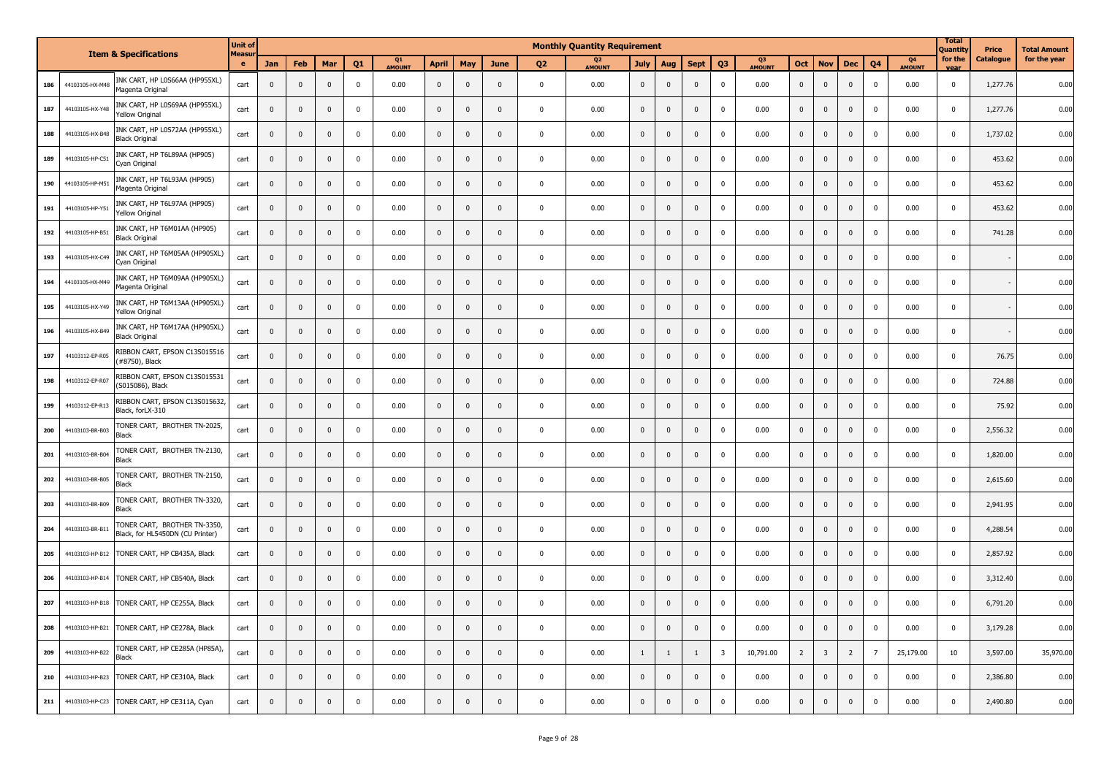|     |                 |                                                                  | <b>Unit of</b> |              |              |              |                |              |                |              |              |                | <b>Monthly Quantity Requirement</b> |                         |                |                |                |                            |                |                         |                |                |                     | <b>Total</b><br>Quantity | <b>Price</b>     | <b>Total Amount</b> |
|-----|-----------------|------------------------------------------------------------------|----------------|--------------|--------------|--------------|----------------|--------------|----------------|--------------|--------------|----------------|-------------------------------------|-------------------------|----------------|----------------|----------------|----------------------------|----------------|-------------------------|----------------|----------------|---------------------|--------------------------|------------------|---------------------|
|     |                 | <b>Item &amp; Specifications</b>                                 | Measu<br>e     | Jan          | Feb          | Mar          | O <sub>1</sub> | Q1<br>AMOUNT | <b>April</b>   | May          | June         | Q <sub>2</sub> | 02<br><b>AMOUNT</b>                 | <b>July</b>             | Aug            | <b>Sept</b>    | Q <sub>3</sub> | <b>O3</b><br><b>AMOUNT</b> | Oct            | <b>Nov</b>              | <b>Dec</b>     | Q <sub>4</sub> | 04<br><b>AMOUNT</b> | for the<br>vear          | <b>Catalogue</b> | for the year        |
| 186 | 44103105-HX-M48 | INK CART, HP L0S66AA (HP955XL)<br>Magenta Original               | cart           | $\mathbf{0}$ | $\mathbf 0$  | $\mathbf 0$  | $\mathbf 0$    | 0.00         | $\overline{0}$ | $\pmb{0}$    | $\mathbf 0$  | $\pmb{0}$      | 0.00                                | $\mathbf 0$             | $\mathbf{0}$   | $\mathbf{0}$   | $\mathbf 0$    | 0.00                       | $\mathbf 0$    | $\mathbf 0$             | $\mathbf 0$    | $\mathbf 0$    | 0.00                | $\pmb{0}$                | 1,277.76         | 0.00                |
| 187 | 44103105-HX-Y48 | INK CART, HP L0S69AA (HP955XL)<br>Yellow Original                | cart           | $\pmb{0}$    | $\mathbf 0$  | $\mathbf 0$  | $\mathbf 0$    | 0.00         | $\pmb{0}$      | $\mathbf 0$  | $\mathbf{0}$ | $\mathbf 0$    | 0.00                                | $\mathbf 0$             | $\mathbf{0}$   | $\mathbf{0}$   | $\mathbf 0$    | 0.00                       | $\mathbf 0$    | $\mathbf 0$             | $\mathbf 0$    | $\mathbf 0$    | 0.00                | $\pmb{0}$                | 1,277.76         | 0.00                |
| 188 | 44103105-HX-B48 | INK CART, HP L0S72AA (HP955XL)<br><b>Black Original</b>          | cart           | $\mathbf 0$  | $\mathbf 0$  | $\mathbf 0$  | $\mathbf 0$    | 0.00         | $\mathbf 0$    | $\mathbf 0$  | $\mathbf{0}$ | $\mathbf 0$    | 0.00                                | $\mathbf 0$             | $\mathbf 0$    | $\mathbf 0$    | $\mathbf 0$    | 0.00                       | $\mathbf{0}$   | $\mathbf 0$             | $\mathbf 0$    | $\mathbf 0$    | 0.00                | $\pmb{0}$                | 1,737.02         | 0.00                |
| 189 | 44103105-HP-C51 | INK CART, HP T6L89AA (HP905)<br>Cyan Original                    | cart           | $\mathbf 0$  | $\mathbf 0$  | $\mathbf 0$  | $\mathbf 0$    | 0.00         | $\mathbf 0$    | $\mathbf 0$  | $\mathbf{0}$ | $\mathbf 0$    | 0.00                                | $\overline{\mathbf{0}}$ | $\mathbf 0$    | $\mathbf 0$    | $\mathbf 0$    | 0.00                       | $\mathbf 0$    | $\mathbf 0$             | $\mathbf 0$    | $\mathbf 0$    | 0.00                | $\pmb{0}$                | 453.62           | 0.00                |
| 190 | 44103105-HP-M51 | INK CART, HP T6L93AA (HP905)<br>Magenta Original                 | cart           | $\mathbf 0$  | $\mathbf 0$  | $\mathbf 0$  | $\mathbf 0$    | 0.00         | $\mathbf 0$    | $\mathbf 0$  | $\mathbf{0}$ | $\mathbf{0}$   | 0.00                                | $\mathbf 0$             | $\mathbf{0}$   | $\mathbf 0$    | $\mathbf{0}$   | 0.00                       | $\mathbf{0}$   | $\mathbf 0$             | $\mathbf 0$    | $\mathbf{0}$   | 0.00                | $\pmb{0}$                | 453.62           | 0.00                |
| 191 | 44103105-HP-Y51 | INK CART, HP T6L97AA (HP905)<br>Yellow Original                  | cart           | $\mathbf 0$  | $\mathbf 0$  | $\mathbf{0}$ | $\mathbf 0$    | 0.00         | $\mathbf 0$    | $\mathbf{0}$ | $\mathbf{0}$ | $\mathbf{0}$   | 0.00                                | $\overline{\mathbf{0}}$ | $\mathbf{0}$   | $\mathbf{0}$   | $\mathbf 0$    | 0.00                       | $\mathbf{0}$   | $\mathbf 0$             | $\mathbf 0$    | $\mathbf{0}$   | 0.00                | $\pmb{0}$                | 453.62           | 0.00                |
| 192 | 44103105-HP-B51 | INK CART, HP T6M01AA (HP905)<br><b>Black Original</b>            | cart           | $\pmb{0}$    | 0            | $\mathbf 0$  | $\mathbf 0$    | 0.00         | $\mathbf 0$    | $\Omega$     | $\Omega$     | $\mathbf 0$    | 0.00                                | $\mathbf 0$             | $\mathbf 0$    | $\Omega$       | $\mathbf 0$    | 0.00                       | $\Omega$       | $\mathbf 0$             | $\mathbf 0$    | $\mathbf 0$    | 0.00                | $\pmb{0}$                | 741.28           | 0.00                |
| 193 | 44103105-HX-C49 | INK CART, HP T6M05AA (HP905XL)<br>Cyan Original                  | cart           | $\pmb{0}$    | $\mathbf 0$  | $\mathbf 0$  | $\mathbf 0$    | 0.00         | $\mathbf 0$    | $\mathbf 0$  | $\Omega$     | $\mathbf 0$    | 0.00                                | $\mathbf 0$             | $\mathbf 0$    | $\Omega$       | $\mathbf 0$    | 0.00                       | $\mathbf 0$    | $\mathbf 0$             | $\mathbf 0$    | $\mathbf 0$    | 0.00                | $\pmb{0}$                |                  | 0.00                |
| 194 | 44103105-HX-M49 | INK CART, HP T6M09AA (HP905XL)<br>Magenta Original               | cart           | $\mathbf 0$  | $\mathbf 0$  | $\mathbf 0$  | $\mathbf{0}$   | 0.00         | $\mathbf 0$    | $\Omega$     | $\Omega$     | $\mathbf 0$    | 0.00                                | $\mathbf 0$             | $\mathbf 0$    | $\Omega$       | $\mathbf 0$    | 0.00                       | $\mathbf 0$    | $\mathbf 0$             | $\mathbf 0$    | $\pmb{0}$      | 0.00                | $\mathbf 0$              |                  | 0.00                |
| 195 | 44103105-HX-Y49 | INK CART, HP T6M13AA (HP905XL)<br>Yellow Original                | cart           | 0            | $\mathbf 0$  | $\mathbf 0$  | $\mathbf 0$    | 0.00         | $\mathbf 0$    | $\mathbf 0$  | $\Omega$     | $\mathbf 0$    | 0.00                                | $\mathbf 0$             | $\mathbf 0$    | $\mathbf 0$    | 0              | 0.00                       | $\mathbf 0$    | $\mathbf 0$             | $\mathbf 0$    | $\mathbf 0$    | 0.00                | $\mathbf 0$              |                  | 0.00                |
| 196 | 44103105-HX-B49 | INK CART, HP T6M17AA (HP905XL)<br><b>Black Original</b>          | cart           | $\mathbf 0$  | $\mathbf 0$  | $\pmb{0}$    | $\mathbf 0$    | 0.00         | $\mathbf 0$    | $\mathbf{0}$ | $\Omega$     | $\mathbf 0$    | 0.00                                | $\mathbf 0$             | $\mathbf 0$    | $\mathbf{0}$   | $\overline{0}$ | 0.00                       | $\mathbf 0$    | $\mathbf 0$             | $\mathbf 0$    | $\mathbf 0$    | 0.00                | $\mathbf 0$              |                  | 0.00                |
| 197 | 44103112-EP-R05 | RIBBON CART, EPSON C13S015516<br>(#8750), Black                  | cart           | $\bf{0}$     | $\mathbf 0$  | $\mathbf 0$  | $\mathbf 0$    | 0.00         | $\overline{0}$ | $\mathbf 0$  | $\mathbf 0$  | $\mathbf 0$    | 0.00                                | $\mathbf 0$             | $\mathbf{0}$   | $\mathbf{0}$   | $\pmb{0}$      | 0.00                       | $\mathbf 0$    | $\mathbf 0$             | $\mathbf 0$    | $\mathbf 0$    | 0.00                | $\pmb{0}$                | 76.75            | 0.00                |
| 198 | 44103112-EP-R07 | RIBBON CART, EPSON C13S015531<br>(S015086), Black                | cart           | $\mathbf 0$  | $\mathbf 0$  | $\mathbf 0$  | $\mathbf 0$    | 0.00         | $\mathbf 0$    | $\mathbf 0$  | $\Omega$     | $\mathbf 0$    | 0.00                                | $\mathbf 0$             | $\Omega$       | $\Omega$       | $\pmb{0}$      | 0.00                       | $\mathbf 0$    | $\mathbf 0$             | $\mathbf 0$    | $\mathbf 0$    | 0.00                | $\pmb{0}$                | 724.88           | 0.00                |
| 199 | 44103112-EP-R13 | RIBBON CART, EPSON C13S015632,<br>Black, forLX-310               | cart           | $\mathbf{0}$ | $\mathbf{0}$ | $\mathbf{0}$ | $\Omega$       | 0.00         | $\mathbf 0$    | $\mathbf{0}$ | $\Omega$     | $\Omega$       | 0.00                                | $\mathbf{0}$            | $\mathbf{0}$   | $\mathbf{0}$   | $\Omega$       | 0.00                       | $\Omega$       | $\mathbf 0$             | $\overline{0}$ | $\pmb{0}$      | 0.00                | $\mathbf 0$              | 75.92            | 0.00                |
| 200 | 44103103-BR-B03 | TONER CART, BROTHER TN-2025,<br>Black                            | cart           | $\mathbf{0}$ | $\mathbf 0$  | $\mathbf{0}$ | $\mathbf 0$    | 0.00         | $\mathbf 0$    | $\mathbf{0}$ | $\Omega$     | $\mathbf 0$    | 0.00                                | $\overline{\mathbf{0}}$ | $\mathbf 0$    | $\mathbf{0}$   | $\Omega$       | 0.00                       | $\mathbf 0$    | $\mathbf 0$             | $\mathbf 0$    | $\pmb{0}$      | 0.00                | $\pmb{0}$                | 2,556.32         | 0.00                |
| 201 | 44103103-BR-B04 | TONER CART, BROTHER TN-2130,<br>Black                            | cart           | $\mathbf{0}$ | $\mathbf 0$  | $\mathbf 0$  | $\mathbf 0$    | 0.00         | $\mathbf 0$    | $\mathbf{0}$ | $\Omega$     | $\mathbf{0}$   | 0.00                                | $\mathbf 0$             | $\mathbf{0}$   | $\Omega$       | $\mathbf 0$    | 0.00                       | $\mathbf 0$    | $\mathbf 0$             | $\mathbf{0}$   | $\mathbf 0$    | 0.00                | $\mathbf 0$              | 1,820.00         | 0.00                |
| 202 | 44103103-BR-B05 | TONER CART, BROTHER TN-2150,<br>Black                            | cart           | $\mathbf{0}$ | $\mathbf 0$  | $\mathbf{0}$ | $\mathbf 0$    | 0.00         | $\mathbf 0$    | $\Omega$     | $\Omega$     | $\mathbf{0}$   | 0.00                                | $\mathbf{0}$            | $\mathbf{0}$   | $\mathbf{0}$   | $\mathbf 0$    | 0.00                       | $\mathbf{0}$   | $\mathbf 0$             | $\mathbf 0$    | $\mathbf 0$    | 0.00                | $\mathbf 0$              | 2,615.60         | 0.00                |
| 203 | 44103103-BR-B09 | TONER CART, BROTHER TN-3320,<br>Black                            | cart           | $\mathbf{0}$ | $\mathbf 0$  | $\Omega$     | $\mathbf 0$    | 0.00         | $\mathbf{0}$   | $\Omega$     | $\Omega$     | $\mathbf{0}$   | 0.00                                | $\mathbf{0}$            | $\mathbf{0}$   | $\mathbf{0}$   | $\mathbf 0$    | 0.00                       | $\Omega$       | $\mathbf 0$             | $\mathbf{0}$   | $\mathbf 0$    | 0.00                | $\mathbf 0$              | 2,941.95         | 0.00                |
| 204 | 44103103-BR-B11 | TONER CART, BROTHER TN-3350,<br>Black, for HL5450DN (CU Printer) | cart           | $\bf{0}$     | $\mathbf{0}$ | $\mathbf 0$  | $\mathbf 0$    | 0.00         | $\mathbf{0}$   | $\mathbf 0$  | $\mathbf{0}$ | $\mathbf 0$    | 0.00                                | $\mathbf 0$             | $\mathbf 0$    | $\mathbf 0$    | $\mathbf 0$    | 0.00                       | $\mathbf{0}$   | $\mathbf 0$             | $\mathbf{0}$   | $\mathbf 0$    | 0.00                | $\mathbf 0$              | 4,288.54         | 0.00                |
| 205 | 44103103-HP-B12 | TONER CART, HP CB435A, Black                                     | cart           | $\mathbf{0}$ | $\mathbf 0$  | $\mathbf{0}$ | $\mathbf 0$    | 0.00         | $\mathbf 0$    | $\Omega$     | $\mathbf{0}$ | $\mathbf 0$    | 0.00                                | $\mathbf 0$             | $\mathbf{0}$   | $\mathbf{0}$   | $\mathbf 0$    | 0.00                       | $\mathbf 0$    | $\mathbf 0$             | $\mathbf{0}$   | $\mathbf 0$    | 0.00                | $\mathbf 0$              | 2,857.92         | 0.00                |
| 206 | 44103103-HP-B14 | TONER CART, HP CB540A, Black                                     | cart           | $\mathbf 0$  | $\bf{0}$     | $\mathbf 0$  | $\mathbf 0$    | 0.00         | $\mathbf{0}$   | $\mathbf 0$  | $\mathbf{0}$ | $\mathbf 0$    | 0.00                                | $\pmb{0}$               | $\mathbf 0$    | $\mathbf 0$    | $\mathbf{0}$   | 0.00                       | $\mathbf 0$    | $\mathbf 0$             | $\mathbf 0$    | $\mathbf{0}$   | 0.00                | $\mathbf 0$              | 3,312.40         | 0.00                |
| 207 | 44103103-HP-B18 | TONER CART, HP CE255A, Black                                     | cart           | $\mathbf 0$  | $\mathbf{0}$ | $\mathbf 0$  | $\mathbf 0$    | 0.00         | $\bf{0}$       | $\mathbf 0$  | $\mathbf{0}$ | $\mathbf 0$    | 0.00                                | $\mathbf 0$             | $\mathbf 0$    | $\mathbf{0}$   | $\mathbf 0$    | 0.00                       | $\mathbf 0$    | $\mathbf 0$             | $\mathbf 0$    | $\mathbf 0$    | 0.00                | $\mathbf 0$              | 6,791.20         | 0.00                |
| 208 | 44103103-HP-B21 | TONER CART, HP CE278A, Black                                     | cart           | $\pmb{0}$    | $\mathsf 0$  | $\mathbf 0$  | $\mathbf 0$    | 0.00         | $\mathbf{0}$   | $\mathbf 0$  | $\mathbf{0}$ | $\mathbf 0$    | 0.00                                | $\mathbf 0$             | $\mathbf{0}$   | $\mathbf{0}$   | $\mathbf{0}$   | 0.00                       | $\mathbf 0$    | $\mathbf 0$             | $\mathbf{0}$   | $\mathbf 0$    | 0.00                | $\mathsf 0$              | 3,179.28         | 0.00                |
| 209 | 44103103-HP-B22 | TONER CART, HP CE285A (HP85A),<br>Black                          | cart           | $\mathbf 0$  | $\mathsf 0$  | $\mathbf{0}$ | $\mathbf 0$    | 0.00         | $\pmb{0}$      | $\mathbf{0}$ | $\Omega$     | $\mathbf{0}$   | 0.00                                | $\mathbf{1}$            | $\overline{1}$ | $\overline{1}$ | $\overline{3}$ | 10,791.00                  | $\overline{2}$ | $\overline{\mathbf{3}}$ | $\overline{2}$ | $\overline{7}$ | 25,179.00           | $10\,$                   | 3,597.00         | 35,970.00           |
| 210 | 44103103-HP-B23 | TONER CART, HP CE310A, Black                                     | cart           | $\mathbf{0}$ | $\Omega$     | $\mathbf 0$  | $\mathbf 0$    | 0.00         | $\pmb{0}$      | $\mathbf{0}$ | $\Omega$     | $\Omega$       | 0.00                                | $\mathbf{0}$            | $\mathbb O$    | $\mathbf{0}$   | $\mathbf 0$    | 0.00                       | $\mathbf{0}$   | $\mathbf 0$             | $\mathbf{0}$   | $\mathbf 0$    | 0.00                | $\pmb{0}$                | 2,386.80         | 0.00                |
| 211 | 44103103-HP-C23 | TONER CART, HP CE311A, Cyan                                      | cart           | $\mathbf{0}$ | $\mathbf{0}$ | $\Omega$     | $\mathbf{0}$   | 0.00         | $\mathbf{0}$   | $\mathbf{0}$ | $\Omega$     | $\mathbf 0$    | 0.00                                | $\mathbf 0$             | $\mathbf{0}$   | $\mathbf{0}$   | $\mathbf{0}$   | 0.00                       | $\mathbf{0}$   | $\mathbf{0}$            | $\mathbf{0}$   | $\mathbf{0}$   | 0.00                | $\pmb{0}$                | 2,490.80         | 0.00                |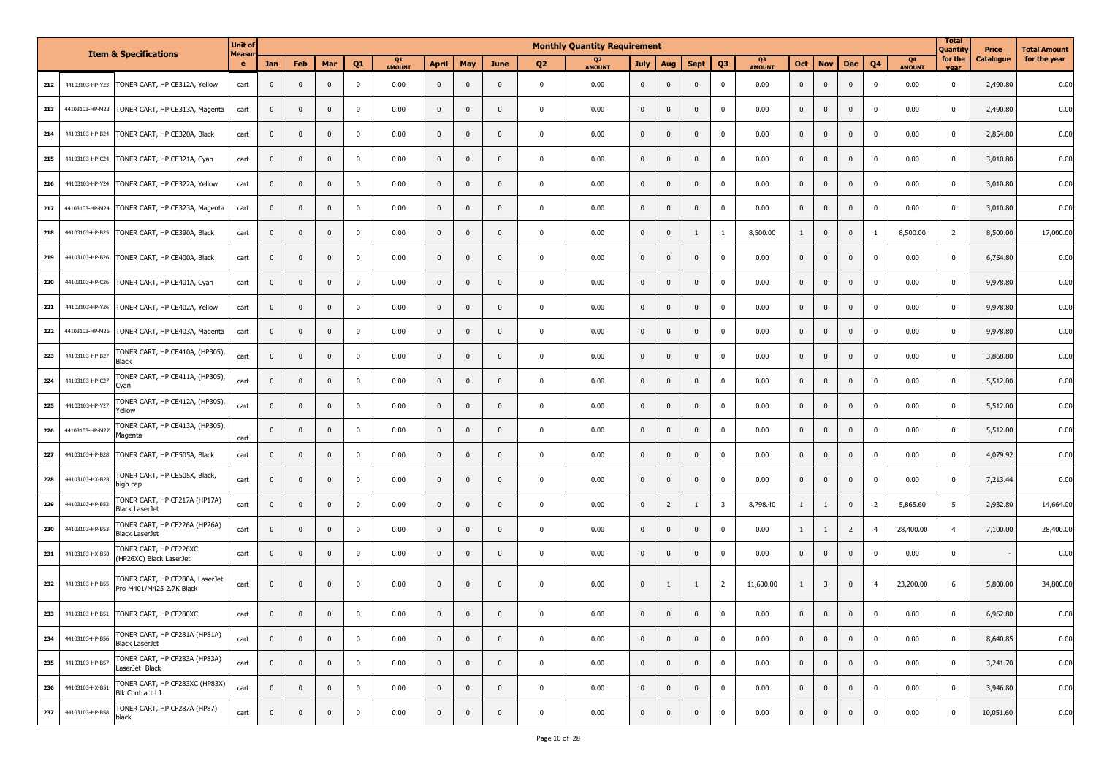|     |                 |                                                             | <b>Unit of</b>    |              |                |                |              |                     |              |                |              |                | <b>Monthly Quantity Requirement</b> |                |                |                |                |                     |              |                         |                |                |                                 | <b>Total</b><br>Quantity | Price     | <b>Total Amount</b> |
|-----|-----------------|-------------------------------------------------------------|-------------------|--------------|----------------|----------------|--------------|---------------------|--------------|----------------|--------------|----------------|-------------------------------------|----------------|----------------|----------------|----------------|---------------------|--------------|-------------------------|----------------|----------------|---------------------------------|--------------------------|-----------|---------------------|
|     |                 | <b>Item &amp; Specifications</b>                            | <b>Measu</b><br>e | Jan          | Feb            | Mar            | Q1           | Q1<br><b>AMOUNT</b> | <b>April</b> | May            | <b>June</b>  | Q <sub>2</sub> | Q <sub>2</sub><br><b>AMOUNT</b>     | <b>July</b>    | Aug            | <b>Sept</b>    | Q <sub>3</sub> | Q3<br><b>AMOUNT</b> | Oct          | <b>Nov</b>              | <b>Dec</b>     | Q <sub>4</sub> | Q <sub>4</sub><br><b>AMOUNT</b> | for the<br>vear          | Catalogue | for the year        |
| 212 | 44103103-HP-Y23 | TONER CART, HP CE312A, Yellow                               | cart              | $\mathbf{0}$ | $\mathbf 0$    | $\mathbf 0$    | $\mathbf 0$  | 0.00                | $\mathbf{0}$ | $\mathbf 0$    | $\mathbf 0$  | $\mathbf 0$    | 0.00                                | $\mathbf{0}$   | $\mathbf{0}$   | $\mathbf{0}$   | $\mathbf 0$    | 0.00                | $\bf{0}$     | $\mathbf 0$             | $\mathbf{0}$   | $\mathbf 0$    | 0.00                            | 0                        | 2,490.80  | 0.00                |
| 213 | 44103103-HP-M23 | TONER CART, HP CE313A, Magenta                              | cart              | 0            | $\mathbf 0$    | $\overline{0}$ | $\mathbf 0$  | 0.00                | $\mathbf{0}$ | $\mathbf 0$    | $\mathbf{0}$ | $\mathbf{0}$   | 0.00                                | $\mathbf 0$    | $\mathbf{0}$   | $\mathbf{0}$   | $\mathbf 0$    | 0.00                | $\mathbf 0$  | $\mathbf 0$             | $\mathbf 0$    | $\mathbf 0$    | 0.00                            | $\pmb{0}$                | 2,490.80  | 0.00                |
| 214 | 44103103-HP-B24 | TONER CART, HP CE320A, Black                                | cart              | 0            | $\mathbf 0$    | $\mathbf 0$    | $\mathbf{0}$ | 0.00                | $\mathbf{0}$ | $\mathbf 0$    | $\mathbf{0}$ | $\mathbf 0$    | 0.00                                | $\mathbf 0$    | $\mathbf 0$    | $\mathbf{0}$   | $\mathbf 0$    | 0.00                | $\mathbf 0$  | $\mathbf 0$             | $\mathbf 0$    | $\mathbf 0$    | 0.00                            | $\mathbf 0$              | 2,854.80  | 0.00                |
| 215 | 44103103-HP-C24 | TONER CART, HP CE321A, Cyan                                 | cart              | $\mathbf 0$  | $\mathbf{0}$   | $\mathbf{0}$   | $\mathbf{0}$ | 0.00                | $\mathbf{0}$ | $\mathbf{0}$   | $\mathbf{0}$ | $\mathbf{0}$   | 0.00                                | $\mathbf{0}$   | $\mathbf{0}$   | $\mathbf{0}$   | $\mathbf 0$    | 0.00                | $\mathbf{0}$ | $\mathbf{0}$            | $\mathbf{0}$   | $\mathbf 0$    | 0.00                            | $\mathbf 0$              | 3,010.80  | 0.00                |
| 216 | 44103103-HP-Y24 | TONER CART, HP CE322A, Yellow                               | cart              | 0            | $\mathbf{0}$   | $\mathbf{0}$   | 0            | 0.00                | $\mathbf{0}$ | $\mathbf 0$    | 0            | $\mathbf{0}$   | 0.00                                | $\mathbf 0$    | $\mathbf{0}$   | $\mathbf{0}$   | $\mathbf 0$    | 0.00                | $\mathbf{0}$ | $\mathbf 0$             | 0              | 0              | 0.00                            | $\mathbf 0$              | 3,010.80  | 0.00                |
| 217 | 44103103-HP-M24 | TONER CART, HP CE323A, Magenta                              | cart              | 0            | $\mathbf 0$    | $\mathbf 0$    | $\mathbf 0$  | 0.00                | $\mathbf 0$  | $\mathbf 0$    | $\mathbf{0}$ | $\mathbf 0$    | 0.00                                | $\mathbf 0$    | $\mathbf{0}$   | $\mathbf{0}$   | $\mathbf 0$    | 0.00                | $\mathbf 0$  | $\mathbf 0$             | $\mathbf 0$    | $\mathbf 0$    | 0.00                            | $\mathbf 0$              | 3,010.80  | 0.00                |
| 218 | 44103103-HP-B25 | TONER CART, HP CE390A, Black                                | cart              | 0            | $\mathbf{0}$   | $\mathbf 0$    | $\mathbf{0}$ | 0.00                | $\mathbf 0$  | $\mathbf{0}$   | $\mathbf{0}$ | $\mathbf{0}$   | 0.00                                | $\mathbf 0$    | $\mathbf{0}$   |                | $\mathbf{1}$   | 8,500.00            | 1            | $\mathbf 0$             | $\mathbf{0}$   | $\mathbf{1}$   | 8,500.00                        | $\overline{2}$           | 8,500.00  | 17,000.00           |
| 219 | 44103103-HP-B26 | TONER CART, HP CE400A, Black                                | cart              | 0            | 0              | $\mathbf{0}$   | $\mathbf 0$  | 0.00                | $\mathbf{0}$ | $\mathbf 0$    | $\mathbf{0}$ | $\mathbf 0$    | 0.00                                | $\mathbf 0$    | $\mathbf{0}$   | $\mathbf{0}$   | $\mathbf 0$    | 0.00                | $\mathbf 0$  | $\mathbf 0$             | $\mathbf 0$    | 0              | 0.00                            | 0                        | 6,754.80  | 0.00                |
| 220 | 44103103-HP-C26 | TONER CART, HP CE401A, Cyan                                 | cart              | 0            | $\mathbf{0}$   | $\mathbf 0$    | $\mathbf 0$  | 0.00                | $\mathbf{0}$ | $\mathbf 0$    | $\mathbf{0}$ | $\mathbf 0$    | 0.00                                | $\mathbf 0$    | 0              | $\mathbf{0}$   | $\mathbf 0$    | 0.00                | $\mathbf 0$  | $\mathbf 0$             | $\mathbf 0$    | $\mathbf 0$    | 0.00                            | $\mathbf 0$              | 9,978.80  | 0.00                |
| 221 | 44103103-HP-Y26 | TONER CART, HP CE402A, Yellow                               | cart              | 0            | $\mathbf{0}$   | $\mathbf{0}$   | 0            | 0.00                | $\mathbf{0}$ | $\mathbf{0}$   | $\mathbf{0}$ | $\mathbf{0}$   | 0.00                                | $\mathbf{0}$   | $\mathbf{0}$   | $\mathbf{0}$   | $\mathbf 0$    | 0.00                | $\mathbf{0}$ | $\mathbf{0}$            | $\mathbf{0}$   | $\mathbf 0$    | 0.00                            | 0                        | 9,978.80  | 0.00                |
| 222 | 44103103-HP-M26 | TONER CART, HP CE403A, Magenta                              | cart              | 0            | $\mathbf 0$    | $\mathbf{0}$   | $\mathbf 0$  | 0.00                | $\mathbf{0}$ | $\mathbf 0$    | $\mathbf{0}$ | $\mathbf 0$    | 0.00                                | $\mathbf 0$    | 0              | $\mathbf{0}$   | $\mathbf 0$    | 0.00                | $\mathbf 0$  | $\mathbf 0$             | $\mathbf 0$    | $\mathbf 0$    | 0.00                            | $\mathbf 0$              | 9,978.80  | 0.00                |
| 223 | 44103103-HP-B27 | TONER CART, HP CE410A, (HP305),<br>Black                    | cart              | $\mathbf 0$  | $\mathbf 0$    | $\mathbf 0$    | $\mathbf{0}$ | 0.00                | $\mathbf{0}$ | $\mathbf 0$    | $\mathbf{0}$ | $\mathbf 0$    | 0.00                                | $\mathbf{0}$   | $\mathbf{0}$   | $\Omega$       | 0              | 0.00                | $\mathbf 0$  | $\mathbf 0$             | $\mathbf{0}$   | $\mathbf 0$    | 0.00                            | $\mathbf 0$              | 3,868.80  | 0.00                |
| 224 | 44103103-HP-C27 | TONER CART, HP CE411A, (HP305),<br>Cyan                     | cart              | $\mathbf 0$  | $\mathbf{0}$   | $\mathbf 0$    | $\mathbf 0$  | 0.00                | $\mathbf 0$  | $\mathbf{0}$   | $\mathbf{0}$ | $\mathbf 0$    | 0.00                                | $\mathbf{0}$   | $\mathbf{0}$   | $\mathbf{0}$   | $\mathbf 0$    | 0.00                | $\bf{0}$     | $\mathbf 0$             | $\mathbf 0$    | $\mathbf 0$    | 0.00                            | $\mathbf 0$              | 5,512.00  | 0.00                |
| 225 | 44103103-HP-Y27 | TONER CART, HP CE412A, (HP305),<br>Yellow                   | cart              | 0            | $\mathbf 0$    | $\mathbf 0$    | $\mathbf 0$  | 0.00                | $\mathbf{0}$ | $\mathbf 0$    | $\mathbf{0}$ | $\mathbf 0$    | 0.00                                | $\mathbf 0$    | $\mathbf 0$    | $\mathbf{0}$   | $\mathbf 0$    | 0.00                | $\bf{0}$     | $\mathbf 0$             | $\mathbf 0$    | $\mathbf 0$    | 0.00                            | $\pmb{0}$                | 5,512.00  | 0.00                |
| 226 | 44103103-HP-M27 | TONER CART, HP CE413A, (HP305),<br>Magenta                  | cart              | 0            | 0              | $\mathbf{0}$   | $\mathbf{0}$ | 0.00                | $\mathbf{0}$ | $\mathbf 0$    | $\mathbf{0}$ | $\mathbf 0$    | 0.00                                | $\mathbf{0}$   | $\mathbf{0}$   | $\mathbf{0}$   | 0              | 0.00                | $\mathbf 0$  | $\mathbf 0$             | $\mathbf 0$    | 0              | 0.00                            | $\mathbf 0$              | 5,512.00  | 0.00                |
| 227 | 44103103-HP-B28 | TONER CART, HP CE505A, Black                                | cart              | $\mathbf{0}$ | $\mathbf{0}$   | $\mathbf 0$    | $\mathbf{0}$ | 0.00                | $\mathbf{0}$ | $\mathbf 0$    | $\mathbf 0$  | $\mathbf 0$    | 0.00                                | $\mathbf 0$    | $\mathbf{0}$   | $\Omega$       | $\mathbf 0$    | 0.00                | $\mathbf{0}$ | $\mathbf 0$             | $\mathbf 0$    | $\mathbf 0$    | 0.00                            | $\mathbf 0$              | 4,079.92  | 0.00                |
| 228 | 44103103-HX-B28 | TONER CART, HP CE505X, Black,<br>high cap                   | cart              | $\mathbf 0$  | 0              | $\mathbf 0$    | $\mathbf{0}$ | 0.00                | $\mathbf{0}$ | $\mathbf 0$    | $\mathbf{0}$ | $\mathbf 0$    | 0.00                                | $\mathbf 0$    | $\mathbf 0$    | $\mathbf{0}$   | 0              | 0.00                | $\mathbf{0}$ | $\mathbf 0$             | $\mathbf 0$    | $\mathbf 0$    | 0.00                            | $\mathbf 0$              | 7,213.44  | 0.00                |
| 229 | 44103103-HP-B52 | TONER CART, HP CF217A (HP17A)<br>Black LaserJet             | cart              | $\mathbf{0}$ | $\mathbf 0$    | $\mathbf 0$    | $\mathbf 0$  | 0.00                | $\mathbf{0}$ | $\mathbf 0$    | $\mathbf{0}$ | $\mathbf 0$    | 0.00                                | $\mathbf{0}$   | $\overline{2}$ | $\overline{1}$ | 3              | 8,798.40            | 1            | $\mathbf{1}$            | $\mathbf{0}$   | $\overline{2}$ | 5,865.60                        | 5                        | 2,932.80  | 14,664.00           |
| 230 | 44103103-HP-B53 | TONER CART, HP CF226A (HP26A)<br><b>Black LaserJet</b>      | cart              | $\mathbf{0}$ | $\mathbf{0}$   | $\mathbf 0$    | $\mathbf 0$  | 0.00                | $\mathbf{0}$ | $\mathbf 0$    | $\mathbf{0}$ | $\mathbf 0$    | 0.00                                | $\mathbf{0}$   | $\mathbf{0}$   | $\Omega$       | $\mathbf 0$    | 0.00                | 1            | $\mathbf{1}$            | $\overline{2}$ | $\overline{4}$ | 28,400.00                       | $\overline{4}$           | 7,100.00  | 28,400.00           |
| 231 | 44103103-HX-B50 | TONER CART, HP CF226XC<br>(HP26XC) Black LaserJet           | cart              | 0            | 0              | $\mathbf 0$    | $\mathbf 0$  | 0.00                | $\mathbf{0}$ | $\mathbf 0$    | $\pmb{0}$    | $\mathbf 0$    | 0.00                                | $\mathbf 0$    | 0              | 0              | $\mathbf 0$    | 0.00                | $\bf{0}$     | $\mathbf 0$             | $\mathbf 0$    | $\mathbf 0$    | 0.00                            | $\mathbf 0$              |           | 0.00                |
| 232 | 44103103-HP-B55 | TONER CART, HP CF280A, LaserJet<br>Pro M401/M425 2.7K Black | cart              | $\mathbf 0$  | $\mathbf{0}$   | 0              | $\mathbf 0$  | 0.00                | $\mathbf{0}$ | $\mathbf{0}$   | $\mathbf{0}$ | $\mathbf{0}$   | 0.00                                | $\mathbf{0}$   | 1              | $\overline{1}$ | $\overline{2}$ | 11,600.00           | -1           | $\overline{\mathbf{3}}$ | $\mathbf 0$    | $\overline{4}$ | 23,200.00                       | 6                        | 5,800.00  | 34,800.00           |
| 233 | 44103103-HP-B51 | TONER CART, HP CF280XC                                      | cart              | $\mathbf{0}$ | $\Omega$       | $\Omega$       | $\Omega$     | 0.00                | $\mathbf{0}$ | $\mathbf{0}$   | $\Omega$     | $\Omega$       | 0.00                                | $\Omega$       | $\Omega$       | $\Omega$       | $\mathbf 0$    | 0.00                | $\Omega$     | $\mathbf{0}$            | $\Omega$       | $\mathbf 0$    | 0.00                            | $\mathbf 0$              | 6,962.80  | 0.00                |
| 234 | 44103103-HP-B56 | TONER CART, HP CF281A (HP81A)<br><b>Black LaserJet</b>      | cart              | $\mathbf 0$  | $\mathbf 0$    | $\mathbf 0$    | $\mathbf 0$  | 0.00                | $\mathbf{0}$ | $\mathbf 0$    | $\mathbf 0$  | $\mathbf{0}$   | 0.00                                | $\mathbf{0}$   | $\mathbf 0$    | $\mathbf{0}$   | $\mathbf 0$    | 0.00                | $\mathbf 0$  | $\mathbf 0$             | $\overline{0}$ | $\mathbf 0$    | 0.00                            | $\pmb{0}$                | 8,640.85  | 0.00                |
| 235 | 44103103-HP-B57 | TONER CART, HP CF283A (HP83A)<br>LaserJet Black             | cart              | $\mathbf 0$  | $\overline{0}$ | $\overline{0}$ | $\mathbf 0$  | 0.00                | $\mathbf 0$  | $\overline{0}$ | $\pmb{0}$    | $\mathbf 0$    | 0.00                                | $\overline{0}$ | $\mathbf 0$    | $\mathbf{0}$   | $\mathbf 0$    | 0.00                | $\mathbf 0$  | $\mathbf 0$             | $\bf{0}$       | $\mathbf 0$    | 0.00                            | $\mathbf{0}$             | 3,241.70  | 0.00                |
| 236 | 44103103-HX-B51 | TONER CART, HP CF283XC (HP83X)<br>Blk Contract LJ           | cart              | $\mathbf{0}$ | $\mathbf{0}$   | $\mathbf{0}$   | $\mathbf 0$  | 0.00                | $\mathbf{0}$ | $\mathbf 0$    | $\mathbf 0$  | $\overline{0}$ | 0.00                                | $\mathbf{0}$   | $\mathbf{0}$   | $\mathbf{0}$   | $\mathbf 0$    | 0.00                | $\mathbf{0}$ | $\overline{0}$          | $\mathbf{0}$   | $\mathbf 0$    | 0.00                            | $\mathbf 0$              | 3,946.80  | 0.00                |
| 237 | 44103103-HP-B58 | TONER CART, HP CF287A (HP87)<br>black                       | cart              | $\mathbf{0}$ | $\mathbf{0}$   | $\mathbf 0$    | $\mathbf 0$  | 0.00                | $\mathbf 0$  | $\mathbf 0$    | $\mathbf 0$  | $\mathbf 0$    | 0.00                                | $\mathbf 0$    | $\pmb{0}$      | $\pmb{0}$      | $\mathbf 0$    | 0.00                | $\mathbf 0$  | $\mathbf 0$             | $\mathbf 0$    | $\mathbf 0$    | 0.00                            | $\pmb{0}$                | 10,051.60 | 0.00                |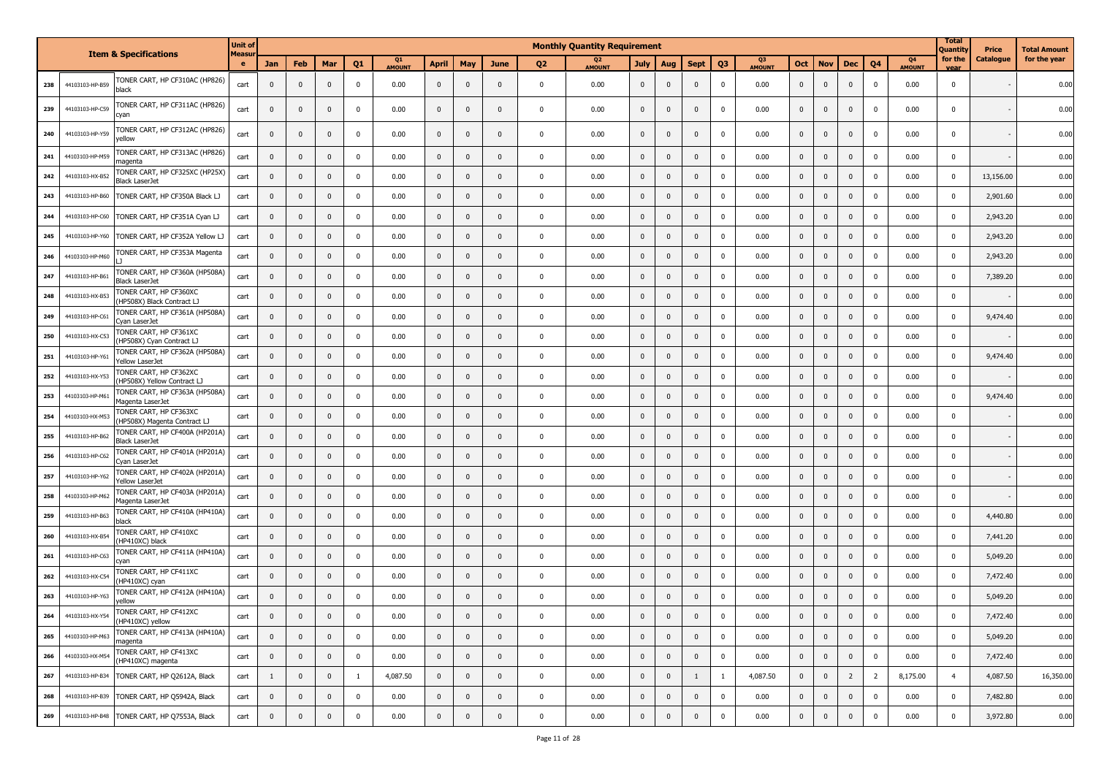|     |                 |                                                         | <b>Unit of</b>     |              |              |                |                |                                 |              |              |                |                | <b>Monthly Quantity Requirement</b> |                |              |              |                |              |                |                |                |                |                     | <b>Total</b><br>Quantity | Price     | Total Amount |
|-----|-----------------|---------------------------------------------------------|--------------------|--------------|--------------|----------------|----------------|---------------------------------|--------------|--------------|----------------|----------------|-------------------------------------|----------------|--------------|--------------|----------------|--------------|----------------|----------------|----------------|----------------|---------------------|--------------------------|-----------|--------------|
|     |                 | <b>Item &amp; Specifications</b>                        | <b>Measur</b><br>e | <b>Jan</b>   | Feb          | Mar            | Q1             | Q <sub>1</sub><br><b>AMOUNT</b> | <b>April</b> | May          | June           | Q <sub>2</sub> | Q <sub>2</sub><br><b>AMOUNT</b>     | <b>July</b>    | Aug          | <b>Sept</b>  | Q <sub>3</sub> | Q3<br>AMOUNT | <b>Oct</b>     | <b>Nov</b>     | <b>Dec</b>     | Q <sub>4</sub> | Q4<br><b>AMOUNT</b> | for the<br>vear          | Catalogue | for the year |
| 238 | 44103103-HP-B59 | TONER CART, HP CF310AC (HP826)<br>black                 | cart               | $\mathbf 0$  | $\mathbf{0}$ | $\mathbf{0}$   | $\mathbf 0$    | 0.00                            | $\mathbf{0}$ | $\mathbf 0$  | $\mathbf{0}$   | $\mathbf{0}$   | 0.00                                | $\mathbf{0}$   | $\mathbf{0}$ | $\Omega$     | $\mathbf 0$    | 0.00         | $\mathbf 0$    | $\mathbf 0$    | $\mathbf{0}$   | $\mathbf 0$    | 0.00                | $\mathbf 0$              |           | 0.00         |
| 239 | 44103103-HP-C59 | TONER CART, HP CF311AC (HP826)<br>cyan                  | cart               | 0            | $\mathbf 0$  | $\overline{0}$ | $\mathbf 0$    | 0.00                            | $\mathbf{0}$ | $\mathbf 0$  | $\mathbf{0}$   | $\mathbf{0}$   | 0.00                                | $\mathbf 0$    | $\mathbf{0}$ | $\mathbf{0}$ | $\mathbf 0$    | 0.00         | $\mathbf 0$    | $\mathbf 0$    | 0              | $\mathbf 0$    | 0.00                | $\mathbf 0$              |           | 0.00         |
| 240 | 44103103-HP-Y59 | TONER CART, HP CF312AC (HP826)<br>yellow                | cart               | $\mathbf{0}$ | $\mathbf{0}$ | $\mathbf{0}$   | $\mathbf 0$    | 0.00                            | $\mathbf{0}$ | $\mathbf 0$  | $\Omega$       | $\mathbf 0$    | 0.00                                | $\mathbf{0}$   | $\mathbf{0}$ | $\mathbf{0}$ | $\mathbf 0$    | 0.00         | $\mathbf{0}$   | $\mathbf 0$    | $\mathbf{0}$   | $\mathbf 0$    | 0.00                | 0                        |           | 0.00         |
| 241 | 44103103-HP-M59 | TONER CART, HP CF313AC (HP826)<br>maqenta               | cart               | 0            | $\mathbf 0$  | $\mathbf{0}$   | $\mathbf 0$    | 0.00                            | $\mathbf 0$  | $\mathbf 0$  | $\overline{0}$ | $\pmb{0}$      | 0.00                                | $\mathbf{0}$   | $\mathbf{0}$ | $\mathbf{0}$ | $\mathbf 0$    | 0.00         | $\mathbf 0$    | $\mathbf 0$    | $\mathbf{0}$   | $\mathbf 0$    | 0.00                | $\mathbf 0$              |           | 0.00         |
| 242 | 44103103-HX-B52 | TONER CART, HP CF325XC (HP25X)<br>Black LaserJet        | cart               | 0            | $\mathbf 0$  | $\mathbf{0}$   | $\mathbf 0$    | 0.00                            | $\bf{0}$     | $\mathbf 0$  | $\mathbf{0}$   | $\mathbf{0}$   | 0.00                                | $\mathbf{0}$   | $\mathbf{0}$ | $\mathbf{0}$ | $\mathbf 0$    | 0.00         | $\mathbf{0}$   | $\mathbf 0$    | $\mathbf{0}$   | 0              | 0.00                | $\mathbf 0$              | 13,156.00 | 0.00         |
| 243 | 44103103-HP-B60 | TONER CART, HP CF350A Black LJ                          | cart               | 0            | $\mathbf{0}$ | $\mathbf 0$    | $\mathbf 0$    | 0.00                            | $\mathbf{0}$ | $\mathbf 0$  | $\mathbf{0}$   | $\pmb{0}$      | 0.00                                | $\mathbf 0$    | $\mathbf{0}$ | $\mathbf{0}$ | $\mathbf 0$    | 0.00         | $\mathbf{0}$   | $\mathbf 0$    | $\mathbf{0}$   | $\mathbf 0$    | 0.00                | $\pmb{0}$                | 2,901.60  | 0.00         |
| 244 | 44103103-HP-C60 | TONER CART, HP CF351A Cyan LJ                           | cart               | 0            | $\mathbf 0$  | $\mathbf 0$    | $\mathbf 0$    | 0.00                            | $\mathbf 0$  | $\mathbf 0$  | $\mathbf 0$    | $\mathbf 0$    | 0.00                                | $\mathbf 0$    | $\mathbf{0}$ | $\Omega$     | $\mathbf 0$    | 0.00         | $\mathbf 0$    | $\mathbf 0$    | $\mathbf{0}$   | $\mathbf 0$    | 0.00                | $\pmb{0}$                | 2,943.20  | 0.00         |
| 245 | 44103103-HP-Y60 | TONER CART, HP CF352A Yellow LJ                         | cart               | $\mathbf 0$  | $\mathbf{0}$ | $\mathbf{0}$   | $\mathbf 0$    | 0.00                            | $\mathbf{0}$ | $\mathbf 0$  | $\mathbf{0}$   | $\mathbf 0$    | 0.00                                | $\mathbf 0$    | $\mathbf{0}$ | $\mathbf{0}$ | $\mathbf 0$    | 0.00         | $\mathbf 0$    | $\mathbf 0$    | $\mathbf{0}$   | $\mathbf 0$    | 0.00                | $\pmb{0}$                | 2,943.20  | 0.00         |
| 246 | 44103103-HP-M60 | TONER CART, HP CF353A Magenta                           | cart               | $\mathbf{0}$ | $\mathbf{0}$ | $\mathbf 0$    | $\mathbf 0$    | 0.00                            | $\mathbf{0}$ | $\mathbf 0$  | $\mathbf{0}$   | $\overline{0}$ | 0.00                                | $\mathbf{0}$   | $\mathbf{0}$ | $\Omega$     | $\mathbf 0$    | 0.00         | $\mathbf 0$    | $\mathbf 0$    | $\mathbf 0$    | $\mathbf 0$    | 0.00                | $\mathbf 0$              | 2,943.20  | 0.00         |
| 247 | 44103103-HP-B61 | TONER CART, HP CF360A (HP508A)<br>Black LaserJet        | cart               | $\mathbf 0$  | $\mathbf{0}$ | $\mathbf{0}$   | 0              | 0.00                            | $\mathbf{0}$ | $\mathbf{0}$ | $\mathbf{0}$   | $\overline{0}$ | 0.00                                | $\mathbf{0}$   | $\mathbf{0}$ | $\mathbf{0}$ | $\mathbf 0$    | 0.00         | $\mathbf{0}$   | $\mathbf 0$    | $\mathbf{0}$   | $\mathbf 0$    | 0.00                | $\mathbf 0$              | 7,389.20  | 0.00         |
| 248 | 44103103-HX-B53 | TONER CART, HP CF360XC<br>HP508X) Black Contract LJ     | cart               | $\mathbf{0}$ | $\mathbf{0}$ | $\mathbf{0}$   | $\mathbf 0$    | 0.00                            | $\mathbf{0}$ | $\mathbf 0$  | $\mathbf 0$    | $\mathbf 0$    | 0.00                                | $\mathbf 0$    | $\mathbf{0}$ | $\Omega$     | $\mathbf 0$    | 0.00         | $\mathbf 0$    | $\mathbf 0$    | $\mathbf{0}$   | $\mathbf 0$    | 0.00                | $\mathbf 0$              |           | 0.00         |
| 249 | 44103103-HP-C61 | TONER CART, HP CF361A (HP508A)<br>Cyan LaserJet         | cart               | 0            | $\mathbf{0}$ | $\mathbf{0}$   | $\mathbf 0$    | 0.00                            | $\mathbf 0$  | $\mathbf 0$  | $\mathbf 0$    | $\mathbf{0}$   | 0.00                                | $\mathbf 0$    | $\mathbf{0}$ | $\mathbf{0}$ | $\mathbf 0$    | 0.00         | $\mathbf 0$    | $\mathbf 0$    | $\mathbf 0$    | $\mathbf 0$    | 0.00                | $\mathbf 0$              | 9,474.40  | 0.00         |
| 250 | 44103103-HX-C53 | TONER CART, HP CF361XC<br>(HP508X) Cyan Contract LJ     | cart               | 0            | $\mathbf{0}$ | $\mathbf{0}$   | $\mathbf 0$    | 0.00                            | $\mathbf{0}$ | $\mathbf 0$  | $\mathbf 0$    | $\overline{0}$ | 0.00                                | $\mathbf 0$    | $\mathbf{0}$ | $\mathbf{0}$ | $\mathbf 0$    | 0.00         | $\pmb{0}$      | $\mathbf 0$    | $\mathbf{0}$   | $\mathbf 0$    | 0.00                | $\pmb{0}$                |           | 0.00         |
| 251 | 44103103-HP-Y61 | TONER CART, HP CF362A (HP508A)<br>Yellow LaserJet       | cart               | $\mathbf{0}$ | $\mathbf{0}$ | $\mathbf{0}$   | $\mathbf 0$    | 0.00                            | $\mathbf{0}$ | $\mathbf 0$  | $\mathbf{0}$   | $\overline{0}$ | 0.00                                | $\mathbf{0}$   | $\mathbf{0}$ | $\Omega$     | $\mathbf 0$    | 0.00         | $\mathbf{0}$   | $\mathbf 0$    | $\mathbf{0}$   | $\mathbf 0$    | 0.00                | $\mathbf 0$              | 9,474.40  | 0.00         |
| 252 | 44103103-HX-Y53 | TONER CART, HP CF362XC<br>(HP508X) Yellow Contract LJ   | cart               | 0            | $\mathbf{0}$ | $\mathbf{0}$   | $\mathbf{0}$   | 0.00                            | $\mathbf 0$  | $\mathbf 0$  | $\mathbf{0}$   | $\mathbf 0$    | 0.00                                | $\mathbf 0$    | $\mathbf{0}$ | $\mathbf{0}$ | $\mathbf 0$    | 0.00         | $\mathbf{0}$   | $\mathbf 0$    | $\mathbf{0}$   | $\mathbf 0$    | 0.00                | $\mathbf 0$              |           | 0.00         |
| 253 | 44103103-HP-M61 | TONER CART, HP CF363A (HP508A)<br>Magenta LaserJet      | cart               | $\mathbf{0}$ | $\mathbf{0}$ | $\mathbf 0$    | $\mathbf{0}$   | 0.00                            | $\mathbf 0$  | $\mathbf 0$  | $\mathbf 0$    | $\mathbf 0$    | 0.00                                | $\mathbf 0$    | $\mathbf{0}$ | $\Omega$     | $\mathbf 0$    | 0.00         | $\mathbf 0$    | $\mathbf 0$    | $\overline{0}$ | $\mathbf 0$    | 0.00                | $\mathbf 0$              | 9,474.40  | 0.00         |
| 254 | 44103103-HX-M53 | TONER CART, HP CF363XC<br>HP508X) Magenta Contract LJ   | cart               | 0            | $\mathbf{0}$ | $\mathbf{0}$   | $\mathbf{0}$   | 0.00                            | $\mathbf{0}$ | $\mathbf 0$  | $\overline{0}$ | $\overline{0}$ | 0.00                                | $\mathbf 0$    | $\mathbf{0}$ | $\mathbf{0}$ | $\mathbf 0$    | 0.00         | $\mathbf{0}$   | $\mathbf 0$    | $\mathbf 0$    | $\mathbf 0$    | 0.00                | $\pmb{0}$                |           | 0.00         |
| 255 | 44103103-HP-B62 | TONER CART, HP CF400A (HP201A)<br><b>Black LaserJet</b> | cart               | $\mathbf 0$  | $\mathbf{0}$ | $\mathbf{0}$   | $\mathbf 0$    | 0.00                            | $\mathbf 0$  | $\mathbf 0$  | $\mathbf{0}$   | $\overline{0}$ | 0.00                                | $\mathbf 0$    | $\Omega$     | $\Omega$     | $\mathbf 0$    | 0.00         | $\mathbf 0$    | $\mathbf 0$    | $\mathbf 0$    | $\mathbf 0$    | 0.00                | $\pmb{0}$                |           | 0.00         |
| 256 | 44103103-HP-C62 | TONER CART, HP CF401A (HP201A)<br>Cyan LaserJet         | cart               | $\mathbf 0$  | $\mathbf{0}$ | $\mathbf{0}$   | $\mathbf{0}$   | 0.00                            | $\mathbf{0}$ | $\mathbf 0$  | $\Omega$       | $\mathbf{0}$   | 0.00                                | $\mathbf{0}$   | $\mathbf{0}$ | $\mathbf{0}$ | $\mathbf 0$    | 0.00         | $\mathbf{0}$   | $\mathbf 0$    | $\mathbf{0}$   | $\mathbf 0$    | 0.00                | $\mathbf 0$              |           | 0.00         |
| 257 | 44103103-HP-Y62 | TONER CART, HP CF402A (HP201A)<br>Yellow LaserJet       | cart               | 0            | $\mathbf 0$  | $\mathbf 0$    | $\mathbf 0$    | 0.00                            | $\mathbf 0$  | $\mathbf 0$  | $\mathbf 0$    | $\pmb{0}$      | 0.00                                | $\mathbf 0$    | $\mathbf{0}$ | $\mathbf{0}$ | $\mathbf 0$    | 0.00         | $\mathbf 0$    | $\mathbf 0$    | $\mathbf{0}$   | $\mathbf 0$    | 0.00                | $\mathbf 0$              |           | 0.00         |
| 258 | 44103103-HP-M62 | TONER CART, HP CF403A (HP201A)<br>Magenta LaserJet      | cart               | 0            | $\mathbf{0}$ | $\mathbf 0$    | $\mathbf 0$    | 0.00                            | $\mathbf{0}$ | $\mathbf 0$  | $\mathbf{0}$   | $\mathbf{0}$   | 0.00                                | $\mathbf 0$    | $\mathbf{0}$ | $\mathbf{0}$ | $\mathbf 0$    | 0.00         | $\mathbf{0}$   | $\mathbf 0$    | $\mathbf 0$    | $\mathbf 0$    | 0.00                | $\mathbf 0$              |           | 0.00         |
| 259 | 44103103-HP-B63 | TONER CART, HP CF410A (HP410A)<br>black                 | cart               | 0            | $\mathbf{0}$ | $\mathbf 0$    | $\mathbf 0$    | 0.00                            | $\mathbf{0}$ | $\mathbf 0$  | $\mathbf{0}$   | $\pmb{0}$      | 0.00                                | $\mathbf 0$    | $\mathbf{0}$ | $\mathbf{0}$ | $\mathbf 0$    | 0.00         | $\mathbf{0}$   | $\mathbf 0$    | $\mathbf{0}$   | $\mathbf 0$    | 0.00                | $\pmb{0}$                | 4,440.80  | 0.00         |
| 260 | 44103103-HX-B54 | TONER CART, HP CF410XC<br>HP410XC) black                | cart               | 0            | $\mathbf{0}$ | $\mathbf{0}$   | $\mathbf{0}$   | 0.00                            | $\bf{0}$     | $\mathbf 0$  | $\mathbf{0}$   | $\mathbf{0}$   | 0.00                                | $\mathbf{0}$   | $\mathbf{0}$ | $\Omega$     | $\mathbf 0$    | 0.00         | $\mathbf 0$    | $\mathbf 0$    | $\mathbf 0$    | $\mathbf 0$    | 0.00                | $\mathbf 0$              | 7,441.20  | 0.00         |
| 261 | 44103103-HP-C63 | TONER CART, HP CF411A (HP410A)<br>cyan                  | cart               | 0            | $\mathbf{0}$ | $\mathbf 0$    | $\mathbf 0$    | 0.00                            | $\mathbf 0$  | $\mathbf 0$  | $\overline{0}$ | $\pmb{0}$      | 0.00                                | $\mathbf 0$    | $\mathbf{0}$ | $\mathbf{0}$ | $\mathbf 0$    | 0.00         | $\mathbf 0$    | $\mathbf 0$    | $\mathbf 0$    | $\mathbf{0}$   | 0.00                | $\pmb{0}$                | 5,049.20  | 0.00         |
| 262 | 44103103-HX-C54 | TONER CART, HP CF411XC<br>HP410XC) cyan                 | cart               | $\mathbf{0}$ | $\mathbf{0}$ | $\mathbf 0$    | $\mathbf 0$    | 0.00                            | $\mathbf{0}$ | $\mathbf 0$  | $\mathbf{0}$   | $\mathbf 0$    | 0.00                                | $\mathbf 0$    | $\mathbf{0}$ | $\Omega$     | $\mathbf 0$    | 0.00         | $\mathbf{0}$   | $\mathbf 0$    | $\mathbf 0$    | $\mathbf 0$    | 0.00                | $\mathbf 0$              | 7,472.40  | 0.00         |
| 263 | 44103103-HP-Y63 | TONER CART, HP CF412A (HP410A)<br>yellow                | cart               | $\mathbf 0$  | $\mathbf{0}$ | $\mathbf{0}$   | $\mathbf 0$    | 0.00                            | $\mathbf{0}$ | $\mathbf{0}$ | $\mathbf{0}$   | $\overline{0}$ | 0.00                                | $\mathbf{0}$   | $\mathbf{0}$ | $\Omega$     | $\mathbf 0$    | 0.00         | $\mathbf{0}$   | $\mathbf{0}$   | $\mathbf{0}$   | $\mathbf 0$    | 0.00                | $\mathbf 0$              | 5,049.20  | 0.00         |
| 264 | 44103103-HX-Y54 | TONER CART, HP CF412XC<br>HP410XC) yellow               | cart               | $\Omega$     | $\Omega$     | $\Omega$       | $\Omega$       | 0.00                            | $\Omega$     | $\Omega$     | $\Omega$       | $\Omega$       | 0.00                                | $\Omega$       | $\Omega$     | $\Omega$     | $\Omega$       | 0.00         | $\Omega$       | $\Omega$       | $\Omega$       | $\Omega$       | 0.00                | $\Omega$                 | 7.472.40  | 0.00         |
| 265 | 44103103-HP-M63 | TONER CART, HP CF413A (HP410A)<br>magenta               | cart               | $\mathbf{0}$ | $\mathbf{0}$ | $\mathbf{0}$   | $\overline{0}$ | 0.00                            | $\mathbf 0$  | $\mathbf 0$  | $\mathbf 0$    | $\pmb{0}$      | 0.00                                | $\mathbf{0}$   | $\mathbf 0$  | $\mathbf 0$  | $\mathbf 0$    | 0.00         | $\mathbf 0$    | $\mathbf 0$    | $\overline{0}$ | $\mathbf 0$    | 0.00                | $\pmb{0}$                | 5,049.20  | 0.00         |
| 266 | 44103103-HX-M54 | TONER CART, HP CF413XC<br>(HP410XC) magenta             | cart               | $\mathbf 0$  | $\mathbf 0$  | $\mathbf{0}$   | $\mathbf 0$    | 0.00                            | $\mathbf 0$  | $\mathbf 0$  | $\mathbf 0$    | $\mathbf 0$    | 0.00                                | $\overline{0}$ | $\mathbf 0$  | $\mathbf 0$  | $\mathbf 0$    | 0.00         | $\overline{0}$ | $\mathbf 0$    | $\mathbf 0$    | $\mathbf 0$    | 0.00                | $\mathbf 0$              | 7,472.40  | 0.00         |
| 267 | 44103103-HP-B34 | TONER CART, HP Q2612A, Black                            | cart               | 1            | $\mathbf 0$  | $\mathbf{0}$   | 1              | 4,087.50                        | $\mathbf 0$  | $\mathbf 0$  | $\mathbf 0$    | $\mathbf 0$    | 0.00                                | $\mathbf 0$    | $\mathbf{0}$ | 1            | $\mathbf{1}$   | 4,087.50     | $\mathbf 0$    | $\mathbf 0$    | $\overline{2}$ | $\overline{2}$ | 8,175.00            | $\overline{4}$           | 4,087.50  | 16,350.00    |
| 268 | 44103103-HP-B39 | TONER CART, HP Q5942A, Black                            | cart               | $\mathbf 0$  | $\mathbf 0$  | $\mathbf 0$    | $\mathbf 0$    | 0.00                            | $\mathbf 0$  | $\mathbf 0$  | $\mathbf 0$    | $\mathbf 0$    | 0.00                                | $\mathbf 0$    | $\mathbf 0$  | $\mathbf 0$  | $\pmb{0}$      | 0.00         | $\mathbf 0$    | $\overline{0}$ | $\mathbf 0$    | $\mathbf 0$    | 0.00                | $\pmb{0}$                | 7,482.80  | 0.00         |
| 269 | 44103103-HP-B48 | TONER CART, HP Q7553A, Black                            | cart               | $\mathbf 0$  | $\mathbf 0$  | $\mathbf 0$    | $\mathbf 0$    | 0.00                            | $\mathbf 0$  | $\mathbf 0$  | $\mathbf 0$    | $\overline{0}$ | 0.00                                | $\mathbf 0$    | $\mathbf 0$  | $\mathbf 0$  | $\pmb{0}$      | 0.00         | $\mathbf 0$    | $\pmb{0}$      | $\mathbf 0$    | $\mathbf 0$    | 0.00                | $\pmb{0}$                | 3,972.80  | 0.00         |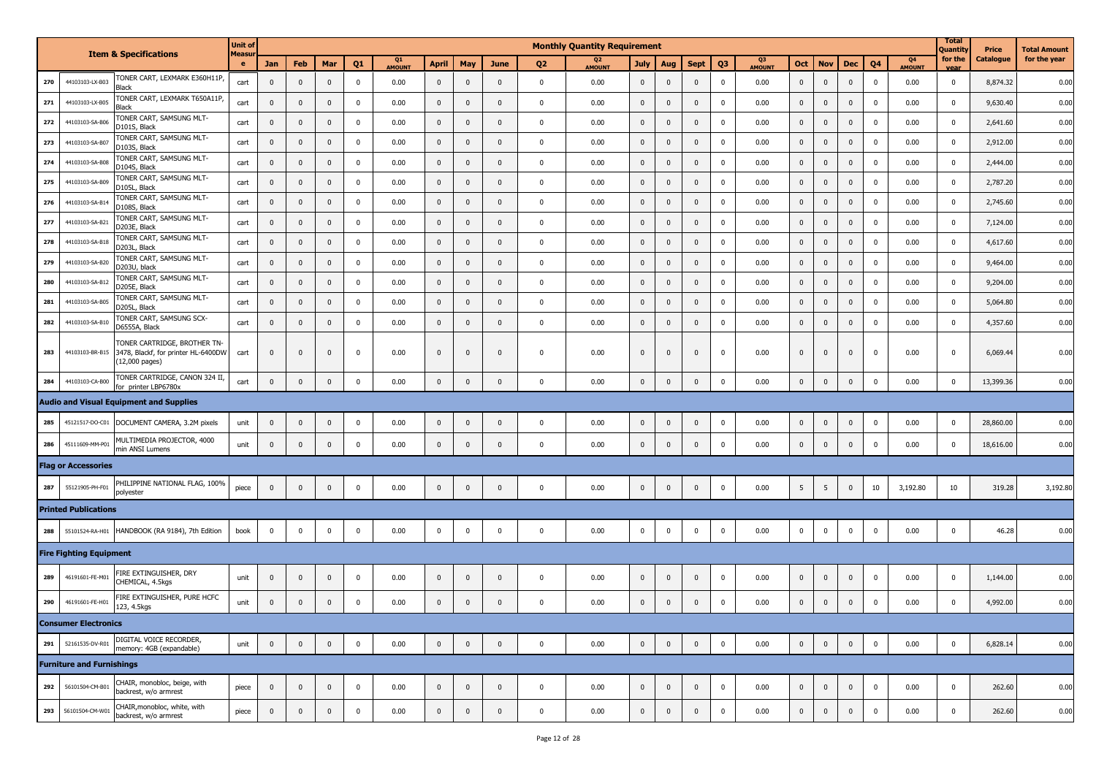|     |                                  |                                                                                       | <b>Unit of</b><br>Measur |                |                |              |                |              |              |                |              |                | <b>Monthly Quantity Requirement</b> |              |                         |                         |                |              |                |             |              |                |                                 | <b>Total</b><br>Quantity | Price     | <b>Total Amount</b> |
|-----|----------------------------------|---------------------------------------------------------------------------------------|--------------------------|----------------|----------------|--------------|----------------|--------------|--------------|----------------|--------------|----------------|-------------------------------------|--------------|-------------------------|-------------------------|----------------|--------------|----------------|-------------|--------------|----------------|---------------------------------|--------------------------|-----------|---------------------|
|     | <b>Item &amp; Specifications</b> |                                                                                       | e                        | Jan            | Feb            | Mar          | Q <sub>1</sub> | Q1<br>AMOUNT | <b>April</b> | May            | <b>June</b>  | Q <sub>2</sub> | Q <sub>2</sub><br>AMOUNT            | <b>July</b>  | Aug                     | <b>Sept</b>             | Q <sub>3</sub> | Q3<br>AMOUNT | Oct            | <b>Nov</b>  | <b>Dec</b>   | Q <sub>4</sub> | Q <sub>4</sub><br><b>AMOUNT</b> | for the<br>vear          | Catalogue | for the year        |
| 270 | 44103103-LX-B03                  | TONER CART, LEXMARK E360H11P,<br>Black                                                | cart                     | $\mathbf{0}$   | $\mathbf 0$    | $\mathbf 0$  | $\mathbf 0$    | 0.00         | $\mathbf 0$  | $\mathbf 0$    | $\mathbf{0}$ | $\mathbf 0$    | 0.00                                | $\mathbf 0$  | $\mathbf 0$             | $\mathbf 0$             | $\mathbf{0}$   | 0.00         | $\mathbf 0$    | $\mathbf 0$ | $\mathbf 0$  | 0              | 0.00                            | $\mathbf 0$              | 8,874.32  | 0.00                |
| 271 | 44103103-LX-B05                  | TONER CART, LEXMARK T650A11P,<br>Black                                                | cart                     | $\mathbf{0}$   | $\mathbf{0}$   | $\mathbf 0$  | $\pmb{0}$      | 0.00         | $\mathbf 0$  | $\pmb{0}$      | $\mathbf{0}$ | $\mathbf 0$    | 0.00                                | $\mathbf 0$  | $\mathbf{0}$            | $\mathbf{0}$            | $\Omega$       | 0.00         | $\mathbf 0$    | $\mathbf 0$ | $\mathbf 0$  | $\mathbf 0$    | 0.00                            | $\mathbf 0$              | 9,630.40  | 0.00                |
| 272 | 44103103-SA-B06                  | TONER CART, SAMSUNG MLT-<br>D101S, Black                                              | cart                     | $\mathbf{0}$   | $\Omega$       | $\mathbf{0}$ | $\mathbf 0$    | 0.00         | $\mathbf 0$  | $\mathbf{0}$   | $\Omega$     | $\mathbf 0$    | 0.00                                | $\mathbf 0$  | $\mathbf{0}$            | $\pmb{0}$               | $\Omega$       | 0.00         | $\mathbf 0$    | $\mathbf 0$ | $\mathbf 0$  | $\mathbf 0$    | 0.00                            | $\overline{0}$           | 2,641.60  | 0.00                |
| 273 | 44103103-SA-B07                  | TONER CART, SAMSUNG MLT-<br>D103S, Black                                              | cart                     | $\mathbf 0$    | $\mathbf 0$    | $\mathbf 0$  | $\mathbf 0$    | 0.00         | $\mathbf 0$  | $\mathbf 0$    | $\mathbf{0}$ | $\mathbf 0$    | 0.00                                | $\pmb{0}$    | $\mathbf 0$             | $\mathbf 0$             | $\mathbf 0$    | 0.00         | $\pmb{0}$      | $\mathbf 0$ | $\mathbf 0$  | $\mathbf 0$    | 0.00                            | $\overline{0}$           | 2,912.00  | 0.00                |
| 274 | 44103103-SA-B08                  | TONER CART, SAMSUNG MLT-<br>D104S, Black                                              | cart                     | $\mathbf 0$    | $\mathbf 0$    | $\mathbf 0$  | $\mathbf 0$    | 0.00         | $\mathbf 0$  | $\mathbf 0$    | $\mathbf{0}$ | $\mathbf 0$    | 0.00                                | $\mathbf 0$  | $\mathbf{0}$            | $\mathbf{0}$            | $\mathbf{0}$   | 0.00         | $\pmb{0}$      | $\mathbf 0$ | $\mathbf 0$  | $\mathbf 0$    | 0.00                            | $\mathbf 0$              | 2,444.00  | 0.00                |
| 275 | 44103103-SA-B09                  | TONER CART, SAMSUNG MLT-<br>D105L, Black                                              | cart                     | $\mathbf{0}$   | $\mathbf 0$    | $\mathbf 0$  | $\mathbf 0$    | 0.00         | $\mathbf 0$  | $\mathbf 0$    | $\mathbf{0}$ | $\mathbf 0$    | 0.00                                | $\mathbf 0$  | $\overline{\mathbf{0}}$ | $\mathbf{0}$            | 0              | 0.00         | $\mathbf 0$    | $\mathbf 0$ | $\mathbf 0$  | $\mathbf 0$    | 0.00                            | $\mathbf 0$              | 2,787.20  | 0.00                |
| 276 | 44103103-SA-B14                  | TONER CART, SAMSUNG MLT-<br>D108S, Black                                              | cart                     | $\mathbf 0$    | $\overline{0}$ | $\mathbf{0}$ | $\mathbf 0$    | 0.00         | $\mathbf 0$  | $\overline{0}$ | $\mathbf{0}$ | $\mathbf 0$    | 0.00                                | $\mathbf 0$  | $\mathbf{0}$            | $\mathbf{0}$            | 0              | 0.00         | $\mathbf{0}$   | $\mathbf 0$ | $\mathbf 0$  | $\mathbf 0$    | 0.00                            | $\mathbf 0$              | 2,745.60  | 0.00                |
| 277 | 44103103-SA-B21                  | TONER CART, SAMSUNG MLT-<br>D203E, Black                                              | cart                     | $\mathbf 0$    | $\mathbf{0}$   | $\mathbf 0$  | $\mathbf 0$    | 0.00         | $\mathbf 0$  | $\mathbf 0$    | $\mathbf{0}$ | $\mathbf 0$    | 0.00                                | $\pmb{0}$    | $\mathbf 0$             | $\mathbf 0$             | 0              | 0.00         | $\mathbf 0$    | $\mathbf 0$ | $\mathbf 0$  | $\mathbf 0$    | 0.00                            | $\mathbf 0$              | 7,124.00  | 0.00                |
| 278 | 44103103-SA-B18                  | TONER CART, SAMSUNG MLT-<br>D203L, Black                                              | cart                     | $\mathbf 0$    | $\mathbf{0}$   | $\mathbf 0$  | $\pmb{0}$      | 0.00         | $\mathbf 0$  | $\mathbf 0$    | $\mathbf 0$  | $\mathbf 0$    | 0.00                                | $\pmb{0}$    | $\mathbf 0$             | $\mathbf{0}$            | 0              | 0.00         | $\pmb{0}$      | $\mathbf 0$ | $\mathbf 0$  | $\mathbf 0$    | 0.00                            | $\overline{0}$           | 4,617.60  | 0.00                |
| 279 | 44103103-SA-B20                  | TONER CART, SAMSUNG MLT-<br>D203U, black                                              | cart                     | $\mathbf 0$    | $\mathbf 0$    | $\mathbf 0$  | $\mathbf 0$    | 0.00         | $\mathbf 0$  | $\mathbf{0}$   | $\mathbf{0}$ | $\mathbf 0$    | 0.00                                | $\mathbf 0$  | $\overline{\mathbf{0}}$ | $\mathbf{0}$            | $^{\circ}$     | 0.00         | $\mathbf 0$    | $\mathbf 0$ | $\mathbf 0$  | 0              | 0.00                            | $\overline{0}$           | 9,464.00  | 0.00                |
| 280 | 44103103-SA-B1                   | TONER CART, SAMSUNG MLT-<br>D205E, Black                                              | cart                     | $\mathbf{0}$   | $\mathbf{0}$   | $\mathbf 0$  | $\mathbf 0$    | 0.00         | $\mathbf 0$  | $\mathbf 0$    | $\mathbf{0}$ | $\mathbf 0$    | 0.00                                | $\mathbf 0$  | $\mathbf{0}$            | $\mathbf{0}$            | $\Omega$       | 0.00         | $\mathbf 0$    | $\mathbf 0$ | $\mathbf 0$  | $\mathbf 0$    | 0.00                            | $\mathbf 0$              | 9,204.00  | 0.00                |
| 281 | 44103103-SA-B05                  | TONER CART, SAMSUNG MLT-<br>D205L, Black                                              | cart                     | $\mathbf 0$    | $\mathbf 0$    | $\mathbf{0}$ | $\pmb{0}$      | 0.00         | $\mathbf 0$  | $\mathbf 0$    | $\Omega$     | $\mathbf 0$    | 0.00                                | $\mathbf 0$  | $\mathbf 0$             | $\pmb{0}$               | $\Omega$       | 0.00         | $\mathbf 0$    | $\mathbf 0$ | $\mathbf 0$  | $\mathbf 0$    | 0.00                            | $\overline{\mathbf{0}}$  | 5,064.80  | 0.00                |
| 282 | 44103103-SA-B10                  | TONER CART, SAMSUNG SCX-<br>D6555A, Black                                             | cart                     | $\mathbf{0}$   | $\mathbf 0$    | $\mathbf 0$  | $\mathbf 0$    | 0.00         | $\mathbf 0$  | $\mathbf{0}$   | $\mathbf{0}$ | $\mathbf 0$    | 0.00                                | $\mathbf 0$  | $\overline{\mathbf{0}}$ | $\mathbf{0}$            | $^{\circ}$     | 0.00         | $\mathbf 0$    | $\mathbf 0$ | $\mathbf{0}$ | $\mathbf 0$    | 0.00                            | $\mathbf 0$              | 4,357.60  | 0.00                |
| 283 | 44103103-BR-B15                  | TONER CARTRIDGE, BROTHER TN-<br>3478, Blackf, for printer HL-6400DW<br>(12,000 pages) | cart                     | $\mathbf 0$    | $\mathbf{0}$   | $\mathbf 0$  | $\mathbf 0$    | 0.00         | $\mathbf 0$  | $\mathbf 0$    | $\mathbf{0}$ | $\mathbf 0$    | 0.00                                | $\mathbf 0$  | $\overline{\mathbf{0}}$ | $\mathbf{0}$            | $\mathbf{0}$   | 0.00         | $\mathbf 0$    | $\mathbf 0$ | $\mathbf 0$  | $\mathbf 0$    | 0.00                            | $\mathbf 0$              | 6,069.44  | 0.00                |
| 284 | 44103103-CA-B00                  | TONER CARTRIDGE, CANON 324 II,<br>for printer LBP6780x                                | cart                     | $\mathbf 0$    | $\mathbf 0$    | $\mathbf{0}$ | $\pmb{0}$      | 0.00         | $\mathbf 0$  | $\mathbf{0}$   | $\Omega$     | $\mathbf{0}$   | 0.00                                | $\mathbf 0$  | $\mathbf 0$             | $\mathbf{0}$            | $\mathbf 0$    | 0.00         | $\mathbf 0$    | $\mathbf 0$ | $\mathbf 0$  | $\mathbf 0$    | 0.00                            | $\mathbf 0$              | 13,399.36 | 0.00                |
|     |                                  | <b>Audio and Visual Equipment and Supplies</b>                                        |                          |                |                |              |                |              |              |                |              |                |                                     |              |                         |                         |                |              |                |             |              |                |                                 |                          |           |                     |
| 285 | 45121517-DO-C01                  | DOCUMENT CAMERA, 3.2M pixels                                                          | unit                     | $\mathbf 0$    | $\mathbf 0$    | $\mathbf 0$  | $\mathbf 0$    | 0.00         | $\mathbf 0$  | $\mathbf 0$    | $\mathbf{0}$ | $\mathbf 0$    | 0.00                                | $\mathbf 0$  | $\mathbf 0$             | $\mathbf 0$             | $\mathbf{0}$   | 0.00         | $\mathbf 0$    | $\mathbf 0$ | $\mathbf 0$  | $\mathbf 0$    | 0.00                            | $\mathbf{0}$             | 28,860.00 | 0.00                |
| 286 | 45111609-MM-P01                  | MULTIMEDIA PROJECTOR, 4000<br>min ANSI Lumens                                         | unit                     | $\overline{0}$ | $\mathbf{0}$   | $\mathbf 0$  | $\mathbf 0$    | 0.00         | $\mathbf 0$  | $\mathbf 0$    | $\mathbf{0}$ | $\mathbf 0$    | 0.00                                | $\mathbf 0$  | $\pmb{0}$               | $\pmb{0}$               | $\mathbf 0$    | 0.00         | $\mathbf{0}$   | $\mathbf 0$ | $\mathbf{0}$ | $\mathbf 0$    | 0.00                            | $\mathbf 0$              | 18,616.00 | 0.00                |
|     | <b>Flag or Accessories</b>       |                                                                                       |                          |                |                |              |                |              |              |                |              |                |                                     |              |                         |                         |                |              |                |             |              |                |                                 |                          |           |                     |
| 287 | 55121905-PH-F01                  | PHILIPPINE NATIONAL FLAG, 100%<br>polyester                                           | piece                    | $\mathbf 0$    | $\mathbf 0$    | $\mathbf 0$  | $\mathbf 0$    | 0.00         | $\mathbf 0$  | $\mathbf 0$    | $\mathbf{0}$ | $\mathbf 0$    | 0.00                                | $\mathbf 0$  | $\mathbf 0$             | $\mathbf 0$             | $\mathbf 0$    | 0.00         | 5 <sup>5</sup> | 5           | $\mathbf 0$  | 10             | 3,192.80                        | 10                       | 319.28    | 3,192.80            |
|     | <b>Printed Publications</b>      |                                                                                       |                          |                |                |              |                |              |              |                |              |                |                                     |              |                         |                         |                |              |                |             |              |                |                                 |                          |           |                     |
| 288 | 55101524-RA-H01                  | HANDBOOK (RA 9184), 7th Edition                                                       | book                     | $\overline{0}$ | $\overline{0}$ | $\mathbf 0$  | $\pmb{0}$      | 0.00         | $\pmb{0}$    | $\pmb{0}$      | $\mathbf 0$  | $\pmb{0}$      | 0.00                                | $\mathbf 0$  | $\pmb{0}$               | $\pmb{0}$               | $\mathbf 0$    | 0.00         | $\mathbf 0$    | $\mathbf 0$ | $\mathbf 0$  | $\mathbf 0$    | 0.00                            | $\mathbf 0$              | 46.28     | 0.00                |
|     | <b>Fire Fighting Equipment</b>   |                                                                                       |                          |                |                |              |                |              |              |                |              |                |                                     |              |                         |                         |                |              |                |             |              |                |                                 |                          |           |                     |
| 289 | 46191601-FE-M01                  | FIRE EXTINGUISHER, DRY<br>CHEMICAL, 4.5kgs                                            | unit                     | $\mathbf 0$    | $\mathbf{0}$   | $\mathbf 0$  | $\mathbf 0$    | 0.00         | $\mathbf 0$  | $\mathbf 0$    | $\mathbf{0}$ | $\mathbf 0$    | 0.00                                | $\mathbf 0$  | $\mathbf 0$             | $\mathbf 0$             | $\mathbf 0$    | 0.00         | $\mathbf{0}$   | $\mathbf 0$ | $\mathbf{0}$ | $\mathbf 0$    | 0.00                            | $\mathbf 0$              | 1,144.00  | 0.00                |
| 290 | 46191601-FE-H01                  | FIRE EXTINGUISHER, PURE HCFC<br>123, 4.5kgs                                           | unit                     | $\mathbf 0$    | $\mathbf{0}$   | $\mathbf 0$  | $\mathbf 0$    | 0.00         | $\mathbf 0$  | $\mathbf 0$    | $\mathbf{0}$ | $\mathbf 0$    | 0.00                                | $\mathbf 0$  | $\mathbf{0}$            | $\mathbf{0}$            | $\mathbf{0}$   | 0.00         | $\mathbf 0$    | $\mathbf 0$ | $\mathbf{0}$ | 0              | 0.00                            | $\mathbf 0$              | 4,992.00  | 0.00                |
|     | <b>Consumer Electronics</b>      |                                                                                       |                          |                |                |              |                |              |              |                |              |                |                                     |              |                         |                         |                |              |                |             |              |                |                                 |                          |           |                     |
| 291 | 52161535-DV-R01                  | DIGITAL VOICE RECORDER,<br>memory: 4GB (expandable)                                   | unit                     | $\overline{0}$ | $\mathbf{0}$   | $\mathbf{0}$ | $\mathbf 0$    | 0.00         | $\mathbf 0$  | $\mathbf 0$    | $\mathbf{0}$ | $\mathbf 0$    | 0.00                                | $\mathbf{0}$ | $\mathbf 0$             | $\overline{\mathbf{0}}$ | $\mathbf 0$    | 0.00         | $\mathbf 0$    | $\mathbf 0$ | $\pmb{0}$    | $\pmb{0}$      | 0.00                            | $\mathbf 0$              | 6,828.14  | 0.00                |
|     | <b>Furniture and Furnishings</b> |                                                                                       |                          |                |                |              |                |              |              |                |              |                |                                     |              |                         |                         |                |              |                |             |              |                |                                 |                          |           |                     |
| 292 | 56101504-CM-B01                  | CHAIR, monobloc, beige, with<br>backrest, w/o armrest                                 | piece                    | $\overline{0}$ | $\mathbf 0$    | $\mathbf 0$  | $\pmb{0}$      | 0.00         | $\mathbf 0$  | $\mathbf 0$    | $\mathbf 0$  | $\mathbf 0$    | 0.00                                | $\mathbf 0$  | $\overline{\mathbf{0}}$ | $\pmb{0}$               | $\mathbf 0$    | 0.00         | $\mathbf 0$    | $\mathbf 0$ | $\pmb{0}$    | $\pmb{0}$      | 0.00                            | $\mathbf 0$              | 262.60    | 0.00                |
| 293 | 56101504-CM-W01                  | CHAIR, monobloc, white, with<br>backrest, w/o armrest                                 | piece                    | $\overline{0}$ | $\mathbf 0$    | $\mathsf 0$  | $\pmb{0}$      | 0.00         | $\mathbf 0$  | $\mathbf 0$    | $\mathbf 0$  | $\mathbf 0$    | 0.00                                | $\mathbf 0$  | $\mathbf{0}$            | $\mathbf{0}$            | $\mathbf 0$    | 0.00         | $\overline{0}$ | $\mathbf 0$ | $\mathbf 0$  | $\mathbf 0$    | 0.00                            | $\mathbf 0$              | 262.60    | 0.00                |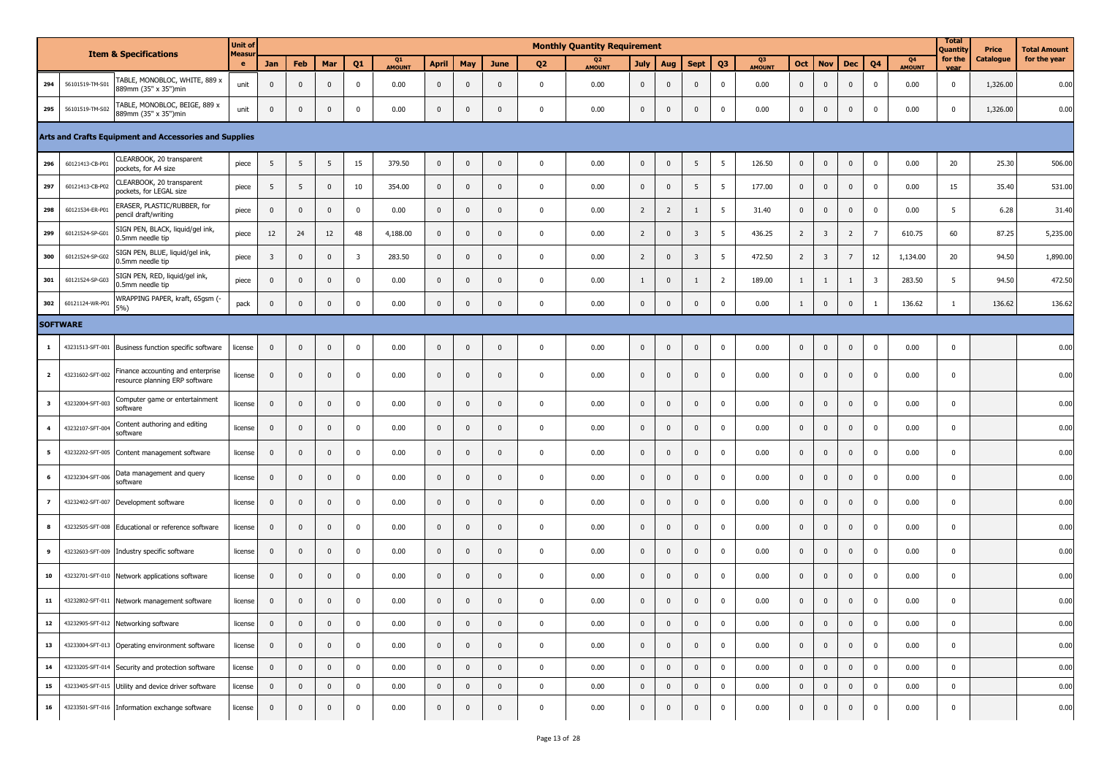|                         | <b>Item &amp; Specifications</b> |                                                                     | <b>Unit of</b> |                         |                |                         |                         |                     |              |                |              |                | <b>Monthly Quantity Requirement</b> |                |                         |                         |                |              |                |                         |                 |                         |                                 | Total<br>Quantity | Price     | <b>Total Amount</b> |
|-------------------------|----------------------------------|---------------------------------------------------------------------|----------------|-------------------------|----------------|-------------------------|-------------------------|---------------------|--------------|----------------|--------------|----------------|-------------------------------------|----------------|-------------------------|-------------------------|----------------|--------------|----------------|-------------------------|-----------------|-------------------------|---------------------------------|-------------------|-----------|---------------------|
|                         |                                  |                                                                     | Measur<br>e    | Jan                     | Feb            | Mar                     | Q1                      | Q1<br><b>AMOUNT</b> | <b>April</b> | May            | <b>June</b>  | Q <sub>2</sub> | Q <sub>2</sub><br><b>AMOUNT</b>     | <b>July</b>    | Aug                     | <b>Sept</b>             | Q <sub>3</sub> | Q3<br>AMOUNT | Oct            | <b>Nov</b>              | <b>Dec</b>      | Q <sub>4</sub>          | Q <sub>4</sub><br><b>AMOUNT</b> | for the<br>vear   | Catalogue | for the year        |
| 294                     | 56101519-TM-S01                  | TABLE, MONOBLOC, WHITE, 889 x<br>889mm (35" x 35")min               | unit           | $\mathbf 0$             | $\mathbf 0$    | $\mathbf 0$             | $\mathbf 0$             | 0.00                | $\mathbf 0$  | $\mathbf 0$    | $\mathbf{0}$ | $\mathbf 0$    | 0.00                                | $\mathbf 0$    | $\mathbf{0}$            | $\mathbf{0}$            | $\mathbf 0$    | 0.00         | $\mathbf 0$    | $\mathbf 0$             | $\mathbf{0}$    | $\mathbf 0$             | 0.00                            | $\mathbf 0$       | 1,326.00  | 0.00                |
| 295                     | 56101519-TM-S02                  | TABLE, MONOBLOC, BEIGE, 889 x<br>889mm (35" x 35")min               | unit           | $\overline{0}$          | $\mathbf{0}$   | $\mathbf 0$             | $\mathbf 0$             | 0.00                | $\mathbf 0$  | $\mathbf{0}$   | $\mathbf{0}$ | $\mathbf 0$    | 0.00                                | $\mathbf 0$    | $\mathbf{0}$            | $\mathbf{0}$            | $\mathbf{0}$   | 0.00         | $\mathbf 0$    | $\mathbf 0$             | $\mathbf{0}$    | $\mathbf 0$             | 0.00                            | $\mathbf 0$       | 1,326.00  | 0.00                |
|                         |                                  | Arts and Crafts Equipment and Accessories and Supplies              |                |                         |                |                         |                         |                     |              |                |              |                |                                     |                |                         |                         |                |              |                |                         |                 |                         |                                 |                   |           |                     |
| 296                     | 60121413-CB-P01                  | CLEARBOOK, 20 transparent<br>pockets, for A4 size                   | piece          | 5                       | 5              | 5                       | 15                      | 379.50              | $\mathbf 0$  | $\mathbf 0$    | $\mathbf 0$  | $\mathbf 0$    | 0.00                                | $\pmb{0}$      | $\mathbf 0$             | 5                       | 5              | 126.50       | $\mathbf 0$    | $\mathbf 0$             | $\mathbf 0$     | $\mathbf 0$             | 0.00                            | 20                | 25.30     | 506.00              |
| 297                     | 60121413-CB-P02                  | CLEARBOOK, 20 transparent<br>pockets, for LEGAL size                | piece          | 5                       | 5              | $\mathbf 0$             | 10                      | 354.00              | $\mathbf 0$  | $\mathbf 0$    | $\mathbf{0}$ | $\mathbf 0$    | 0.00                                | $\mathbf 0$    | $\mathbf 0$             | 5                       | 5              | 177.00       | $\mathbf 0$    | $\mathbf 0$             | $\mathbf 0$     | $\mathbf 0$             | 0.00                            | 15                | 35.40     | 531.00              |
| 298                     | 60121534-ER-P01                  | ERASER, PLASTIC/RUBBER, for<br>pencil draft/writing                 | piece          | $\overline{0}$          | $\mathbf 0$    | $\mathbf 0$             | $\mathbf 0$             | 0.00                | $\mathbf 0$  | $\mathbf 0$    | $\mathbf{0}$ | $\mathbf 0$    | 0.00                                | $\overline{2}$ | $\overline{2}$          | 1                       | 5              | 31.40        | $\pmb{0}$      | $\bf{0}$                | $\mathbf 0$     | $\mathbf 0$             | 0.00                            | 5                 | 6.28      | 31.40               |
| 299                     | 60121524-SP-G01                  | SIGN PEN, BLACK, liquid/gel ink,<br>0.5mm needle tip                | piece          | 12                      | 24             | 12                      | 48                      | 4,188.00            | $\mathbf 0$  | $\mathbf 0$    | $\mathbf{0}$ | $\mathbf 0$    | 0.00                                | $\overline{2}$ | $\mathbf 0$             | $\overline{3}$          | 5              | 436.25       | $\overline{2}$ | $\overline{\mathbf{3}}$ | $\overline{2}$  | $\overline{7}$          | 610.75                          | 60                | 87.25     | 5,235.00            |
| 300                     | 60121524-SP-G02                  | SIGN PEN, BLUE, liquid/gel ink,<br>0.5mm needle tip                 | piece          | $\overline{\mathbf{3}}$ | $\mathbf{0}$   | $\mathbf 0$             | $\overline{\mathbf{3}}$ | 283.50              | $\mathbf 0$  | $\mathbf 0$    | $\mathbf{0}$ | $\mathbf 0$    | 0.00                                | $\overline{2}$ | $\mathbf 0$             | $\overline{\mathbf{3}}$ | 5              | 472.50       | $\overline{2}$ | $\overline{\mathbf{3}}$ | $7\overline{ }$ | $12\,$                  | 1,134.00                        | 20                | 94.50     | 1,890.00            |
| 301                     | 60121524-SP-G03                  | SIGN PEN, RED, liquid/gel ink,<br>0.5mm needle tip                  | piece          | $\mathbf 0$             | $\mathbf{0}$   | $\mathbf{0}$            | $\mathbf 0$             | 0.00                | $\mathbf 0$  | $\mathbf 0$    | $\mathbf{0}$ | $\mathbf 0$    | 0.00                                | 1              | $\pmb{0}$               | 1                       | $\overline{2}$ | 189.00       | $\mathbf{1}$   | 1                       | $\mathbf{1}$    | $\overline{\mathbf{3}}$ | 283.50                          | 5                 | 94.50     | 472.50              |
| 302                     | 60121124-WR-P01                  | WRAPPING PAPER, kraft, 65gsm (-<br>$5%$ )                           | pack           | $\mathbf 0$             | $\overline{0}$ | $\mathbf{0}$            | $\mathbf 0$             | 0.00                | $\mathbf 0$  | $\pmb{0}$      | $\mathbf{0}$ | $\mathbf 0$    | 0.00                                | $\mathbf 0$    | $\pmb{0}$               | $\pmb{0}$               | $\mathbf 0$    | 0.00         | $\mathbf{1}$   | $\mathbf 0$             | $\mathbf 0$     | $\mathbf{1}$            | 136.62                          | $\mathbf{1}$      | 136.62    | 136.62              |
|                         | <b>SOFTWARE</b>                  |                                                                     |                |                         |                |                         |                         |                     |              |                |              |                |                                     |                |                         |                         |                |              |                |                         |                 |                         |                                 |                   |           |                     |
| $\mathbf{1}$            | 43231513-SFT-001                 | Business function specific software                                 | license        | $\mathbf 0$             | $\mathbf 0$    | $\mathbf 0$             | $\mathbf 0$             | 0.00                | $\mathbf 0$  | $\mathbf 0$    | $\mathbf{0}$ | $\mathbf 0$    | 0.00                                | $\mathbf 0$    | $\mathbf 0$             | $\mathbf 0$             | $\mathbf 0$    | 0.00         | $\mathbf 0$    | $\mathbf 0$             | $\mathbf 0$     | $\mathbf 0$             | 0.00                            | $\mathbf 0$       |           | 0.00                |
| $\overline{2}$          | 43231602-SFT-002                 | Finance accounting and enterprise<br>resource planning ERP software | license        | $\mathbf{0}$            | $\overline{0}$ | $\mathbf{0}$            | $\mathbf 0$             | 0.00                | $\mathbf 0$  | $\mathbf 0$    | $\mathbf{0}$ | $\mathbf 0$    | 0.00                                | $\mathbf 0$    | $\overline{\mathbf{0}}$ | $\mathbf{0}$            | 0              | 0.00         | $\mathbf 0$    | $\mathbf 0$             | $\mathbf{0}$    | $\mathbf 0$             | 0.00                            | $\mathsf 0$       |           | 0.00                |
| $\overline{\mathbf{3}}$ | 43232004-SFT-003                 | Computer game or entertainment<br>software                          | license        | $\mathbf 0$             | $\mathbf 0$    | $\mathbf{0}$            | $\mathbf 0$             | 0.00                | $\mathbf 0$  | $\mathbf 0$    | $\mathbf{0}$ | $\mathbf 0$    | 0.00                                | $\pmb{0}$      | $\mathbf 0$             | $\pmb{0}$               | 0              | 0.00         | $\mathbf 0$    | $\mathbf 0$             | $\mathbf 0$     | $\mathbf 0$             | 0.00                            | $\mathbf 0$       |           | 0.00                |
| $\overline{\mathbf{4}}$ | 43232107-SFT-004                 | Content authoring and editing<br>software                           | license        | $\mathbf{0}$            | $\mathbf 0$    | $\mathbf{0}$            | $\mathbf 0$             | 0.00                | $\mathbf 0$  | $\mathbf 0$    | $\mathbf{0}$ | $\mathbf 0$    | 0.00                                | $\mathbf 0$    | $\mathbf{0}$            | $\mathbf{0}$            | $\mathbf 0$    | 0.00         | $\mathbf 0$    | $\mathbf 0$             | $\mathbf 0$     | $\mathbf 0$             | 0.00                            | $\mathbf 0$       |           | 0.00                |
| 5                       | 43232202-SFT-005                 | Content management software                                         | license        | $\mathbf 0$             | $\mathbf{0}$   | $\mathbf 0$             | $\mathbf 0$             | 0.00                | $\mathbf 0$  | $\mathbf 0$    | $\mathbf{0}$ | $\mathbf 0$    | 0.00                                | $\mathbf 0$    | $\mathbf{0}$            | $\mathbf{0}$            | 0              | 0.00         | $\pmb{0}$      | $\mathbf 0$             | $\mathbf 0$     | $\mathbf 0$             | 0.00                            | $\mathbf 0$       |           | 0.00                |
| 6                       | 43232304-SFT-006                 | Data management and query<br>software                               | license        | $\mathbf 0$             | $\mathbf{0}$   | $\mathbf 0$             | $\mathbf 0$             | 0.00                | $\mathbf 0$  | $\mathbf 0$    | $\mathbf 0$  | $\mathbf 0$    | 0.00                                | $\mathbf 0$    | $\mathbf 0$             | $\mathbf 0$             | 0              | 0.00         | $\pmb{0}$      | $\bf{0}$                | $\mathbf 0$     | $\mathbf 0$             | 0.00                            | $\mathbf 0$       |           | 0.00                |
| $\overline{ }$          | 43232402-SFT-007                 | Development software                                                | license        | $\mathbf 0$             | $\mathbf{0}$   | $\mathbf{0}$            | $\mathbf 0$             | 0.00                | $\mathbf 0$  | $\mathbf{0}$   | $\mathbf{0}$ | $\mathbf 0$    | 0.00                                | $\mathbf 0$    | $\mathbf{0}$            | $\mathbf{0}$            | $^{\circ}$     | 0.00         | $\mathbf{0}$   | $\mathbf 0$             | $\mathbf 0$     | $\mathbf 0$             | 0.00                            | $\mathbf 0$       |           | 0.00                |
| 8                       |                                  | 43232505-SFT-008 Educational or reference software                  | license        | $\mathbf 0$             | $\mathbf{0}$   | $\mathbf{0}$            | $\mathbf 0$             | 0.00                | $\mathbf 0$  | $\mathbf 0$    | $\mathbf{0}$ | $\mathbf 0$    | 0.00                                | $\mathbf 0$    | $\mathbf 0$             | $\mathbf{0}$            | $\mathbf{0}$   | 0.00         | $\mathbf 0$    | $\mathbf 0$             | $\mathbf 0$     | $\mathbf 0$             | 0.00                            | $\mathbf 0$       |           | 0.00                |
| 9                       |                                  | 43232603-SFT-009 Industry specific software                         | license        | $\mathbf 0$             | $\mathbf 0$    | $\mathbf{0}$            | $\mathbf 0$             | 0.00                | $\mathbf 0$  | $\mathbf 0$    | $\Omega$     | $\mathbf 0$    | 0.00                                | $\mathbf 0$    | $\mathbf 0$             | $\mathbf{0}$            | 0              | 0.00         | $\mathbf{0}$   | $\mathbf 0$             | $\mathbf 0$     | $\mathbf 0$             | 0.00                            | $\mathbf 0$       |           | 0.00                |
| 10                      |                                  | 43232701-SFT-010 Network applications software                      | license        | $\mathbf{0}$            | $\mathbf 0$    | $\mathbf 0$             | $\mathbf 0$             | 0.00                | $\mathbf 0$  | $\mathbf{0}$   | $\mathbf{0}$ | $\mathbf 0$    | 0.00                                | $\mathbf 0$    | $\mathbf{0}$            | $\mathbf{0}$            | $\mathbf{0}$   | 0.00         | $\mathbf{0}$   | $\mathbf 0$             | $\mathbf 0$     | $\mathbf 0$             | 0.00                            | $\mathbf 0$       |           | 0.00                |
| 11                      |                                  | 43232802-SFT-011 Network management software                        | license        | $\mathbf 0$             | $\mathbf 0$    | $\mathbf 0$             | $\mathbf 0$             | 0.00                | $\mathbf 0$  | $\mathbf 0$    | $\mathbf 0$  | $\mathbf 0$    | 0.00                                | $\mathbf 0$    | $\mathbf 0$             | $\pmb{0}$               | $\mathbf 0$    | 0.00         | $\mathbf 0$    | $\mathbf 0$             | $\mathbf 0$     | $\mathbf 0$             | 0.00                            | $\mathbf 0$       |           | 0.00                |
| 12                      |                                  | 43232905-SFT-012 Networking software                                | license        | $\mathbf 0$             | $\mathbf 0$    | $\overline{\mathbf{0}}$ | $\mathbf 0$             | 0.00                | $\mathbf 0$  | $\mathbf 0$    | $\mathbf{0}$ | 0              | 0.00                                | $\mathbf{0}$   | $\mathbf 0$             | $\mathbf 0$             | 0              | 0.00         | $\mathbf{0}$   | $\mathbf 0$             | $\mathbf 0$     | 0                       | 0.00                            | $\mathbf{0}$      |           | 0.00                |
| 13                      |                                  | 43233004-SFT-013 Operating environment software                     | license        | $\overline{0}$          | $\overline{0}$ | $\mathbf{0}$            | $\pmb{0}$               | 0.00                | $\mathbf 0$  | $\overline{0}$ | $\mathbf 0$  | $\mathbf 0$    | 0.00                                | $\mathbf{0}$   | $\overline{\mathbf{0}}$ | $\pmb{0}$               | $\mathbf 0$    | 0.00         | $\overline{0}$ | $\overline{0}$          | $\pmb{0}$       | $\mathbf 0$             | 0.00                            | $\mathbf{0}$      |           | 0.00                |
| 14                      |                                  | 43233205-SFT-014 Security and protection software                   | license        | $\mathbf 0$             | $\mathbf 0$    | $\overline{0}$          | $\pmb{0}$               | 0.00                | $\mathbf 0$  | $\mathbf 0$    | $\mathbf 0$  | $\mathbf 0$    | 0.00                                | $\mathbf 0$    | $\mathbf 0$             | $\mathbf 0$             | 0              | 0.00         | $\pmb{0}$      | $\mathbf 0$             | $\pmb{0}$       | $\mathbf 0$             | 0.00                            | $\mathbf 0$       |           | 0.00                |
| 15                      |                                  | 43233405-SFT-015 Utility and device driver software                 | license        | $\mathbf 0$             | $\mathbf 0$    | $\pmb{0}$               | $\pmb{0}$               | 0.00                | $\pmb{0}$    | $\mathbf 0$    | $\mathbf 0$  | $\mathbf 0$    | 0.00                                | $\mathbf 0$    | $\mathbf 0$             | $\mathbf 0$             | $\mathbf 0$    | 0.00         | $\mathbf 0$    | $\mathbf 0$             | $\pmb{0}$       | $\pmb{0}$               | 0.00                            | $\mathbf 0$       |           | 0.00                |
| 16                      |                                  | 43233501-SFT-016 Information exchange software                      | license        | $\overline{0}$          | $\mathbf{0}$   | $\mathbf 0$             | $\mathbf 0$             | 0.00                | $\mathbf 0$  | $\mathbf 0$    | $\mathbf{0}$ | $\mathbf 0$    | 0.00                                | $\pmb{0}$      | $\mathbf 0$             | $\pmb{0}$               | 0              | 0.00         | $\mathbf 0$    | $\mathbf 0$             | $\mathbf 0$     | $\mathbf 0$             | 0.00                            | $\mathbf 0$       |           | 0.00                |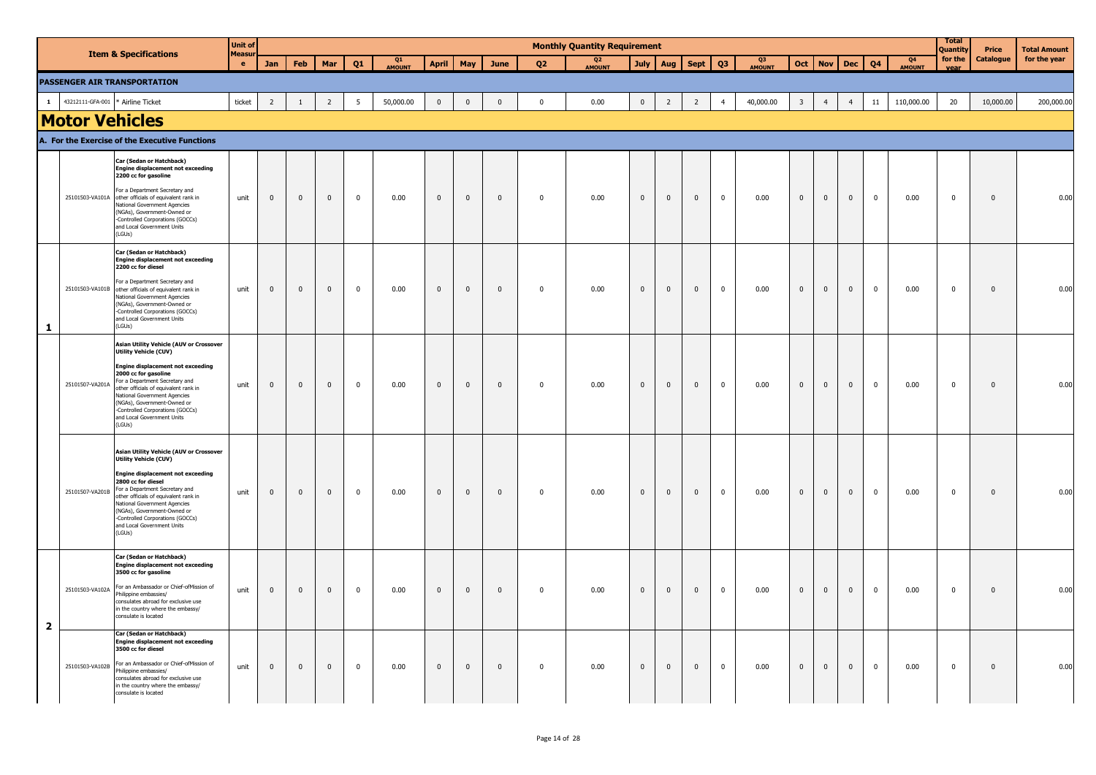|                         |                       |                                                                                                                                                                                                                                                                                                                                                                 | <b>Unit of</b>    |                |              |                |                |                     |                |                         |                         |                         | <b>Monthly Quantity Requirement</b> |                |              |                |                |                     |                         |                |                |                |                                 | <b>Total</b><br>Quantity | Price        | <b>Total Amount</b> |
|-------------------------|-----------------------|-----------------------------------------------------------------------------------------------------------------------------------------------------------------------------------------------------------------------------------------------------------------------------------------------------------------------------------------------------------------|-------------------|----------------|--------------|----------------|----------------|---------------------|----------------|-------------------------|-------------------------|-------------------------|-------------------------------------|----------------|--------------|----------------|----------------|---------------------|-------------------------|----------------|----------------|----------------|---------------------------------|--------------------------|--------------|---------------------|
|                         |                       | <b>Item &amp; Specifications</b>                                                                                                                                                                                                                                                                                                                                | <b>Measu</b><br>e | Jan            | Feb          | Mar            | Q1             | Q1<br><b>AMOUNT</b> | <b>April</b>   | May                     | June                    | 02                      | Q <sub>2</sub><br><b>AMOUNT</b>     | July           | Aug          | Sept           | Q <sub>3</sub> | Q3<br><b>AMOUNT</b> | Oct                     | <b>Nov</b>     | <b>Dec</b>     | Q <sub>4</sub> | Q <sub>4</sub><br><b>AMOUNT</b> | for the<br>vear          | Catalogue    | for the year        |
|                         |                       | <b>PASSENGER AIR TRANSPORTATION</b>                                                                                                                                                                                                                                                                                                                             |                   |                |              |                |                |                     |                |                         |                         |                         |                                     |                |              |                |                |                     |                         |                |                |                |                                 |                          |              |                     |
| $\mathbf{1}$            | 43212111-GFA-001      | * Airline Ticket                                                                                                                                                                                                                                                                                                                                                | ticket            | $\overline{2}$ | $\mathbf{1}$ | $\overline{2}$ | 5              | 50,000.00           | $\mathbf 0$    | $\mathbb O$             | $\mathbf 0$             | $\mathbf 0$             | 0.00                                | $\overline{0}$ | 2            | $\overline{2}$ | $\overline{4}$ | 40,000.00           | $\overline{\mathbf{3}}$ | $\overline{4}$ | $\overline{4}$ | $11\,$         | 110,000.00                      | 20                       | 10,000.00    | 200,000.00          |
|                         | <b>Motor Vehicles</b> |                                                                                                                                                                                                                                                                                                                                                                 |                   |                |              |                |                |                     |                |                         |                         |                         |                                     |                |              |                |                |                     |                         |                |                |                |                                 |                          |              |                     |
|                         |                       | A. For the Exercise of the Executive Functions                                                                                                                                                                                                                                                                                                                  |                   |                |              |                |                |                     |                |                         |                         |                         |                                     |                |              |                |                |                     |                         |                |                |                |                                 |                          |              |                     |
|                         |                       | Car (Sedan or Hatchback)<br><b>Engine displacement not exceeding</b><br>2200 cc for gasoline                                                                                                                                                                                                                                                                    |                   |                |              |                |                |                     |                |                         |                         |                         |                                     |                |              |                |                |                     |                         |                |                |                |                                 |                          |              |                     |
|                         |                       | For a Department Secretary and<br>25101503-VA101A other officials of equivalent rank in<br>National Government Agencies<br>(NGAs), Government-Owned or<br>-Controlled Corporations (GOCCs)<br>and Local Government Units<br>(LGUs)                                                                                                                              | unit              | $\pmb{0}$      | $\mathbf{0}$ | $\overline{0}$ | $\overline{0}$ | 0.00                | $\mathbf 0$    | $\overline{\mathbf{0}}$ | $\overline{\mathbf{0}}$ | $\overline{0}$          | 0.00                                | $\overline{0}$ | $\mathbf{0}$ | $\overline{0}$ | $\mathbf 0$    | 0.00                | $\mathbf{0}$            | $\mathbf 0$    | $\mathbf{0}$   | $\mathbf 0$    | 0.00                            | $\mathbf 0$              | $\mathbf{0}$ | 0.00                |
|                         |                       | Car (Sedan or Hatchback)<br><b>Engine displacement not exceeding</b><br>2200 cc for diesel                                                                                                                                                                                                                                                                      |                   |                |              |                |                |                     |                |                         |                         |                         |                                     |                |              |                |                |                     |                         |                |                |                |                                 |                          |              |                     |
| $\mathbf{1}$            |                       | For a Department Secretary and<br>25101503-VA101B other officials of equivalent rank in<br>National Government Agencies<br>(NGAs), Government-Owned or<br>-Controlled Corporations (GOCCs)<br>and Local Government Units<br>(LGUs)                                                                                                                              | unit              | $\pmb{0}$      | $\mathbf 0$  | $\mathbf 0$    | $\mathbf{0}$   | 0.00                | $\mathbf 0$    | $\mathbb O$             | $\,$ 0                  | $\mathbf 0$             | 0.00                                | $\mathbf 0$    | $\mathbf{0}$ | $\mathbf 0$    | $\mathbf 0$    | 0.00                | $\pmb{0}$               | $\mathbf 0$    | $\mathbf{0}$   | $\mathbf 0$    | 0.00                            | $\mathbf 0$              | $\mathbf 0$  | 0.00                |
|                         |                       | <b>Asian Utility Vehicle (AUV or Crossover</b><br>Utility Vehicle (CUV)                                                                                                                                                                                                                                                                                         |                   |                |              |                |                |                     |                |                         |                         |                         |                                     |                |              |                |                |                     |                         |                |                |                |                                 |                          |              |                     |
|                         | 25101507-VA201A       | <b>Engine displacement not exceeding</b><br>2000 cc for gasoline<br>For a Department Secretary and<br>other officials of equivalent rank in<br>National Government Agencies<br>(NGAs), Government-Owned or<br>-Controlled Corporations (GOCCs)<br>and Local Government Units<br>(LGUs)                                                                          | unit              | $\pmb{0}$      | $\mathbf 0$  | $\overline{0}$ | $\overline{0}$ | 0.00                | $\mathbf 0$    | $\overline{\mathbf{0}}$ | $\mathbf 0$             | $\overline{\mathbf{0}}$ | 0.00                                | $\overline{0}$ | $\mathbf 0$  | $\overline{0}$ | $\mathbf 0$    | 0.00                | $\mathbf{0}$            | $\mathbf 0$    | $\mathbf 0$    | $\mathbf 0$    | 0.00                            | $\mathbf 0$              | $\mathbf 0$  | 0.00                |
|                         | 25101507-VA201B       | Asian Utility Vehicle (AUV or Crossover<br><b>Utility Vehicle (CUV)</b><br><b>Engine displacement not exceeding</b><br>2800 cc for diesel<br>For a Department Secretary and<br>other officials of equivalent rank in<br>National Government Agencies<br>(NGAs), Government-Owned or<br>-Controlled Corporations (GOCCs)<br>and Local Government Units<br>(LGUs) | unit              | $\mathbf{0}$   | $\mathbf 0$  | $\mathbf{0}$   | $\mathbf 0$    | 0.00                | $\overline{0}$ | $\overline{0}$          | $\overline{\mathbf{0}}$ | $\overline{\mathbf{0}}$ | 0.00                                | $\mathbf{0}$   | $\mathbf{0}$ | $\overline{0}$ | $\mathbf 0$    | 0.00                | $\mathbf{0}$            | $\mathbf{0}$   | $\mathbf{0}$   | $\mathbf 0$    | 0.00                            | $\mathbf 0$              | $\mathbf 0$  | 0.00                |
| $\overline{\mathbf{2}}$ |                       | Car (Sedan or Hatchback)<br><b>Engine displacement not exceeding</b><br>3500 cc for gasoline<br>25101503-VA102A For an Ambassador or Chief-ofMission of<br>Philippine embassies/<br>consulates abroad for exclusive use<br>in the country where the embassy/<br>consulate is located                                                                            | unit              | $\mathbf 0$    | $\mathbf 0$  | $\mathbf 0$    | $\mathbf 0$    | 0.00                | $\overline{0}$ | $\overline{0}$          | $\overline{\mathbf{0}}$ | $\overline{\mathbf{0}}$ | 0.00                                | $\mathbf{0}$   | $\mathbf 0$  | $\mathbf{0}$   | $\mathbf 0$    | 0.00                | $\mathbf{0}$            | $\bf{0}$       | $\mathbf{0}$   | $\mathbf 0$    | 0.00                            | $\mathbf 0$              | $\mathbf 0$  | 0.00                |
|                         |                       | Car (Sedan or Hatchback)<br><b>Engine displacement not exceeding</b><br>3500 cc for diesel<br>25101503-VA102B For an Ambassador or Chief-ofMission of<br>hilippine embassies/<br>consulates abroad for exclusive use<br>in the country where the embassy/<br>consulate is located                                                                               | unit              | $\mathbf 0$    | $\mathbf 0$  | $\mathbf 0$    | $\mathbf 0$    | 0.00                | $\mathbf{0}$   | $\mathbf 0$             | $\mathbf 0$             | $\mathbf 0$             | 0.00                                | $\mathbf{0}$   | $\mathbf 0$  | $\mathbf 0$    | $\mathbf 0$    | 0.00                | $\mathbf 0$             | $\mathbf{0}$   | $\mathbf{0}$   | $\mathbf 0$    | 0.00                            | $\mathbf 0$              | $\mathbf 0$  | 0.00                |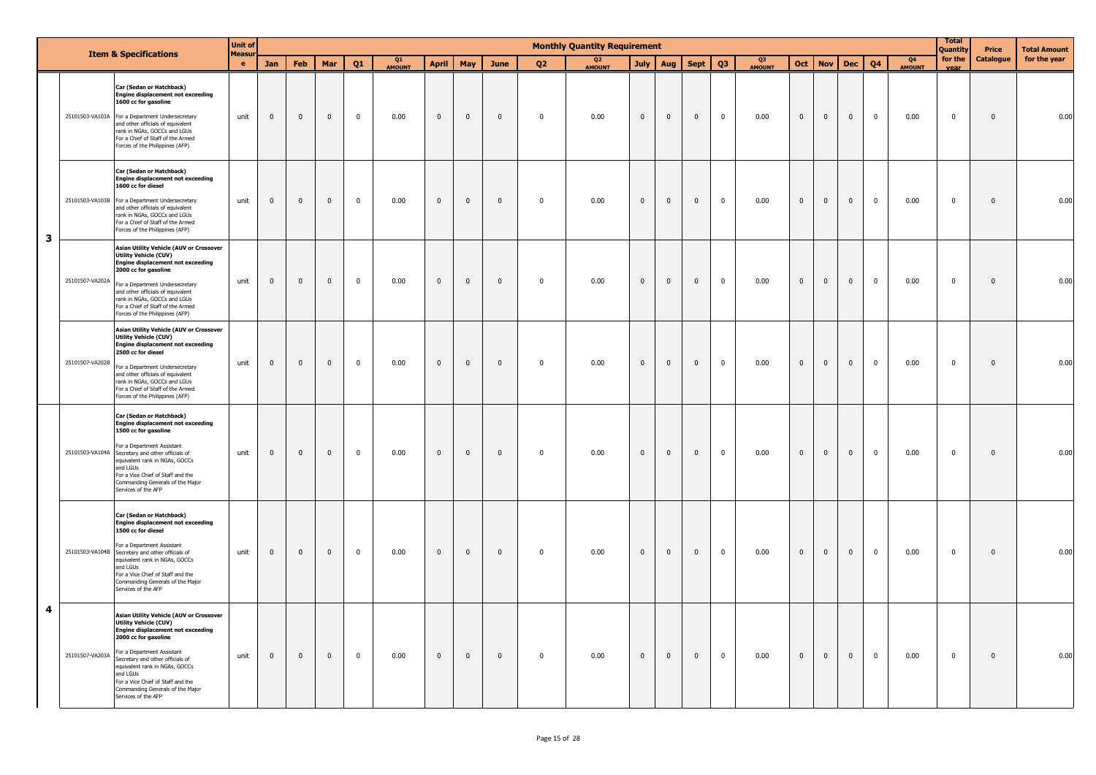|   |                 |                                                                                                                                                                                                                                                                                                                                                             | <b>Unit of</b>      |                         |                |              |             |                     |                |              |                |                | <b>Monthly Quantity Requirement</b> |                |                |                |                |                     |                |              |             |                |                                 | <b>Total</b><br>Quantity | Price        | <b>Total Amount</b> |
|---|-----------------|-------------------------------------------------------------------------------------------------------------------------------------------------------------------------------------------------------------------------------------------------------------------------------------------------------------------------------------------------------------|---------------------|-------------------------|----------------|--------------|-------------|---------------------|----------------|--------------|----------------|----------------|-------------------------------------|----------------|----------------|----------------|----------------|---------------------|----------------|--------------|-------------|----------------|---------------------------------|--------------------------|--------------|---------------------|
|   |                 | <b>Item &amp; Specifications</b>                                                                                                                                                                                                                                                                                                                            | <b>Measur</b><br>e. | Jan                     | Feb            | Mar          | Q1          | Q1<br><b>AMOUNT</b> | <b>April</b>   | May          | June           | Q <sub>2</sub> | Q <sub>2</sub><br><b>AMOUNT</b>     | <b>July</b>    | Aug            | <b>Sept</b>    | Q <sub>3</sub> | Q3<br><b>AMOUNT</b> | Oct            | <b>Nov</b>   | <b>Dec</b>  | Q <sub>4</sub> | Q <sub>4</sub><br><b>AMOUNT</b> | for the<br>vear          | Catalogue    | for the year        |
|   |                 | Car (Sedan or Hatchback)<br><b>Engine displacement not exceeding</b><br>1600 cc for gasoline<br>25101503-VA103A For a Department Undersecretary<br>and other officials of equivalent<br>rank in NGAs, GOCCs and LGUs<br>For a Chief of Staff of the Armed<br>Forces of the Philippines (AFP)                                                                | unit                | $\mathbf 0$             | $\overline{0}$ | $\mathbf{0}$ | $\mathbf 0$ | 0.00                | $\overline{0}$ | $\mathbf{0}$ | $\overline{0}$ | $\mathbf{0}$   | 0.00                                | $\mathbf 0$    | $\mathbf{0}$   | $\mathbf 0$    | $\mathbf 0$    | 0.00                | $\mathbf{0}$   | $\mathbf{0}$ | $\mathbf 0$ | $\mathbf{0}$   | 0.00                            | $\mathbf 0$              | $\mathbf{0}$ | 0.00                |
| 3 |                 | Car (Sedan or Hatchback)<br><b>Engine displacement not exceeding</b><br>1600 cc for diesel<br>25101503-VA103B For a Department Undersecretary<br>and other officials of equivalent<br>rank in NGAs, GOCCs and LGUs<br>For a Chief of Staff of the Armed<br>Forces of the Philippines (AFP)                                                                  | unit                | $\overline{\mathbf{0}}$ | $\mathbf 0$    | $\mathbf 0$  | $\pmb{0}$   | 0.00                | $\mathbf 0$    | $\mathbf 0$  | $\overline{0}$ | $\mathbf{0}$   | 0.00                                | $\mathbf 0$    | $\mathbf{0}$   | $\overline{0}$ | $\mathbf 0$    | 0.00                | $\mathbf{0}$   | $\mathbf 0$  | $\mathbf 0$ | $\overline{0}$ | 0.00                            | $\pmb{0}$                | $\pmb{0}$    | 0.00                |
|   | 25101507-VA202A | <b>Asian Utility Vehicle (AUV or Crossover</b><br><b>Utility Vehicle (CUV)</b><br><b>Engine displacement not exceeding</b><br>2000 cc for gasoline<br>For a Department Undersecretary<br>and other officials of equivalent<br>rank in NGAs, GOCCs and LGUs<br>For a Chief of Staff of the Armed<br>Forces of the Philippines (AFP)                          | unit                | $\overline{0}$          | $\mathbf{0}$   | $\mathbf{0}$ | $\mathbf 0$ | 0.00                | $\mathbf 0$    | $\mathbf{0}$ | $\mathbf 0$    | $\mathbf 0$    | 0.00                                | $\mathbf{0}$   | $\mathbf 0$    | $\mathbf{0}$   | $\mathbf 0$    | 0.00                | $\mathbf{0}$   | $\mathbf 0$  | $\mathbf 0$ | $\overline{0}$ | 0.00                            | $\mathbf 0$              | $\mathbf 0$  | 0.00                |
|   | 25101507-VA202B | <b>Asian Utility Vehicle (AUV or Crossover</b><br><b>Utility Vehicle (CUV)</b><br><b>Engine displacement not exceeding</b><br>2500 cc for diesel<br>For a Department Undersecretary<br>and other officials of equivalent<br>rank in NGAs, GOCCs and LGUs<br>For a Chief of Staff of the Armed<br>Forces of the Philippines (AFP)                            | unit                | $\pmb{0}$               | $\mathbf 0$    | $\mathbf 0$  | $\mathbf 0$ | 0.00                | $\mathbf 0$    | $\mathbf 0$  | $\mathbf{0}$   | $\mathbf 0$    | 0.00                                | $\mathbf{0}$   | $\overline{0}$ | $\mathbf{0}$   | $\mathbf 0$    | 0.00                | $\mathbf{0}$   | $\mathbf{0}$ | $\pmb{0}$   | $\overline{0}$ | 0.00                            | $\pmb{0}$                | $\mathbf 0$  | 0.00                |
|   |                 | Car (Sedan or Hatchback)<br><b>Engine displacement not exceeding</b><br>1500 cc for gasoline<br>For a Department Assistant<br>25101503-VA104A Secretary and other officials of<br>equivalent rank in NGAs, GOCCs<br>and LGUs<br>For a Vice Chief of Staff and the<br>Commanding Generals of the Major<br>Services of the AFP                                | unit                | $\overline{0}$          | $\mathbf{0}$   | $\mathbf{0}$ | $\mathbf 0$ | 0.00                | $\overline{0}$ | $\mathbf{0}$ | $\overline{0}$ | $\mathbf{0}$   | 0.00                                | $\overline{0}$ | $\mathbf{0}$   | $\mathbf{0}$   | $\overline{0}$ | 0.00                | $\mathbf{0}$   | $\mathbf{0}$ | $\mathbf 0$ | $\mathbf 0$    | 0.00                            | $\mathbf 0$              | $\mathbf{0}$ | 0.00                |
|   | 25101503-VA104B | Car (Sedan or Hatchback)<br><b>Engine displacement not exceeding</b><br>1500 cc for diesel<br>For a Department Assistant<br>Secretary and other officials of<br>equivalent rank in NGAs, GOCCs<br>and LGUs<br>For a Vice Chief of Staff and the<br>Commanding Generals of the Major<br>Services of the AFP                                                  | unit                | $\overline{0}$          | $\overline{0}$ | $\mathbf{0}$ | $\mathbf 0$ | 0.00                | $\overline{0}$ | $\mathbf 0$  | $\mathbf 0$    | $\mathbf{0}$   | 0.00                                | $\mathbf 0$    | $\overline{0}$ | $\overline{0}$ | $\overline{0}$ | 0.00                | $\mathbf{0}$   | $\mathbf 0$  | $\mathbf 0$ | $\mathbf{0}$   | 0.00                            | $\mathbf 0$              | $\mathbf 0$  | 0.00                |
| 4 | 25101507-VA203A | Asian Utility Vehicle (AUV or Crossover<br><b>Utility Vehicle (CUV)</b><br><b>Engine displacement not exceeding</b><br>2000 cc for gasoline<br>For a Department Assistant<br>Secretary and other officials of<br>equivalent rank in NGAs, GOCCs<br>and LGUs<br>For a Vice Chief of Staff and the<br>Commanding Generals of the Major<br>Services of the AFP | unit                | $\mathbf 0$             | $\overline{0}$ | $\mathbf{0}$ | $\pmb{0}$   | 0.00                | $\overline{0}$ | $\mathbf{0}$ | $\mathbf{0}$   | $\mathbf 0$    | 0.00                                | $\mathbf 0$    | $\mathbf{0}$   | $\mathbf 0$    | $\overline{0}$ | 0.00                | $\overline{0}$ | $\mathbf{0}$ | $\mathbf 0$ | $\overline{0}$ | 0.00                            | $\pmb{0}$                | $\mathbf 0$  | 0.00                |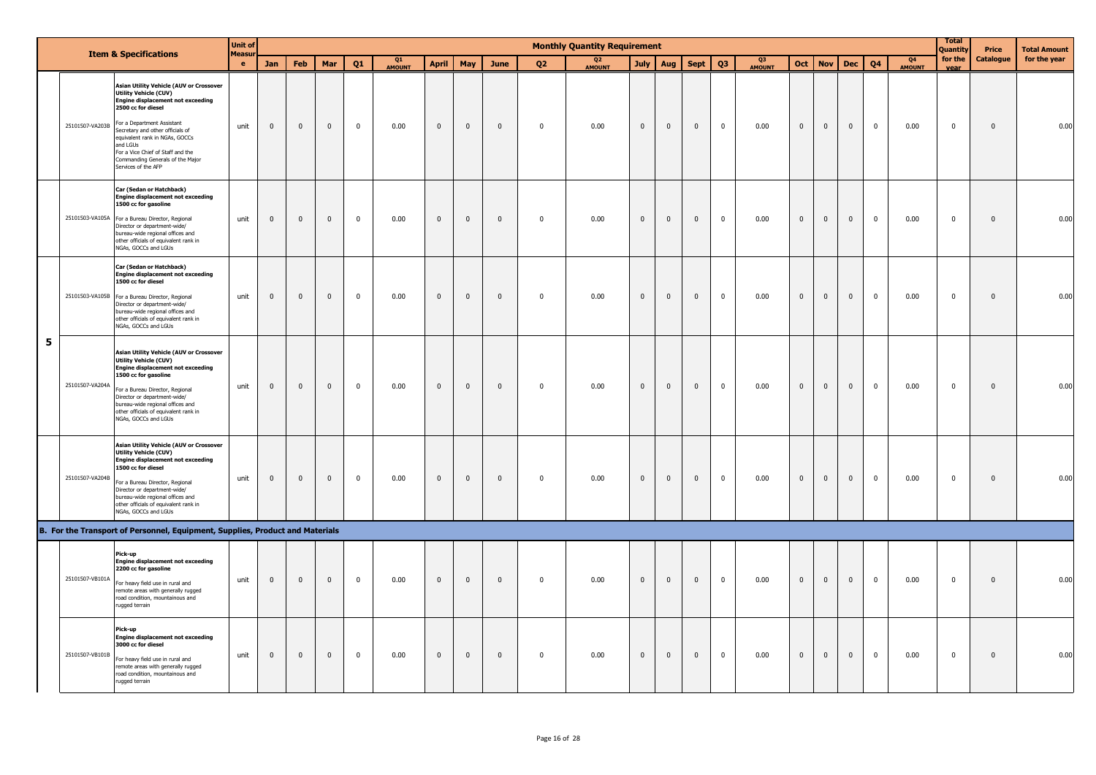|   |                 |                                                                                                                                                                                                                                                                                                                                                           | <b>Unit of</b>      |                |                |              |              |              |              |                |              |              | <b>Monthly Quantity Requirement</b> |              |              |              |              |                                 |              |                         |                |              |                          | <b>Total</b><br>Quantity | Price        | <b>Total Amount</b> |
|---|-----------------|-----------------------------------------------------------------------------------------------------------------------------------------------------------------------------------------------------------------------------------------------------------------------------------------------------------------------------------------------------------|---------------------|----------------|----------------|--------------|--------------|--------------|--------------|----------------|--------------|--------------|-------------------------------------|--------------|--------------|--------------|--------------|---------------------------------|--------------|-------------------------|----------------|--------------|--------------------------|--------------------------|--------------|---------------------|
|   |                 | <b>Item &amp; Specifications</b>                                                                                                                                                                                                                                                                                                                          | Measur<br>$\bullet$ | Jan            | <b>Feb</b>     | Mar          | 01           | Q1<br>AMOUNT | <b>April</b> | May            | June         | 02           | Q <sub>2</sub><br><b>AMOUNT</b>     | July         | Aug          | <b>Sept</b>  | Q3           | Q <sub>3</sub><br><b>AMOUNT</b> | Oct          | <b>Nov</b>              | <b>Dec</b>     | 04           | Q <sub>4</sub><br>AMOUNT | for the<br>Vear          | Catalogue    | for the year        |
|   | 25101507-VA203B | <b>Asian Utility Vehicle (AUV or Crossover</b><br>Utility Vehicle (CUV)<br><b>Engine displacement not exceeding</b><br>2500 cc for diesel<br>For a Department Assistant<br>Secretary and other officials of<br>equivalent rank in NGAs, GOCCs<br>and LGUs<br>For a Vice Chief of Staff and the<br>Commanding Generals of the Major<br>Services of the AFP | unit                | $\mathbf 0$    | $\mathbf 0$    | $\mathbf 0$  | $\mathbf 0$  | 0.00         | $\mathbf 0$  | $\mathbf 0$    | $\mathbf 0$  | $\mathbf 0$  | 0.00                                | $\mathbf 0$  | $\mathbf 0$  | $\mathbf 0$  | $\mathbf 0$  | 0.00                            | $\mathbf 0$  | $\mathbf 0$             | $\overline{0}$ | $\mathbf 0$  | 0.00                     | $\mathbf 0$              | $\mathbf 0$  | 0.00                |
|   |                 | Car (Sedan or Hatchback)<br><b>Engine displacement not exceeding</b><br>1500 cc for gasoline<br>25101503-VA105A For a Bureau Director, Regional<br>Director or department-wide/<br>bureau-wide regional offices and<br>other officials of equivalent rank in<br>NGAs, GOCCs and LGUs                                                                      | unit                | $\mathbf{0}$   | $\mathbf 0$    | $\mathbf 0$  | $\mathbf 0$  | 0.00         | $\mathbf 0$  | $\mathbf 0$    | $\mathbf 0$  | $\mathbf 0$  | 0.00                                | $\mathbf 0$  | $\mathbf 0$  | $\mathbf 0$  | $\mathbf 0$  | 0.00                            | $\mathbf 0$  | $\mathbf{0}$            | $\mathbf{0}$   | $\mathbf 0$  | 0.00                     | $\mathbf 0$              | $\mathbf{0}$ | 0.00                |
|   |                 | Car (Sedan or Hatchback)<br><b>Engine displacement not exceeding</b><br>1500 cc for diesel<br>25101503-VA105B For a Bureau Director, Regional<br>Director or department-wide/<br>bureau-wide regional offices and<br>other officials of equivalent rank in<br>NGAs, GOCCs and LGUs                                                                        | unit                | $\overline{0}$ | $\overline{0}$ | $\mathbf{0}$ | $\mathbf{0}$ | 0.00         | $\mathbf{0}$ | $\overline{0}$ | $\mathbf{0}$ | $\mathbf{0}$ | 0.00                                | $\mathbf{0}$ | $\mathbf{0}$ | $\mathbf{0}$ | $\mathbf{0}$ | 0.00                            | $\mathbf{0}$ | $\overline{0}$          | $\mathbf{0}$   | $\mathbf{0}$ | 0.00                     | $\overline{0}$           | $\mathbf{0}$ | 0.00                |
| 5 | 25101507-VA204A | <b>Asian Utility Vehicle (AUV or Crossover</b><br>Utility Vehicle (CUV)<br><b>Engine displacement not exceeding</b><br>1500 cc for gasoline<br>For a Bureau Director, Regional<br>Director or department-wide/<br>bureau-wide regional offices and<br>other officials of equivalent rank in<br>NGAs, GOCCs and LGUs                                       | unit                | $\overline{0}$ | $\mathbf 0$    | $\mathbf 0$  | $\mathbf{0}$ | 0.00         | $\mathbf 0$  | $\mathbf 0$    | $\mathbf{0}$ | $\mathbf 0$  | 0.00                                | $\mathbf{0}$ | $\mathbf 0$  | $\mathbf 0$  | $\mathbf{0}$ | 0.00                            | $\mathbf 0$  | $\mathbf{0}$            | $\mathbf{0}$   | $\mathbf 0$  | 0.00                     | $\mathbf 0$              | $\mathbf{0}$ | 0.00                |
|   | 25101507-VA204B | <b>Asian Utility Vehicle (AUV or Crossover</b><br><b>Utility Vehicle (CUV)</b><br><b>Engine displacement not exceeding</b><br>1500 cc for diesel<br>For a Bureau Director, Regional<br>Director or department-wide/<br>bureau-wide regional offices and<br>other officials of equivalent rank in<br>NGAs, GOCCs and LGUs                                  | unit                | $\mathbf 0$    | $\mathbf 0$    | $\mathbf{0}$ | $\mathbf{0}$ | 0.00         | $\mathbf 0$  | $\mathbf 0$    | $\mathbf 0$  | $\pmb{0}$    | 0.00                                | $\mathsf 0$  | $\mathbf 0$  | $\mathbf 0$  | $^{\circ}$   | 0.00                            | $\mathbf 0$  | $\overline{\mathbf{0}}$ | $\overline{0}$ | $\mathbf 0$  | 0.00                     | $\mathbf 0$              | $\mathbf 0$  | 0.00                |
|   |                 | B. For the Transport of Personnel, Equipment, Supplies, Product and Materials                                                                                                                                                                                                                                                                             |                     |                |                |              |              |              |              |                |              |              |                                     |              |              |              |              |                                 |              |                         |                |              |                          |                          |              |                     |
|   | 25101507-VB101A | Pick-up<br><b>Engine displacement not exceeding</b><br>2200 cc for gasoline<br>For heavy field use in rural and<br>remote areas with generally rugged<br>road condition, mountainous and<br>rugged terrain                                                                                                                                                | unit                | $\mathbf{0}$   | $\mathbf 0$    | $\mathbf 0$  | $\mathbf 0$  | 0.00         | $\mathbf 0$  | $\mathbf 0$    | $\mathbf 0$  | $\pmb{0}$    | 0.00                                | $\mathbf{0}$ | $\mathbf 0$  | $\mathbf 0$  | $\mathbf 0$  | 0.00                            | $\pmb{0}$    | $\mathbf{0}$            | $\mathbf{0}$   | $\mathbf 0$  | 0.00                     | $\mathbf 0$              | $\pmb{0}$    | 0.00                |
|   | 25101507-VB101B | Pick-up<br><b>Engine displacement not exceeding</b><br>3000 cc for diesel<br>For heavy field use in rural and<br>remote areas with generally rugged<br>road condition, mountainous and<br>rugged terrain                                                                                                                                                  | unit                | $\mathbf{0}$   | $\mathbf 0$    | $\mathbf{0}$ | $\mathbf 0$  | 0.00         | $\mathbf 0$  | $\mathbf 0$    | $\mathbf{0}$ | $\mathbf 0$  | 0.00                                | $\mathbf 0$  | $\mathbf 0$  | $\mathbf 0$  | $\mathbf 0$  | 0.00                            | $\mathbf 0$  | $\mathbf{0}$            | $\mathbf{0}$   | $\pmb{0}$    | 0.00                     | $\mathbf 0$              | $\mathbf 0$  | 0.00                |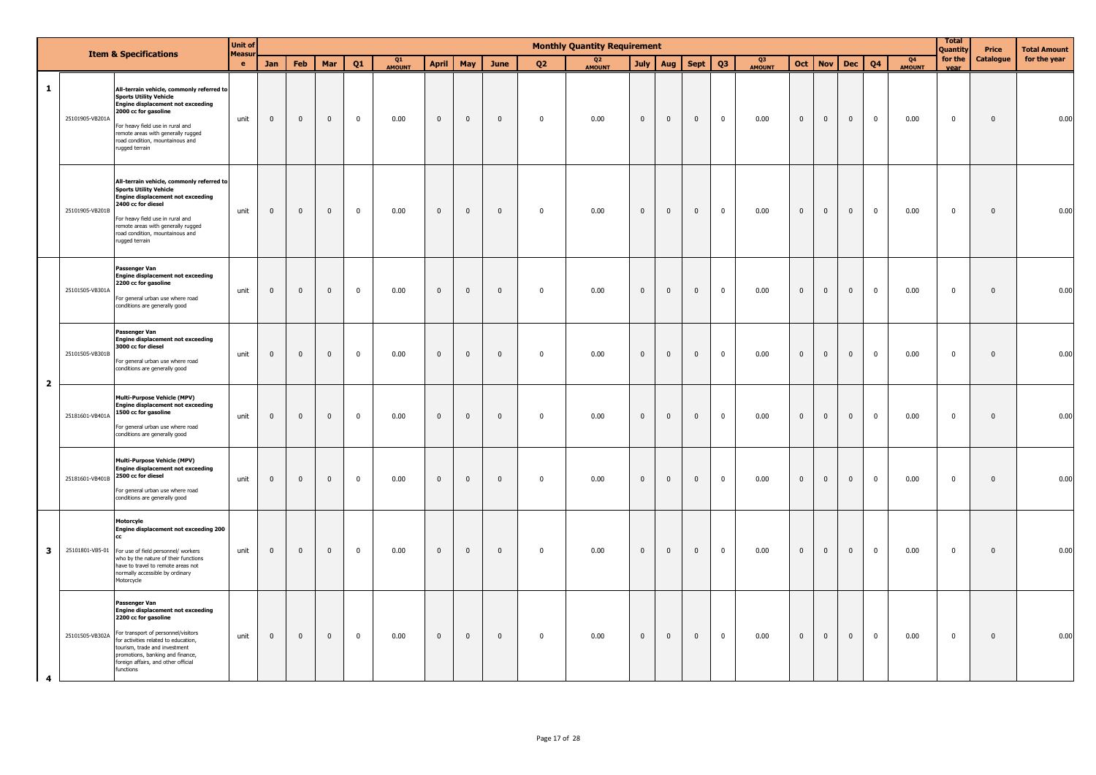|                |                 | <b>Item &amp; Specifications</b>                                                                                                                                                                                                                                                          | <b>Unit of</b>     |                         |              |              |                |              |                |              |              |                | <b>Monthly Quantity Requirement</b> |              |              |                |                |              |                |              |             |                |                          | <b>Total</b><br>Quantity | Price        | <b>Total Amount</b> |
|----------------|-----------------|-------------------------------------------------------------------------------------------------------------------------------------------------------------------------------------------------------------------------------------------------------------------------------------------|--------------------|-------------------------|--------------|--------------|----------------|--------------|----------------|--------------|--------------|----------------|-------------------------------------|--------------|--------------|----------------|----------------|--------------|----------------|--------------|-------------|----------------|--------------------------|--------------------------|--------------|---------------------|
|                |                 |                                                                                                                                                                                                                                                                                           | Measu<br>$\bullet$ | Jan                     | <b>Feb</b>   | Mar          | O <sub>1</sub> | Q1<br>AMOUNT | <b>April</b>   | May          | June         | Q <sub>2</sub> | Q <sub>2</sub><br>AMOUNT            | <b>July</b>  | Aug          | Sept           | Q <sub>3</sub> | Q3<br>AMOUNT | Oct            | <b>Nov</b>   | <b>Dec</b>  | 04             | Q <sub>4</sub><br>AMOUNT | for the<br>vear          | Catalogue    | for the year        |
| $\mathbf{1}$   | 25101905-VB201A | All-terrain vehicle, commonly referred to<br><b>Sports Utility Vehicle</b><br><b>Engine displacement not exceeding</b><br>2000 cc for gasoline<br>For heavy field use in rural and<br>remote areas with generally rugged<br>oad condition, mountainous and<br>ugged terrain               | unit               | $\overline{\mathbf{0}}$ | $\mathbf 0$  | $\bf{0}$     | $\pmb{0}$      | 0.00         | $\mathbf 0$    | $\mathbf 0$  | $\mathbf{0}$ | $\mathbf 0$    | 0.00                                | $\mathbf 0$  | $\mathbf 0$  | $\mathbf 0$    | $\pmb{0}$      | 0.00         | $\mathbf 0$    | $\mathbf 0$  | $\mathbf 0$ | $\mathbf{0}$   | 0.00                     | $\mathbf 0$              | $\pmb{0}$    | 0.00                |
|                | 25101905-VB201B | All-terrain vehicle, commonly referred to<br><b>Sports Utility Vehicle</b><br><b>Engine displacement not exceeding</b><br>2400 cc for diesel<br>For heavy field use in rural and<br>remote areas with generally rugged<br>road condition, mountainous and<br>ugged terrain                | unit               | $\mathbf 0$             | $\mathbf 0$  | $\mathbf{0}$ | $\mathbf 0$    | 0.00         | $\mathbf 0$    | $\mathbf 0$  | $\mathbf{0}$ | $\mathbf{0}$   | 0.00                                | $\mathbf 0$  | $\mathbf{0}$ | $\mathbf{0}$   | $\mathbf 0$    | 0.00         | $\mathbf{0}$   | $\mathbf{0}$ | $\mathbf 0$ | $\mathbf{0}$   | 0.00                     | $\mathbf 0$              | $\Omega$     | 0.00                |
|                | 25101505-VB301A | Passenger Van<br><b>Engine displacement not exceeding</b><br>2200 cc for gasoline<br>For general urban use where road<br>conditions are generally good                                                                                                                                    | unit               | $\mathbf 0$             | $\mathbf{0}$ | $\bf{0}$     | $\mathbf 0$    | 0.00         | $\mathbf 0$    | $\bf{0}$     | $\mathbf{0}$ | $\mathbf 0$    | 0.00                                | $\mathbf 0$  | $\mathbf{0}$ | $\mathbf{0}$   | $\mathbf 0$    | 0.00         | $\mathbf{0}$   | $\mathbf{0}$ | $\mathbf 0$ | $\mathbf 0$    | 0.00                     | $\mathbf 0$              | $\mathbf 0$  | 0.00                |
| $\mathbf{2}$   | 25101505-VB301B | Passenger Van<br><b>Engine displacement not exceeding</b><br>3000 cc for diesel<br>For general urban use where road<br>conditions are generally good                                                                                                                                      | unit               | $\mathbf 0$             | $\mathbf{0}$ | $\mathbf 0$  | $\mathbf 0$    | 0.00         | $\mathbf{0}$   | $\mathbf 0$  | $\mathbf{0}$ | $\mathbf 0$    | 0.00                                | $\mathbf 0$  | $\mathbf 0$  | $\mathbf 0$    | $\mathbf 0$    | 0.00         | $\mathbf{0}$   | $\mathbf{0}$ | $\mathbf 0$ | $\mathbf 0$    | 0.00                     | $\mathbf 0$              | $\mathbf{0}$ | 0.00                |
|                | 25181601-VB401A | <b>Multi-Purpose Vehicle (MPV)</b><br><b>Engine displacement not exceeding</b><br>1500 cc for gasoline<br>For general urban use where road<br>conditions are generally good                                                                                                               | unit               | $\mathbf 0$             | $\mathbf 0$  | $\mathbf 0$  | $\mathbf 0$    | 0.00         | $\mathbf 0$    | $\mathbf 0$  | $\mathbf{0}$ | $\mathbf 0$    | 0.00                                | $\mathbf 0$  | $\mathbf{0}$ | $\mathbf{0}$   | $\mathbf{0}$   | 0.00         | $\overline{0}$ | $\mathbf 0$  | $\mathbf 0$ | $\mathbf 0$    | 0.00                     | $\mathbf 0$              | $\mathbf{0}$ | 0.00                |
|                | 25181601-VB401B | <b>Multi-Purpose Vehicle (MPV)</b><br><b>Engine displacement not exceeding</b><br>2500 cc for diesel<br>For general urban use where road<br>conditions are generally good                                                                                                                 | unit               | $\pmb{0}$               | $\mathbf 0$  | $\pmb{0}$    | $\pmb{0}$      | 0.00         | $\mathbf 0$    | $\mathbf 0$  | $\mathbf{0}$ | $\mathbf 0$    | 0.00                                | $\mathbf 0$  | $\mathbf 0$  | $\mathbf 0$    | $\mathbf 0$    | 0.00         | $\mathbf{0}$   | $\mathbf 0$  | $\pmb{0}$   | $\overline{0}$ | 0.00                     | $\pmb{0}$                | $\mathbf{0}$ | 0.00                |
| $\mathbf{3}$   |                 | Motorcyle<br>Engine displacement not exceeding 200<br>cc.<br>25101801-VB5-01 For use of field personnel/ workers<br>who by the nature of their functions<br>have to travel to remote areas not<br>normally accessible by ordinary<br>Motorcycle                                           | unit               | $\mathbf 0$             | $\mathbf 0$  | $\mathbf{0}$ | $\mathbf 0$    | 0.00         | $\mathbf{0}$   | $\mathbf{0}$ | $\mathbf{0}$ | $\mathbf 0$    | 0.00                                | $\mathbf{0}$ | $\mathbf{0}$ | $\mathbf{0}$   | $\mathbf 0$    | 0.00         | $\mathbf{0}$   | $\mathbf{0}$ | $\mathbf 0$ | $\mathbf{0}$   | 0.00                     | $\mathbf 0$              | $\mathbf{0}$ | 0.00                |
| $\overline{4}$ | 25101505-VB302A | Passenger Van<br><b>Engine displacement not exceeding</b><br>2200 cc for gasoline<br>For transport of personnel/visitors<br>for activities related to education,<br>tourism, trade and investment<br>promotions, banking and finance,<br>foreign affairs, and other official<br>functions | unit               | $\mathbf 0$             | $\mathbf 0$  | $\pmb{0}$    | $\mathbf 0$    | 0.00         | $\overline{0}$ | $\mathsf 0$  | $\mathbf 0$  | $\mathbf 0$    | 0.00                                | $\mathbf 0$  | $\mathbf 0$  | $\overline{0}$ | $\overline{0}$ | 0.00         | $\mathbf 0$    | $\mathbf 0$  | $\mathbf 0$ | $\mathbf{0}$   | 0.00                     | $\pmb{0}$                | $\pmb{0}$    | 0.00                |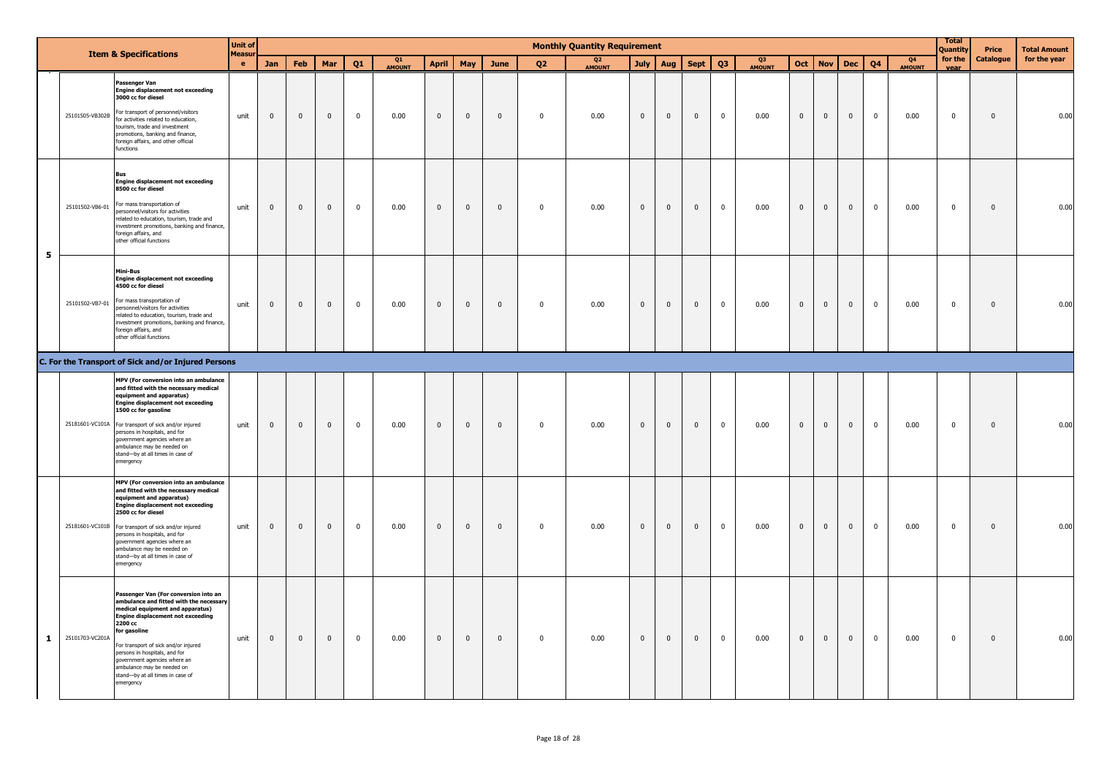|              |                 |                                                                                                                                                                                                                                                                                                                                                                                        | <b>Unit of</b>      |              |                |              |             |                     |                |                |              |                | <b>Monthly Quantity Requirement</b> |                |                |                |                |                     |                |                |                |                |                     | <b>Total</b><br>Quantity | Price        | <b>Total Amount</b> |
|--------------|-----------------|----------------------------------------------------------------------------------------------------------------------------------------------------------------------------------------------------------------------------------------------------------------------------------------------------------------------------------------------------------------------------------------|---------------------|--------------|----------------|--------------|-------------|---------------------|----------------|----------------|--------------|----------------|-------------------------------------|----------------|----------------|----------------|----------------|---------------------|----------------|----------------|----------------|----------------|---------------------|--------------------------|--------------|---------------------|
|              |                 | <b>Item &amp; Specifications</b>                                                                                                                                                                                                                                                                                                                                                       | Measur<br>$\bullet$ | Jan          | Feb            | Mar          | Q1          | Q1<br><b>AMOUNT</b> | <b>April</b>   | May            | June         | Q <sub>2</sub> | Q <sub>2</sub><br><b>AMOUNT</b>     |                | July   Aug     | Sept           | Q <sub>3</sub> | Q3<br><b>AMOUNT</b> | Oct            | <b>Nov</b>     | <b>Dec</b>     | Q <sub>4</sub> | Q4<br><b>AMOUNT</b> | for the<br>vear          | Catalogue    | for the year        |
|              |                 | Passenger Van<br><b>Engine displacement not exceeding</b><br>3000 cc for diesel<br>25101505-VB302B For transport of personnel/visitors<br>for activities related to education,<br>tourism, trade and investment<br>promotions, banking and finance,<br>foreign affairs, and other official<br>functions                                                                                | unit                | $\mathbf{0}$ | $\overline{0}$ | $\mathbf{0}$ | $\mathbf 0$ | 0.00                | $\overline{0}$ | $\mathbf 0$    | $\mathbf{0}$ | $\mathbf 0$    | 0.00                                | $\mathbf{0}$   | $\mathbf{0}$   | $\mathbf{0}$   | $\mathbf 0$    | 0.00                | $\overline{0}$ | $\overline{0}$ | $\overline{0}$ | $\mathbf 0$    | 0.00                | $\overline{\mathbf{0}}$  | $\mathbf 0$  | 0.00                |
| 5            | 25101502-VB6-01 | <b>Rus</b><br><b>Engine displacement not exceeding</b><br>8500 cc for diesel<br>For mass transportation of<br>personnel/visitors for activities<br>related to education, tourism, trade and<br>nvestment promotions, banking and finance,<br>foreign affairs, and<br>other official functions                                                                                          | unit                | $\mathbf 0$  | $\overline{0}$ | $\pmb{0}$    | $\mathbf 0$ | 0.00                | $\mathbf 0$    | $\overline{0}$ | $\mathbf 0$  | $\mathbf 0$    | 0.00                                | $\mathbf 0$    | $\mathbf 0$    | $\overline{0}$ | $\mathbf 0$    | 0.00                | $\bf{0}$       | $\overline{0}$ | $\overline{0}$ | $\mathbf 0$    | 0.00                | $\overline{\mathbf{0}}$  | $\mathbf 0$  | 0.00                |
|              |                 | Mini-Bus<br><b>Engine displacement not exceeding</b><br>4500 cc for diesel<br>25101502-VB7-01 For mass transportation of<br>personnel/visitors for activities<br>related to education, tourism, trade and<br>nvestment promotions, banking and finance,<br>foreign affairs, and<br>other official functions                                                                            | unit                | $\mathbf{0}$ | $\overline{0}$ | $\mathbf 0$  | $\mathbf 0$ | 0.00                | $\mathbf 0$    | $\mathbf 0$    | $\mathbf 0$  | $\mathbf 0$    | 0.00                                | $\mathbf{0}$   | $\overline{0}$ | $\mathbf{0}$   | $\mathbf 0$    | 0.00                | $\mathbf{0}$   | $\mathbf{0}$   | $\overline{0}$ | $\mathbf 0$    | 0.00                | $\mathbf 0$              | $\mathbf 0$  | 0.00                |
|              |                 | C. For the Transport of Sick and/or Injured Persons                                                                                                                                                                                                                                                                                                                                    |                     |              |                |              |             |                     |                |                |              |                |                                     |                |                |                |                |                     |                |                |                |                |                     |                          |              |                     |
|              |                 | MPV (For conversion into an ambulance<br>and fitted with the necessary medical<br>equipment and apparatus)<br><b>Engine displacement not exceeding</b><br>1500 cc for gasoline<br>25181601-VC101A For transport of sick and/or injured<br>persons in hospitals, and for<br>government agencies where an<br>ambulance may be needed on<br>stand-by at all times in case of<br>emergency | unit                | $\mathbf{0}$ | $\overline{0}$ | $\mathbf{0}$ | $\mathbf 0$ | 0.00                | $\mathbf 0$    | $\overline{0}$ | $\mathbf{0}$ | $\mathbf 0$    | 0.00                                | $\overline{0}$ | $\overline{0}$ | $\mathbf{0}$   | $\mathbf{0}$   | 0.00                | $\overline{0}$ | $\mathbf{0}$   | $\overline{0}$ | $\mathbf 0$    | 0.00                | $\overline{\mathbf{0}}$  | $\mathbf{0}$ | 0.00                |
|              |                 | MPV (For conversion into an ambulance<br>and fitted with the necessary medical<br>equipment and apparatus)<br><b>Engine displacement not exceeding</b><br>2500 cc for diesel<br>25181601-VC101B For transport of sick and/or injured<br>persons in hospitals, and for<br>government agencies where an<br>ambulance may be needed on<br>stand-by at all times in case of<br>emergency   | unit                | $\mathbf{0}$ | $\overline{0}$ | $\pmb{0}$    | $\mathbf 0$ | 0.00                | $\mathbf 0$    | $\mathbf 0$    | $\pmb{0}$    | $\mathbf 0$    | 0.00                                | $\mathbf 0$    | $\mathbf 0$    | $\overline{0}$ | $\mathbf 0$    | 0.00                | $\overline{0}$ | $\overline{0}$ | $\overline{0}$ | $\mathbf 0$    | 0.00                | $\overline{\mathbf{0}}$  | $\mathbf 0$  | 0.00                |
| $\mathbf{1}$ | 25101703-VC201A | Passenger Van (For conversion into an<br>ambulance and fitted with the necessary<br>medical equipment and apparatus)<br><b>Engine displacement not exceeding</b><br>2200 cc<br>for gasoline<br>For transport of sick and/or injured<br>persons in hospitals, and for<br>government agencies where an<br>ambulance may be needed on<br>stand-by at all times in case of<br>emergency    | unit                | $\mathbf 0$  | $\overline{0}$ | $\mathbf 0$  | $\mathbf 0$ | 0.00                | $\mathbf 0$    | $\mathbf{0}$   | $\mathbf 0$  | $\mathbf 0$    | 0.00                                | $\mathbf{0}$   | $\overline{0}$ | $\mathbf{0}$   | $\mathbf 0$    | 0.00                | $\overline{0}$ | $\overline{0}$ | $\overline{0}$ | $\mathbf 0$    | 0.00                | $\overline{\mathbf{0}}$  | $\mathbf 0$  | 0.00                |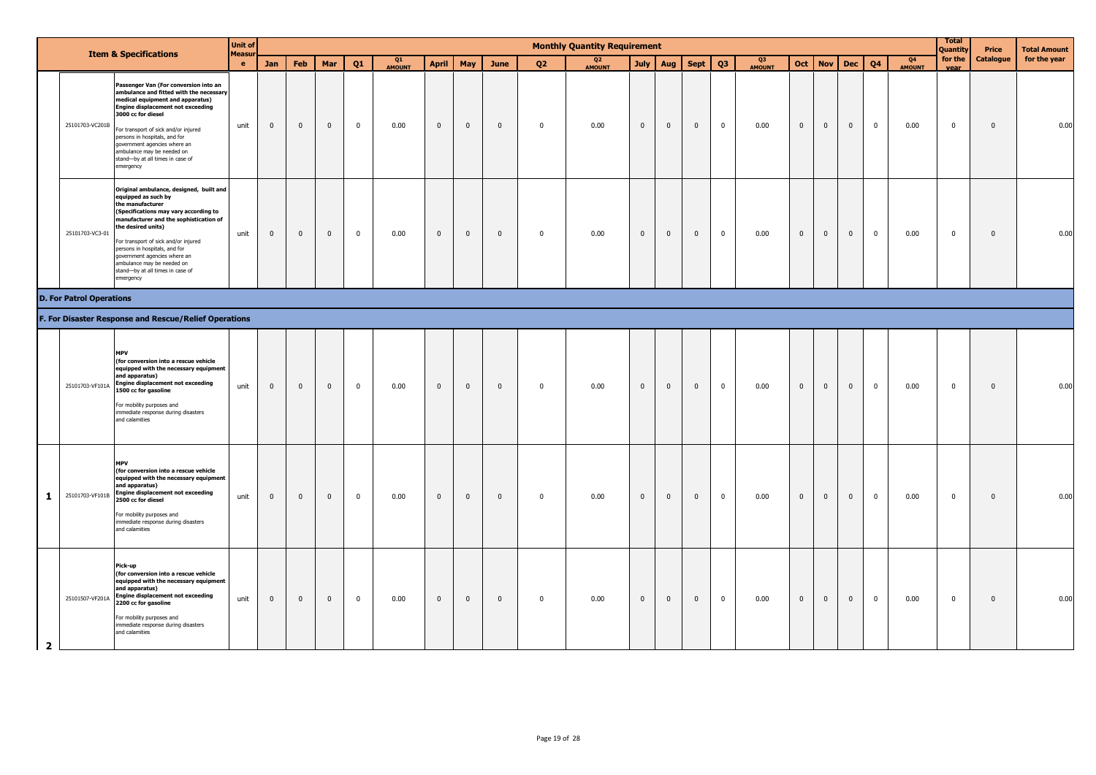|                |                                 | <b>Item &amp; Specifications</b>                                                                                                                                                                                                                                                                                                                                                    | <b>Unit of</b><br>Measur |                         |                |                         |              |              |              |                |                |                | <b>Monthly Quantity Requirement</b> |                |                |                |                |                     |              |              |              |                |                                 | <b>Total</b><br>Quantity | Price            | <b>Total Amount</b> |
|----------------|---------------------------------|-------------------------------------------------------------------------------------------------------------------------------------------------------------------------------------------------------------------------------------------------------------------------------------------------------------------------------------------------------------------------------------|--------------------------|-------------------------|----------------|-------------------------|--------------|--------------|--------------|----------------|----------------|----------------|-------------------------------------|----------------|----------------|----------------|----------------|---------------------|--------------|--------------|--------------|----------------|---------------------------------|--------------------------|------------------|---------------------|
|                |                                 |                                                                                                                                                                                                                                                                                                                                                                                     | $\bullet$                | Jan                     | <b>Feb</b>     | Mar                     | Q1           | Q1<br>AMOUNT | <b>April</b> | May            | June           | Q <sub>2</sub> | Q <sub>2</sub><br>AMOUNT            |                | July   Aug     | <b>Sept</b>    | Q <sub>3</sub> | Q3<br><b>AMOUNT</b> | <b>Oct</b>   | <b>Nov</b>   | <b>Dec</b>   | Q <sub>4</sub> | Q <sub>4</sub><br><b>AMOUNT</b> | for the<br>vear          | <b>Catalogue</b> | for the year        |
|                | 25101703-VC201B                 | Passenger Van (For conversion into an<br>ambulance and fitted with the necessary<br>medical equipment and apparatus)<br><b>Engine displacement not exceeding</b><br>3000 cc for diesel<br>For transport of sick and/or injured<br>persons in hospitals, and for<br>government agencies where an<br>ambulance may be needed on<br>stand-by at all times in case of<br>emergency      | unit                     | $\mathbf{0}$            | $\mathbf{0}$   | $\mathbf 0$             | $\mathbf 0$  | 0.00         | $\mathbf{0}$ | $\mathbf 0$    | $\overline{0}$ | $\mathbf 0$    | 0.00                                | $\mathbf{0}$   | $\mathbf{0}$   | $\mathbf{0}$   | $\mathbf 0$    | 0.00                | $\mathbf{0}$ | $\mathbf 0$  | $\mathbf{0}$ | $\overline{0}$ | 0.00                            | $\mathbf 0$              | $\mathbf 0$      | 0.00                |
|                | 25101703-VC3-01                 | Original ambulance, designed, built and<br>equipped as such by<br>the manufacturer<br>(Specifications may vary according to<br>manufacturer and the sophistication of<br>the desired units)<br>For transport of sick and/or injured<br>persons in hospitals, and for<br>government agencies where an<br>ambulance may be needed on<br>stand-by at all times in case of<br>emergency | unit                     | $\bf{0}$                | $\mathbf 0$    | $\mathbf 0$             | $\mathbf{0}$ | 0.00         | $\bf{0}$     | $\mathbf 0$    | $\overline{0}$ | $\pmb{0}$      | 0.00                                | $\overline{0}$ | $\overline{0}$ | $\overline{0}$ | $\overline{0}$ | 0.00                | $\mathbf 0$  | $\mathbf{0}$ | $\mathbf{0}$ | $\overline{0}$ | 0.00                            | $\mathbf 0$              | $\mathbf 0$      | 0.00                |
|                | <b>D. For Patrol Operations</b> |                                                                                                                                                                                                                                                                                                                                                                                     |                          |                         |                |                         |              |              |              |                |                |                |                                     |                |                |                |                |                     |              |              |              |                |                                 |                          |                  |                     |
|                |                                 | F. For Disaster Response and Rescue/Relief Operations                                                                                                                                                                                                                                                                                                                               |                          |                         |                |                         |              |              |              |                |                |                |                                     |                |                |                |                |                     |              |              |              |                |                                 |                          |                  |                     |
|                | 25101703-VF101A                 | <b>MPV</b><br>(for conversion into a rescue vehicle<br>equipped with the necessary equipment<br>and apparatus)<br><b>Engine displacement not exceeding</b><br>1500 cc for gasoline<br>For mobility purposes and<br>immediate response during disasters<br>and calamities                                                                                                            | unit                     | $\overline{0}$          | $\overline{0}$ | $\overline{\mathbf{0}}$ | $\mathbf{0}$ | 0.00         | $\bf{0}$     | $\overline{0}$ | $\overline{0}$ | $\pmb{0}$      | 0.00                                | $\overline{0}$ | $\mathbf 0$    | $\overline{0}$ | $\overline{0}$ | 0.00                | $\mathbf 0$  | $\mathbf 0$  | $\mathbf{0}$ | $\mathbf{0}$   | 0.00                            | $\mathbf{0}$             | $\mathbf 0$      | 0.00                |
| -1             |                                 | <b>MPV</b><br>(for conversion into a rescue vehicle<br>equipped with the necessary equipment<br>and apparatus)<br>25101703-VF101B Engine displacement not exceeding<br>2500 cc for diesel<br>For mobility purposes and<br>immediate response during disasters<br>and calamities                                                                                                     | unit                     | $\overline{\mathbf{0}}$ | $\mathbf 0$    | $\mathbf 0$             | $\mathbf 0$  | 0.00         | $\mathbf{0}$ | $\mathbf 0$    | $\mathbf 0$    | $\mathbf 0$    | 0.00                                | $\mathbf{0}$   | $\mathbf{0}$   | $\mathbf{0}$   | $\mathbf 0$    | 0.00                | $\mathbf 0$  | $\mathbf 0$  | $\mathbf{0}$ | $\mathbf 0$    | 0.00                            | $\overline{\mathbf{0}}$  | $\mathbf{0}$     | 0.00                |
| $\overline{2}$ | 25101507-VF201A                 | Pick-up<br>(for conversion into a rescue vehicle<br>equipped with the necessary equipment<br>and apparatus)<br><b>Engine displacement not exceeding</b><br>2200 cc for gasoline<br>For mobility purposes and<br>immediate response during disasters<br>and calamities                                                                                                               | unit                     | $\mathbf{0}$            | $\mathbf{0}$   | $\mathbf{0}$            | $\mathbf 0$  | 0.00         | $\mathbf 0$  | $\mathbf 0$    | $\overline{0}$ | $\mathbf 0$    | 0.00                                | $\mathbf 0$    | $\mathbf{0}$   | $\mathbf{0}$   | $\mathbf 0$    | 0.00                | $\mathbf 0$  | $\mathbf 0$  | $\mathbf{0}$ | $\mathbf 0$    | 0.00                            | $\mathbf 0$              | $\mathbf 0$      | 0.00                |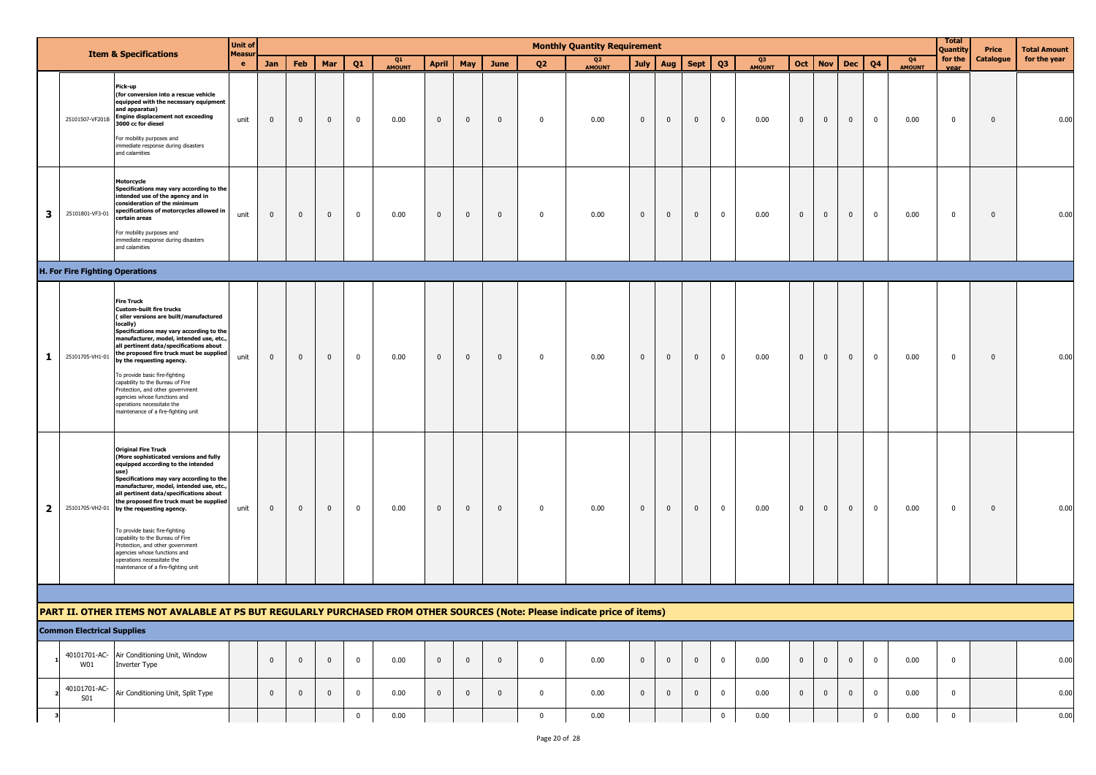|              |                                        |                                                                                                                                                                                                                                                                                                                                                                                                                                                                                                                                                              | <b>Unit of</b>     |                |             |                         |                         |                     |                |                |              |                | <b>Monthly Quantity Requirement</b> |                |              |              |                         |                     |                |              |                |             |                                 | <b>Total</b><br>Quantity | Price                   | <b>Total Amount</b> |
|--------------|----------------------------------------|--------------------------------------------------------------------------------------------------------------------------------------------------------------------------------------------------------------------------------------------------------------------------------------------------------------------------------------------------------------------------------------------------------------------------------------------------------------------------------------------------------------------------------------------------------------|--------------------|----------------|-------------|-------------------------|-------------------------|---------------------|----------------|----------------|--------------|----------------|-------------------------------------|----------------|--------------|--------------|-------------------------|---------------------|----------------|--------------|----------------|-------------|---------------------------------|--------------------------|-------------------------|---------------------|
|              |                                        | <b>Item &amp; Specifications</b>                                                                                                                                                                                                                                                                                                                                                                                                                                                                                                                             | Measu<br>$\bullet$ | Jan            | Feb         | Mar                     | Q <sub>1</sub>          | Q1<br><b>AMOUNT</b> | <b>April</b>   | May            | June         | Q <sub>2</sub> | Q <sub>2</sub><br><b>AMOUNT</b>     | <b>July</b>    | Aug          | <b>Sept</b>  | Q <sub>3</sub>          | Q3<br><b>AMOUNT</b> |                | Oct   Nov    | <b>Dec</b>     | Q4          | Q <sub>4</sub><br><b>AMOUNT</b> | for the<br>vear          | Catalogue               | for the year        |
|              | 25101507-VF201B                        | Pick-up<br>(for conversion into a rescue vehicle<br>equipped with the necessary equipment<br>and apparatus)<br><b>Engine displacement not exceeding</b><br>3000 cc for diesel<br>For mobility purposes and<br>immediate response during disasters<br>and calamities                                                                                                                                                                                                                                                                                          | unit               | $\mathbf 0$    | $\mathbf 0$ | $\overline{\mathbf{0}}$ | $\overline{\mathbf{0}}$ | 0.00                | $\mathbf 0$    | $\mathbf 0$    | $\mathbf{0}$ | $\mathbf 0$    | 0.00                                | $\mathbf 0$    | $\mathbf 0$  | $\mathbf{0}$ | $\overline{\mathbf{0}}$ | 0.00                | $\mathbf 0$    | $\mathbf 0$  | $\mathbf 0$    | $\mathbf 0$ | 0.00                            | $\mathbf 0$              | $\mathbf 0$             | 0.00                |
| 3            | 25101801-VF3-01                        | Motorcycle<br>Specifications may vary according to the<br>intended use of the agency and in<br>consideration of the minimum<br>specifications of motorcycles allowed in<br>certain areas<br>For mobility purposes and<br>mmediate response during disasters<br>and calamities                                                                                                                                                                                                                                                                                | unit               | $\mathbf 0$    | $\mathbf 0$ | $\mathbf{0}$            | $\overline{0}$          | 0.00                | $\bf{0}$       | $\mathbf 0$    | $\mathbf{0}$ | $\mathbf 0$    | 0.00                                | $\mathbf{0}$   | $\mathbf{0}$ | $\mathbf{0}$ | $\mathbf{0}$            | 0.00                | $\mathbf 0$    | $\mathbf{0}$ | $\overline{0}$ | $\mathbf 0$ | 0.00                            | $\mathbf 0$              | $\overline{0}$          | 0.00                |
|              | <b>H. For Fire Fighting Operations</b> |                                                                                                                                                                                                                                                                                                                                                                                                                                                                                                                                                              |                    |                |             |                         |                         |                     |                |                |              |                |                                     |                |              |              |                         |                     |                |              |                |             |                                 |                          |                         |                     |
| 1            | 25101705-VH1-01                        | <b>Fire Truck</b><br><b>Custom-built fire trucks</b><br>(siler versions are built/manufactured<br>locally)<br>Specifications may vary according to the<br>manufacturer, model, intended use, etc.<br>all pertinent data/specifications about<br>the proposed fire truck must be supplied<br>by the requesting agency.<br>To provide basic fire-fighting<br>capability to the Bureau of Fire<br>Protection, and other government<br>agencies whose functions and<br>operations necessitate the<br>maintenance of a fire-fighting unit                         | unit               | $\mathbf 0$    | $\mathbf 0$ | $\mathbf{0}$            | $\mathbf{0}$            | 0.00                | $\bf{0}$       | $\overline{0}$ | $\mathbf{0}$ | $\overline{0}$ | 0.00                                | $\overline{0}$ | $\mathbf 0$  | $\mathbf{0}$ | $\mathbf 0$             | 0.00                | $\overline{0}$ | $\mathbf{0}$ | $\overline{0}$ | $\mathbf 0$ | 0.00                            | $\mathbf 0$              | $\overline{\mathbf{0}}$ | 0.00                |
| $\mathbf{2}$ |                                        | <b>Original Fire Truck</b><br>(More sophisticated versions and fully<br>equipped according to the intended<br>use)<br>Specifications may vary according to the<br>manufacturer, model, intended use, etc.<br>all pertinent data/specifications about<br>the proposed fire truck must be supplied<br>25101705-VH2-01 by the requesting agency.<br>To provide basic fire-fighting<br>capability to the Bureau of Fire<br>Protection, and other government<br>agencies whose functions and<br>operations necessitate the<br>maintenance of a fire-fighting unit | unit               | $\overline{0}$ | $\mathbf 0$ | $\mathbf{0}$            | $\mathbf 0$             | 0.00                | $\bf{0}$       | $\overline{0}$ | $\mathbf 0$  | $\overline{0}$ | 0.00                                | $\overline{0}$ | $\mathbf 0$  | $\mathbf 0$  | $\mathbf{0}$            | 0.00                | $\overline{0}$ | $\mathbf{0}$ | $\overline{0}$ | $\mathbf 0$ | 0.00                            | $\mathbf 0$              | $\overline{\mathbf{0}}$ | 0.00                |
|              |                                        |                                                                                                                                                                                                                                                                                                                                                                                                                                                                                                                                                              |                    |                |             |                         |                         |                     |                |                |              |                |                                     |                |              |              |                         |                     |                |              |                |             |                                 |                          |                         |                     |
|              |                                        | PART II. OTHER ITEMS NOT AVALABLE AT PS BUT REGULARLY PURCHASED FROM OTHER SOURCES (Note: Please indicate price of items)                                                                                                                                                                                                                                                                                                                                                                                                                                    |                    |                |             |                         |                         |                     |                |                |              |                |                                     |                |              |              |                         |                     |                |              |                |             |                                 |                          |                         |                     |
|              | <b>Common Electrical Supplies</b>      |                                                                                                                                                                                                                                                                                                                                                                                                                                                                                                                                                              |                    |                |             |                         |                         |                     |                |                |              |                |                                     |                |              |              |                         |                     |                |              |                |             |                                 |                          |                         |                     |
|              | 40101701-AC-<br>W01                    | Air Conditioning Unit, Window<br>Inverter Type                                                                                                                                                                                                                                                                                                                                                                                                                                                                                                               |                    | $\mathbf 0$    | $\mathbf 0$ | $\mathbf 0$             | $\mathbf{0}$            | 0.00                | $\overline{0}$ | $\mathbf 0$    | $\mathbf{0}$ | $\mathbf 0$    | 0.00                                | $\mathbf 0$    | $\mathbf{0}$ | $\mathbf 0$  | $\overline{0}$          | 0.00                | $\overline{0}$ | $\mathbf 0$  | $\overline{0}$ | $\mathbf 0$ | 0.00                            | $\mathbf 0$              |                         | 0.00                |
|              | 40101701-AC-<br><b>S01</b>             | Air Conditioning Unit, Split Type                                                                                                                                                                                                                                                                                                                                                                                                                                                                                                                            |                    | $\mathbf 0$    | $\mathbf 0$ | $\mathbf 0$             | $\mathbf{0}$            | 0.00                | $\mathbf 0$    | $\overline{0}$ | $\mathbf 0$  | $\mathbf 0$    | 0.00                                | $\mathbf 0$    | $\mathbf{0}$ | $\mathbf 0$  | $\mathbf 0$             | 0.00                | $\overline{0}$ | $\mathbf 0$  | $\overline{0}$ | $\mathbf 0$ | 0.00                            | $\mathbf 0$              |                         | 0.00                |
|              |                                        |                                                                                                                                                                                                                                                                                                                                                                                                                                                                                                                                                              |                    |                |             |                         | $\mathbf{0}$            | 0.00                |                |                |              | $\mathbf 0$    | 0.00                                |                |              |              | $\overline{\mathbf{0}}$ | 0.00                |                |              |                | $\mathbf 0$ | 0.00                            | $\overline{0}$           |                         | 0.00                |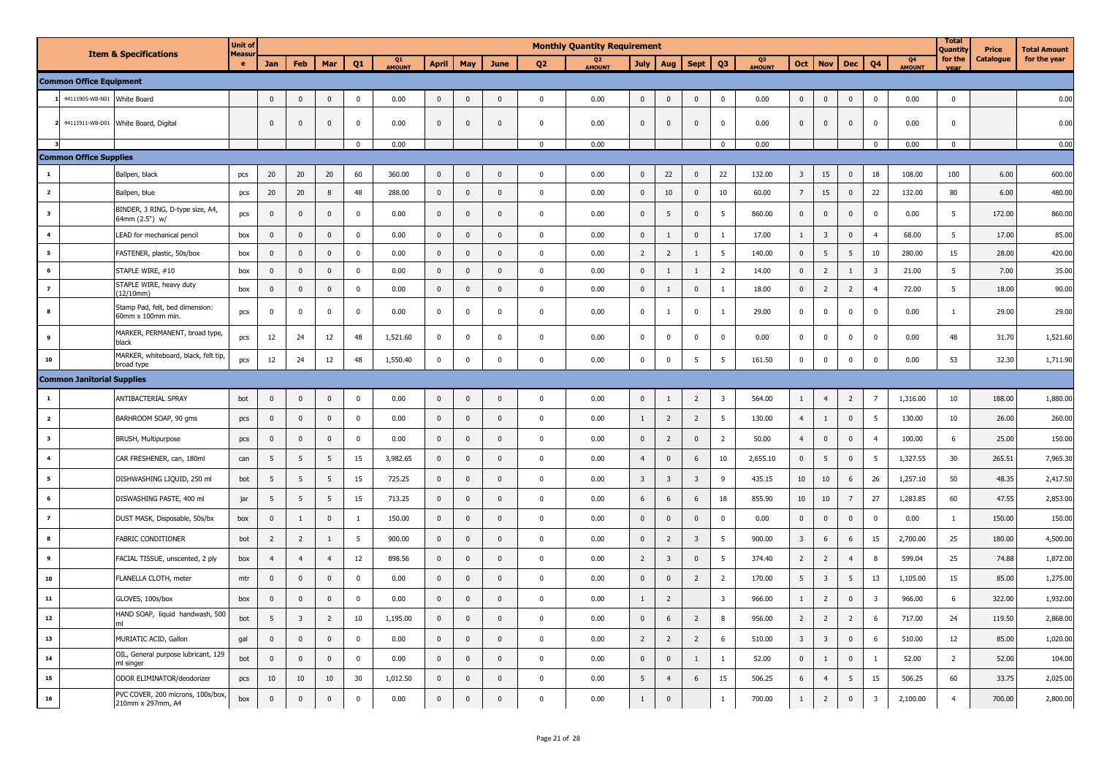|                         |                                   |                                                        | <b>Unit of</b>    |                |                         |                 |                |              |                |                |              |              | <b>Monthly Quantity Requirement</b> |                         |                         |                         |                         |              |                         |                |                |                         |              | <b>Total</b><br>Quantity | Price     | <b>Total Amount</b> |
|-------------------------|-----------------------------------|--------------------------------------------------------|-------------------|----------------|-------------------------|-----------------|----------------|--------------|----------------|----------------|--------------|--------------|-------------------------------------|-------------------------|-------------------------|-------------------------|-------------------------|--------------|-------------------------|----------------|----------------|-------------------------|--------------|--------------------------|-----------|---------------------|
|                         |                                   | <b>Item &amp; Specifications</b>                       | <b>Measu</b><br>e | <b>Jan</b>     | <b>Feb</b>              | Mar             | 01             | Q1<br>AMOUNT | <b>April</b>   | May            | <b>June</b>  | <b>Q2</b>    | O <sub>2</sub><br><b>AMOUNT</b>     | <b>July</b>             | Aug                     | <b>Sept</b>             | Q <sub>3</sub>          | Q3<br>AMOUNT | Oct                     | <b>Nov</b>     | <b>Dec</b>     | Q <sub>4</sub>          | Q4<br>AMOUNT | for the<br>vear          | Catalogue | for the year        |
|                         | <b>Common Office Equipment</b>    |                                                        |                   |                |                         |                 |                |              |                |                |              |              |                                     |                         |                         |                         |                         |              |                         |                |                |                         |              |                          |           |                     |
|                         | 1 44111905-WB-N01                 | White Board                                            |                   | $\mathbf 0$    | $\mathbf 0$             | $\pmb{0}$       | $\pmb{0}$      | 0.00         | $\mathbf 0$    | $\mathbf 0$    | $\mathbf 0$  | $\pmb{0}$    | 0.00                                | $\mathbf 0$             | $\mathbf 0$             | $\mathbf 0$             | $\pmb{0}$               | 0.00         | $\bf{0}$                | $\mathbf 0$    | $\mathbf 0$    | $\mathbf 0$             | 0.00         | $\mathbf{0}$             |           | 0.00                |
|                         |                                   | 2 44111911-WB-D01 White Board, Digital                 |                   | $\mathbf 0$    | $\overline{0}$          | $\mathbf 0$     | $\mathbf 0$    | 0.00         | $\mathbf{0}$   | $\mathbf 0$    | $\mathbf 0$  | $\mathbf 0$  | 0.00                                | $\mathbf{0}$            | $\mathbf 0$             | $\mathbf 0$             | $\mathbf 0$             | 0.00         | $\mathbf 0$             | $\bf{0}$       | $\overline{0}$ | $\mathbf 0$             | 0.00         | $\mathbf 0$              |           | 0.00                |
|                         |                                   |                                                        |                   |                |                         |                 | $\mathbf 0$    | 0.00         |                |                |              | $\mathbf 0$  | 0.00                                |                         |                         |                         | $\mathbf 0$             | 0.00         |                         |                |                | $\mathbf 0$             | 0.00         | $\mathbf 0$              |           | 0.00                |
|                         | <b>Common Office Supplies</b>     |                                                        |                   |                |                         |                 |                |              |                |                |              |              |                                     |                         |                         |                         |                         |              |                         |                |                |                         |              |                          |           |                     |
| $\mathbf{1}$            |                                   | Ballpen, black                                         | pcs               | 20             | 20                      | 20              | 60             | 360.00       | $\mathbf{0}$   | $\Omega$       | $\mathbf{0}$ | $\mathbf{0}$ | 0.00                                | $\mathbf{0}$            | 22                      | $\overline{0}$          | 22                      | 132.00       | $\overline{\mathbf{3}}$ | 15             | $\mathbf{0}$   | 18                      | 108.00       | 100                      | 6.00      | 600.00              |
| $\overline{\mathbf{2}}$ |                                   | Ballpen, blue                                          | pcs               | 20             | 20                      | 8               | 48             | 288.00       | $\mathbf 0$    | $\mathbf 0$    | $\mathbf 0$  | $\mathbf 0$  | 0.00                                | $\mathbf{0}$            | 10 <sup>10</sup>        | $\mathbf 0$             | 10                      | 60.00        | $\overline{7}$          | 15             | $\mathbf{0}$   | 22                      | 132.00       | 80                       | 6.00      | 480.00              |
| $\overline{\mathbf{3}}$ |                                   | BINDER, 3 RING, D-type size, A4,<br>64mm (2.5") w      | pcs               | $\mathbf 0$    | $\mathbf 0$             | $\mathbf 0$     | $\mathbf 0$    | 0.00         | $\mathbf 0$    | $\mathbf{0}$   | $\mathbf{0}$ | $\mathbf 0$  | 0.00                                | $\mathbf{0}$            | 5                       | $\mathbf 0$             | 5                       | 860.00       | $\mathbf 0$             | $\mathbf 0$    | $\mathbf 0$    | $\mathbf{0}$            | 0.00         | 5                        | 172.00    | 860.00              |
| $\overline{\mathbf{4}}$ |                                   | LEAD for mechanical pencil                             | box               | $\mathbf 0$    | $\mathbf{0}$            | $\mathbf{0}$    | $\overline{0}$ | 0.00         | $\mathbf 0$    | $\mathbf{0}$   | $\mathbf{0}$ | $\mathbf{0}$ | 0.00                                | $\mathbf 0$             | $\overline{1}$          | $\mathbf{0}$            | $\overline{1}$          | 17.00        | $\mathbf{1}$            | $\overline{3}$ | $\mathbf 0$    | $\overline{a}$          | 68.00        | $5\overline{5}$          | 17.00     | 85.00               |
| $5^{\circ}$             |                                   | FASTENER, plastic, 50s/box                             | box               | $\mathbf 0$    | $\mathbf{0}$            | $\mathbf{0}$    | $\mathbf 0$    | 0.00         | $\mathbf 0$    | $\mathbf{0}$   | $\mathbf{0}$ | $\mathbf{0}$ | 0.00                                | $\overline{2}$          | $\overline{2}$          | $\overline{1}$          | 5                       | 140.00       | $\mathbf{0}$            | 5              | 5              | 10                      | 280.00       | 15                       | 28.00     | 420.00              |
| 6                       |                                   | STAPLE WIRE, #10                                       | box               | $\mathbf 0$    | $\overline{0}$          | $\mathbf{0}$    | $\mathbf 0$    | 0.00         | $\mathbf 0$    | $\overline{0}$ | $\mathbf{0}$ | $\mathbf{0}$ | 0.00                                | $\mathbf 0$             | $\overline{1}$          | $\overline{1}$          | $\overline{2}$          | 14.00        | $\mathbf{0}$            | $\overline{2}$ | $\mathbf{1}$   | $\overline{\mathbf{3}}$ | 21.00        | 5                        | 7.00      | 35.00               |
| $\overline{z}$          |                                   | STAPLE WIRE, heavy duty<br>12/10mm)                    | box               | $\mathbf 0$    | $\mathbf{0}$            | $\mathbf{0}$    | $\mathbf 0$    | 0.00         | $\mathbf{0}$   | $\overline{0}$ | $\mathbf{0}$ | $\mathbf{0}$ | 0.00                                | $\mathbf 0$             | 1                       | $\mathbf 0$             | $\overline{1}$          | 18.00        | $\mathbf 0$             | $\overline{2}$ | $\overline{2}$ | $\overline{4}$          | 72.00        | $5\overline{5}$          | 18.00     | 90.00               |
| 8                       |                                   | Stamp Pad, felt, bed dimension:<br>60mm x 100mm min    | pcs               | $\mathbf 0$    | $\mathbf{0}$            | $\mathsf 0$     | $\mathbf 0$    | 0.00         | $\mathbf 0$    | $\mathbf{0}$   | $\mathbf 0$  | $\mathbf 0$  | 0.00                                | $\mathbf 0$             | <sup>1</sup>            | $\mathbf 0$             | $\overline{1}$          | 29.00        | $\mathbf 0$             | $\mathbf 0$    | $\mathbf 0$    | $\pmb{0}$               | 0.00         | $\mathbf{1}$             | 29.00     | 29.00               |
| 9                       |                                   | MARKER, PERMANENT, broad type,<br>black                | pcs               | 12             | 24                      | 12              | 48             | 1,521.60     | $\mathbf 0$    | $\mathbf{0}$   | $\mathbf 0$  | $\pmb{0}$    | 0.00                                | $\mathbf 0$             | $\mathbf 0$             | $\mathbf{0}$            | $\pmb{0}$               | 0.00         | $\mathbf 0$             | $\mathbf 0$    | $\mathbf 0$    | $\mathbf{0}$            | 0.00         | 48                       | 31.70     | 1,521.60            |
| ${\bf 10}$              |                                   | MARKER, whiteboard, black, felt tip,<br>proad type     | pcs               | 12             | 24                      | 12              | 48             | 1,550.40     | $\mathbf 0$    | $\mathbf 0$    | $\mathbf 0$  | $\mathbf 0$  | 0.00                                | $\mathbf 0$             | $\overline{0}$          | 5                       | 5                       | 161.50       | $\mathbf 0$             | $\mathbf 0$    | $\mathbf 0$    | $\Omega$                | 0.00         | 53                       | 32.30     | 1,711.90            |
|                         | <b>Common Janitorial Supplies</b> |                                                        |                   |                |                         |                 |                |              |                |                |              |              |                                     |                         |                         |                         |                         |              |                         |                |                |                         |              |                          |           |                     |
| $\mathbf{1}$            |                                   | ANTIBACTERIAL SPRAY                                    | bot               | $\mathbf 0$    | $\mathbf{0}$            | $\mathsf 0$     | $\mathbf 0$    | 0.00         | $\mathbf 0$    | $\mathbf{0}$   | $\mathbf 0$  | $\pmb{0}$    | 0.00                                | $\mathbf 0$             | $\mathbf{1}$            | $\overline{2}$          | $\overline{\mathbf{3}}$ | 564.00       | $\mathbf{1}$            | $\overline{4}$ | $\overline{2}$ | $\overline{7}$          | 1,316.00     | 10                       | 188.00    | 1,880.00            |
| $\overline{\mathbf{2}}$ |                                   | BARHROOM SOAP, 90 gms                                  | pcs               | $\mathbf 0$    | $\mathbf 0$             | $\mathsf 0$     | $\pmb{0}$      | 0.00         | $\mathbf 0$    | $\mathbf 0$    | $\mathbf 0$  | $\pmb{0}$    | 0.00                                | $\mathbf{1}$            | $\overline{2}$          | $\overline{2}$          | 5                       | 130.00       | $\overline{4}$          | $\mathbf{1}$   | $\mathbf 0$    | 5                       | 130.00       | 10                       | 26.00     | 260.00              |
| $\overline{\mathbf{3}}$ |                                   | <b>BRUSH, Multipurpose</b>                             | pcs               | $\pmb{0}$      | $\pmb{0}$               | $\pmb{0}$       | $\pmb{0}$      | 0.00         | $\mathbf 0$    | $\mathbf 0$    | $\mathbf{0}$ | $\mathbf 0$  | 0.00                                | $\mathbf 0$             | $\overline{2}$          | $\mathbf 0$             | $\overline{2}$          | 50.00        | $\overline{4}$          | $\mathbf 0$    | $\mathbf 0$    | $\overline{4}$          | 100.00       | 6                        | 25.00     | 150.00              |
| $\overline{\mathbf{4}}$ |                                   | CAR FRESHENER, can, 180ml                              | can               | 5              | 5                       | 5               | 15             | 3,982.65     | $\mathbf 0$    | $\mathbf 0$    | $\mathbf 0$  | $\pmb{0}$    | 0.00                                | $\overline{4}$          | $\mathbf 0$             | 6                       | 10                      | 2,655.10     | $\mathbf 0$             | 5              | $\mathbf 0$    | 5                       | 1,327.55     | 30 <sup>°</sup>          | 265.51    | 7,965.30            |
| $\overline{\mathbf{5}}$ |                                   | DISHWASHING LIQUID, 250 ml                             | bot               | 5              | 5                       | $5\phantom{.0}$ | 15             | 725.25       | $\mathbf{0}$   | $\mathbf{0}$   | $\mathbf 0$  | $\mathbf 0$  | 0.00                                | $\overline{\mathbf{3}}$ | $\overline{3}$          | $\overline{3}$          | 9                       | 435.15       | 10                      | 10             | 6              | 26                      | 1,257.10     | 50                       | 48.35     | 2,417.50            |
| 6                       |                                   | DISWASHING PASTE, 400 ml                               | jar               | 5              | 5                       | 5               | 15             | 713.25       | $\mathbf{0}$   | $\mathbf 0$    | $\mathbf 0$  | $\pmb{0}$    | 0.00                                | 6                       | 6                       | 6                       | 18                      | 855.90       | 10                      | 10             | $\overline{7}$ | 27                      | 1,283.85     | 60                       | 47.55     | 2,853.00            |
| $\overline{z}$          |                                   | DUST MASK, Disposable, 50s/bx                          | box               | $\mathbf 0$    | $\mathbf{1}$            | $\mathbf 0$     | $\mathbf{1}$   | 150.00       | $\mathbf 0$    | $\mathbf 0$    | $\mathbf 0$  | $\pmb{0}$    | 0.00                                | $\mathbf 0$             | $\mathbf 0$             | $\overline{0}$          | $\mathbf{0}$            | 0.00         | $\mathbf 0$             | $\mathbf 0$    | $\mathbf 0$    | $\Omega$                | 0.00         | $\mathbf{1}$             | 150.00    | 150.00              |
| 8                       |                                   | FABRIC CONDITIONER                                     | bot               | $\overline{2}$ | $\overline{2}$          | 1               | 5              | 900.00       | $\overline{0}$ | $\mathbf{0}$   | $\mathbf{0}$ | $\pmb{0}$    | 0.00                                | $\mathbf 0$             | $\overline{2}$          | $\overline{\mathbf{3}}$ | 5                       | 900.00       | $\overline{\mathbf{3}}$ | 6              | 6              | 15                      | 2,700.00     | 25                       | 180.00    | 4,500.00            |
| 9                       |                                   | FACIAL TISSUE, unscented, 2 ply                        | box               | $\overline{4}$ | $\overline{4}$          | $\overline{4}$  | 12             | 898.56       | $\mathbf 0$    | $\mathbf 0$    | $\mathbf 0$  | $\pmb{0}$    | 0.00                                | $\overline{2}$          | $\overline{\mathbf{3}}$ | $\overline{\mathbf{0}}$ | 5                       | 374.40       | $\overline{2}$          | $\overline{2}$ | $\overline{4}$ | 8                       | 599.04       | 25                       | 74.88     | 1,872.00            |
| ${\bf 10}$              |                                   | FLANELLA CLOTH, meter                                  | mtr               | $\mathbf 0$    | $\overline{0}$          | $\mathbf{0}$    | $\mathbf 0$    | 0.00         | $\mathbf 0$    | $\mathbf{0}$   | $\mathbf{0}$ | $\mathbf 0$  | 0.00                                | $\mathbf{0}$            | $\mathbf 0$             | $\overline{2}$          | $\overline{2}$          | 170.00       | 5                       | 3              | 5              | 13                      | 1,105.00     | 15                       | 85.00     | 1,275.00            |
| ${\bf 11}$              |                                   | GLOVES, 100s/box                                       | box               | $\mathbf 0$    | $\mathsf 0$             | $\mathsf 0$     | $\pmb{0}$      | 0.00         | $\mathbf 0$    | $\mathbf 0$    | $\mathbf 0$  | $\pmb{0}$    | 0.00                                | $\mathbf{1}$            | $\overline{2}$          |                         | $\overline{\mathbf{3}}$ | 966.00       | $\mathbf{1}$            | $\overline{2}$ | $\mathbf 0$    | $\overline{\mathbf{3}}$ | 966.00       | $6\overline{6}$          | 322.00    | 1,932.00            |
| $\bf{12}$               |                                   | HAND SOAP, liquid handwash, 500                        | bot               | 5              | $\overline{\mathbf{3}}$ | $\overline{2}$  | 10             | 1,195.00     | $\mathbf 0$    | $\mathbf 0$    | $\mathbf{0}$ | $\pmb{0}$    | 0.00                                | $\mathbf 0$             | 6                       | $\overline{2}$          | 8                       | 956.00       | $\overline{2}$          | $\overline{2}$ | $\overline{2}$ | 6                       | 717.00       | 24                       | 119.50    | 2,868.00            |
| 13                      |                                   | MURIATIC ACID, Gallon                                  | gal               | $\mathbf{0}$   | $\mathbf 0$             | $\mathbf 0$     | $\mathbf 0$    | 0.00         | $\Omega$       | $\mathbf{0}$   | $\Omega$     | $\pmb{0}$    | 0.00                                | $\overline{2}$          | $\overline{2}$          | $\overline{2}$          | 6                       | 510.00       | $\overline{\mathbf{3}}$ | $\overline{3}$ | $\mathbf 0$    | 6                       | 510.00       | 12                       | 85.00     | 1,020.00            |
| ${\bf 14}$              |                                   | OIL, General purpose lubricant, 129<br>nl singer       | bot               | $\mathbf 0$    | $\mathbf 0$             | $\mathsf 0$     | $\pmb{0}$      | 0.00         | $\mathbf 0$    | $\mathbf 0$    | $\mathbf 0$  | $\pmb{0}$    | 0.00                                | $\mathbf 0$             | $\mathbf 0$             | $\mathbf{1}$            | 1                       | 52.00        | $\mathbf 0$             | $\mathbf{1}$   | $\mathbf 0$    |                         | 52.00        | $\overline{2}$           | 52.00     | 104.00              |
| 15                      |                                   | ODOR ELIMINATOR/deodorizer                             | pcs               | 10             | 10                      | 10              | 30             | 1,012.50     | $\mathbf 0$    | $\mathbf{0}$   | $\mathbf 0$  | $\mathbf 0$  | 0.00                                | 5                       | $\overline{4}$          | 6                       | 15                      | 506.25       | 6                       | $\overline{4}$ | 5              | 15                      | 506.25       | 60                       | 33.75     | 2,025.00            |
| ${\bf 16}$              |                                   | PVC COVER, 200 microns, 100s/box,<br>210mm x 297mm, A4 | box               | $\mathbf 0$    | $\mathbf 0$             | $\pmb{0}$       | $\pmb{0}$      | 0.00         | $\overline{0}$ | $\mathbf 0$    | $\mathbf{0}$ | $\pmb{0}$    | 0.00                                | $1\,$                   | $\overline{\mathbf{0}}$ |                         | 1                       | 700.00       | $1\,$                   | $\overline{2}$ | $\mathbf 0$    | $\overline{\mathbf{3}}$ | 2,100.00     | $\overline{4}$           | 700.00    | 2,800.00            |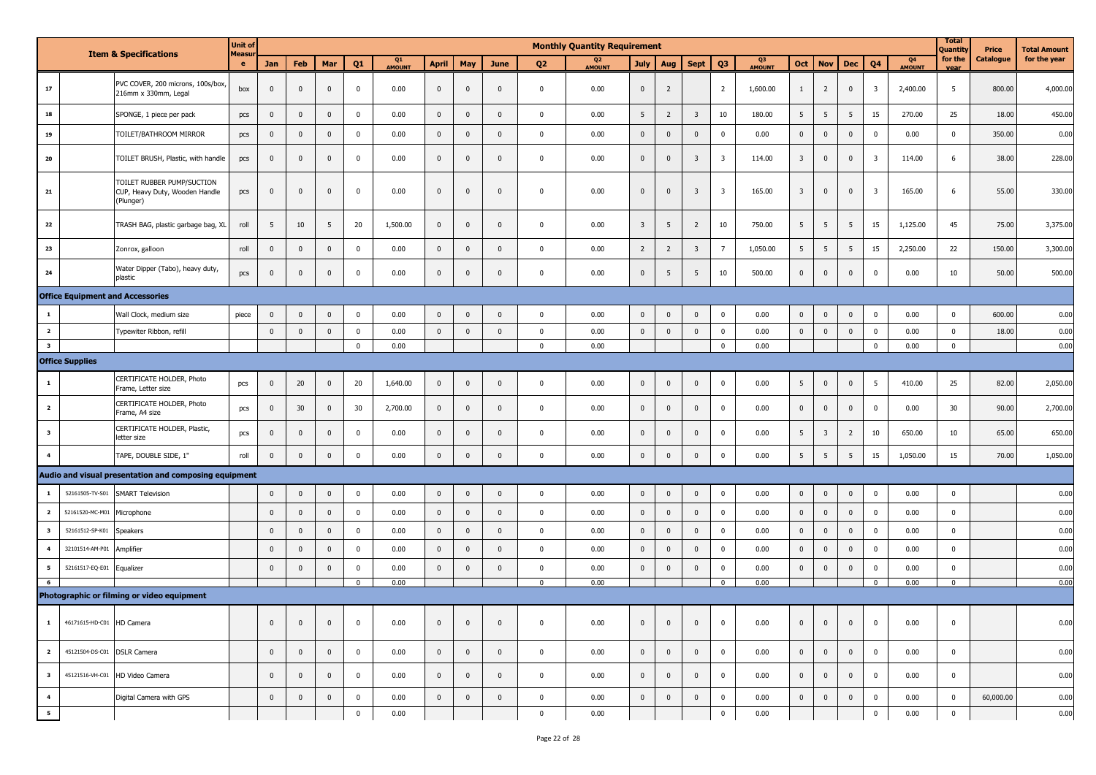|                          |                             |                                                                           | <b>Unit of</b> |                         |                |                |                |              |                |                |                |                | <b>Monthly Quantity Requirement</b> |                         |                |                         |                         |                     |                         |                         |                |                         |              | <b>Total</b><br>Quantity | Price     | Total Amount |
|--------------------------|-----------------------------|---------------------------------------------------------------------------|----------------|-------------------------|----------------|----------------|----------------|--------------|----------------|----------------|----------------|----------------|-------------------------------------|-------------------------|----------------|-------------------------|-------------------------|---------------------|-------------------------|-------------------------|----------------|-------------------------|--------------|--------------------------|-----------|--------------|
|                          |                             | <b>Item &amp; Specifications</b>                                          | Measu<br>e     | Jan                     | Feb            | Mar            | Q <sub>1</sub> | Q1<br>AMOUNT | <b>April</b>   | May            | June           | Q <sub>2</sub> | Q <sub>2</sub><br>AMOUNT            | <b>July</b>             | Aug            | <b>Sept</b>             | Q <sub>3</sub>          | Q3<br><b>AMOUNT</b> | Oct                     | <b>Nov</b>              | <b>Dec</b>     | Q <sub>4</sub>          | Q4<br>AMOUNT | for the<br>vear          | Catalogue | for the year |
| 17                       |                             | PVC COVER, 200 microns, 100s/box,<br>216mm x 330mm, Legal                 | box            | $\mathbf 0$             | $\mathbf 0$    | $\mathbf 0$    | $\mathbf 0$    | 0.00         | $\mathbf{0}$   | $\mathbf 0$    | $\mathbf 0$    | $\pmb{0}$      | 0.00                                | $\mathbf 0$             | $\overline{2}$ |                         | 2                       | 1,600.00            | $\mathbf{1}$            | $\overline{2}$          | $\mathbf 0$    | $\overline{\mathbf{3}}$ | 2,400.00     | 5                        | 800.00    | 4,000.00     |
| ${\bf 18}$               |                             | SPONGE, 1 piece per pack                                                  | pcs            | $\mathbf 0$             | $\mathbf 0$    | $\mathbf 0$    | $\mathbf 0$    | 0.00         | $\mathbf 0$    | $\mathbf 0$    | $\mathbf 0$    | $\pmb{0}$      | 0.00                                | 5                       | $\overline{2}$ | $\overline{\mathbf{3}}$ | 10                      | 180.00              | 5                       | 5                       | 5              | 15                      | 270.00       | 25                       | 18.00     | 450.00       |
| 19                       |                             | TOILET/BATHROOM MIRROR                                                    | pcs            | $\pmb{0}$               | $\mathbf 0$    | $\mathbf 0$    | $\mathbf 0$    | 0.00         | $\mathbf 0$    | $\pmb{0}$      | $\mathbf 0$    | $\pmb{0}$      | 0.00                                | $\pmb{0}$               | $\mathbf 0$    | $\mathbf 0$             | $\mathbf 0$             | 0.00                | $\mathbf 0$             | $\bf{0}$                | $\mathbf 0$    | $\mathbf 0$             | 0.00         | $\mathbf 0$              | 350.00    | 0.00         |
| ${\bf 20}$               |                             | TOILET BRUSH, Plastic, with handle                                        | pcs            | $\pmb{0}$               | $\mathbf{0}$   | $\mathbf 0$    | $\mathbf 0$    | 0.00         | $\mathbf{0}$   | $\mathbf 0$    | $\overline{0}$ | $\pmb{0}$      | 0.00                                | $\overline{0}$          | $\mathbf{0}$   | $\overline{3}$          | 3                       | 114.00              | $\overline{\mathbf{3}}$ | $\mathbf 0$             | $\mathbf 0$    | $\overline{\mathbf{3}}$ | 114.00       | 6                        | 38.00     | 228.00       |
| $\bf{21}$                |                             | TOILET RUBBER PUMP/SUCTION<br>CUP, Heavy Duty, Wooden Handle<br>(Plunger) | pcs            | $\pmb{0}$               | $\mathbf 0$    | $\mathbf 0$    | $\mathbf 0$    | 0.00         | $\mathbf 0$    | $\mathbf 0$    | $\overline{0}$ | $\mathbf{0}$   | 0.00                                | $\mathbf 0$             | $\mathbf{0}$   | $\overline{\mathbf{3}}$ | $\overline{\mathbf{3}}$ | 165.00              | $\overline{\mathbf{3}}$ | $\mathbf 0$             | $\mathbf 0$    | $\overline{\mathbf{3}}$ | 165.00       | 6                        | 55.00     | 330.00       |
| 22                       |                             | TRASH BAG, plastic garbage bag, XL                                        | roll           | 5                       | 10             | 5              | 20             | 1,500.00     | $\mathbf 0$    | $\mathbf 0$    | $\mathbf 0$    | $\mathbf 0$    | 0.00                                | $\overline{\mathbf{3}}$ | 5              | $\overline{2}$          | 10                      | 750.00              | 5                       | 5                       | 5              | 15                      | 1,125.00     | 45                       | 75.00     | 3,375.00     |
| 23                       |                             | Zonrox, galloon                                                           | roll           | $\mathbf 0$             | $\mathbf{0}$   | $\mathbf 0$    | $\mathbf 0$    | 0.00         | $\mathbf{0}$   | $\mathbf 0$    | $\overline{0}$ | $\mathbf{0}$   | 0.00                                | $\overline{2}$          | $\overline{2}$ | $\overline{3}$          | $\overline{7}$          | 1,050.00            | 5 <sup>5</sup>          | 5                       | 5              | 15                      | 2,250.00     | 22                       | 150.00    | 3,300.00     |
| 24                       |                             | Water Dipper (Tabo), heavy duty,<br>plastic                               | pcs            | $\pmb{0}$               | $\mathbf 0$    | $\pmb{0}$      | $\mathbf 0$    | 0.00         | $\mathbf 0$    | $\pmb{0}$      | $\mathbf 0$    | 0              | 0.00                                | $\mathsf{O}\xspace$     | 5              | 5                       | 10                      | 500.00              | $\mathbf 0$             | $\mathbf 0$             | $\mathbf 0$    | $\mathbf 0$             | 0.00         | 10                       | 50.00     | 500.00       |
|                          |                             | <b>Office Equipment and Accessories</b>                                   |                |                         |                |                |                |              |                |                |                |                |                                     |                         |                |                         |                         |                     |                         |                         |                |                         |              |                          |           |              |
| $\mathbf{1}$             |                             | Wall Clock, medium size                                                   | piece          | $\mathbf 0$             | $\mathbf 0$    | $\pmb{0}$      | $\mathbf 0$    | 0.00         | $\mathbf 0$    | $\mathbf 0$    | $\mathbf 0$    | $\pmb{0}$      | 0.00                                | $\mathbf 0$             | $\mathbf 0$    | $\mathbf 0$             | $\mathbf 0$             | 0.00                | $\mathbf 0$             | $\bf{0}$                | $\pmb{0}$      | $\mathbf 0$             | 0.00         | $\mathbf 0$              | 600.00    | 0.00         |
| $\overline{\mathbf{2}}$  |                             | Typewiter Ribbon, refill                                                  |                | $\mathbf 0$             | $\mathbf 0$    | $\mathbf 0$    | $\mathbf 0$    | 0.00         | $\mathbf 0$    | $\pmb{0}$      | $\overline{0}$ | $\mathbf 0$    | 0.00                                | $\mathbf 0$             | $\mathbf{0}$   | $\mathbf 0$             | $\mathbf 0$             | 0.00                | $\mathbf 0$             | $\bf{0}$                | $\mathbf 0$    | $\mathbf 0$             | 0.00         | $\mathbf 0$              | 18.00     | 0.00         |
| $\overline{\mathbf{3}}$  |                             |                                                                           |                |                         |                |                | $\mathbf 0$    | 0.00         |                |                |                | $\mathbf 0$    | 0.00                                |                         |                |                         | $\mathbf 0$             | 0.00                |                         |                         |                | $\mathbf 0$             | 0.00         | $\mathbf{0}$             |           | 0.00         |
|                          | <b>Office Supplies</b>      |                                                                           |                |                         |                |                |                |              |                |                |                |                |                                     |                         |                |                         |                         |                     |                         |                         |                |                         |              |                          |           |              |
| $\mathbf{1}$             |                             | CERTIFICATE HOLDER, Photo<br>Frame, Letter size                           | pcs            | $\mathbf 0$             | 20             | $\mathbf 0$    | 20             | 1,640.00     | $\mathbf{0}$   | $\mathbf 0$    | $\mathbf 0$    | $\pmb{0}$      | 0.00                                | $\mathsf 0$             | $\mathbf 0$    | $\mathbf 0$             | $\mathbf 0$             | 0.00                | 5 <sup>5</sup>          | $\mathbf 0$             | $\mathbf 0$    | 5                       | 410.00       | 25                       | 82.00     | 2,050.00     |
| $\overline{\mathbf{2}}$  |                             | CERTIFICATE HOLDER, Photo<br>Frame, A4 size                               | pcs            | $\pmb{0}$               | 30             | $\pmb{0}$      | 30             | 2,700.00     | $\mathbf 0$    | $\mathbf 0$    | $\mathbf 0$    | $\pmb{0}$      | 0.00                                | $\overline{0}$          | $\mathbf 0$    | $\mathbf 0$             | $\mathbf 0$             | 0.00                | $\mathbf 0$             | $\mathbf{0}$            | $\mathbf 0$    | $\mathbf 0$             | 0.00         | 30                       | 90.00     | 2,700.00     |
| $\overline{\mathbf{3}}$  |                             | CERTIFICATE HOLDER, Plastic,<br>letter size                               | pcs            | $\pmb{0}$               | $\mathbf{0}$   | $\mathbf 0$    | $\mathbf 0$    | 0.00         | $\mathbf 0$    | $\mathbf 0$    | $\mathbf{0}$   | $\mathbf 0$    | 0.00                                | $\mathbf 0$             | $\mathbf 0$    | $\mathbf 0$             | $\mathbf 0$             | 0.00                | 5                       | $\overline{\mathbf{3}}$ | $\overline{2}$ | 10                      | 650.00       | 10                       | 65.00     | 650.00       |
| $\overline{\mathbf{4}}$  |                             | TAPE, DOUBLE SIDE, 1"                                                     | roll           | $\mathbf 0$             | $\mathbf{0}$   | $\pmb{0}$      | $\mathbf{0}$   | 0.00         | $\mathbf{0}$   | $\mathbf 0$    | $\overline{0}$ | $\pmb{0}$      | 0.00                                | $\mathbf 0$             | $\mathbf{0}$   | $\mathbf{0}$            | $\mathbf 0$             | 0.00                | 5                       | 5                       | 5              | 15                      | 1,050.00     | 15                       | 70.00     | 1,050.00     |
|                          |                             | Audio and visual presentation and composing equipment                     |                |                         |                |                |                |              |                |                |                |                |                                     |                         |                |                         |                         |                     |                         |                         |                |                         |              |                          |           |              |
| $\mathbf{1}$             | 52161505-TV-S01             | <b>SMART Television</b>                                                   |                | $\overline{\mathbf{0}}$ | $\mathbf 0$    | $\pmb{0}$      | $\mathbf 0$    | 0.00         | $\mathbf 0$    | $\mathbf 0$    | $\mathbf 0$    | $\pmb{0}$      | 0.00                                | $\mathbf 0$             | $\mathbf 0$    | $\mathbf 0$             | $\mathbf 0$             | 0.00                | $\pmb{0}$               | $\mathbf 0$             | $\pmb{0}$      | $\mathbf 0$             | 0.00         | $\mathbf 0$              |           | 0.00         |
| $\overline{\mathbf{2}}$  | 52161520-MC-M01             | Microphone                                                                |                | $\pmb{0}$               | $\mathbf{0}$   | $\mathbf 0$    | $\mathbf 0$    | 0.00         | $\mathbf 0$    | $\mathbf 0$    | $\overline{0}$ | $\pmb{0}$      | 0.00                                | $\mathbf 0$             | $\mathbf{0}$   | $\mathbf{0}$            | $\mathbf 0$             | 0.00                | $\mathbf 0$             | $\mathbf 0$             | $\mathbf 0$    | $\mathbf 0$             | 0.00         | $\mathbf 0$              |           | 0.00         |
| $\overline{\mathbf{3}}$  | 52161512-SP-K01             | Speakers                                                                  |                | $\pmb{0}$               | $\mathbf 0$    | $\mathbf 0$    | $\mathbf 0$    | 0.00         | $\mathbf 0$    | $\mathbf{0}$   | $\overline{0}$ | $\pmb{0}$      | 0.00                                | $\mathbf 0$             | $\mathbf{0}$   | $\mathbf 0$             | $\mathbf 0$             | 0.00                | $\mathbf{0}$            | $\overline{0}$          | $\mathbf{0}$   | $\mathbf 0$             | 0.00         | $\mathbf 0$              |           | 0.00         |
| $\overline{\mathbf{4}}$  | 32101514-AM-P01             | Amplifier                                                                 |                | $\pmb{0}$               | $\mathbf 0$    | $\mathbf 0$    | $\mathbf 0$    | 0.00         | $\mathbf{0}$   | $\mathbf 0$    | $\overline{0}$ | $\pmb{0}$      | 0.00                                | $\mathbf 0$             | $\mathbf 0$    | $\mathbf{0}$            | $\mathbf 0$             | 0.00                | $\mathbf 0$             | $\mathbf 0$             | $\pmb{0}$      | $\pmb{0}$               | 0.00         | $\mathbf 0$              |           | 0.00         |
| $\overline{\phantom{a}}$ | 52161517-EQ-E01             | Equalizer                                                                 |                | $\mathbf 0$             | $\mathbf 0$    | $\mathbf 0$    | $\mathbf 0$    | 0.00         | $\mathbf 0$    | $\pmb{0}$      | $\mathbf 0$    | $\pmb{0}$      | 0.00                                | $\mathbf 0$             | $\mathbf 0$    | $\mathbf{0}$            | $\mathbf 0$             | 0.00                | $\mathbf 0$             | $\pmb{0}$               | $\pmb{0}$      | $\mathbf 0$             | 0.00         | $\mathbf 0$              |           | 0.00         |
| 6                        |                             |                                                                           |                |                         |                |                | $\Omega$       | 0.00         |                |                |                | $\Omega$       | 0.00                                |                         |                |                         | $\Omega$                | 0.00                |                         |                         |                | $^{\circ}$              | 0.00         | $\Omega$                 |           | 0.00         |
|                          |                             | Photographic or filming or video equipment                                |                |                         |                |                |                |              |                |                |                |                |                                     |                         |                |                         |                         |                     |                         |                         |                |                         |              |                          |           |              |
|                          | 1 46171615-HD-C01 HD Camera |                                                                           |                | $\mathbf 0$             | $\overline{0}$ | $\pmb{0}$      | $\mathbf 0$    | 0.00         | $\bf{0}$       | $\pmb{0}$      | $\mathbf 0$    | $\mathbf 0$    | 0.00                                | $\mathbf{0}$            | $\mathbf 0$    | $\mathbf 0$             | $\mathbf{0}$            | 0.00                | $\overline{0}$          | $\overline{0}$          | $\overline{0}$ | $\mathbf 0$             | 0.00         | $\mathbf 0$              |           | 0.00         |
| $\overline{\mathbf{2}}$  | 45121504-DS-C01 DSLR Camera |                                                                           |                | $\overline{0}$          | $\overline{0}$ | $\overline{0}$ | $\mathbf{0}$   | 0.00         | $\overline{0}$ | $\overline{0}$ | $\overline{0}$ | $\overline{0}$ | 0.00                                | $\mathbf{0}$            | $\overline{0}$ | $\mathbf 0$             | $\mathbf 0$             | 0.00                | $\overline{0}$          | $\overline{0}$          | $\overline{0}$ | $\mathbf 0$             | 0.00         | $\mathbf{0}$             |           | 0.00         |
| $\overline{\mathbf{3}}$  |                             | 45121516-VH-C01 HD Video Camera                                           |                | $\overline{0}$          | $\overline{0}$ | $\mathbf{0}$   | $\mathbf{0}$   | 0.00         | $\mathbf{0}$   | $\mathbf{0}$   | $\mathbf 0$    | $\mathbf 0$    | 0.00                                | $\mathbf{0}$            | $\mathbf{0}$   | $\mathbf 0$             | $\mathbf 0$             | 0.00                | $\overline{0}$          | $\overline{0}$          | $\overline{0}$ | $\mathbf 0$             | 0.00         | $\mathbf{0}$             |           | 0.00         |
| $\overline{\mathbf{4}}$  |                             | Digital Camera with GPS                                                   |                | $\bf{0}$                | $\overline{0}$ | $\mathbf 0$    | $\bf{0}$       | 0.00         | $\mathbf 0$    | $\mathbf 0$    | $\mathbf 0$    | $\mathbf 0$    | 0.00                                | $\mathbf 0$             | $\mathbf 0$    | $\overline{0}$          | $\mathbf{0}$            | 0.00                | $\mathbf 0$             | $\overline{0}$          | $\overline{0}$ | $\mathbf 0$             | 0.00         | $\mathbf{0}$             | 60,000.00 | 0.00         |
| $5^{\circ}$              |                             |                                                                           |                |                         |                |                | $\mathbf 0$    | 0.00         |                |                |                | $\mathbf 0$    | 0.00                                |                         |                |                         | $\mathbf 0$             | 0.00                |                         |                         |                | $\pmb{0}$               | 0.00         | $\mathbf{0}$             |           | 0.00         |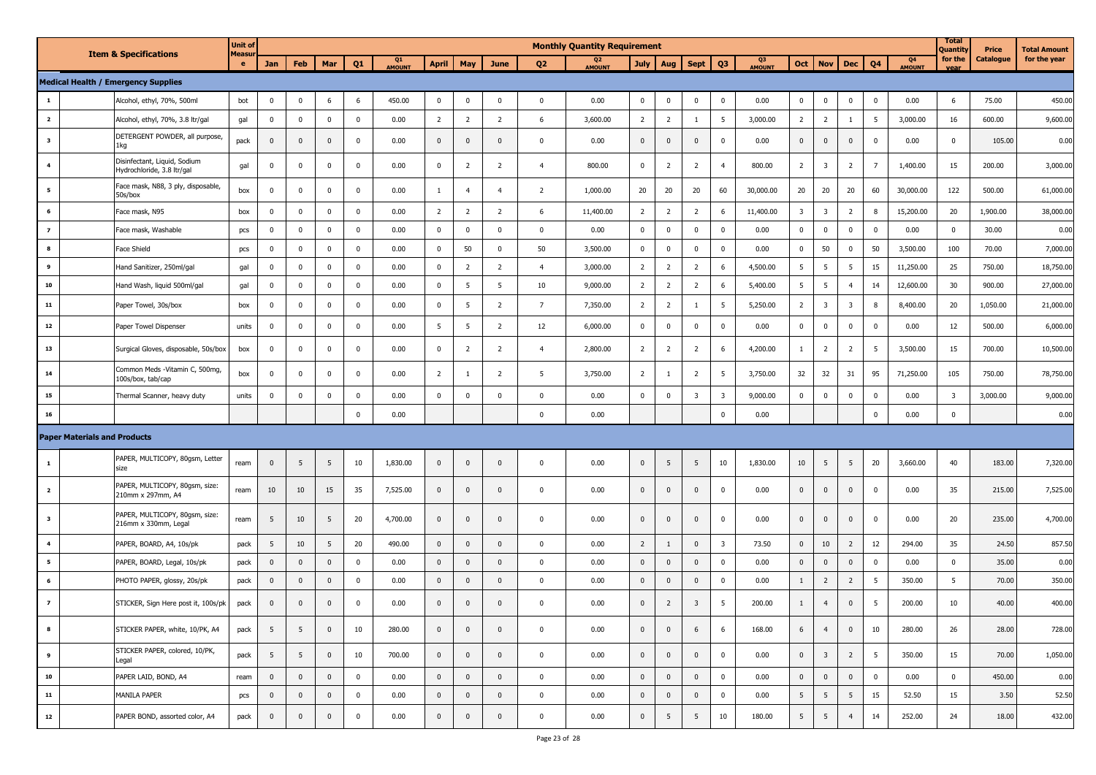|                          |                                     |                                                            | <b>Unit of</b> |              |                |                |                |                     |                |                |                |                | <b>Monthly Quantity Requirement</b> |                |                |                |                |                     |                         |                         |                |                 |                                 | <b>Total</b><br>Quantity | Price     | <b>Total Amount</b> |
|--------------------------|-------------------------------------|------------------------------------------------------------|----------------|--------------|----------------|----------------|----------------|---------------------|----------------|----------------|----------------|----------------|-------------------------------------|----------------|----------------|----------------|----------------|---------------------|-------------------------|-------------------------|----------------|-----------------|---------------------------------|--------------------------|-----------|---------------------|
|                          | <b>Item &amp; Specifications</b>    |                                                            | Measu<br>e     | Jan          | Feb            | Mar            | Q <sub>1</sub> | Q1<br><b>AMOUNT</b> | <b>April</b>   | May            | June           | Q <sub>2</sub> | Q <sub>2</sub><br><b>AMOUNT</b>     | <b>July</b>    | Aug            | <b>Sept</b>    | Q <sub>3</sub> | Q3<br><b>AMOUNT</b> | Oct                     | <b>Nov</b>              | Dec            | Q <sub>4</sub>  | Q <sub>4</sub><br><b>AMOUNT</b> | for the<br><b>Vear</b>   | Catalogue | for the year        |
|                          |                                     | <b>Medical Health / Emergency Supplies</b>                 |                |              |                |                |                |                     |                |                |                |                |                                     |                |                |                |                |                     |                         |                         |                |                 |                                 |                          |           |                     |
| $\mathbf{1}$             |                                     | Alcohol, ethyl, 70%, 500ml                                 | bot            | $\Omega$     | $\mathbf 0$    | 6              | 6              | 450.00              | $\mathbf{0}$   | $\overline{0}$ | $\Omega$       | $\mathbf 0$    | 0.00                                | $\mathbf 0$    | $\mathbf 0$    | $\mathbf 0$    | $\mathbf 0$    | 0.00                | $\pmb{0}$               | $\mathbf 0$             | $\mathbf 0$    | $\mathbf 0$     | 0.00                            | 6                        | 75.00     | 450.00              |
| $\overline{\mathbf{2}}$  |                                     | Alcohol, ethyl, 70%, 3.8 ltr/gal                           | gal            | $\mathbf 0$  | $\mathbf 0$    | $\mathbf 0$    | $\mathbf 0$    | 0.00                | $\overline{2}$ | $\overline{2}$ | $\overline{2}$ | 6              | 3,600.00                            | $\overline{2}$ | $\overline{2}$ | 1              | 5              | 3,000.00            | $\overline{2}$          | $\overline{2}$          | $\mathbf{1}$   | $5\phantom{.0}$ | 3,000.00                        | 16                       | 600.00    | 9,600.00            |
| 3                        |                                     | DETERGENT POWDER, all purpose,<br>1kg                      | pack           | $\mathbf{0}$ | $\mathbf{0}$   | $\mathbf 0$    | $\mathbf 0$    | 0.00                | $\mathbf{0}$   | $\mathbf 0$    | $\mathbf{0}$   | $\mathbf{0}$   | 0.00                                | $\mathbf 0$    | $\mathbf 0$    | $\mathbf 0$    | $\mathbf 0$    | 0.00                | $\mathbf 0$             | $\pmb{0}$               | $\mathbf 0$    | 0               | 0.00                            | $\mathbf 0$              | 105.00    | 0.00                |
| 4                        |                                     | Disinfectant, Liquid, Sodium<br>Hydrochloride, 3.8 ltr/gal | gal            | 0            | $\mathbf 0$    | $\mathbf{0}$   | $\mathbf 0$    | 0.00                | $\mathbf{0}$   | $\overline{2}$ | $\overline{2}$ | $\overline{4}$ | 800.00                              | $\mathbf 0$    | $\overline{2}$ | $\overline{2}$ | $\overline{4}$ | 800.00              | $\overline{2}$          | $\overline{\mathbf{3}}$ | $\overline{2}$ | $\overline{7}$  | 1,400.00                        | 15                       | 200.00    | 3,000.00            |
| 5                        |                                     | Face mask, N88, 3 ply, disposable,<br>50s/box              | box            | $\mathbf 0$  | $\mathbf 0$    | $\mathbf 0$    | $\mathbf 0$    | 0.00                | $\mathbf{1}$   | $\overline{4}$ | $\overline{4}$ | $\overline{2}$ | 1,000.00                            | 20             | 20             | 20             | 60             | 30,000.00           | 20                      | 20                      | 20             | 60              | 30,000.00                       | 122                      | 500.00    | 61,000.00           |
| 6                        |                                     | Face mask, N95                                             | box            | 0            | $\mathbf 0$    | $\mathbf 0$    | $\mathbf 0$    | 0.00                | $\overline{2}$ | $\overline{2}$ | $\overline{2}$ | 6              | 11,400.00                           | $\overline{2}$ | $\overline{2}$ | $\overline{2}$ | 6              | 11,400.00           | $\overline{\mathbf{3}}$ | $\overline{\mathbf{3}}$ | $\overline{2}$ | 8               | 15,200.00                       | 20                       | 1,900.00  | 38,000.00           |
| $\overline{z}$           |                                     | Face mask, Washable                                        | pcs            | $\mathbf 0$  | $\mathbf 0$    | $\mathbf 0$    | $\mathbf 0$    | 0.00                | $\mathbf 0$    | $\pmb{0}$      | $\Omega$       | $\mathbf 0$    | 0.00                                | $\mathbf 0$    | $\mathbf 0$    | $\mathbf 0$    | $\mathbf 0$    | 0.00                | $\mathbf 0$             | $\mathbf 0$             | $\bf{0}$       | $\mathbf 0$     | 0.00                            | $\mathbf 0$              | 30.00     | 0.00                |
| 8                        |                                     | <b>Face Shield</b>                                         | pcs            | $\mathbf 0$  | $\mathbf 0$    | $\mathbf 0$    | $\mathbf 0$    | 0.00                | $\mathbf 0$    | 50             | $\mathbf 0$    | 50             | 3,500.00                            | $\mathbf 0$    | $\mathbf 0$    | $\mathbf 0$    | $\mathbf 0$    | 0.00                | $\mathbf 0$             | 50                      | $\mathbf 0$    | 50              | 3,500.00                        | 100                      | 70.00     | 7,000.00            |
| 9                        |                                     | Hand Sanitizer, 250ml/gal                                  | gal            | 0            | $\mathbf 0$    | $\mathbf 0$    | $\mathbf 0$    | 0.00                | $\mathbf 0$    | $\overline{2}$ | $\overline{2}$ | $\overline{4}$ | 3,000.00                            | $\overline{2}$ | $\overline{2}$ | $\overline{2}$ | 6              | 4,500.00            | 5                       | 5                       | 5              | 15              | 11,250.00                       | 25                       | 750.00    | 18,750.00           |
| 10                       |                                     | Hand Wash, liquid 500ml/gal                                | gal            | 0            | $\mathbf 0$    | $\mathbf 0$    | $\mathbf 0$    | 0.00                | $\mathbf 0$    | 5              | 5              | 10             | 9,000.00                            | $\overline{2}$ | $\overline{2}$ | $\overline{2}$ | 6              | 5,400.00            | 5                       | 5                       | $\overline{4}$ | 14              | 12,600.00                       | 30                       | 900.00    | 27,000.00           |
| 11                       |                                     | Paper Towel, 30s/box                                       | box            | 0            | $\mathbf 0$    | $\mathbf{0}$   | $\mathsf 0$    | 0.00                | $\mathbf 0$    | 5              | $\overline{2}$ | $\overline{7}$ | 7,350.00                            | $\overline{2}$ | $\overline{2}$ | -1             | - 5            | 5,250.00            | $\overline{2}$          | $\overline{\mathbf{3}}$ | 3              | 8               | 8,400.00                        | 20                       | 1,050.00  | 21,000.00           |
| ${\bf 12}$               |                                     | Paper Towel Dispenser                                      | units          | $\mathbf 0$  | $\mathbf 0$    | $\mathbf 0$    | $\mathbf 0$    | 0.00                | 5              | 5              | $\overline{2}$ | 12             | 6,000.00                            | $\mathbf 0$    | $\mathbf{0}$   | $\mathbf 0$    | $\mathbf 0$    | 0.00                | $\mathbf 0$             | $\mathbf{0}$            | 0              | $\mathbf 0$     | 0.00                            | 12                       | 500.00    | 6,000.00            |
| 13                       |                                     | Surgical Gloves, disposable, 50s/box                       | box            | 0            | $\mathbf 0$    | $\mathbf 0$    | $\mathbf 0$    | 0.00                | $\mathbf 0$    | $\overline{2}$ | $\overline{2}$ | $\overline{4}$ | 2,800.00                            | $\overline{2}$ | $\overline{2}$ | $\overline{2}$ | 6              | 4,200.00            | $\mathbf{1}$            | $\overline{2}$          | $\overline{2}$ | 5               | 3,500.00                        | 15                       | 700.00    | 10,500.00           |
| 14                       |                                     | Common Meds -Vitamin C, 500mg,<br>100s/box, tab/cap        | box            | $\mathbf 0$  | $\mathbf 0$    | $\mathbf 0$    | $\mathbf 0$    | 0.00                | $\overline{2}$ | $\mathbf{1}$   | $\overline{2}$ | 5              | 3,750.00                            | $\overline{2}$ |                | $\overline{2}$ | 5              | 3,750.00            | 32                      | 32                      | 31             | 95              | 71,250.00                       | 105                      | 750.00    | 78,750.00           |
| 15                       |                                     | Thermal Scanner, heavy duty                                | units          | 0            | $\mathbf 0$    | $\mathbf 0$    | $\mathbf 0$    | 0.00                | $\mathbf 0$    | $\mathbf 0$    | $\Omega$       | $\mathbf 0$    | 0.00                                | $\mathbf 0$    | $\mathbf{0}$   | 3              | 3              | 9,000.00            | $\mathbf 0$             | $\pmb{0}$               | $\mathbf 0$    | $\mathbf 0$     | 0.00                            | $\overline{\mathbf{3}}$  | 3,000.00  | 9,000.00            |
| 16                       |                                     |                                                            |                |              |                |                | $\mathsf 0$    | 0.00                |                |                |                | $\mathbf 0$    | 0.00                                |                |                |                | $\mathbf 0$    | 0.00                |                         |                         |                | $\mathbf 0$     | 0.00                            | $\mathbf 0$              |           | 0.00                |
|                          | <b>Paper Materials and Products</b> |                                                            |                |              |                |                |                |                     |                |                |                |                |                                     |                |                |                |                |                     |                         |                         |                |                 |                                 |                          |           |                     |
| $\mathbf{1}$             |                                     | PAPER, MULTICOPY, 80gsm, Letter<br>size                    | ream           | $\mathbf{0}$ | 5              | 5              | 10             | 1,830.00            | $\mathbf 0$    | $\overline{0}$ | $\mathbf 0$    | $\mathbf{0}$   | 0.00                                | $\mathbf{0}$   | 5              | 5              | 10             | 1,830.00            | 10                      | 5                       | - 5            | 20              | 3,660.00                        | 40                       | 183.00    | 7,320.00            |
| $\overline{\mathbf{2}}$  |                                     | PAPER, MULTICOPY, 80gsm, size:<br>210mm x 297mm, A4        | ream           | 10           | 10             | 15             | 35             | 7,525.00            | $\mathbf 0$    | $\mathbf 0$    | $\mathbf{0}$   | $\mathbf 0$    | 0.00                                | $\mathbf{0}$   | $\mathbf 0$    | $\mathbf 0$    | 0              | 0.00                | $\mathbf 0$             | $\pmb{0}$               | 0              | $\mathbf 0$     | 0.00                            | 35                       | 215.00    | 7,525.00            |
| $\overline{\mathbf{3}}$  |                                     | PAPER, MULTICOPY, 80gsm, size:<br>216mm x 330mm, Legal     | ream           | 5            | 10             | 5              | 20             | 4,700.00            | $\mathbf 0$    | $\mathbf 0$    | $\mathbf{0}$   | $\mathbf 0$    | 0.00                                | $\mathbf 0$    | $\mathbf 0$    | $\mathbf 0$    | $\mathbf 0$    | 0.00                | $\pmb{0}$               | $\pmb{0}$               | 0              | 0               | 0.00                            | 20                       | 235.00    | 4,700.00            |
| 4                        |                                     | PAPER, BOARD, A4, 10s/pk                                   | pack           | 5            | 10             | 5              | 20             | 490.00              | $\mathbf 0$    | $\mathbf 0$    | $\mathbf{0}$   | $\mathbf 0$    | 0.00                                | $\overline{2}$ |                | $\mathbf{0}$   | 3              | 73.50               | $\pmb{0}$               | 10                      | $\overline{2}$ | 12              | 294.00                          | 35                       | 24.50     | 857.50              |
| 5                        |                                     | PAPER, BOARD, Legal, 10s/pk                                | pack           | $\mathbf{0}$ | $\mathbf{0}$   | $\mathbf{0}$   | $\mathsf 0$    | 0.00                | $\mathbf 0$    | $\mathbf 0$    | $\mathbf 0$    | $\mathbf{0}$   | 0.00                                | $\mathbf{0}$   | $\mathbf 0$    | $\mathbf 0$    | $\mathbf 0$    | 0.00                | $\mathbf{0}$            | $\pmb{0}$               | $\mathbf 0$    | $\mathbf 0$     | 0.00                            | $\mathbf 0$              | 35.00     | 0.00                |
| 6                        |                                     | PHOTO PAPER, glossy, 20s/pk                                | pack           | $\mathbf{0}$ | $\mathbf{0}$   | $\mathbf{0}$   | $\mathbf 0$    | 0.00                | $\mathbf 0$    | $\pmb{0}$      | $\Omega$       | $\mathbf{0}$   | 0.00                                | $\mathbf 0$    | $\pmb{0}$      | $\mathbf 0$    | $\mathbf 0$    | 0.00                | $\mathbf{1}$            | $\overline{2}$          | $\overline{2}$ | 5               | 350.00                          | 5                        | 70.00     | 350.00              |
| $\overline{\phantom{a}}$ |                                     | STICKER, Sign Here post it, 100s/pk                        | pack           | $\mathbf 0$  | $\mathbf 0$    | $\mathbf 0$    | $\mathbf 0$    | 0.00                | $\mathbf 0$    | $\mathbf 0$    | $\mathbf{0}$   | $\mathbf 0$    | 0.00                                | $\mathbf{0}$   | $\overline{2}$ | $\overline{3}$ | - 5            | 200.00              | $\mathbf{1}$            | $\overline{4}$          | 0              | 5               | 200.00                          | 10                       | 40.00     | 400.00              |
| 8                        |                                     | STICKER PAPER, white, 10/PK, A4                            | pack           | 5            | 5              | $\mathbf 0$    | 10             | 280.00              | $\mathbf 0$    | $\mathbf 0$    | $\mathbf{0}$   | $\mathbf 0$    | 0.00                                | $\mathbf 0$    | $\pmb{0}$      | 6              | 6              | 168.00              | 6                       | $\overline{4}$          | $\mathbf 0$    | 10              | 280.00                          | 26                       | 28.00     | 728.00              |
| 9                        |                                     | STICKER PAPER, colored, 10/PK,<br>Legal                    | pack           | 5            | 5 <sup>5</sup> | $\mathbf 0$    | 10             | 700.00              | $\overline{0}$ | $\overline{0}$ | $\mathbf 0$    | $\mathbf 0$    | 0.00                                | $\mathbf 0$    | $\pmb{0}$      | $\pmb{0}$      | $\mathbf 0$    | 0.00                | $\mathbf 0$             | $\overline{\mathbf{3}}$ | $\overline{2}$ | $5\phantom{.0}$ | 350.00                          | 15                       | 70.00     | 1,050.00            |
| 10                       |                                     | PAPER LAID, BOND, A4                                       | ream           | $\mathbf 0$  | $\mathbf 0$    | $\overline{0}$ | $\mathbf 0$    | 0.00                | $\mathbf 0$    | $\mathbf 0$    | $\mathbf 0$    | $\mathbf 0$    | 0.00                                | $\mathbf 0$    | $\pmb{0}$      | $\pmb{0}$      | $\mathbf 0$    | 0.00                | $\mathbf 0$             | $\overline{0}$          | $\bf{0}$       | $\pmb{0}$       | 0.00                            | $\mathbf 0$              | 450.00    | 0.00                |
| ${\bf 11}$               |                                     | MANILA PAPER                                               | pcs            | $\mathbf{0}$ | $\mathbf 0$    | $\mathbf 0$    | $\pmb{0}$      | 0.00                | $\mathbf 0$    | $\mathbf 0$    | $\mathbf 0$    | $\mathbf 0$    | 0.00                                | $\mathbf 0$    | $\pmb{0}$      | $\pmb{0}$      | $\mathbf 0$    | 0.00                | 5 <sup>5</sup>          | 5                       | 5              | 15              | 52.50                           | 15                       | 3.50      | 52.50               |
| $\bf{12}$                |                                     | PAPER BOND, assorted color, A4                             | pack           | $\mathbf 0$  | $\mathbf 0$    | $\mathbf 0$    | $\pmb{0}$      | 0.00                | $\mathbf 0$    | $\mathbf 0$    | $\mathbf{0}$   | $\mathbf 0$    | 0.00                                | $\mathbf 0$    | 5              | 5              | $10\,$         | 180.00              | 5                       | 5                       | $\overline{4}$ | 14              | 252.00                          | 24                       | 18.00     | 432.00              |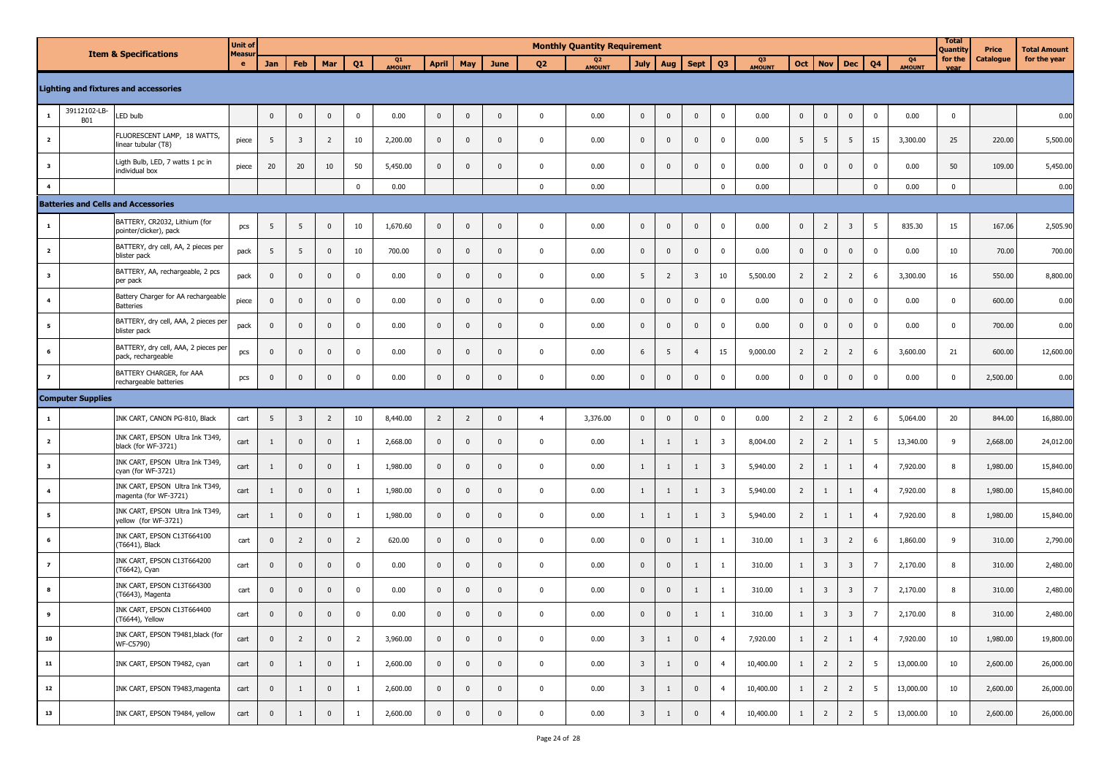| <b>Item &amp; Specifications</b> |                                              |                                                            | <b>Unit of</b> | <b>Monthly Quantity Requirement</b> |                         |                |                |              |                |                |                |                          |             |                         | <b>Total</b><br>Quantity | Price                   | <b>Total Amount</b>     |            |                |                         |                |                     |                 |              |              |           |
|----------------------------------|----------------------------------------------|------------------------------------------------------------|----------------|-------------------------------------|-------------------------|----------------|----------------|--------------|----------------|----------------|----------------|--------------------------|-------------|-------------------------|--------------------------|-------------------------|-------------------------|------------|----------------|-------------------------|----------------|---------------------|-----------------|--------------|--------------|-----------|
|                                  | <b>Lighting and fixtures and accessories</b> | <b>Measur</b><br>e.                                        | Jan            | Feb                                 | Mar                     | Q <sub>1</sub> | Q1<br>AMOUNT   | <b>April</b> | May            | June           | Q <sub>2</sub> | Q <sub>2</sub><br>AMOUNT | <b>July</b> | Aug                     | <b>Sept</b>              | Q <sub>3</sub>          | Q3<br><b>AMOUNT</b>     | <b>Oct</b> | <b>Nov</b>     | <b>Dec</b>              | Q <sub>4</sub> | Q4<br><b>AMOUNT</b> | for the<br>vear | Catalogue    | for the year |           |
|                                  |                                              |                                                            |                |                                     |                         |                |                |              |                |                |                |                          |             |                         |                          |                         |                         |            |                |                         |                |                     |                 |              |              |           |
| 1                                | 39112102-LB-<br><b>B01</b>                   | LED bulb                                                   |                | $\mathbf 0$                         | $\mathbf 0$             | $\mathbf 0$    | $\pmb{0}$      | 0.00         | $\mathbf 0$    | $\mathbf 0$    | $\mathbf{0}$   | $\mathbf 0$              | 0.00        | $\mathbf 0$             | $\mathbf 0$              | $\mathbf 0$             | $\overline{0}$          | 0.00       | $\mathbf{0}$   | $\mathbf 0$             | $\mathbf 0$    | $\mathbf 0$         | 0.00            | $\pmb{0}$    |              | 0.00      |
| $\overline{\mathbf{2}}$          |                                              | FLUORESCENT LAMP, 18 WATTS,<br>linear tubular (T8)         | piece          | 5                                   | $\overline{\mathbf{3}}$ | $\overline{2}$ | 10             | 2,200.00     | $\mathbf 0$    | $\mathbf 0$    | $\mathbf{0}$   | $\mathbf 0$              | 0.00        | $\mathbf{0}$            | $\mathbf 0$              | $\mathbf 0$             | $\mathbf 0$             | 0.00       | 5              | 5                       | 5              | 15                  | 3,300.00        | 25           | 220.00       | 5,500.00  |
| $\overline{\mathbf{3}}$          |                                              | Ligth Bulb, LED, 7 watts 1 pc in<br>individual box         | piece          | 20                                  | 20                      | 10             | 50             | 5,450.00     | $\mathbf{0}$   | $\mathbf 0$    | $\Omega$       | $\mathbf 0$              | 0.00        | $\mathbf 0$             | $\mathbf 0$              | $\mathbf 0$             | $\mathbf 0$             | 0.00       | $\mathbf{0}$   | $\mathbf 0$             | $\pmb{0}$      | 0                   | 0.00            | 50           | 109.00       | 5,450.00  |
| $\overline{\mathbf{4}}$          |                                              |                                                            |                |                                     |                         |                | $\mathsf 0$    | 0.00         |                |                |                | $\mathbf{0}$             | 0.00        |                         |                          |                         | $\mathbf 0$             | 0.00       |                |                         |                | $\pmb{0}$           | 0.00            | $\mathbf 0$  |              | 0.00      |
|                                  |                                              | <b>Batteries and Cells and Accessories</b>                 |                |                                     |                         |                |                |              |                |                |                |                          |             |                         |                          |                         |                         |            |                |                         |                |                     |                 |              |              |           |
| $\mathbf{1}$                     |                                              | BATTERY, CR2032, Lithium (for<br>pointer/clicker), pack    | pcs            | 5                                   | 5                       | $\mathbf 0$    | 10             | 1,670.60     | $\mathbf 0$    | $\mathbf 0$    | $\mathbf 0$    | $\mathbf 0$              | 0.00        | $\mathbf{0}$            | $\mathbf 0$              | $\mathbf 0$             | $\mathbf 0$             | 0.00       | $\mathbf 0$    | $\overline{2}$          | 3              | 5                   | 835.30          | 15           | 167.06       | 2,505.90  |
| $\overline{\mathbf{2}}$          |                                              | BATTERY, dry cell, AA, 2 pieces per<br>blister pack        | pack           | 5                                   | 5                       | $\mathbf{0}$   | 10             | 700.00       | $\mathbf{0}$   | $\mathbf 0$    | $\mathbf{0}$   | $\mathbf{0}$             | 0.00        | $\mathbf 0$             | $\mathbf 0$              | $\mathbf 0$             | $\mathbf 0$             | 0.00       | $\mathbf 0$    | $\mathbf 0$             | $\mathbf 0$    | 0                   | 0.00            | 10           | 70.00        | 700.00    |
| $\overline{\mathbf{3}}$          |                                              | BATTERY, AA, rechargeable, 2 pcs<br>per pack               | pack           | $\bf{0}$                            | $\mathbf 0$             | $\mathbf 0$    | $\mathbf 0$    | 0.00         | $\mathbf 0$    | $\mathbf 0$    | $\mathbf 0$    | $\mathbf 0$              | 0.00        | 5                       | $\overline{2}$           | $\overline{\mathbf{3}}$ | 10                      | 5,500.00   | $\overline{2}$ | $\overline{2}$          | $\overline{2}$ | 6                   | 3,300.00        | 16           | 550.00       | 8,800.00  |
| $\overline{a}$                   |                                              | Battery Charger for AA rechargeable<br><b>Batteries</b>    | piece          | $\mathbf 0$                         | $\mathbf 0$             | $\mathbf{0}$   | $\mathbf{0}$   | 0.00         | $\mathbf{0}$   | $\mathbf 0$    | $\Omega$       | $\mathbf{0}$             | 0.00        | $\mathbf{0}$            | $\mathbf 0$              | $\mathbf 0$             | $\mathbf 0$             | 0.00       | $\mathbf{0}$   | $\mathbf 0$             | $\pmb{0}$      | 0                   | 0.00            | $\mathbf{0}$ | 600.00       | 0.00      |
| 5                                |                                              | BATTERY, dry cell, AAA, 2 pieces per<br>blister pack       | pack           | $\mathbf 0$                         | $\mathbf 0$             | $\mathbf 0$    | $\mathbf 0$    | 0.00         | $\mathbf 0$    | $\mathbf{0}$   | $\Omega$       | $\mathbf 0$              | 0.00        | $\mathbf{0}$            | $\mathbf 0$              | $\mathbf 0$             | 0                       | 0.00       | $\mathbf 0$    | $\mathbf 0$             | $\mathbf{0}$   | 0                   | 0.00            | $\mathbf 0$  | 700.00       | 0.00      |
| 6                                |                                              | BATTERY, dry cell, AAA, 2 pieces per<br>pack, rechargeable | pcs            | $\mathbf 0$                         | $\mathbf 0$             | $\mathbf 0$    | $\mathbf 0$    | 0.00         | $\mathbf 0$    | $\mathbf{0}$   | $\mathbf{0}$   | $\mathbf 0$              | 0.00        | 6                       | 5                        | $\overline{4}$          | 15                      | 9,000.00   | $\overline{2}$ | $\overline{2}$          | $\overline{2}$ | 6                   | 3,600.00        | 21           | 600.00       | 12,600.00 |
| $\overline{z}$                   |                                              | BATTERY CHARGER, for AAA<br>rechargeable batteries         | pcs            | $\mathbf 0$                         | $\mathbf 0$             | $\mathbf 0$    | $\pmb{0}$      | 0.00         | $\mathbf 0$    | $\mathbf 0$    | $\mathbf 0$    | $\mathbf 0$              | 0.00        | $\mathbf 0$             | $\mathbf 0$              | $\mathbf 0$             | $\mathbf 0$             | 0.00       | $\mathbf 0$    | $\mathbf 0$             | $\pmb{0}$      | $\mathbf 0$         | 0.00            | $\mathbf 0$  | 2,500.00     | 0.00      |
|                                  | <b>Computer Supplies</b>                     |                                                            |                |                                     |                         |                |                |              |                |                |                |                          |             |                         |                          |                         |                         |            |                |                         |                |                     |                 |              |              |           |
| $\mathbf{1}$                     |                                              | INK CART, CANON PG-810, Black                              | cart           | 5                                   | $\overline{\mathbf{3}}$ | $\overline{2}$ | 10             | 8,440.00     | $\overline{2}$ | $\overline{2}$ | $\mathbf 0$    | $\overline{4}$           | 3,376.00    | $\mathbf 0$             | $\mathbf 0$              | $\mathbf 0$             | 0                       | 0.00       | $\overline{2}$ | $\overline{2}$          | $\overline{2}$ | 6                   | 5,064.00        | 20           | 844.00       | 16,880.00 |
| $\overline{\mathbf{2}}$          |                                              | INK CART, EPSON Ultra Ink T349,<br>black (for WF-3721)     | cart           | $\mathbf{1}$                        | $\mathbf 0$             | $\mathbf{0}$   | $\mathbf{1}$   | 2,668.00     | $\mathbf 0$    | $\mathbf{0}$   | $\mathbf{0}$   | $\mathbf 0$              | 0.00        | $\mathbf{1}$            | -1                       | 1                       | $\overline{\mathbf{3}}$ | 8,004.00   | $\overline{2}$ | $\overline{2}$          | $\mathbf{1}$   | 5                   | 13,340.00       | 9            | 2,668.00     | 24,012.00 |
| $\overline{\mathbf{3}}$          |                                              | INK CART, EPSON Ultra Ink T349,<br>cyan (for WF-3721)      | cart           | 1                                   | $\mathbf 0$             | $\mathbf{0}$   | <sup>1</sup>   | 1,980.00     | $\mathbf 0$    | $\mathbf{0}$   | $\mathbf{0}$   | $\mathbf 0$              | 0.00        | $\mathbf{1}$            | 1                        | 1                       | $\overline{\mathbf{3}}$ | 5,940.00   | $\overline{2}$ | $\mathbf{1}$            | $\mathbf{1}$   | $\overline{4}$      | 7,920.00        | 8            | 1,980.00     | 15,840.00 |
| $\overline{\mathbf{4}}$          |                                              | INK CART, EPSON Ultra Ink T349,<br>magenta (for WF-3721)   | cart           | $\mathbf{1}$                        | $\mathbf 0$             | $\mathbf{0}$   | $\mathbf{1}$   | 1,980.00     | $\mathbf 0$    | $\mathbf 0$    | $\mathbf{0}$   | $\mathbf 0$              | 0.00        | $\mathbf{1}$            | 1                        | 1                       | $\overline{\mathbf{3}}$ | 5,940.00   | $\overline{2}$ | $\mathbf{1}$            | $\mathbf{1}$   | $\overline{4}$      | 7,920.00        | 8            | 1,980.00     | 15,840.00 |
| $5\phantom{.0}$                  |                                              | INK CART, EPSON Ultra Ink T349,<br>yellow (for WF-3721)    | cart           | $\mathbf{1}$                        | $\mathbf 0$             | $\mathbf 0$    | $\mathbf{1}$   | 1,980.00     | $\mathbf 0$    | $\mathbf 0$    | $\mathbf 0$    | $\mathbf 0$              | 0.00        | $\mathbf{1}$            | 1                        | 1                       | $\overline{\mathbf{3}}$ | 5,940.00   | $\overline{2}$ | $\mathbf{1}$            | 1              | $\overline{4}$      | 7,920.00        | $\, 8$       | 1,980.00     | 15,840.00 |
| 6                                |                                              | INK CART, EPSON C13T664100<br>(T6641), Black               | cart           | $\bf{0}$                            | $\overline{2}$          | $\mathbf{0}$   | $\overline{2}$ | 620.00       | $\mathbf 0$    | $\mathbf 0$    | $\mathbf{0}$   | $\mathbf 0$              | 0.00        | $\mathbf 0$             | $\mathbf 0$              | 1                       | -1                      | 310.00     | $\mathbf{1}$   | $\overline{\mathbf{3}}$ | $\overline{2}$ | 6                   | 1,860.00        | 9            | 310.00       | 2,790.00  |
| $\overline{z}$                   |                                              | INK CART, EPSON C13T664200<br>(T6642), Cyan                | cart           | $\bf{0}$                            | $\mathbf 0$             | $\mathbf 0$    | $\mathsf 0$    | 0.00         | $\mathbf{0}$   | $\mathbf 0$    | $\mathbf 0$    | $\mathbf{0}$             | 0.00        | $\pmb{0}$               | $\mathbf 0$              | 1                       |                         | 310.00     | $\mathbf{1}$   | $\overline{\mathbf{3}}$ | 3              | 7                   | 2,170.00        | 8            | 310.00       | 2,480.00  |
| 8                                |                                              | INK CART, EPSON C13T664300<br>(T6643), Magenta             | cart           | $\mathbf{0}$                        | $\mathbf 0$             | $\mathbf{0}$   | $\mathbf{0}$   | 0.00         | $\mathbf 0$    | $\mathbf{0}$   | $\Omega$       | $\mathbf 0$              | 0.00        | $\mathbf 0$             | $\mathbf{0}$             | 1                       | -1                      | 310.00     | $\mathbf{1}$   | $\overline{\mathbf{3}}$ | 3              | 7                   | 2,170.00        | 8            | 310.00       | 2,480.00  |
| 9                                |                                              | INK CART, EPSON C13T664400<br>(T6644), Yellow              | cart           | $\mathbf{0}$                        | $\mathbf{0}$            | $\mathbf{0}$   | $\mathbf 0$    | 0.00         | $\mathbf 0$    | $\mathbf{0}$   | $\mathbf 0$    | $\Omega$                 | 0.00        | $\mathbf 0$             | $\mathbf{0}$             | $\mathbf{1}$            | $\mathbf{1}$            | 310.00     | $\mathbf{1}$   | $\overline{\mathbf{3}}$ | 3              | $\overline{7}$      | 2,170.00        | 8            | 310.00       | 2,480.00  |
| 10                               |                                              | INK CART, EPSON T9481,black (for<br>WF-C5790)              | cart           | $\mathbf 0$                         | $\overline{2}$          | $\overline{0}$ | $\overline{2}$ | 3,960.00     | $\pmb{0}$      | $\mathbf 0$    | $\mathbf 0$    | $\mathbf 0$              | 0.00        | $\mathbf{3}$            | $\mathbf{1}$             | $\mathbf 0$             | $\overline{4}$          | 7,920.00   | $\mathbf{1}$   | $\overline{2}$          | $\mathbf{1}$   | $\overline{4}$      | 7,920.00        | 10           | 1,980.00     | 19,800.00 |
| 11                               |                                              | INK CART, EPSON T9482, cyan                                | cart           | $\mathbf 0$                         | $\mathbf{1}$            | $\overline{0}$ | $\mathbf{1}$   | 2,600.00     | $\mathbf 0$    | $\overline{0}$ | $\pmb{0}$      | $\mathbf 0$              | 0.00        | $\overline{\mathbf{3}}$ | $\mathbf{1}$             | $\mathbf{0}$            | $\overline{4}$          | 10,400.00  | 1              | $\overline{2}$          | $\overline{2}$ | 5                   | 13,000.00       | 10           | 2,600.00     | 26,000.00 |
| 12                               |                                              | INK CART, EPSON T9483, magenta                             | cart           | $\mathbf 0$                         | $\mathbf{1}$            | $\overline{0}$ | $\mathbf{1}$   | 2,600.00     | $\overline{0}$ | $\mathbf 0$    | $\overline{0}$ | $\mathbf 0$              | 0.00        | $\overline{\mathbf{3}}$ | $\mathbf{1}$             | $\mathbf 0$             | $\overline{4}$          | 10,400.00  | 1              | $\overline{2}$          | $\overline{2}$ | $5\phantom{.0}$     | 13,000.00       | 10           | 2,600.00     | 26,000.00 |
| 13                               |                                              | INK CART, EPSON T9484, yellow                              | cart           | $\mathbf 0$                         | $\mathbf{1}$            | $\overline{0}$ | $\mathbf{1}$   | 2,600.00     | $\mathbf 0$    | $\mathbf 0$    | $\pmb{0}$      | $\mathbf 0$              | 0.00        | $\overline{3}$          | $\mathbf{1}$             | $\mathbf 0$             | $\overline{4}$          | 10,400.00  | $\mathbf{1}$   | $\overline{2}$          | $\overline{2}$ | 5                   | 13,000.00       | 10           | 2,600.00     | 26,000.00 |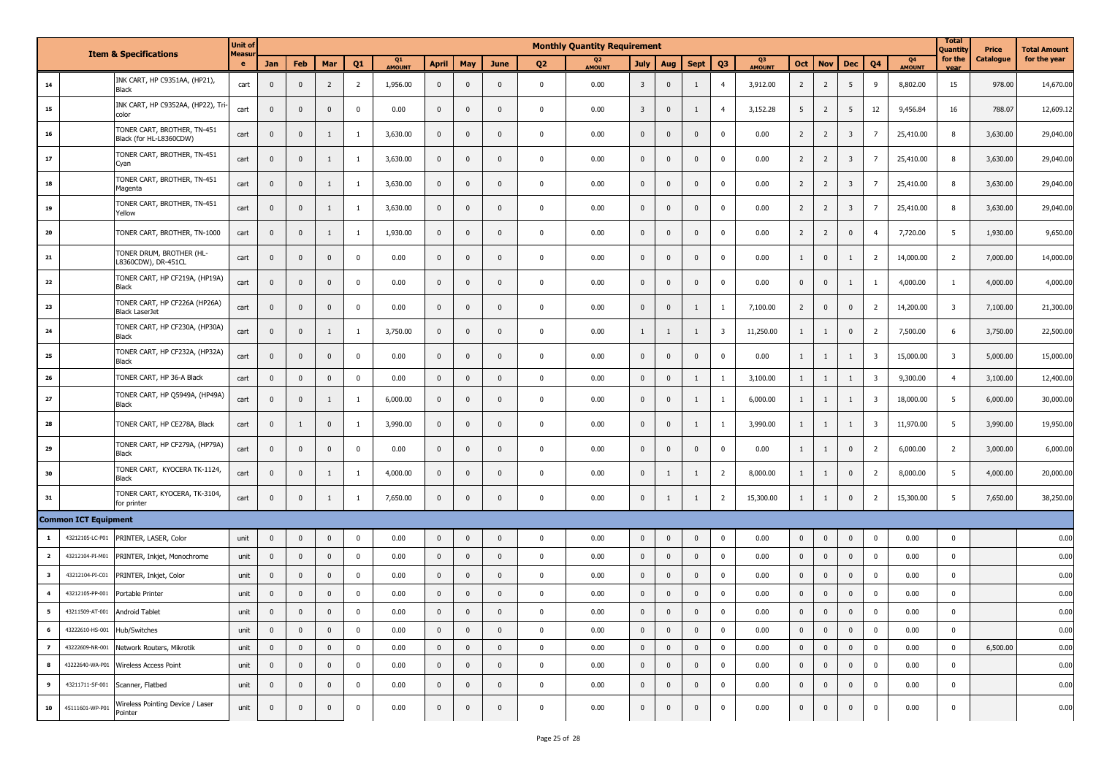| <b>Item &amp; Specifications</b> |                             |                                                        | <b>Unit of</b> |                |              |                         |                |                     |                |                |              |                | <b>Monthly Quantity Requirement</b> |                         |              |              |                |                     |                |                |                         |                         |                                 |                         |           | <b>Total Amount</b> |
|----------------------------------|-----------------------------|--------------------------------------------------------|----------------|----------------|--------------|-------------------------|----------------|---------------------|----------------|----------------|--------------|----------------|-------------------------------------|-------------------------|--------------|--------------|----------------|---------------------|----------------|----------------|-------------------------|-------------------------|---------------------------------|-------------------------|-----------|---------------------|
|                                  |                             |                                                        | Measu<br>e     | Jan            | Feb          | Mar                     | Q <sub>1</sub> | Q1<br><b>AMOUNT</b> | <b>April</b>   | May            | June         | Q <sub>2</sub> | Q <sub>2</sub><br><b>AMOUNT</b>     | <b>July</b>             | Aug          | <b>Sept</b>  | Q <sub>3</sub> | Q3<br><b>AMOUNT</b> | Oct            | <b>Nov</b>     | <b>Dec</b>              | Q <sub>4</sub>          | Q <sub>4</sub><br><b>AMOUNT</b> | for the                 | Catalogue | for the year        |
| 14                               |                             | INK CART, HP C9351AA, (HP21),<br><b>Black</b>          | cart           | $\mathbf 0$    | $\mathbf{0}$ | $\overline{2}$          | $\overline{2}$ | 1,956.00            | $\mathbf 0$    | $\mathbf 0$    | $\mathbf{0}$ | $\mathbf 0$    | 0.00                                | $\overline{\mathbf{3}}$ | $\mathbf 0$  | 1            | $\overline{4}$ | 3,912.00            | $\overline{2}$ | $\overline{2}$ | 5                       | 9                       | 8,802.00                        | 15                      | 978.00    | 14,670.00           |
| 15                               |                             | INK CART, HP C9352AA, (HP22), Tri-<br>color            | cart           | $\mathbf 0$    | $\mathbf 0$  | $\overline{\mathbf{0}}$ | $\mathbf 0$    | 0.00                | $\mathbf 0$    | $\mathbf 0$    | $\mathbf{0}$ | $\mathbf 0$    | 0.00                                | $\overline{3}$          | $\mathbf 0$  | 1            | $\overline{a}$ | 3,152.28            | 5              | $\overline{2}$ | 5                       | 12                      | 9,456.84                        | 16                      | 788.07    | 12,609.12           |
| 16                               |                             | TONER CART, BROTHER, TN-451<br>Black (for HL-L8360CDW) | cart           | $\mathbf 0$    | $\mathbf 0$  | 1                       | $\mathbf{1}$   | 3,630.00            | $\mathbf{0}$   | $\mathbf 0$    | $\mathbf{0}$ | $\mathbf 0$    | 0.00                                | $\mathbf 0$             | $\mathbf 0$  | $\mathbf 0$  | $\Omega$       | 0.00                | $\overline{2}$ | $\overline{2}$ | $\overline{\mathbf{3}}$ | $\overline{7}$          | 25,410.00                       | 8                       | 3,630.00  | 29,040.00           |
| 17                               |                             | TONER CART, BROTHER, TN-451<br>Cyan                    | cart           | $\mathbf{0}$   | $\mathbf 0$  | $\mathbf{1}$            | $\mathbf{1}$   | 3,630.00            | $\mathbf{0}$   | $\mathbf 0$    | $\mathbf 0$  | $\mathbf 0$    | 0.00                                | $\mathbf 0$             | $\mathbf{0}$ | $\mathbf 0$  | $\Omega$       | 0.00                | $\overline{2}$ | $\overline{2}$ | $\overline{\mathbf{3}}$ | $\overline{7}$          | 25,410.00                       | 8                       | 3,630.00  | 29,040.00           |
| 18                               |                             | TONER CART, BROTHER, TN-451<br>Magenta                 | cart           | $\mathbf{0}$   | $\mathbf{0}$ | 1                       | -1             | 3,630.00            | $\mathbf{0}$   | $\mathbf 0$    | 0            | $\mathbf 0$    | 0.00                                | $\mathbf{0}$            | $\mathbf{0}$ | $\mathbf{0}$ | $\Omega$       | 0.00                | $\overline{2}$ | $\overline{2}$ | $\overline{\mathbf{3}}$ | 7                       | 25,410.00                       | 8                       | 3,630.00  | 29,040.00           |
| 19                               |                             | TONER CART, BROTHER, TN-451<br>Yellow                  | cart           | $\mathbf 0$    | $\mathbf 0$  | 1                       | $\mathbf{1}$   | 3,630.00            | $\mathbf 0$    | $\mathbf 0$    | $\mathbf 0$  | 0              | 0.00                                | $\mathbf 0$             | $\mathbf 0$  | $\mathbf 0$  | $\Omega$       | 0.00                | $\overline{2}$ | $\overline{2}$ | $\overline{3}$          | $\overline{7}$          | 25,410.00                       | 8                       | 3,630.00  | 29,040.00           |
| 20                               |                             | TONER CART, BROTHER, TN-1000                           | cart           | $\mathbf{0}$   | $\mathbf 0$  | 1                       | $\mathbf{1}$   | 1,930.00            | $\mathbf 0$    | $\mathbf{0}$   | $\mathbf 0$  | $\mathbf 0$    | 0.00                                | $\mathbf{0}$            | $\mathbf 0$  | $\mathbf{0}$ | $\Omega$       | 0.00                | $\overline{2}$ | $\overline{2}$ | $\mathbf 0$             | $\overline{4}$          | 7,720.00                        | 5                       | 1,930.00  | 9,650.00            |
| 21                               |                             | TONER DRUM, BROTHER (HL-<br>L8360CDW), DR-451CL        | cart           | $\mathbf 0$    | $\mathbf 0$  | $\mathbf 0$             | $\mathbf 0$    | 0.00                | $\mathbf 0$    | $\mathbf 0$    | $\mathbf{0}$ | $\mathbf 0$    | 0.00                                | $\mathbf{0}$            | $\mathbf 0$  | $\mathbf{0}$ |                | 0.00                | $\mathbf{1}$   | $\mathbf 0$    | -1                      | $\overline{2}$          | 14,000.00                       | $\overline{2}$          | 7,000.00  | 14,000.00           |
| 22                               |                             | TONER CART, HP CF219A, (HP19A)<br>Black                | cart           | $\mathbf 0$    | $\mathbf 0$  | $\mathbf 0$             | $\mathbf 0$    | 0.00                | $\mathbf 0$    | $\mathbf 0$    | $\mathbf{0}$ | $\mathbf 0$    | 0.00                                | $\mathbf 0$             | $\mathbf 0$  | $\mathbf 0$  | $\Omega$       | 0.00                | $\overline{0}$ | $\pmb{0}$      | $\mathbf{1}$            | -1                      | 4,000.00                        | $\overline{1}$          | 4,000.00  | 4,000.00            |
| 23                               |                             | TONER CART, HP CF226A (HP26A)<br><b>Black LaserJet</b> | cart           | $\mathbf{0}$   | $\mathbf{0}$ | $\mathbf{0}$            | $\mathbf 0$    | 0.00                | $\mathbf{0}$   | $\mathbf 0$    | $\mathbf 0$  | $\mathbf 0$    | 0.00                                | $\mathbf{0}$            | $\mathbf{0}$ | 1            |                | 7,100.00            | $\overline{2}$ | $\mathbf{0}$   | $\mathbf 0$             | $\overline{2}$          | 14,200.00                       | $\overline{\mathbf{3}}$ | 7,100.00  | 21,300.00           |
| 24                               |                             | TONER CART, HP CF230A, (HP30A)<br>Black                | cart           | $\pmb{0}$      | $\mathbf{0}$ | 1                       | -1             | 3,750.00            | $\mathbf 0$    | $\mathbf 0$    | $\mathbf 0$  | 0              | 0.00                                | $\mathbf{1}$            | 1            | 1            | 3              | 11,250.00           | $\mathbf{1}$   | 1              | $\mathbf 0$             | $\overline{2}$          | 7,500.00                        | 6                       | 3,750.00  | 22,500.00           |
| 25                               |                             | TONER CART, HP CF232A, (HP32A)<br>Black                | cart           | $\mathbf{0}$   | $\mathbf{0}$ | $\mathbf{0}$            | $\mathbf 0$    | 0.00                | $\mathbf 0$    | $\mathbf 0$    | $\Omega$     | $\mathbf 0$    | 0.00                                | $\mathbf 0$             | $\mathbf 0$  | $\mathbf{0}$ | $\Omega$       | 0.00                | $\mathbf{1}$   | 1              | 1                       | $\overline{\mathbf{3}}$ | 15,000.00                       | $\overline{\mathbf{3}}$ | 5,000.00  | 15,000.00           |
| 26                               |                             | TONER CART, HP 36-A Black                              | cart           | $\mathbf 0$    | $\mathbf 0$  | $\mathbf 0$             | $\mathbf 0$    | 0.00                | $\mathbf 0$    | $\mathbf{0}$   | $\Omega$     | $\mathbf 0$    | 0.00                                | $\mathbf 0$             | $\mathbf 0$  | 1            | <sup>1</sup>   | 3,100.00            | $\mathbf{1}$   | 1              | $\mathbf{1}$            | $\overline{\mathbf{3}}$ | 9,300.00                        | $\overline{4}$          | 3,100.00  | 12,400.00           |
| 27                               |                             | TONER CART, HP Q5949A, (HP49A)<br>Black                | cart           | $\mathbf 0$    | $\mathbf{0}$ | 1                       | <sup>1</sup>   | 6,000.00            | $\mathbf{0}$   | $\mathbf 0$    | $\mathbf{0}$ | $\mathbf 0$    | 0.00                                | $\mathbf{0}$            | $\mathbf{0}$ | $\mathbf{1}$ | $\mathbf{1}$   | 6,000.00            | $\mathbf{1}$   | 1              | $\mathbf{1}$            | $\overline{\mathbf{3}}$ | 18,000.00                       | 5                       | 6,000.00  | 30,000.00           |
| 28                               |                             | TONER CART, HP CE278A, Black                           | cart           | $\mathbf{0}$   | 1            | $\mathbf{0}$            | $\mathbf{1}$   | 3,990.00            | $\mathbf{0}$   | $\mathbf 0$    | $\mathbf 0$  | $\mathbf 0$    | 0.00                                | $\mathbf 0$             | $\mathbf{0}$ | 1            |                | 3,990.00            | $\mathbf{1}$   | $\mathbf{1}$   | $\mathbf{1}$            | $\overline{\mathbf{3}}$ | 11,970.00                       | 5                       | 3,990.00  | 19,950.00           |
| 29                               |                             | TONER CART, HP CF279A, (HP79A)<br>Black                | cart           | $^{\circ}$     | $\mathbf{0}$ | $\mathbf{0}$            | $\mathbf 0$    | 0.00                | $\mathbf 0$    | $\mathbf{0}$   | 0            | $\mathbf 0$    | 0.00                                | $\mathbf{0}$            | $\mathbf{0}$ | $\mathbf{0}$ | $\Omega$       | 0.00                | $\mathbf{1}$   | 1              | $\mathbf 0$             | $\overline{2}$          | 6,000.00                        | $\overline{2}$          | 3,000.00  | 6,000.00            |
| 30                               |                             | TONER CART, KYOCERA TK-1124,<br>Black                  | cart           | $\mathbf{0}$   | $\mathbf{0}$ | 1                       | -1             | 4,000.00            | $\mathbf{0}$   | $\mathbf 0$    | $\Omega$     | $\mathbf 0$    | 0.00                                | $\mathbf 0$             | 1            | 1            | 2              | 8,000.00            | $\mathbf{1}$   | 1              | $\mathbf{0}$            | $\overline{2}$          | 8,000.00                        | 5                       | 4,000.00  | 20,000.00           |
| 31                               |                             | TONER CART, KYOCERA, TK-3104,<br>for printer           | cart           | $\mathbf 0$    | $\mathbf 0$  | $\mathbf{1}$            | $\mathbf{1}$   | 7,650.00            | $\mathbf 0$    | $\mathbf 0$    | $\mathbf{0}$ | $\mathbf 0$    | 0.00                                | $\mathbf{0}$            | 1            | 1            | $\overline{2}$ | 15,300.00           | $\mathbf{1}$   | 1              | $\mathbf 0$             | $\overline{2}$          | 15,300.00                       | 5                       | 7,650.00  | 38,250.00           |
|                                  | <b>Common ICT Equipment</b> |                                                        |                |                |              |                         |                |                     |                |                |              |                |                                     |                         |              |              |                |                     |                |                |                         |                         |                                 |                         |           |                     |
| $\mathbf{1}$                     | 43212105-LC-P01             | PRINTER, LASER, Color                                  | unit           | $\pmb{0}$      | $\mathbf 0$  | $\mathbf 0$             | $\mathbf 0$    | 0.00                | $\mathbf{0}$   | $\mathbf 0$    | $\mathbf{0}$ | $\pmb{0}$      | 0.00                                | $\mathbf 0$             | $\mathbf 0$  | $\mathbf 0$  | $\Omega$       | 0.00                | $\overline{0}$ | $\pmb{0}$      | $\mathbf 0$             | $\Omega$                | 0.00                            | $\mathbf 0$             |           | 0.00                |
| $\overline{\mathbf{2}}$          | 43212104-PI-M01             | PRINTER, Inkjet, Monochrome                            | unit           | $\mathbf{0}$   | $\mathbf 0$  | $\mathbf 0$             | $\mathbf 0$    | 0.00                | $\mathbf 0$    | $\mathbf 0$    | $\mathbf{0}$ | $\mathbf 0$    | 0.00                                | $\mathbf 0$             | $\mathbf 0$  | $\mathbf 0$  | $\mathbf 0$    | 0.00                | $\mathbf 0$    | $\mathbf{0}$   | $\mathbf 0$             | $\mathbf 0$             | 0.00                            | $\mathbf 0$             |           | 0.00                |
| $\overline{\mathbf{3}}$          | 43212104-PI-C01             | PRINTER, Inkjet, Color                                 | unit           | $\mathbf 0$    | $\mathbf 0$  | $\mathbf 0$             | $\mathbf{0}$   | 0.00                | $\mathbf{0}$   | $\mathbf 0$    | $\mathbf 0$  | $\mathbf 0$    | 0.00                                | $\mathbf 0$             | $\mathbf{0}$ | $\mathbf{0}$ | $\Omega$       | 0.00                | $\mathbf 0$    | $\pmb{0}$      | $\mathbf 0$             | $\Omega$                | 0.00                            | $\pmb{0}$               |           | 0.00                |
| $\overline{\mathbf{4}}$          | 43212105-PP-001             | Portable Printer                                       | unit           | $\mathbf{0}$   | $\mathbf 0$  | $\mathbf{0}$            | $\mathbf 0$    | 0.00                | $\mathbf 0$    | $\mathbf 0$    | $\mathbf{0}$ | $\pmb{0}$      | 0.00                                | $\mathbf 0$             | $\mathbf 0$  | $\mathbf{0}$ | $\Omega$       | 0.00                | $\overline{0}$ | $\mathbf 0$    | $\mathbf 0$             | $\mathbf{0}$            | 0.00                            | $\mathbf 0$             |           | 0.00                |
| $5^{\circ}$                      | 43211509-AT-001             | Android Tablet                                         | unit           | $\mathbf{0}$   | $\mathbf{0}$ | $\mathbf{0}$            | $\Omega$       | 0.00                | $\mathbf 0$    | $\mathbf{0}$   | $\Omega$     | $\mathbf 0$    | 0.00                                | $\mathbf 0$             | $\mathbf{0}$ | $\mathbf{0}$ | $\Omega$       | 0.00                | $\mathbf{0}$   | $\pmb{0}$      | $\mathbf 0$             | $\mathbf{0}$            | 0.00                            | $\mathbf 0$             |           | 0.00                |
| 6                                | 43222610-HS-001             | Hub/Switches                                           | unit           | $\mathbf 0$    | $\mathbf 0$  | $\overline{\mathbf{0}}$ | $\mathbf 0$    | 0.00                | $\mathbf 0$    | $\mathbf 0$    | $\mathbf 0$  | $\mathbf 0$    | 0.00                                | $\mathbf{0}$            | $\mathbf 0$  | $\mathbf 0$  | $\mathbf 0$    | 0.00                | $\bf{0}$       | $\pmb{0}$      | $\mathbf{0}$            | $\mathbf 0$             | 0.00                            | $\mathbf 0$             |           | 0.00                |
| $\overline{z}$                   | 43222609-NR-001             | Network Routers, Mikrotik                              | unit           | $\overline{0}$ | $\mathbf{0}$ | $\overline{0}$          | $\mathbf 0$    | 0.00                | $\overline{0}$ | $\overline{0}$ | $\mathbf 0$  | $\mathbf{0}$   | 0.00                                | $\mathbf{0}$            | $\mathbf 0$  | $\mathbf 0$  | $\mathbf 0$    | 0.00                | $\overline{0}$ | $\overline{0}$ | $\mathbf 0$             | $\mathbf 0$             | 0.00                            | $\overline{0}$          | 6,500.00  | 0.00                |
| 8                                | 43222640-WA-P01             | Wireless Access Point                                  | unit           | $\mathbf 0$    | $\mathbf 0$  | $\overline{0}$          | $\mathbf 0$    | 0.00                | $\mathbf 0$    | $\mathbf 0$    | $\mathbf 0$  | $\mathbf 0$    | 0.00                                | $\mathbf 0$             | $\mathbf 0$  | $\mathbf 0$  | $\mathbf 0$    | 0.00                | $\bf{0}$       | $\overline{0}$ | $\mathbf 0$             | $\mathbf 0$             | 0.00                            | $\overline{0}$          |           | 0.00                |
| 9                                | 43211711-SF-001             | Scanner, Flatbed                                       | unit           | $\mathbf 0$    | $\mathbf 0$  | $\overline{\mathbf{0}}$ | $\mathbf 0$    | 0.00                | $\mathbf 0$    | $\mathbf 0$    | $\mathbf 0$  | $\mathbf 0$    | 0.00                                | $\overline{0}$          | $\mathbf 0$  | $\mathbf 0$  | $\mathbf 0$    | 0.00                | $\bf{0}$       | $\pmb{0}$      | $\mathbf 0$             | $\mathbf 0$             | 0.00                            | $\mathbf 0$             |           | 0.00                |
| 10                               | 45111601-WP-P01             | Wireless Pointing Device / Laser<br>Pointer            | unit           | $\mathbf 0$    | $\mathbf 0$  | $\overline{\mathbf{0}}$ | $\mathbf 0$    | 0.00                | $\mathbf 0$    | $\mathbf 0$    | $\pmb{0}$    | $\mathbf 0$    | 0.00                                | $\overline{0}$          | $\mathbf 0$  | $\mathbf 0$  | $\mathbf 0$    | 0.00                | $\overline{0}$ | $\mathbf 0$    | $\mathbf 0$             | $\mathbf 0$             | 0.00                            | $\overline{0}$          |           | 0.00                |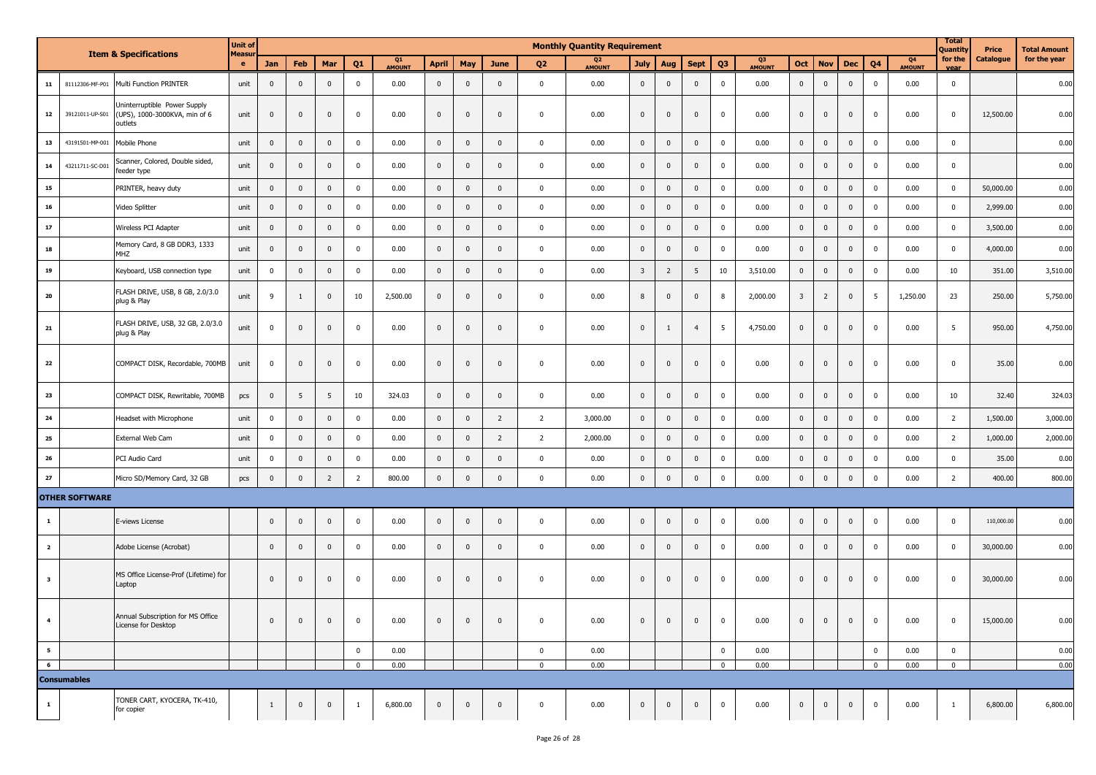| <b>Item &amp; Specifications</b><br>${\bf 11}$<br>81112306-MF-P01<br>Multi Function PRINTER |                       |                                                                          | <b>Unit of</b> | <b>Monthly Quantity Requirement</b> |              |                         |                |              |                |                |                |                          |             |                |                |                | <b>Total</b><br>Quantity<br>Price |          | <b>Total Amount</b>     |                |                |                     |                 |                  |              |          |
|---------------------------------------------------------------------------------------------|-----------------------|--------------------------------------------------------------------------|----------------|-------------------------------------|--------------|-------------------------|----------------|--------------|----------------|----------------|----------------|--------------------------|-------------|----------------|----------------|----------------|-----------------------------------|----------|-------------------------|----------------|----------------|---------------------|-----------------|------------------|--------------|----------|
|                                                                                             |                       | <b>Measur</b><br>e                                                       | Jan            | Feb                                 | Mar          | Q1                      | Q1<br>AMOUNT   | <b>April</b> | May            | <b>June</b>    | Q <sub>2</sub> | Q <sub>2</sub><br>AMOUNT | <b>July</b> | Aug            | <b>Sept</b>    | Q <sub>3</sub> | Q3<br>AMOUNT                      | Oct      | <b>Nov</b>              | <b>Dec</b>     | Q <sub>4</sub> | Q4<br><b>AMOUNT</b> | for the<br>vear | <b>Catalogue</b> | for the year |          |
|                                                                                             |                       |                                                                          | unit           | $\mathbf{0}$                        | $\mathbf 0$  | $\mathbf 0$             | $\pmb{0}$      | 0.00         | $\mathbf 0$    | $\mathbf 0$    | $\mathbf 0$    | $\mathbf 0$              | 0.00        | $\mathbf 0$    | $\mathbf 0$    | $\mathbf 0$    | $\mathbf 0$                       | 0.00     | $\mathbf 0$             | $\mathbf 0$    | $\mathbf 0$    | $\mathbf{0}$        | 0.00            | $\mathbf 0$      |              | 0.00     |
| 12                                                                                          | 39121011-UP-S01       | Uninterruptible Power Supply<br>(UPS), 1000-3000KVA, min of 6<br>outlets | unit           | $\mathbf 0$                         | $\mathbf 0$  | $\overline{0}$          | $\mathbf 0$    | 0.00         | $\mathbf 0$    | $\mathbf 0$    | $\overline{0}$ | $\mathbf 0$              | 0.00        | $\mathbf 0$    | $\mathbf 0$    | $\mathbf 0$    | $\mathbf 0$                       | 0.00     | $\pmb{0}$               | $\mathbf 0$    | $\mathbf 0$    | $\Omega$            | 0.00            | $\pmb{0}$        | 12,500.00    | 0.00     |
| 13                                                                                          | 43191501-MP-001       | Mobile Phone                                                             | unit           | $\mathbf 0$                         | $\mathbf 0$  | $\mathbf 0$             | $\mathbf 0$    | 0.00         | $\mathbf{0}$   | $\mathbf 0$    | $\mathbf{0}$   | $\mathbf 0$              | 0.00        | $\mathbf 0$    | $\mathbf 0$    | $\mathbf 0$    | $\mathbf 0$                       | 0.00     | $\mathbf 0$             | $\mathbf 0$    | $\mathbf{0}$   | $\mathbf 0$         | 0.00            | $\mathbf 0$      |              | 0.00     |
| 14                                                                                          | 43211711-SC-D01       | Scanner, Colored, Double sided,<br>feeder type                           | unit           | $\mathbf{0}$                        | $\mathbf 0$  | $\mathbf 0$             | $\mathbf 0$    | 0.00         | $\mathbf{0}$   | $\mathbf 0$    | $\mathbf{0}$   | $\mathbf 0$              | 0.00        | $\mathbf 0$    | $\mathbf 0$    | $\mathbf 0$    | $\mathbf 0$                       | 0.00     | $\mathbf 0$             | $\mathbf{0}$   | $\mathbf{0}$   | $\mathbf 0$         | 0.00            | $\mathbf 0$      |              | 0.00     |
| 15                                                                                          |                       | PRINTER, heavy duty                                                      | unit           | $\mathbf 0$                         | $\mathbf 0$  | $\mathbf 0$             | $\mathbf 0$    | 0.00         | $\pmb{0}$      | $\mathbf 0$    | $\overline{0}$ | $\mathbf 0$              | 0.00        | $\mathsf 0$    | $\mathbf 0$    | $\mathbf 0$    | $\pmb{0}$                         | 0.00     | $\mathbf 0$             | $\pmb{0}$      | $\pmb{0}$      | $\Omega$            | 0.00            | $\mathbf 0$      | 50,000.00    | 0.00     |
| ${\bf 16}$                                                                                  |                       | Video Splitter                                                           | unit           | $\mathbf 0$                         | $\mathbf 0$  | $\overline{\mathbf{0}}$ | $\mathbf 0$    | 0.00         | $\mathbf 0$    | $\mathbf 0$    | $\mathbf{0}$   | $\mathbf 0$              | 0.00        | $\mathbf 0$    | $\mathbf 0$    | $\mathbf 0$    | $\mathbf 0$                       | 0.00     | $\pmb{0}$               | $\mathbf 0$    | $\mathbf 0$    | $\mathbf 0$         | 0.00            | $\pmb{0}$        | 2,999.00     | 0.00     |
| 17                                                                                          |                       | Wireless PCI Adapter                                                     | unit           | $\mathbf 0$                         | $\mathbf 0$  | $\mathbf 0$             | $\pmb{0}$      | 0.00         | $\mathbf 0$    | $\mathbf 0$    | $\mathbf 0$    | $\mathbf 0$              | 0.00        | $\mathsf 0$    | $\mathbf 0$    | $\mathbf 0$    | $\mathbf 0$                       | 0.00     | $\mathbf 0$             | $\mathbf 0$    | $\pmb{0}$      | $\mathbf 0$         | 0.00            | $\mathbf 0$      | 3,500.00     | 0.00     |
| 18                                                                                          |                       | Memory Card, 8 GB DDR3, 1333<br><b>MHZ</b>                               | unit           | $\mathbf 0$                         | $\mathbf 0$  | $\mathbf 0$             | $\pmb{0}$      | 0.00         | $\mathbf{0}$   | $\mathbf 0$    | $\mathbf 0$    | $\mathbf 0$              | 0.00        | $\mathbf 0$    | $\mathbf 0$    | $\mathbf 0$    | $\mathbf 0$                       | 0.00     | $\mathbf 0$             | $\pmb{0}$      | $\mathbf 0$    | $\Omega$            | 0.00            | $\mathbf 0$      | 4,000.00     | 0.00     |
| 19                                                                                          |                       | Keyboard, USB connection type                                            | unit           | $\mathbf 0$                         | $\mathbf 0$  | $\mathbf 0$             | $\mathbf 0$    | 0.00         | $\mathbf 0$    | $\mathbf 0$    | $\mathbf 0$    | $\mathbf 0$              | 0.00        | $\overline{3}$ | $\overline{2}$ | 5              | 10                                | 3,510.00 | $\mathbf 0$             | $\mathbf 0$    | $\mathbf 0$    | $\mathbf 0$         | 0.00            | 10               | 351.00       | 3,510.00 |
| 20                                                                                          |                       | FLASH DRIVE, USB, 8 GB, 2.0/3.0<br>plug & Play                           | unit           | 9                                   | 1            | $\mathbf{0}$            | 10             | 2,500.00     | $\mathbf{0}$   | $\mathbf{0}$   | $\mathbf 0$    | $\mathbf 0$              | 0.00        | $\bf 8$        | $\mathbf 0$    | $\mathbf 0$    | 8                                 | 2,000.00 | $\overline{\mathbf{3}}$ | $\overline{2}$ | $\mathbf 0$    | 5                   | 1,250.00        | 23               | 250.00       | 5,750.00 |
| 21                                                                                          |                       | FLASH DRIVE, USB, 32 GB, 2.0/3.0<br>plug & Play                          | unit           | $\mathbf 0$                         | $\mathbf 0$  | $\mathbf{0}$            | $\mathbf 0$    | 0.00         | $\mathbf 0$    | $\mathbf 0$    | $\mathbf 0$    | $\mathbf 0$              | 0.00        | $\mathbf 0$    | 1              | $\overline{4}$ | 5                                 | 4,750.00 | $\mathbf 0$             | $\mathbf{0}$   | $\mathbf 0$    | $\mathbf 0$         | 0.00            | 5                | 950.00       | 4,750.00 |
| 22                                                                                          |                       | COMPACT DISK, Recordable, 700MB                                          | unit           | $\mathbf 0$                         | $\mathbf 0$  | $\mathbf 0$             | $\mathbf 0$    | 0.00         | $\mathbf{0}$   | $\mathbf 0$    | $\mathbf 0$    | $\mathbf 0$              | 0.00        | $\mathbf 0$    | $\mathbf 0$    | $\mathbf 0$    | $\mathbf 0$                       | 0.00     | $\mathbf 0$             | $\mathbf{0}$   | $\mathbf 0$    | $\Omega$            | 0.00            | $\mathbf 0$      | 35.00        | 0.00     |
| 23                                                                                          |                       | COMPACT DISK, Rewritable, 700MB                                          | pcs            | $\mathbf 0$                         | 5            | 5                       | 10             | 324.03       | $\mathbf 0$    | $\mathbf 0$    | $\mathbf 0$    | $\mathbf 0$              | 0.00        | $\mathbf 0$    | $\mathbf 0$    | $\mathbf 0$    | $\mathbf 0$                       | 0.00     | $\mathbf 0$             | $\mathbf 0$    | $\mathbf 0$    | $\mathbf 0$         | 0.00            | 10               | 32.40        | 324.03   |
| ${\bf 24}$                                                                                  |                       | Headset with Microphone                                                  | unit           | $\mathbf 0$                         | $\mathbf 0$  | $\mathbf 0$             | $\pmb{0}$      | 0.00         | $\mathbf 0$    | $\mathbf 0$    | $\overline{2}$ | $\overline{2}$           | 3,000.00    | $\mathbf 0$    | $\mathbf 0$    | $\mathbf 0$    | $\mathbf 0$                       | 0.00     | $\pmb{0}$               | $\mathbf 0$    | $\mathbf 0$    | $\mathbf 0$         | 0.00            | $\overline{2}$   | 1,500.00     | 3,000.00 |
| ${\bf 25}$                                                                                  |                       | External Web Cam                                                         | unit           | $\mathbf 0$                         | $\mathbf 0$  | $\mathbf 0$             | $\mathbf 0$    | 0.00         | $\pmb{0}$      | $\mathbf 0$    | $\overline{2}$ | $\overline{2}$           | 2,000.00    | $\mathbf 0$    | $\mathbf 0$    | $\mathbf 0$    | $\pmb{0}$                         | 0.00     | $\mathbf 0$             | $\mathbf 0$    | $\mathbf 0$    | $\mathbf 0$         | 0.00            | $\overline{2}$   | 1,000.00     | 2,000.00 |
| ${\bf 26}$                                                                                  |                       | PCI Audio Card                                                           | unit           | $\mathbf 0$                         | $\mathbf 0$  | $\mathbf 0$             | $\pmb{0}$      | 0.00         | $\mathbf 0$    | $\mathbf 0$    | $\mathbf{0}$   | $\mathbf 0$              | 0.00        | $\mathsf 0$    | $\mathbf 0$    | $\mathbf 0$    | $\mathbf 0$                       | 0.00     | $\mathbf 0$             | $\mathbf 0$    | $\pmb{0}$      | $\mathbf 0$         | 0.00            | $\mathbf 0$      | 35.00        | 0.00     |
| $\bf 27$                                                                                    |                       | Micro SD/Memory Card, 32 GB                                              | pcs            | $\mathbf{0}$                        | $\mathbf 0$  | $\overline{2}$          | $\overline{2}$ | 800.00       | $\pmb{0}$      | $\mathbf{0}$   | $\mathbf{0}$   | $\mathbf 0$              | 0.00        | $\mathbf 0$    | $\mathbf 0$    | $\mathbb O$    | $\mathbf 0$                       | 0.00     | $\mathbf 0$             | $\mathbf 0$    | $\mathbf{0}$   | $\mathbf 0$         | 0.00            | $\overline{2}$   | 400.00       | 800.00   |
|                                                                                             | <b>OTHER SOFTWARE</b> |                                                                          |                |                                     |              |                         |                |              |                |                |                |                          |             |                |                |                |                                   |          |                         |                |                |                     |                 |                  |              |          |
| $\mathbf{1}$                                                                                |                       | E-views License                                                          |                | $\mathbf 0$                         | $\mathbf{0}$ | $\overline{0}$          | $\pmb{0}$      | 0.00         | $\overline{0}$ | $\mathbf{0}$   | $\mathbf 0$    | $\mathbf 0$              | 0.00        | $\mathbf{0}$   | $\mathbf 0$    | $\mathbf{0}$   | $\mathbf 0$                       | 0.00     | $\mathbf 0$             | $\mathbf 0$    | $\mathbf 0$    | $\mathbf 0$         | 0.00            | $\mathbf 0$      | 110,000.00   | 0.00     |
| $\overline{\mathbf{2}}$                                                                     |                       | Adobe License (Acrobat)                                                  |                | $\mathbf 0$                         | $\mathbf 0$  | $\overline{\mathbf{0}}$ | $\mathbf 0$    | 0.00         | $\mathbf 0$    | $\mathbf 0$    | $\mathbf 0$    | $\mathbf 0$              | 0.00        | $\mathbf 0$    | $\mathbf 0$    | $\mathbf 0$    | $^{\circ}$                        | 0.00     | $\mathbf 0$             | $\mathbf 0$    | $\mathbf 0$    | $\mathbf{0}$        | 0.00            | $\mathbf 0$      | 30,000.00    | 0.00     |
| $\overline{\mathbf{3}}$                                                                     |                       | MS Office License-Prof (Lifetime) for<br>Laptop                          |                | $\mathbf 0$                         | $\Omega$     | $\mathbf 0$             | $\pmb{0}$      | 0.00         | $\mathbf{0}$   | $\mathbf 0$    | $\mathbf 0$    | $\mathbf 0$              | 0.00        | $\mathbf 0$    | $\mathbf 0$    | $\mathbf 0$    | $\mathbf 0$                       | 0.00     | $\mathbf{0}$            | $\mathbf{0}$   | $\mathbf{0}$   | $\Omega$            | 0.00            | $\pmb{0}$        | 30,000.00    | 0.00     |
| $\overline{a}$                                                                              |                       | Annual Subscription for MS Office<br>License for Desktop                 |                | $\mathbf{0}$                        |              |                         | 0              | 0.00         |                | $\mathbf{0}$   | $\bf{0}$       | $\bf{0}$                 | 0.00        | $\mathbf{0}$   |                | $\mathbf{0}$   |                                   | 0.00     |                         | $\bf{0}$       | $\mathbf{0}$   |                     | 0.00            | 0                | 15,000.00    | 0.00     |
| $5^{\circ}$                                                                                 |                       |                                                                          |                |                                     |              |                         | $\mathbf 0$    | 0.00         |                |                |                | $\mathbf 0$              | 0.00        |                |                |                | $\mathbf 0$                       | 0.00     |                         |                |                | $\mathbf 0$         | 0.00            | $\mathbf{0}$     |              | 0.00     |
| $6^{\circ}$                                                                                 | <b>Consumables</b>    |                                                                          |                |                                     |              |                         | $\mathbf 0$    | 0.00         |                |                |                | $\overline{0}$           | 0.00        |                |                |                | $\mathbf 0$                       | 0.00     |                         |                |                | $\mathbf 0$         | 0.00            | $\mathbf{0}$     |              | 0.00     |
|                                                                                             |                       |                                                                          |                |                                     |              |                         |                |              |                |                |                |                          |             |                |                |                |                                   |          |                         |                |                |                     |                 |                  |              |          |
| $\mathbf{1}$                                                                                |                       | TONER CART, KYOCERA, TK-410,<br>for copier                               |                | 1                                   | $\mathbf 0$  | $\overline{0}$          | $\mathbf{1}$   | 6,800.00     | $\mathbf{0}$   | $\overline{0}$ | $\mathbf 0$    | $\overline{0}$           | 0.00        | $\mathbf 0$    | $\mathbf 0$    | $\mathbf 0$    | $\mathbf 0$                       | 0.00     | $\overline{0}$          | $\overline{0}$ | $\overline{0}$ | $\pmb{0}$           | 0.00            | $\mathbf{1}$     | 6,800.00     | 6,800.00 |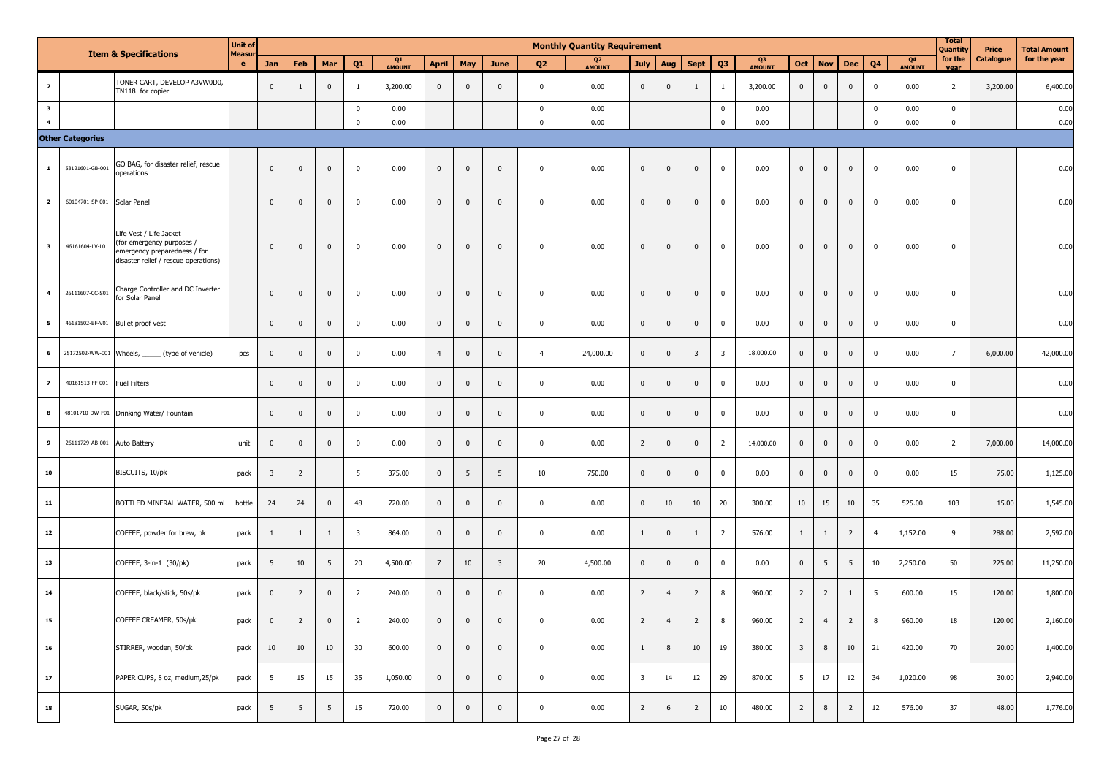|                         | <b>Item &amp; Specifications</b>                 |                                                                                                                              | <b>Unit of</b><br><b>Measur</b> |                         |                |              |                         |                     |                |                |                         |                | <b>Monthly Quantity Requirement</b> |                         |                         |                         |                         |                     |                         |                |                |                |                     | Total<br>Quantity       | Price     | <b>Total Amount</b> |
|-------------------------|--------------------------------------------------|------------------------------------------------------------------------------------------------------------------------------|---------------------------------|-------------------------|----------------|--------------|-------------------------|---------------------|----------------|----------------|-------------------------|----------------|-------------------------------------|-------------------------|-------------------------|-------------------------|-------------------------|---------------------|-------------------------|----------------|----------------|----------------|---------------------|-------------------------|-----------|---------------------|
|                         | TONER CART, DEVELOP A3VW0D0,<br>TN118 for copier |                                                                                                                              | $\mathbf{e}$                    | Jan                     | Feb            | Mar          | Q <sub>1</sub>          | Q1<br><b>AMOUNT</b> | <b>April</b>   | May            | <b>June</b>             | Q <sub>2</sub> | Q <sub>2</sub><br>AMOUNT            | <b>July</b>             | Aug                     | <b>Sept</b>             | Q <sub>3</sub>          | Q3<br><b>AMOUNT</b> | Oct                     | <b>Nov</b>     | Dec            | Q <sub>4</sub> | Q4<br><b>AMOUNT</b> | for the<br>vear         | Catalogue | for the year        |
| $\overline{\mathbf{2}}$ |                                                  |                                                                                                                              |                                 | $\mathbf{0}$            | 1              | $\mathbf 0$  | $\mathbf{1}$            | 3,200.00            | $\mathbf 0$    | $\mathbf{0}$   | $\mathbf 0$             | $\mathbf 0$    | 0.00                                | $\mathbf 0$             | $\overline{\mathbf{0}}$ | 1                       | 1                       | 3,200.00            | $\overline{0}$          | $\mathbf 0$    | $\bf{0}$       | $\mathbf 0$    | 0.00                | $\overline{2}$          | 3,200.00  | 6,400.00            |
| $\overline{\mathbf{3}}$ |                                                  |                                                                                                                              |                                 |                         |                |              | $\mathbf 0$             | 0.00                |                |                |                         | $\mathbf 0$    | 0.00                                |                         |                         |                         | $\Omega$                | 0.00                |                         |                |                | $\Omega$       | 0.00                | $\mathbf{0}$            |           | 0.00                |
| $\overline{\mathbf{4}}$ |                                                  |                                                                                                                              |                                 |                         |                |              | $\mathbf 0$             | 0.00                |                |                |                         | $\mathbf 0$    | 0.00                                |                         |                         |                         | $\mathbf 0$             | 0.00                |                         |                |                | $\mathbf 0$    | 0.00                | $\mathbf{0}$            |           | 0.00                |
|                         | <b>Other Categories</b>                          |                                                                                                                              |                                 |                         |                |              |                         |                     |                |                |                         |                |                                     |                         |                         |                         |                         |                     |                         |                |                |                |                     |                         |           |                     |
| $\mathbf{1}$            | 53121601-GB-001                                  | GO BAG, for disaster relief, rescue<br>operations                                                                            |                                 | $\mathbf{0}$            | $\mathbf 0$    | $\mathbf{0}$ | $\mathbf 0$             | 0.00                | $\mathbf 0$    | $\mathbf 0$    | $\mathbf 0$             | $\mathbf 0$    | 0.00                                | $\mathbf 0$             | $\mathbf{0}$            | $\mathbf{0}$            | $\mathbf{0}$            | 0.00                | $\overline{0}$          | $\mathbf{0}$   | $\mathbf 0$    | $\mathbf 0$    | 0.00                | $\overline{\mathbf{0}}$ |           | 0.00                |
| $\overline{\mathbf{2}}$ | 60104701-SP-001                                  | Solar Panel                                                                                                                  |                                 | $\mathbf 0$             | $\mathbf 0$    | $\mathbf 0$  | $\mathbf 0$             | 0.00                | $\mathbf 0$    | $\mathbf 0$    | $\mathbf 0$             | $\pmb{0}$      | 0.00                                | $\mathbf 0$             | $\pmb{0}$               | $\mathbf{0}$            | $\mathbf{0}$            | 0.00                | $\mathbf 0$             | $\mathbf 0$    | $\mathbf 0$    | $\mathbf{0}$   | 0.00                | $\mathbf 0$             |           | 0.00                |
| $\overline{\mathbf{3}}$ | 46161604-LV-L01                                  | Life Vest / Life Jacket<br>(for emergency purposes /<br>emergency preparedness / for<br>disaster relief / rescue operations) |                                 | $\mathbf 0$             | $\mathbf 0$    | $\pmb{0}$    | $\mathbf 0$             | 0.00                | $\pmb{0}$      | $\mathbf 0$    | $\mathbf 0$             | $\mathbf 0$    | 0.00                                | $\mathbf 0$             | $\mathbf 0$             | $\mathbf 0$             | $\mathbf 0$             | 0.00                | $\mathbf 0$             | $\mathbf 0$    | $\mathbf{0}$   | $\mathbf 0$    | 0.00                | $\overline{\mathbf{0}}$ |           | 0.00                |
| 4                       | 26111607-CC-S01                                  | Charge Controller and DC Inverter<br>for Solar Panel                                                                         |                                 | $\mathbf{0}$            | $\mathbf 0$    | $\mathbf 0$  | $\mathbf 0$             | 0.00                | $\mathbf 0$    | $\overline{0}$ | $\mathbf{0}$            | $\overline{0}$ | 0.00                                | $\mathbf 0$             | $\overline{\mathbf{0}}$ | $\mathbf{0}$            | $\mathbf{0}$            | 0.00                | $\overline{0}$          | $\mathbf{0}$   | $\mathbf{0}$   | $\mathbf{0}$   | 0.00                | $\mathbf 0$             |           | 0.00                |
| 5                       |                                                  | 46181502-BF-V01 Bullet proof vest                                                                                            |                                 | $\mathbf 0$             | $\mathbf 0$    | $\pmb{0}$    | $\mathbf 0$             | 0.00                | $\mathbf 0$    | $\mathbf 0$    | $\mathbf 0$             | $\overline{0}$ | 0.00                                | $\pmb{0}$               | $\mathbf 0$             | $\mathbf 0$             | $\mathbf{0}$            | 0.00                | $\overline{0}$          | $\mathbf 0$    | $\mathbf 0$    | $\mathbf 0$    | 0.00                | $\mathbf{0}$            |           | 0.00                |
| 6                       |                                                  | 25172502-WW-001 Wheels, ______ (type of vehicle)                                                                             | pcs                             | $\pmb{0}$               | $\mathbf 0$    | $\pmb{0}$    | $\mathbf 0$             | 0.00                | $\overline{4}$ | $\mathbf 0$    | $\mathbf 0$             | $\overline{4}$ | 24,000.00                           | $\pmb{0}$               | $\mathbf 0$             | $\overline{\mathbf{3}}$ | $\overline{\mathbf{3}}$ | 18,000.00           | $\overline{0}$          | $\mathbf 0$    | $\mathbf 0$    | $\mathbf{0}$   | 0.00                | $7\overline{ }$         | 6,000.00  | 42,000.00           |
| $\overline{z}$          | 40161513-FF-001                                  | <b>Fuel Filters</b>                                                                                                          |                                 | $\mathbf 0$             | $\mathbf 0$    | $\mathbf{0}$ | $\mathbf 0$             | 0.00                | $\pmb{0}$      | $\mathbf 0$    | $\mathbf 0$             | $\overline{0}$ | 0.00                                | $\mathbf{0}$            | $\mathbf 0$             | $\mathbf 0$             | $\mathbf 0$             | 0.00                | $\mathbf 0$             | $\mathbf 0$    | $\mathbf 0$    | $\mathbf 0$    | 0.00                | $\mathbf 0$             |           | 0.00                |
| 8                       |                                                  | 48101710-DW-F01 Drinking Water/ Fountain                                                                                     |                                 | $\mathbf 0$             | $\overline{0}$ | $\mathbf 0$  | $\mathbf 0$             | 0.00                | $\mathbf 0$    | $\mathbf 0$    | $\mathbf 0$             | $\pmb{0}$      | 0.00                                | $\mathbf 0$             | $\mathbf{0}$            | $\mathbf{0}$            | $\mathbf 0$             | 0.00                | $\mathbf 0$             | $\mathbf 0$    | $\mathbf 0$    | $\mathbf{0}$   | 0.00                | $\mathbf 0$             |           | 0.00                |
| 9                       | 26111729-AB-001                                  | Auto Battery                                                                                                                 | unit                            | $\mathbf 0$             | $\mathbf 0$    | $\pmb{0}$    | $\mathbf 0$             | 0.00                | $\mathbf 0$    | $\mathbf 0$    | $\mathbf{0}$            | $\mathbf 0$    | 0.00                                | $\overline{2}$          | $\mathbf 0$             | $\overline{\mathbf{0}}$ | $\overline{2}$          | 14,000.00           | $\overline{0}$          | $\pmb{0}$      | $\mathbf{0}$   | $\mathbf{0}$   | 0.00                | $\overline{2}$          | 7,000.00  | 14,000.00           |
| 10                      |                                                  | BISCUITS, 10/pk                                                                                                              | pack                            | $\overline{\mathbf{3}}$ | $\overline{2}$ |              | 5                       | 375.00              | $\pmb{0}$      | 5              | 5                       | 10             | 750.00                              | $\mathbf 0$             | $\mathbf{0}$            | $\mathbf 0$             | $\mathbf 0$             | 0.00                | $\overline{0}$          | $\mathbf 0$    | $\mathbf{0}$   | $\mathbf 0$    | 0.00                | 15                      | 75.00     | 1,125.00            |
| ${\bf 11}$              |                                                  | BOTTLED MINERAL WATER, 500 ml                                                                                                | bottle                          | 24                      | 24             | $\pmb{0}$    | 48                      | 720.00              | $\mathbf 0$    | $\overline{0}$ | $\mathbf{0}$            | $\overline{0}$ | 0.00                                | $\mathbf 0$             | 10                      | 10                      | 20                      | 300.00              | 10                      | 15             | 10             | 35             | 525.00              | 103                     | 15.00     | 1,545.00            |
| 12                      |                                                  | COFFEE, powder for brew, pk                                                                                                  | pack                            | $\mathbf{1}$            | 1              | $\mathbf{1}$ | $\overline{\mathbf{3}}$ | 864.00              | $\pmb{0}$      | $\mathbf 0$    | $\mathbf{0}$            | $\mathbf 0$    | 0.00                                | 1                       | $\mathbf 0$             | 1                       | $\overline{2}$          | 576.00              | $\mathbf{1}$            | 1              | $\overline{2}$ | $\overline{4}$ | 1,152.00            | 9                       | 288.00    | 2,592.00            |
| 13                      |                                                  | COFFEE, 3-in-1 (30/pk)                                                                                                       | pack                            | 5                       | 10             | 5            | 20                      | 4,500.00            | $\overline{7}$ | 10             | $\overline{\mathbf{3}}$ | 20             | 4,500.00                            | $\mathbf{0}$            | $\mathbf{0}$            | $\mathbf 0$             | $\mathbf 0$             | 0.00                | $\overline{0}$          | 5              | 5              | 10             | 2,250.00            | 50                      | 225.00    | 11,250.00           |
| ${\bf 14}$              |                                                  | COFFEE, black/stick, 50s/pk                                                                                                  | pack                            | $\mathbf 0$             | $\overline{2}$ | $\mathbf 0$  | $\overline{2}$          | 240.00              | $\mathbf 0$    | $\mathbf 0$    | $\mathbf 0$             | $\mathbf 0$    | 0.00                                | $\overline{2}$          | $\overline{4}$          | $\overline{2}$          | 8                       | 960.00              | $\overline{2}$          | $\overline{2}$ | 1              | 5              | 600.00              | 15                      | 120.00    | 1,800.00            |
| 15                      |                                                  | COFFEE CREAMER, 50s/pk                                                                                                       | pack                            | 0                       | 2              | 0            | 2                       | 240.00              | 0              | 0              | $\mathbf{0}$            | $\bf{0}$       | 0.00                                | $\mathbf{Z}$            |                         | 2                       |                         | 960.00              | $\mathbf{Z}$            | 4              | $\mathbf{2}$   |                | 960.00              | 18                      | 120.00    | 2,160.00            |
| 16                      |                                                  | STIRRER, wooden, 50/pk                                                                                                       | pack                            | 10                      | 10             | 10           | 30                      | 600.00              | $\mathbf 0$    | $\overline{0}$ | $\mathbf 0$             | $\mathbf 0$    | 0.00                                | $\overline{1}$          | 8                       | 10                      | 19                      | 380.00              | $\overline{\mathbf{3}}$ | 8              | 10             | 21             | 420.00              | 70                      | 20.00     | 1,400.00            |
| 17                      |                                                  | PAPER CUPS, 8 oz, medium, 25/pk                                                                                              | pack                            | 5                       | 15             | 15           | 35                      | 1,050.00            | $\overline{0}$ | $\overline{0}$ | $\mathbf 0$             | $\overline{0}$ | 0.00                                | $\overline{\mathbf{3}}$ | 14                      | 12                      | 29                      | 870.00              | 5 <sub>5</sub>          | 17             | 12             | 34             | 1,020.00            | 98                      | 30.00     | 2,940.00            |
| 18                      |                                                  | SUGAR, 50s/pk                                                                                                                | pack                            | 5                       | 5              | 5            | 15                      | 720.00              | $\pmb{0}$      | $\overline{0}$ | $\mathbf 0$             | $\mathbf 0$    | 0.00                                | $\overline{2}$          | 6                       | $\overline{2}$          | 10                      | 480.00              | $\overline{2}$          | 8              | $\overline{2}$ | 12             | 576.00              | 37                      | 48.00     | 1,776.00            |